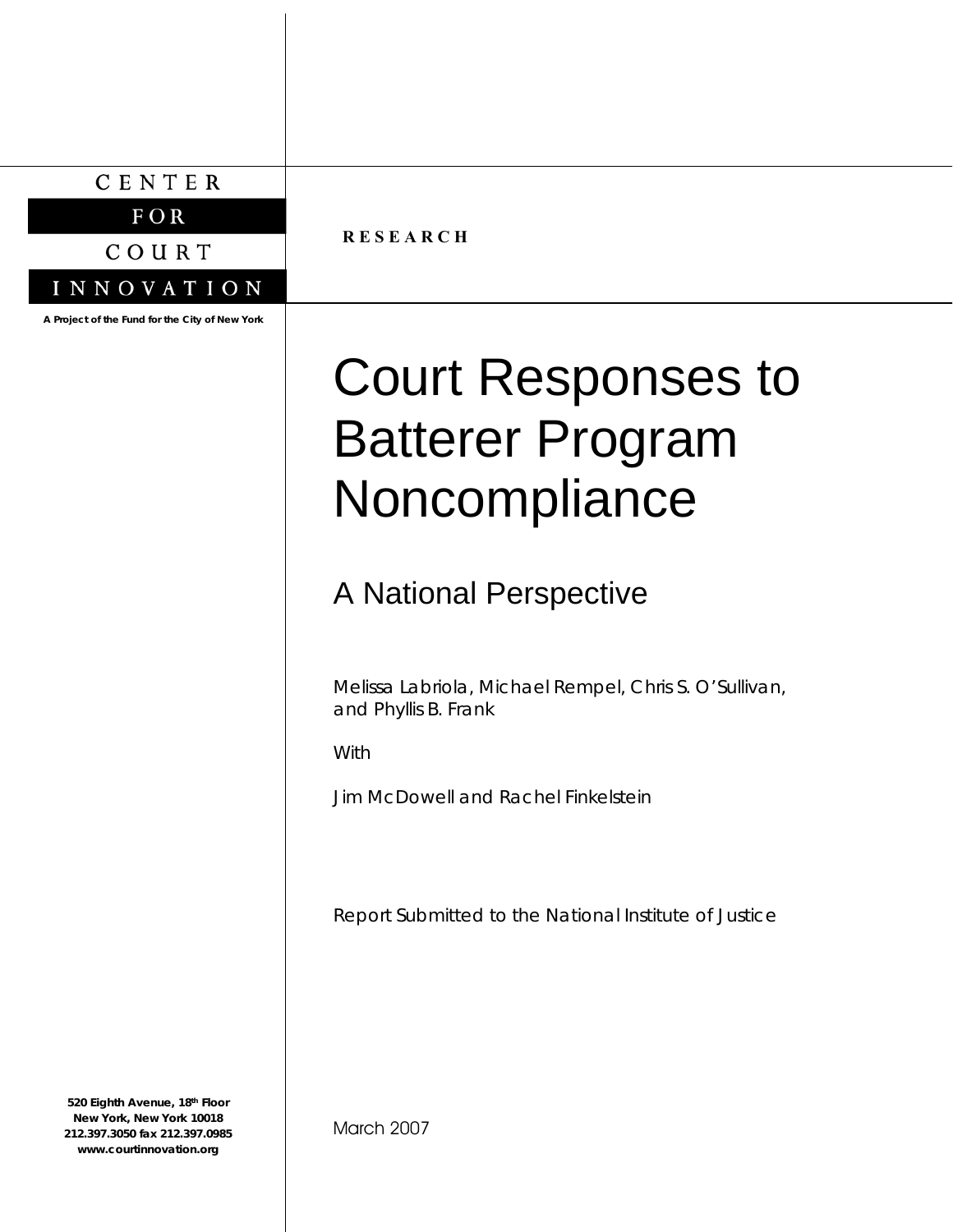CENTER

 $F$  OR

COURT

INNOVATION

**A Project of the Fund for the City of New York**

**R E S E A R C H** 

# Court Responses to Batterer Program Noncompliance

# A National Perspective

Melissa Labriola, Michael Rempel, Chris S. O'Sullivan, and Phyllis B. Frank

With

Jim McDowell and Rachel Finkelstein

Report Submitted to the National Institute of Justice

**520 Eighth Avenue, 18th Floor New York, New York 10018 212.397.3050 fax 212.397.0985 www.courtinnovation.org**

March 2007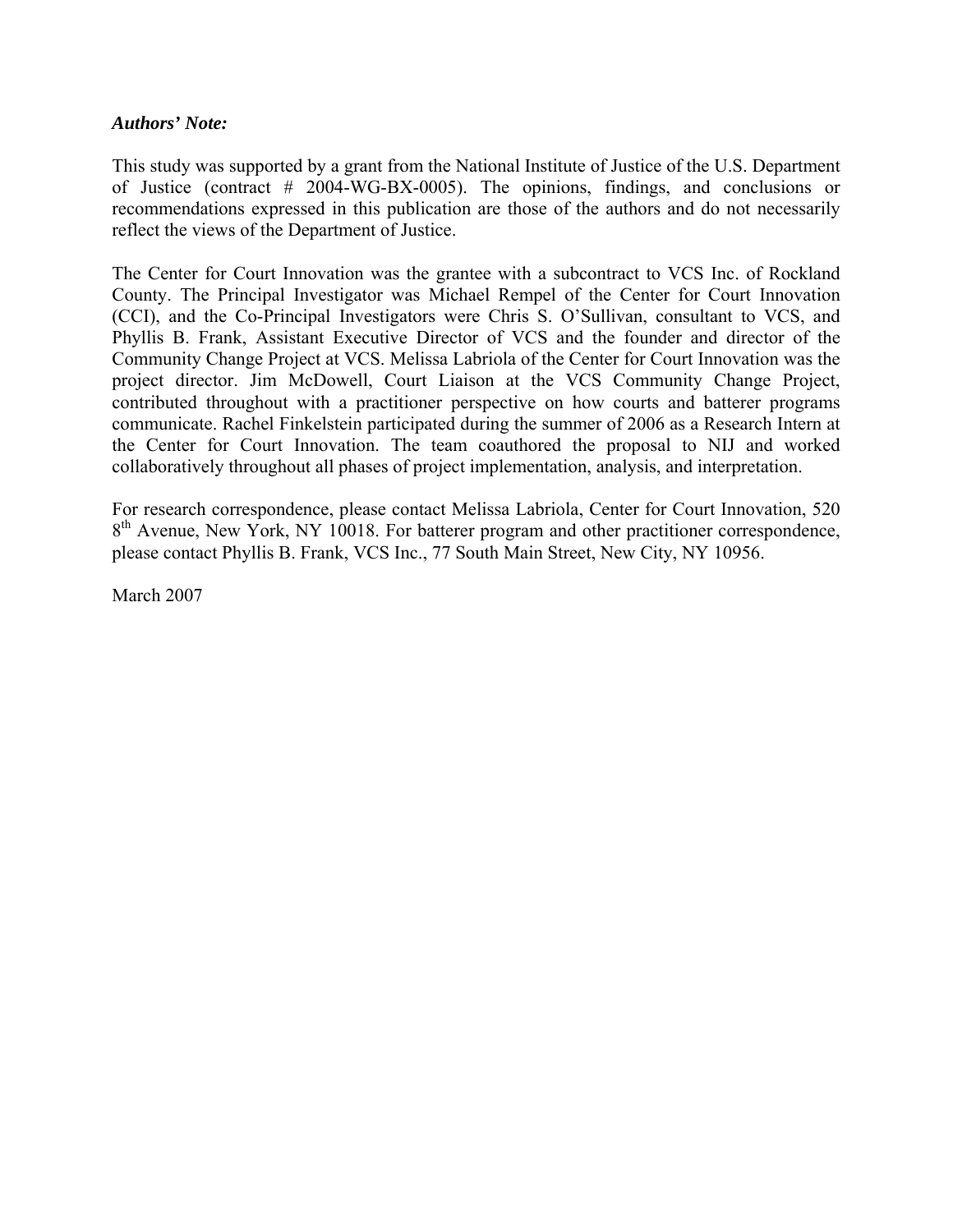#### *Authors' Note:*

This study was supported by a grant from the National Institute of Justice of the U.S. Department of Justice (contract # 2004-WG-BX-0005). The opinions, findings, and conclusions or recommendations expressed in this publication are those of the authors and do not necessarily reflect the views of the Department of Justice.

The Center for Court Innovation was the grantee with a subcontract to VCS Inc. of Rockland County. The Principal Investigator was Michael Rempel of the Center for Court Innovation (CCI), and the Co-Principal Investigators were Chris S. O'Sullivan, consultant to VCS, and Phyllis B. Frank, Assistant Executive Director of VCS and the founder and director of the Community Change Project at VCS. Melissa Labriola of the Center for Court Innovation was the project director. Jim McDowell, Court Liaison at the VCS Community Change Project, contributed throughout with a practitioner perspective on how courts and batterer programs communicate. Rachel Finkelstein participated during the summer of 2006 as a Research Intern at the Center for Court Innovation. The team coauthored the proposal to NIJ and worked collaboratively throughout all phases of project implementation, analysis, and interpretation.

For research correspondence, please contact Melissa Labriola, Center for Court Innovation, 520  $8<sup>th</sup>$  Avenue, New York, NY 10018. For batterer program and other practitioner correspondence, please contact Phyllis B. Frank, VCS Inc., 77 South Main Street, New City, NY 10956.

March 2007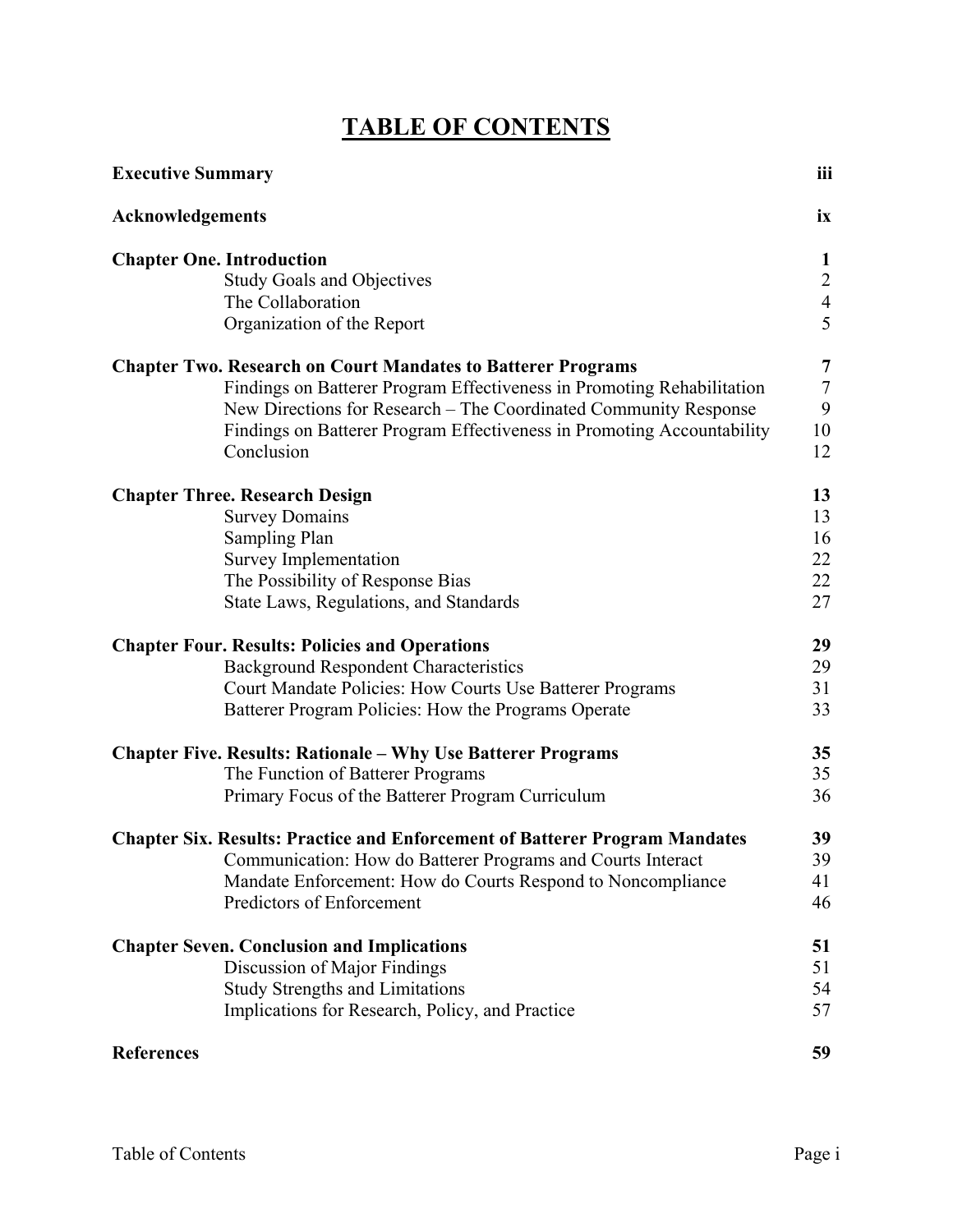# **TABLE OF CONTENTS**

| <b>Executive Summary</b>                                                           | iii                 |
|------------------------------------------------------------------------------------|---------------------|
| Acknowledgements                                                                   | ix                  |
| <b>Chapter One. Introduction</b>                                                   | $\mathbf{1}$        |
| <b>Study Goals and Objectives</b>                                                  | $\overline{2}$      |
| The Collaboration                                                                  | $\overline{4}$<br>5 |
| Organization of the Report                                                         |                     |
| <b>Chapter Two. Research on Court Mandates to Batterer Programs</b>                | 7                   |
| Findings on Batterer Program Effectiveness in Promoting Rehabilitation             | $\overline{7}$      |
| New Directions for Research – The Coordinated Community Response                   | 9                   |
| Findings on Batterer Program Effectiveness in Promoting Accountability             | 10                  |
| Conclusion                                                                         | 12                  |
| <b>Chapter Three. Research Design</b>                                              | 13                  |
| <b>Survey Domains</b>                                                              | 13                  |
| Sampling Plan                                                                      | 16                  |
| <b>Survey Implementation</b>                                                       | 22                  |
| The Possibility of Response Bias                                                   | 22                  |
| State Laws, Regulations, and Standards                                             | 27                  |
| <b>Chapter Four. Results: Policies and Operations</b>                              | 29                  |
| <b>Background Respondent Characteristics</b>                                       | 29                  |
| Court Mandate Policies: How Courts Use Batterer Programs                           | 31                  |
| Batterer Program Policies: How the Programs Operate                                | 33                  |
| <b>Chapter Five. Results: Rationale – Why Use Batterer Programs</b>                | 35                  |
| The Function of Batterer Programs                                                  | 35                  |
| Primary Focus of the Batterer Program Curriculum                                   | 36                  |
| <b>Chapter Six. Results: Practice and Enforcement of Batterer Program Mandates</b> | 39                  |
| Communication: How do Batterer Programs and Courts Interact                        | 39                  |
| Mandate Enforcement: How do Courts Respond to Noncompliance                        | 41                  |
| Predictors of Enforcement                                                          | 46                  |
| <b>Chapter Seven. Conclusion and Implications</b>                                  | 51                  |
| Discussion of Major Findings                                                       | 51                  |
| <b>Study Strengths and Limitations</b>                                             | 54                  |
| Implications for Research, Policy, and Practice                                    | 57                  |
| <b>References</b>                                                                  | 59                  |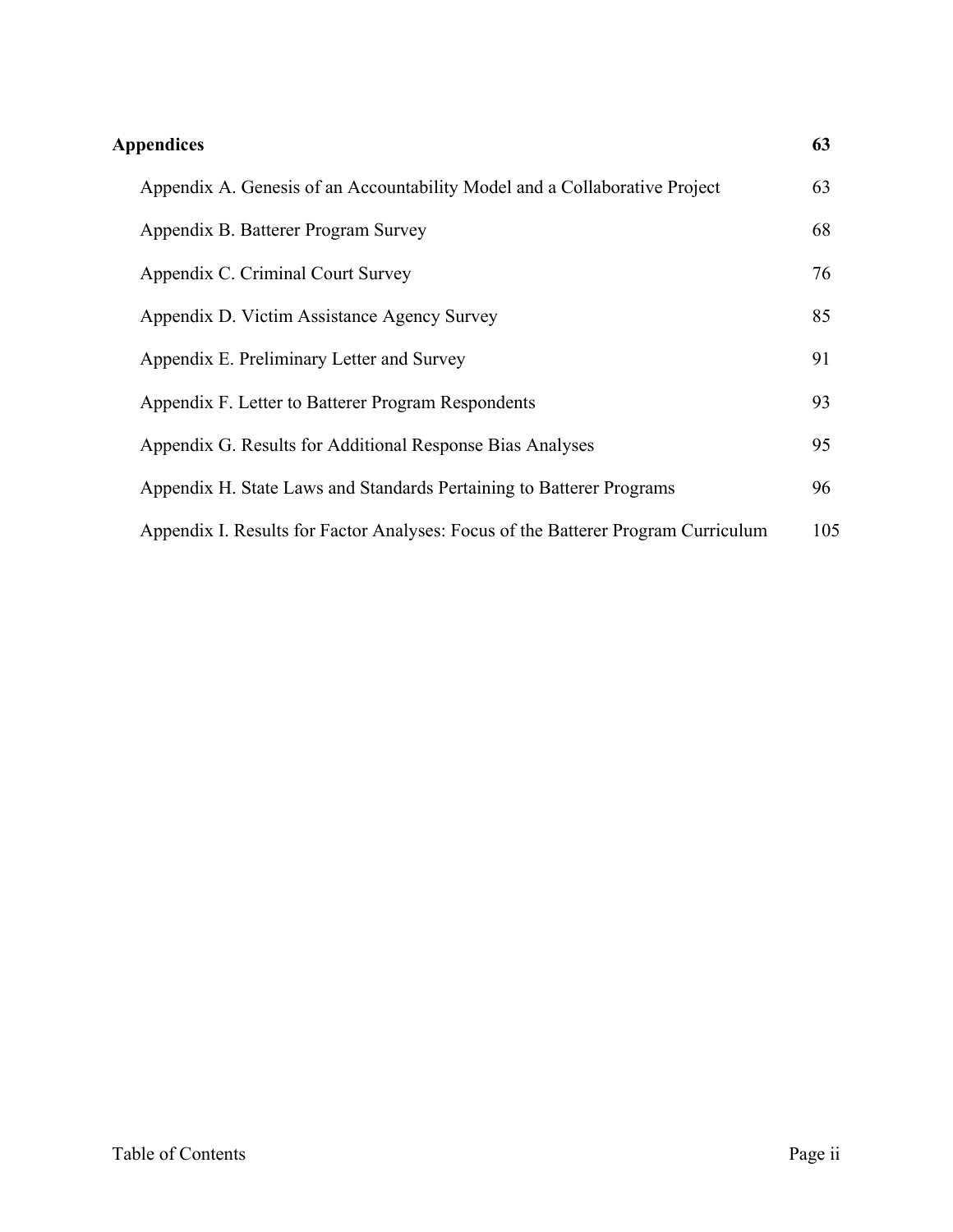| <b>Appendices</b>                                                                 | 63  |
|-----------------------------------------------------------------------------------|-----|
| Appendix A. Genesis of an Accountability Model and a Collaborative Project        | 63  |
| Appendix B. Batterer Program Survey                                               | 68  |
| Appendix C. Criminal Court Survey                                                 | 76  |
| Appendix D. Victim Assistance Agency Survey                                       | 85  |
| Appendix E. Preliminary Letter and Survey                                         | 91  |
| Appendix F. Letter to Batterer Program Respondents                                | 93  |
| Appendix G. Results for Additional Response Bias Analyses                         | 95  |
| Appendix H. State Laws and Standards Pertaining to Batterer Programs              | 96  |
| Appendix I. Results for Factor Analyses: Focus of the Batterer Program Curriculum | 105 |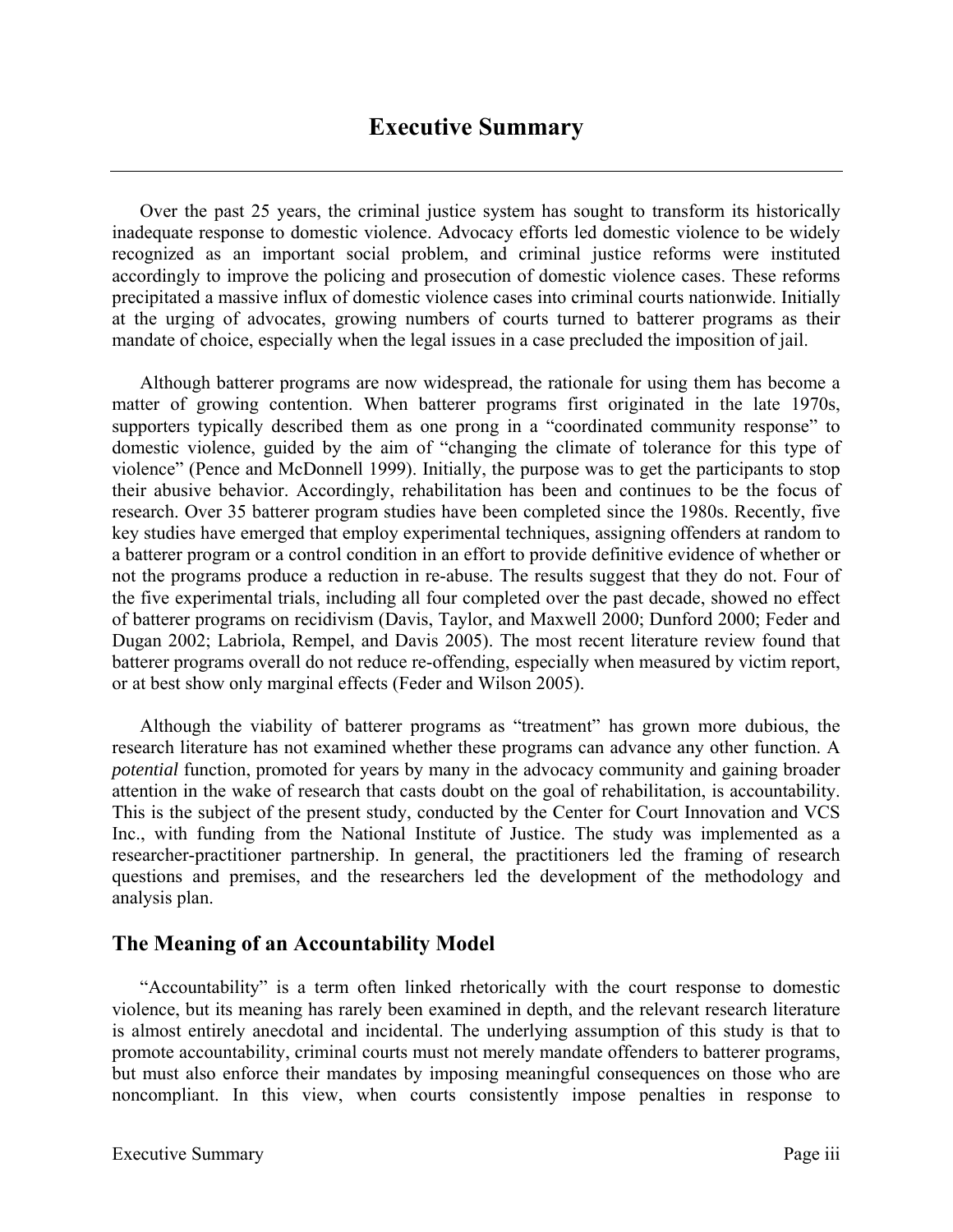Over the past 25 years, the criminal justice system has sought to transform its historically inadequate response to domestic violence. Advocacy efforts led domestic violence to be widely recognized as an important social problem, and criminal justice reforms were instituted accordingly to improve the policing and prosecution of domestic violence cases. These reforms precipitated a massive influx of domestic violence cases into criminal courts nationwide. Initially at the urging of advocates, growing numbers of courts turned to batterer programs as their mandate of choice, especially when the legal issues in a case precluded the imposition of jail.

Although batterer programs are now widespread, the rationale for using them has become a matter of growing contention. When batterer programs first originated in the late 1970s, supporters typically described them as one prong in a "coordinated community response" to domestic violence, guided by the aim of "changing the climate of tolerance for this type of violence" (Pence and McDonnell 1999). Initially, the purpose was to get the participants to stop their abusive behavior. Accordingly, rehabilitation has been and continues to be the focus of research. Over 35 batterer program studies have been completed since the 1980s. Recently, five key studies have emerged that employ experimental techniques, assigning offenders at random to a batterer program or a control condition in an effort to provide definitive evidence of whether or not the programs produce a reduction in re-abuse. The results suggest that they do not. Four of the five experimental trials, including all four completed over the past decade, showed no effect of batterer programs on recidivism (Davis, Taylor, and Maxwell 2000; Dunford 2000; Feder and Dugan 2002; Labriola, Rempel, and Davis 2005). The most recent literature review found that batterer programs overall do not reduce re-offending, especially when measured by victim report, or at best show only marginal effects (Feder and Wilson 2005).

Although the viability of batterer programs as "treatment" has grown more dubious, the research literature has not examined whether these programs can advance any other function. A *potential* function, promoted for years by many in the advocacy community and gaining broader attention in the wake of research that casts doubt on the goal of rehabilitation, is accountability. This is the subject of the present study, conducted by the Center for Court Innovation and VCS Inc., with funding from the National Institute of Justice. The study was implemented as a researcher-practitioner partnership. In general, the practitioners led the framing of research questions and premises, and the researchers led the development of the methodology and analysis plan.

# **The Meaning of an Accountability Model**

"Accountability" is a term often linked rhetorically with the court response to domestic violence, but its meaning has rarely been examined in depth, and the relevant research literature is almost entirely anecdotal and incidental. The underlying assumption of this study is that to promote accountability, criminal courts must not merely mandate offenders to batterer programs, but must also enforce their mandates by imposing meaningful consequences on those who are noncompliant. In this view, when courts consistently impose penalties in response to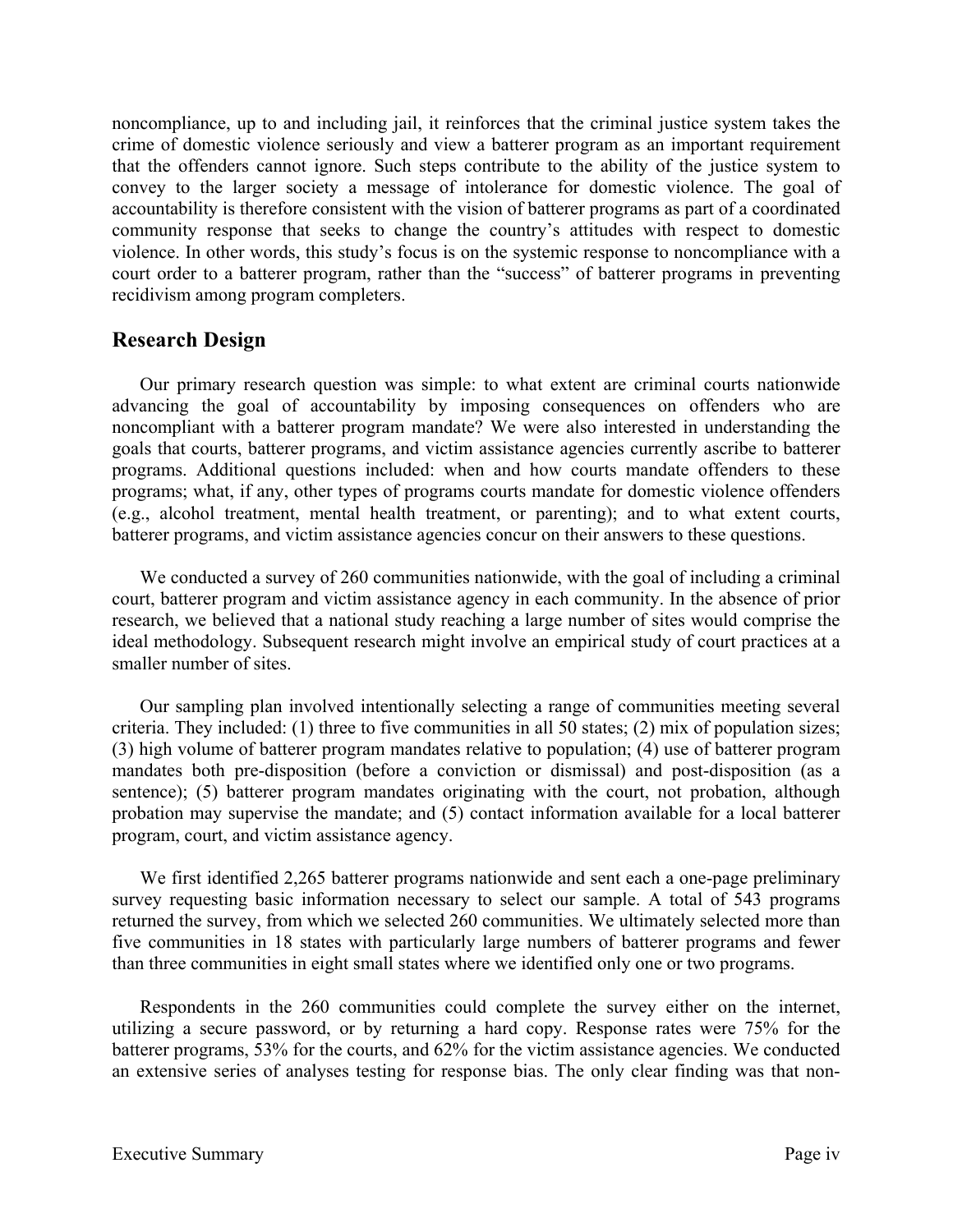noncompliance, up to and including jail, it reinforces that the criminal justice system takes the crime of domestic violence seriously and view a batterer program as an important requirement that the offenders cannot ignore. Such steps contribute to the ability of the justice system to convey to the larger society a message of intolerance for domestic violence. The goal of accountability is therefore consistent with the vision of batterer programs as part of a coordinated community response that seeks to change the country's attitudes with respect to domestic violence. In other words, this study's focus is on the systemic response to noncompliance with a court order to a batterer program, rather than the "success" of batterer programs in preventing recidivism among program completers.

# **Research Design**

Our primary research question was simple: to what extent are criminal courts nationwide advancing the goal of accountability by imposing consequences on offenders who are noncompliant with a batterer program mandate? We were also interested in understanding the goals that courts, batterer programs, and victim assistance agencies currently ascribe to batterer programs. Additional questions included: when and how courts mandate offenders to these programs; what, if any, other types of programs courts mandate for domestic violence offenders (e.g., alcohol treatment, mental health treatment, or parenting); and to what extent courts, batterer programs, and victim assistance agencies concur on their answers to these questions.

We conducted a survey of 260 communities nationwide, with the goal of including a criminal court, batterer program and victim assistance agency in each community. In the absence of prior research, we believed that a national study reaching a large number of sites would comprise the ideal methodology. Subsequent research might involve an empirical study of court practices at a smaller number of sites.

Our sampling plan involved intentionally selecting a range of communities meeting several criteria. They included: (1) three to five communities in all 50 states; (2) mix of population sizes; (3) high volume of batterer program mandates relative to population; (4) use of batterer program mandates both pre-disposition (before a conviction or dismissal) and post-disposition (as a sentence); (5) batterer program mandates originating with the court, not probation, although probation may supervise the mandate; and (5) contact information available for a local batterer program, court, and victim assistance agency.

We first identified 2,265 batterer programs nationwide and sent each a one-page preliminary survey requesting basic information necessary to select our sample. A total of 543 programs returned the survey, from which we selected 260 communities. We ultimately selected more than five communities in 18 states with particularly large numbers of batterer programs and fewer than three communities in eight small states where we identified only one or two programs.

Respondents in the 260 communities could complete the survey either on the internet, utilizing a secure password, or by returning a hard copy. Response rates were 75% for the batterer programs, 53% for the courts, and 62% for the victim assistance agencies. We conducted an extensive series of analyses testing for response bias. The only clear finding was that non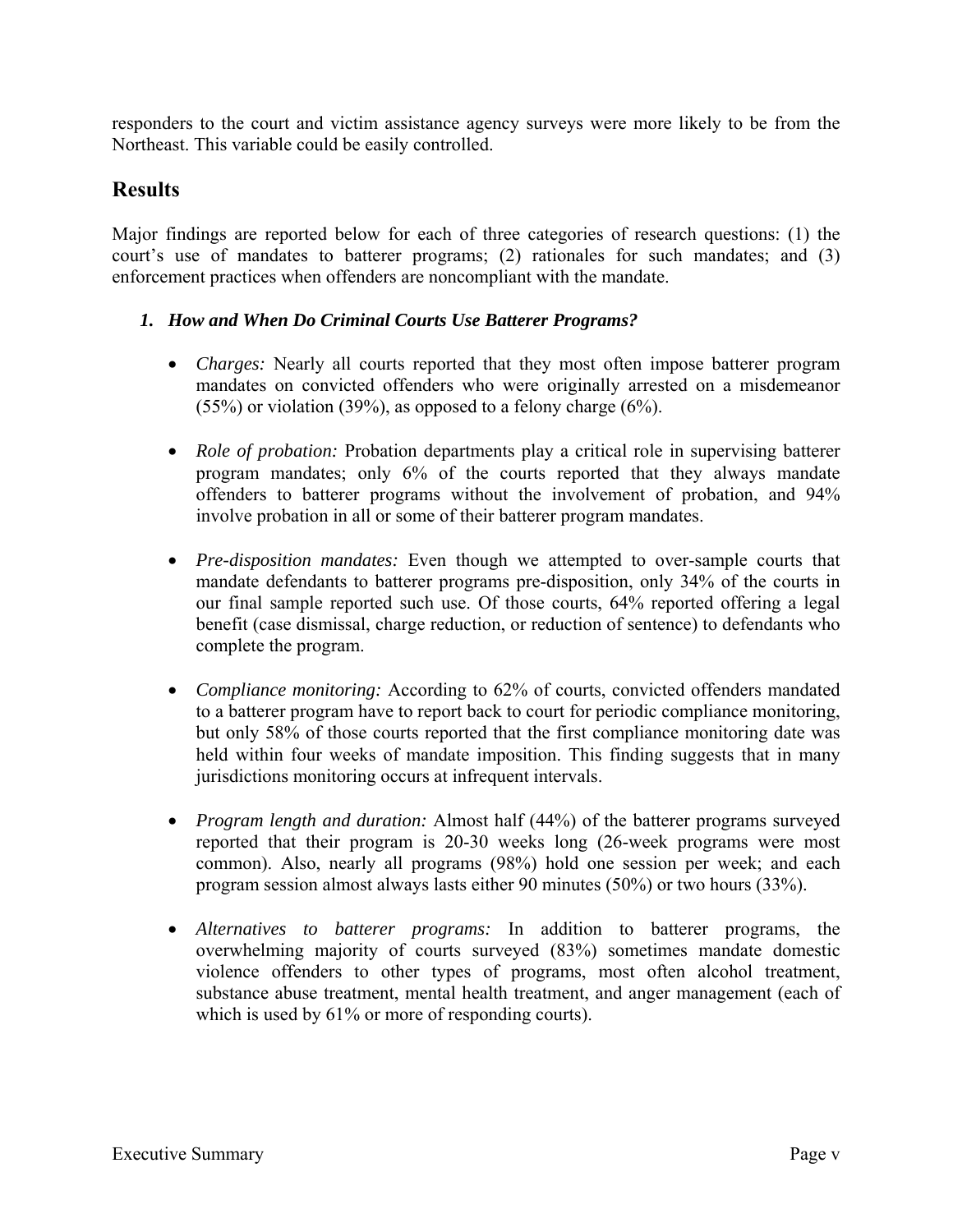responders to the court and victim assistance agency surveys were more likely to be from the Northeast. This variable could be easily controlled.

# **Results**

Major findings are reported below for each of three categories of research questions: (1) the court's use of mandates to batterer programs; (2) rationales for such mandates; and (3) enforcement practices when offenders are noncompliant with the mandate.

## *1. How and When Do Criminal Courts Use Batterer Programs?*

- *Charges:* Nearly all courts reported that they most often impose batterer program mandates on convicted offenders who were originally arrested on a misdemeanor (55%) or violation (39%), as opposed to a felony charge (6%).
- *Role of probation:* Probation departments play a critical role in supervising batterer program mandates; only 6% of the courts reported that they always mandate offenders to batterer programs without the involvement of probation, and 94% involve probation in all or some of their batterer program mandates.
- *Pre-disposition mandates:* Even though we attempted to over-sample courts that mandate defendants to batterer programs pre-disposition, only 34% of the courts in our final sample reported such use. Of those courts, 64% reported offering a legal benefit (case dismissal, charge reduction, or reduction of sentence) to defendants who complete the program.
- *Compliance monitoring:* According to 62% of courts, convicted offenders mandated to a batterer program have to report back to court for periodic compliance monitoring, but only 58% of those courts reported that the first compliance monitoring date was held within four weeks of mandate imposition. This finding suggests that in many jurisdictions monitoring occurs at infrequent intervals.
- *Program length and duration:* Almost half (44%) of the batterer programs surveyed reported that their program is 20-30 weeks long (26-week programs were most common). Also, nearly all programs (98%) hold one session per week; and each program session almost always lasts either 90 minutes (50%) or two hours (33%).
- *Alternatives to batterer programs:* In addition to batterer programs, the overwhelming majority of courts surveyed (83%) sometimes mandate domestic violence offenders to other types of programs, most often alcohol treatment, substance abuse treatment, mental health treatment, and anger management (each of which is used by 61% or more of responding courts).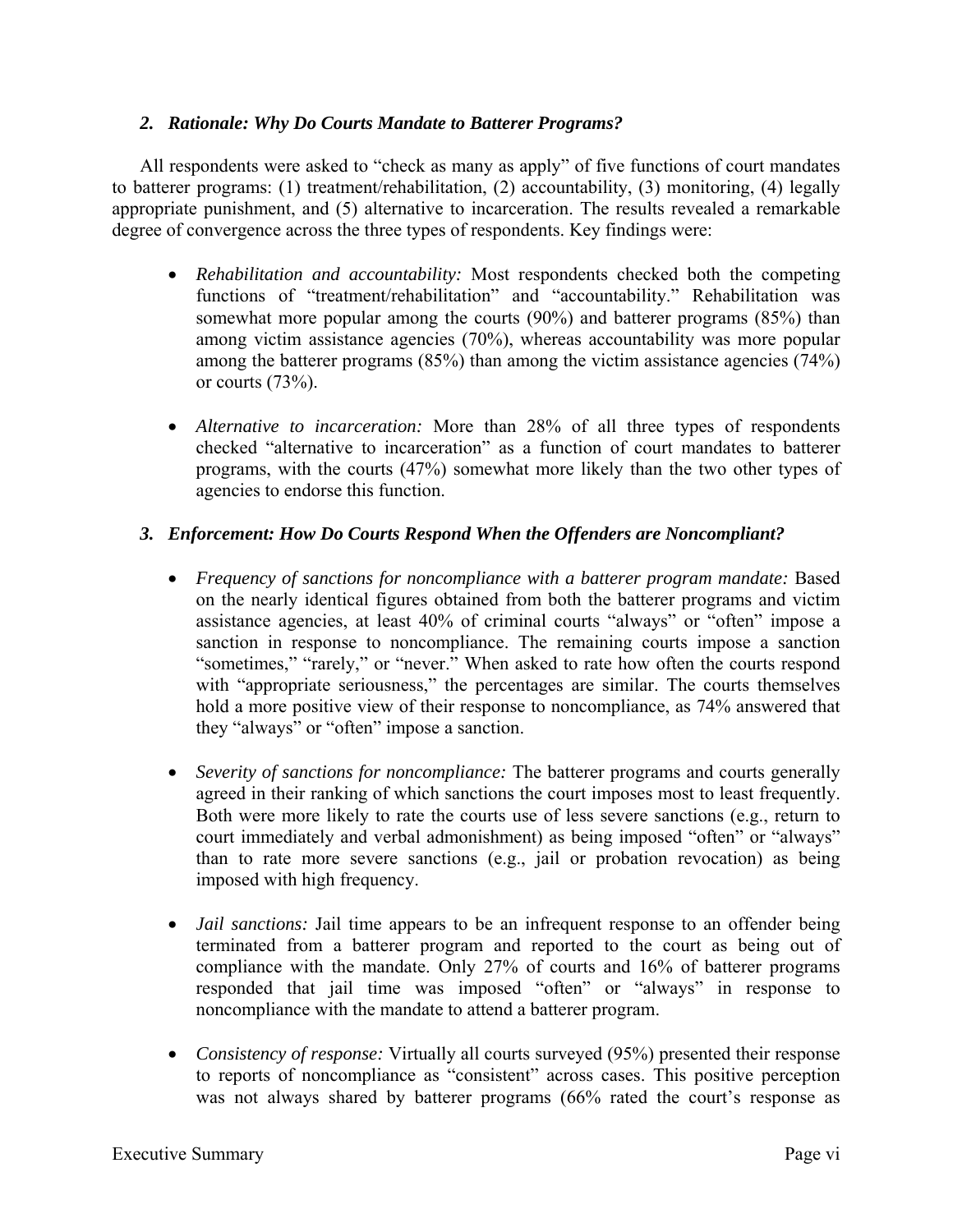## *2. Rationale: Why Do Courts Mandate to Batterer Programs?*

 All respondents were asked to "check as many as apply" of five functions of court mandates to batterer programs: (1) treatment/rehabilitation, (2) accountability, (3) monitoring, (4) legally appropriate punishment, and (5) alternative to incarceration. The results revealed a remarkable degree of convergence across the three types of respondents. Key findings were:

- *Rehabilitation and accountability:* Most respondents checked both the competing functions of "treatment/rehabilitation" and "accountability." Rehabilitation was somewhat more popular among the courts (90%) and batterer programs (85%) than among victim assistance agencies (70%), whereas accountability was more popular among the batterer programs (85%) than among the victim assistance agencies (74%) or courts  $(73%)$ .
- *Alternative to incarceration:* More than 28% of all three types of respondents checked "alternative to incarceration" as a function of court mandates to batterer programs, with the courts (47%) somewhat more likely than the two other types of agencies to endorse this function.

# *3. Enforcement: How Do Courts Respond When the Offenders are Noncompliant?*

- *Frequency of sanctions for noncompliance with a batterer program mandate:* Based on the nearly identical figures obtained from both the batterer programs and victim assistance agencies, at least 40% of criminal courts "always" or "often" impose a sanction in response to noncompliance. The remaining courts impose a sanction "sometimes," "rarely," or "never." When asked to rate how often the courts respond with "appropriate seriousness," the percentages are similar. The courts themselves hold a more positive view of their response to noncompliance, as 74% answered that they "always" or "often" impose a sanction.
- *Severity of sanctions for noncompliance:* The batterer programs and courts generally agreed in their ranking of which sanctions the court imposes most to least frequently. Both were more likely to rate the courts use of less severe sanctions (e.g., return to court immediately and verbal admonishment) as being imposed "often" or "always" than to rate more severe sanctions (e.g., jail or probation revocation) as being imposed with high frequency.
- *Jail sanctions:* Jail time appears to be an infrequent response to an offender being terminated from a batterer program and reported to the court as being out of compliance with the mandate. Only 27% of courts and 16% of batterer programs responded that jail time was imposed "often" or "always" in response to noncompliance with the mandate to attend a batterer program.
- *Consistency of response:* Virtually all courts surveyed (95%) presented their response to reports of noncompliance as "consistent" across cases. This positive perception was not always shared by batterer programs (66% rated the court's response as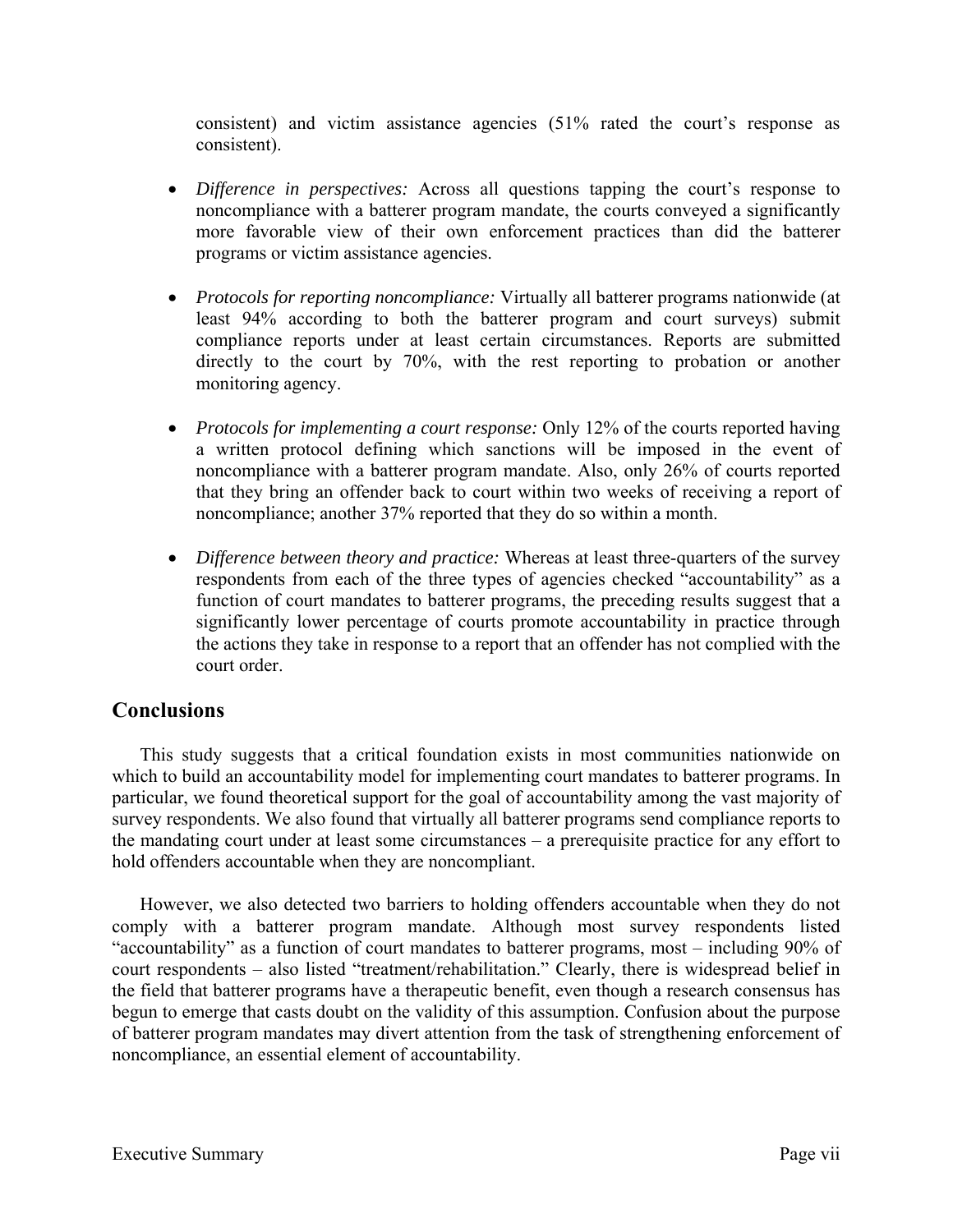consistent) and victim assistance agencies (51% rated the court's response as consistent).

- *Difference in perspectives:* Across all questions tapping the court's response to noncompliance with a batterer program mandate, the courts conveyed a significantly more favorable view of their own enforcement practices than did the batterer programs or victim assistance agencies.
- *Protocols for reporting noncompliance:* Virtually all batterer programs nationwide (at least 94% according to both the batterer program and court surveys) submit compliance reports under at least certain circumstances. Reports are submitted directly to the court by 70%, with the rest reporting to probation or another monitoring agency.
- *Protocols for implementing a court response:* Only 12% of the courts reported having a written protocol defining which sanctions will be imposed in the event of noncompliance with a batterer program mandate. Also, only 26% of courts reported that they bring an offender back to court within two weeks of receiving a report of noncompliance; another 37% reported that they do so within a month.
- *Difference between theory and practice:* Whereas at least three-quarters of the survey respondents from each of the three types of agencies checked "accountability" as a function of court mandates to batterer programs, the preceding results suggest that a significantly lower percentage of courts promote accountability in practice through the actions they take in response to a report that an offender has not complied with the court order.

# **Conclusions**

 This study suggests that a critical foundation exists in most communities nationwide on which to build an accountability model for implementing court mandates to batterer programs. In particular, we found theoretical support for the goal of accountability among the vast majority of survey respondents. We also found that virtually all batterer programs send compliance reports to the mandating court under at least some circumstances – a prerequisite practice for any effort to hold offenders accountable when they are noncompliant.

 However, we also detected two barriers to holding offenders accountable when they do not comply with a batterer program mandate. Although most survey respondents listed "accountability" as a function of court mandates to batterer programs, most – including 90% of court respondents – also listed "treatment/rehabilitation." Clearly, there is widespread belief in the field that batterer programs have a therapeutic benefit, even though a research consensus has begun to emerge that casts doubt on the validity of this assumption. Confusion about the purpose of batterer program mandates may divert attention from the task of strengthening enforcement of noncompliance, an essential element of accountability.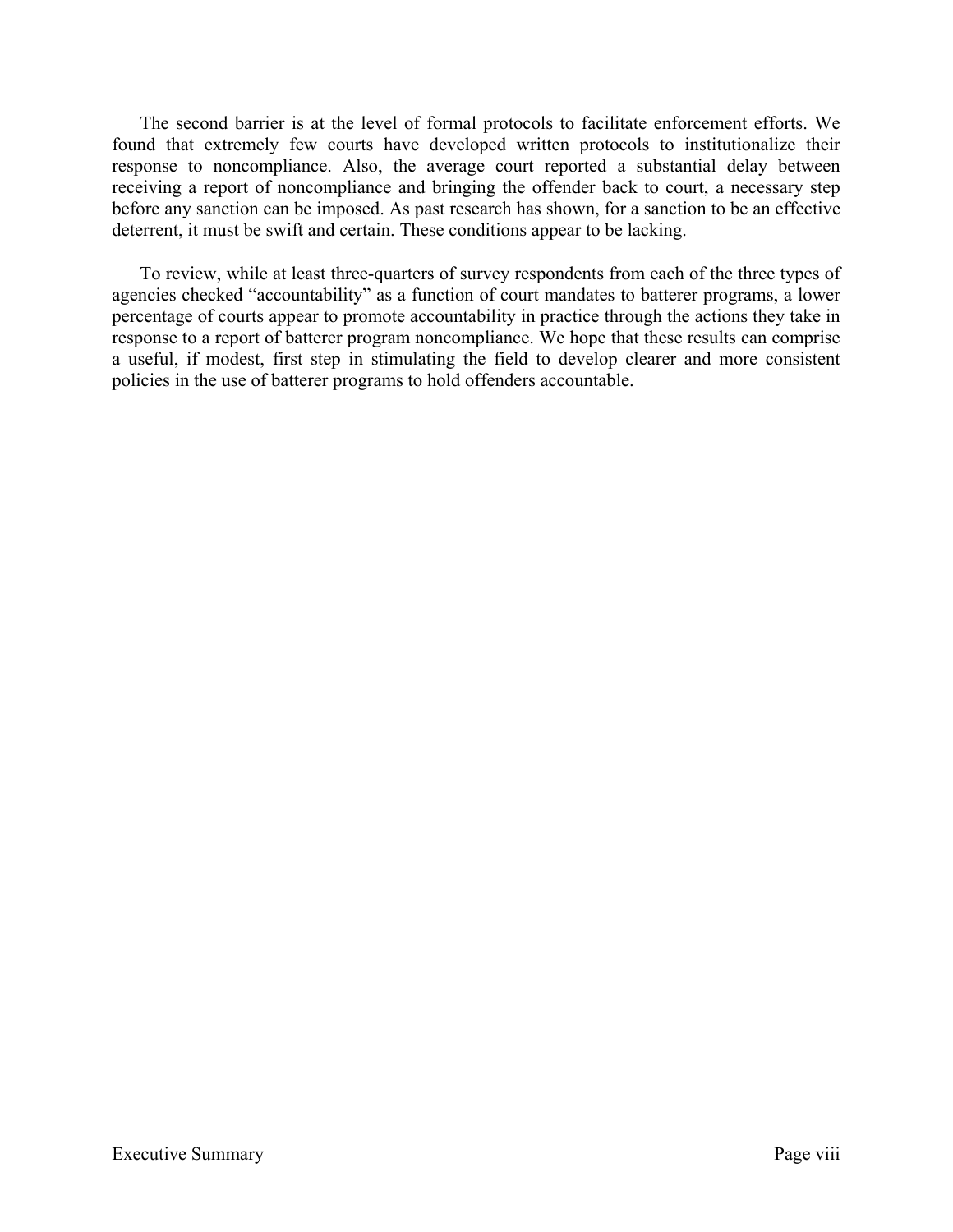The second barrier is at the level of formal protocols to facilitate enforcement efforts. We found that extremely few courts have developed written protocols to institutionalize their response to noncompliance. Also, the average court reported a substantial delay between receiving a report of noncompliance and bringing the offender back to court, a necessary step before any sanction can be imposed. As past research has shown, for a sanction to be an effective deterrent, it must be swift and certain. These conditions appear to be lacking.

To review, while at least three-quarters of survey respondents from each of the three types of agencies checked "accountability" as a function of court mandates to batterer programs, a lower percentage of courts appear to promote accountability in practice through the actions they take in response to a report of batterer program noncompliance. We hope that these results can comprise a useful, if modest, first step in stimulating the field to develop clearer and more consistent policies in the use of batterer programs to hold offenders accountable.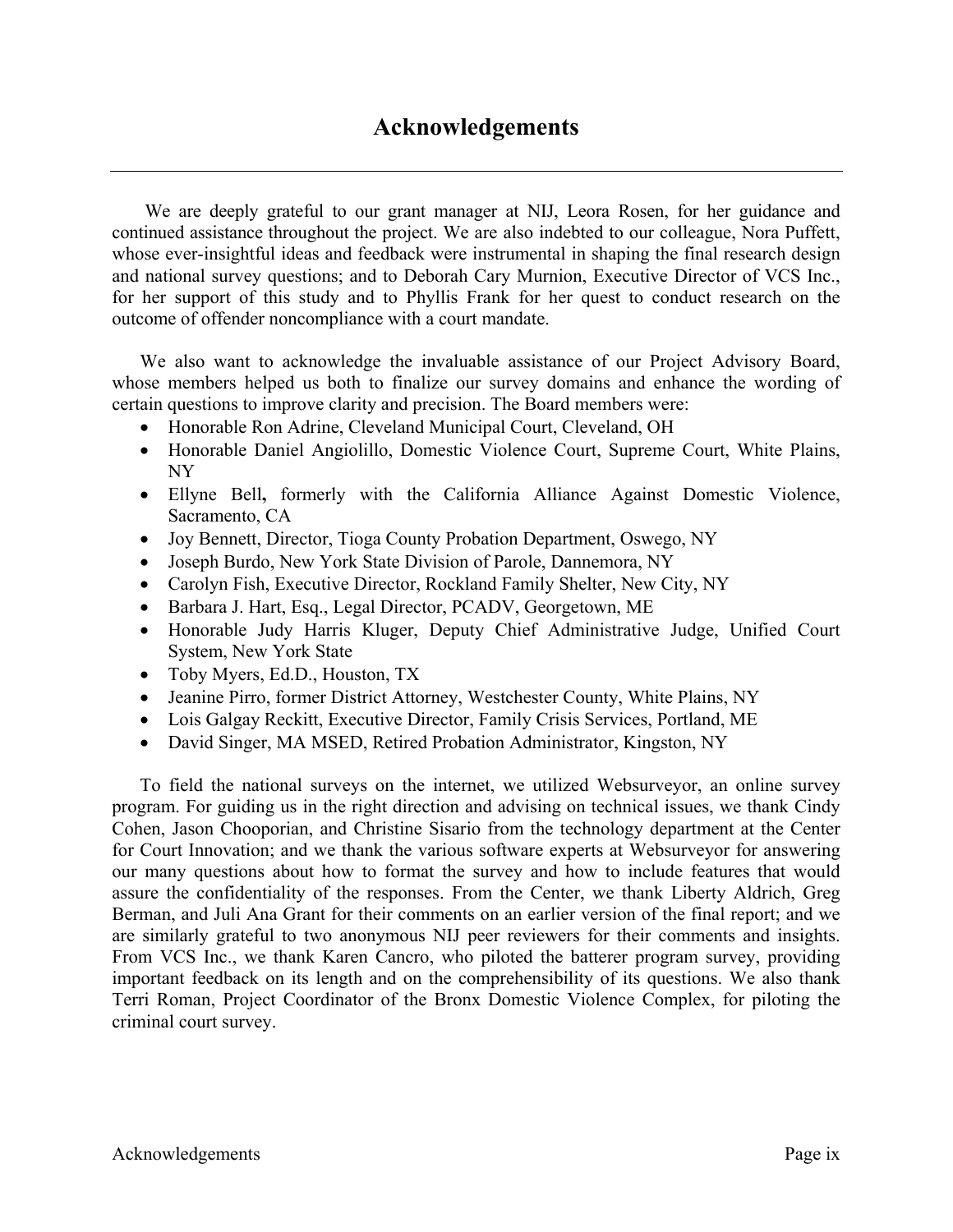We are deeply grateful to our grant manager at NIJ, Leora Rosen, for her guidance and continued assistance throughout the project. We are also indebted to our colleague, Nora Puffett, whose ever-insightful ideas and feedback were instrumental in shaping the final research design and national survey questions; and to Deborah Cary Murnion, Executive Director of VCS Inc., for her support of this study and to Phyllis Frank for her quest to conduct research on the outcome of offender noncompliance with a court mandate.

We also want to acknowledge the invaluable assistance of our Project Advisory Board, whose members helped us both to finalize our survey domains and enhance the wording of certain questions to improve clarity and precision. The Board members were:

- Honorable Ron Adrine, Cleveland Municipal Court, Cleveland, OH
- Honorable Daniel Angiolillo, Domestic Violence Court, Supreme Court, White Plains, NY
- Ellyne Bell**,** formerly with the California Alliance Against Domestic Violence, Sacramento, CA
- Joy Bennett, Director, Tioga County Probation Department, Oswego, NY
- Joseph Burdo, New York State Division of Parole, Dannemora, NY
- Carolyn Fish, Executive Director, Rockland Family Shelter, New City, NY
- Barbara J. Hart, Esq., Legal Director, PCADV, Georgetown, ME
- Honorable Judy Harris Kluger, Deputy Chief Administrative Judge, Unified Court System, New York State
- Toby Myers, Ed.D., Houston, TX
- Jeanine Pirro, former District Attorney, Westchester County, White Plains, NY
- Lois Galgay Reckitt, Executive Director, Family Crisis Services, Portland, ME
- David Singer, MA MSED, Retired Probation Administrator, Kingston, NY

 To field the national surveys on the internet, we utilized Websurveyor, an online survey program. For guiding us in the right direction and advising on technical issues, we thank Cindy Cohen, Jason Chooporian, and Christine Sisario from the technology department at the Center for Court Innovation; and we thank the various software experts at Websurveyor for answering our many questions about how to format the survey and how to include features that would assure the confidentiality of the responses. From the Center, we thank Liberty Aldrich, Greg Berman, and Juli Ana Grant for their comments on an earlier version of the final report; and we are similarly grateful to two anonymous NIJ peer reviewers for their comments and insights. From VCS Inc., we thank Karen Cancro, who piloted the batterer program survey, providing important feedback on its length and on the comprehensibility of its questions. We also thank Terri Roman, Project Coordinator of the Bronx Domestic Violence Complex, for piloting the criminal court survey.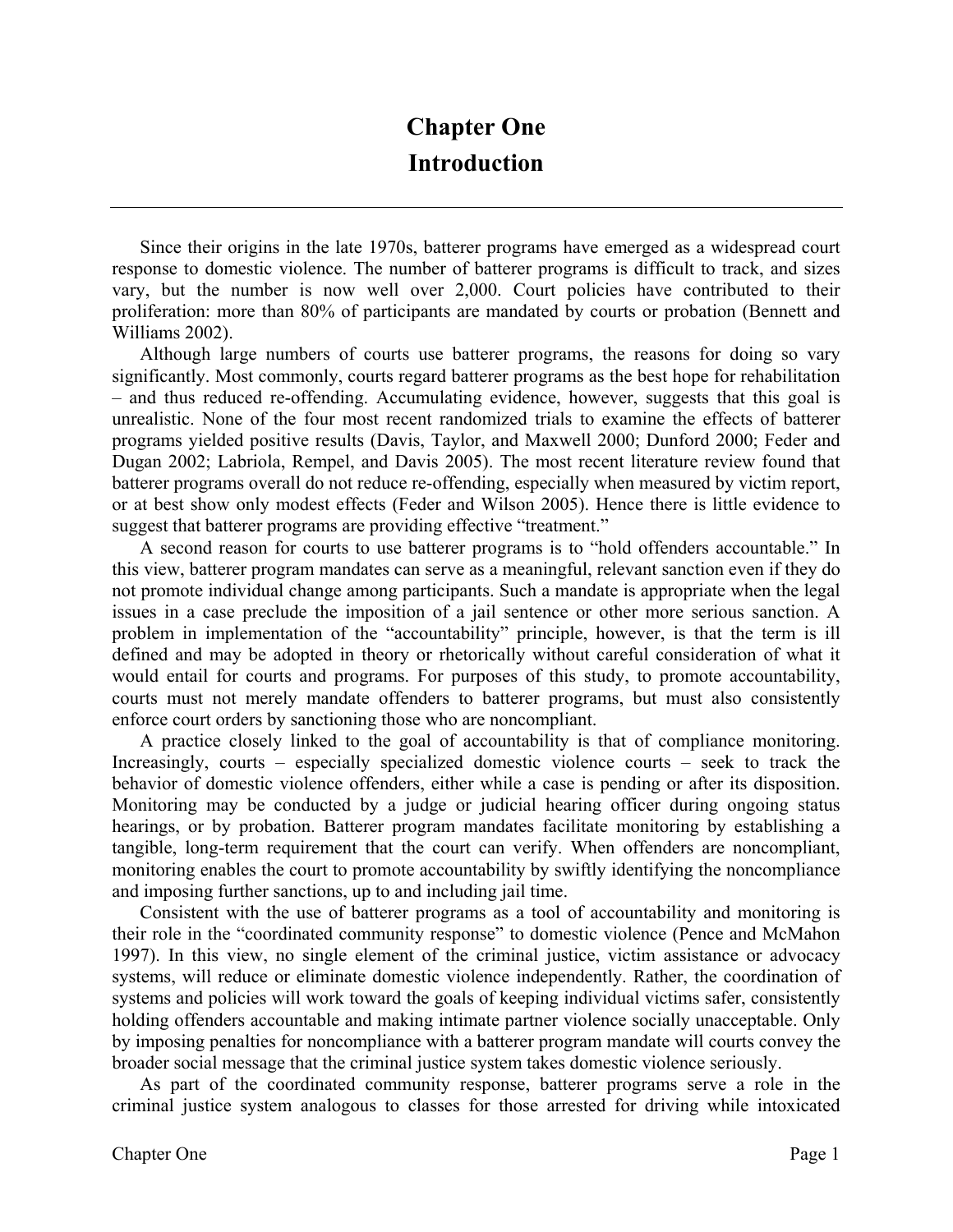# **Chapter One Introduction**

Since their origins in the late 1970s, batterer programs have emerged as a widespread court response to domestic violence. The number of batterer programs is difficult to track, and sizes vary, but the number is now well over 2,000. Court policies have contributed to their proliferation: more than 80% of participants are mandated by courts or probation (Bennett and Williams 2002).

Although large numbers of courts use batterer programs, the reasons for doing so vary significantly. Most commonly, courts regard batterer programs as the best hope for rehabilitation – and thus reduced re-offending. Accumulating evidence, however, suggests that this goal is unrealistic. None of the four most recent randomized trials to examine the effects of batterer programs yielded positive results (Davis, Taylor, and Maxwell 2000; Dunford 2000; Feder and Dugan 2002; Labriola, Rempel, and Davis 2005). The most recent literature review found that batterer programs overall do not reduce re-offending, especially when measured by victim report, or at best show only modest effects (Feder and Wilson 2005). Hence there is little evidence to suggest that batterer programs are providing effective "treatment."

 A second reason for courts to use batterer programs is to "hold offenders accountable." In this view, batterer program mandates can serve as a meaningful, relevant sanction even if they do not promote individual change among participants. Such a mandate is appropriate when the legal issues in a case preclude the imposition of a jail sentence or other more serious sanction. A problem in implementation of the "accountability" principle, however, is that the term is ill defined and may be adopted in theory or rhetorically without careful consideration of what it would entail for courts and programs. For purposes of this study, to promote accountability, courts must not merely mandate offenders to batterer programs, but must also consistently enforce court orders by sanctioning those who are noncompliant.

A practice closely linked to the goal of accountability is that of compliance monitoring. Increasingly, courts – especially specialized domestic violence courts – seek to track the behavior of domestic violence offenders, either while a case is pending or after its disposition. Monitoring may be conducted by a judge or judicial hearing officer during ongoing status hearings, or by probation. Batterer program mandates facilitate monitoring by establishing a tangible, long-term requirement that the court can verify. When offenders are noncompliant, monitoring enables the court to promote accountability by swiftly identifying the noncompliance and imposing further sanctions, up to and including jail time.

Consistent with the use of batterer programs as a tool of accountability and monitoring is their role in the "coordinated community response" to domestic violence (Pence and McMahon 1997). In this view, no single element of the criminal justice, victim assistance or advocacy systems, will reduce or eliminate domestic violence independently. Rather, the coordination of systems and policies will work toward the goals of keeping individual victims safer, consistently holding offenders accountable and making intimate partner violence socially unacceptable. Only by imposing penalties for noncompliance with a batterer program mandate will courts convey the broader social message that the criminal justice system takes domestic violence seriously.

As part of the coordinated community response, batterer programs serve a role in the criminal justice system analogous to classes for those arrested for driving while intoxicated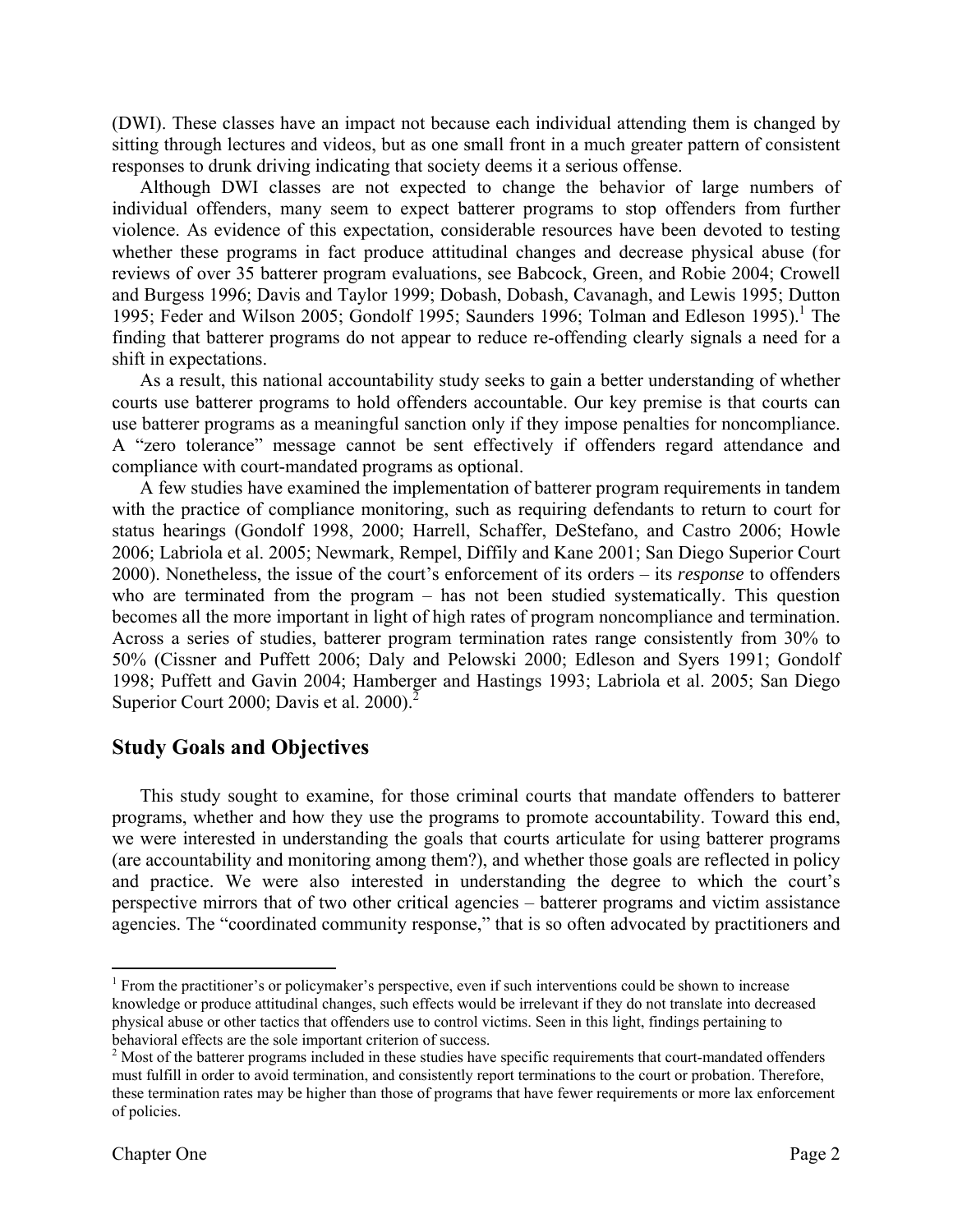(DWI). These classes have an impact not because each individual attending them is changed by sitting through lectures and videos, but as one small front in a much greater pattern of consistent responses to drunk driving indicating that society deems it a serious offense.

 Although DWI classes are not expected to change the behavior of large numbers of individual offenders, many seem to expect batterer programs to stop offenders from further violence. As evidence of this expectation, considerable resources have been devoted to testing whether these programs in fact produce attitudinal changes and decrease physical abuse (for reviews of over 35 batterer program evaluations, see Babcock, Green, and Robie 2004; Crowell and Burgess 1996; Davis and Taylor 1999; Dobash, Dobash, Cavanagh, and Lewis 1995; Dutton 1995; Feder and Wilson 2005; Gondolf 1995; Saunders 1996; Tolman and Edleson 1995).<sup>1</sup> The finding that batterer programs do not appear to reduce re-offending clearly signals a need for a shift in expectations.

 As a result, this national accountability study seeks to gain a better understanding of whether courts use batterer programs to hold offenders accountable. Our key premise is that courts can use batterer programs as a meaningful sanction only if they impose penalties for noncompliance. A "zero tolerance" message cannot be sent effectively if offenders regard attendance and compliance with court-mandated programs as optional.

A few studies have examined the implementation of batterer program requirements in tandem with the practice of compliance monitoring, such as requiring defendants to return to court for status hearings (Gondolf 1998, 2000; Harrell, Schaffer, DeStefano, and Castro 2006; Howle 2006; Labriola et al. 2005; Newmark, Rempel, Diffily and Kane 2001; San Diego Superior Court 2000). Nonetheless, the issue of the court's enforcement of its orders – its *response* to offenders who are terminated from the program – has not been studied systematically. This question becomes all the more important in light of high rates of program noncompliance and termination. Across a series of studies, batterer program termination rates range consistently from 30% to 50% (Cissner and Puffett 2006; Daly and Pelowski 2000; Edleson and Syers 1991; Gondolf 1998; Puffett and Gavin 2004; Hamberger and Hastings 1993; Labriola et al. 2005; San Diego Superior Court 2000; Davis et al. 2000).<sup>2</sup>

# **Study Goals and Objectives**

 This study sought to examine, for those criminal courts that mandate offenders to batterer programs, whether and how they use the programs to promote accountability. Toward this end, we were interested in understanding the goals that courts articulate for using batterer programs (are accountability and monitoring among them?), and whether those goals are reflected in policy and practice. We were also interested in understanding the degree to which the court's perspective mirrors that of two other critical agencies – batterer programs and victim assistance agencies. The "coordinated community response," that is so often advocated by practitioners and

 $\overline{a}$ 

<sup>&</sup>lt;sup>1</sup> From the practitioner's or policymaker's perspective, even if such interventions could be shown to increase knowledge or produce attitudinal changes, such effects would be irrelevant if they do not translate into decreased physical abuse or other tactics that offenders use to control victims. Seen in this light, findings pertaining to behavioral effects are the sole important criterion of success.

 $2^{2}$  Most of the batterer programs included in these studies have specific requirements that court-mandated offenders must fulfill in order to avoid termination, and consistently report terminations to the court or probation. Therefore, these termination rates may be higher than those of programs that have fewer requirements or more lax enforcement of policies.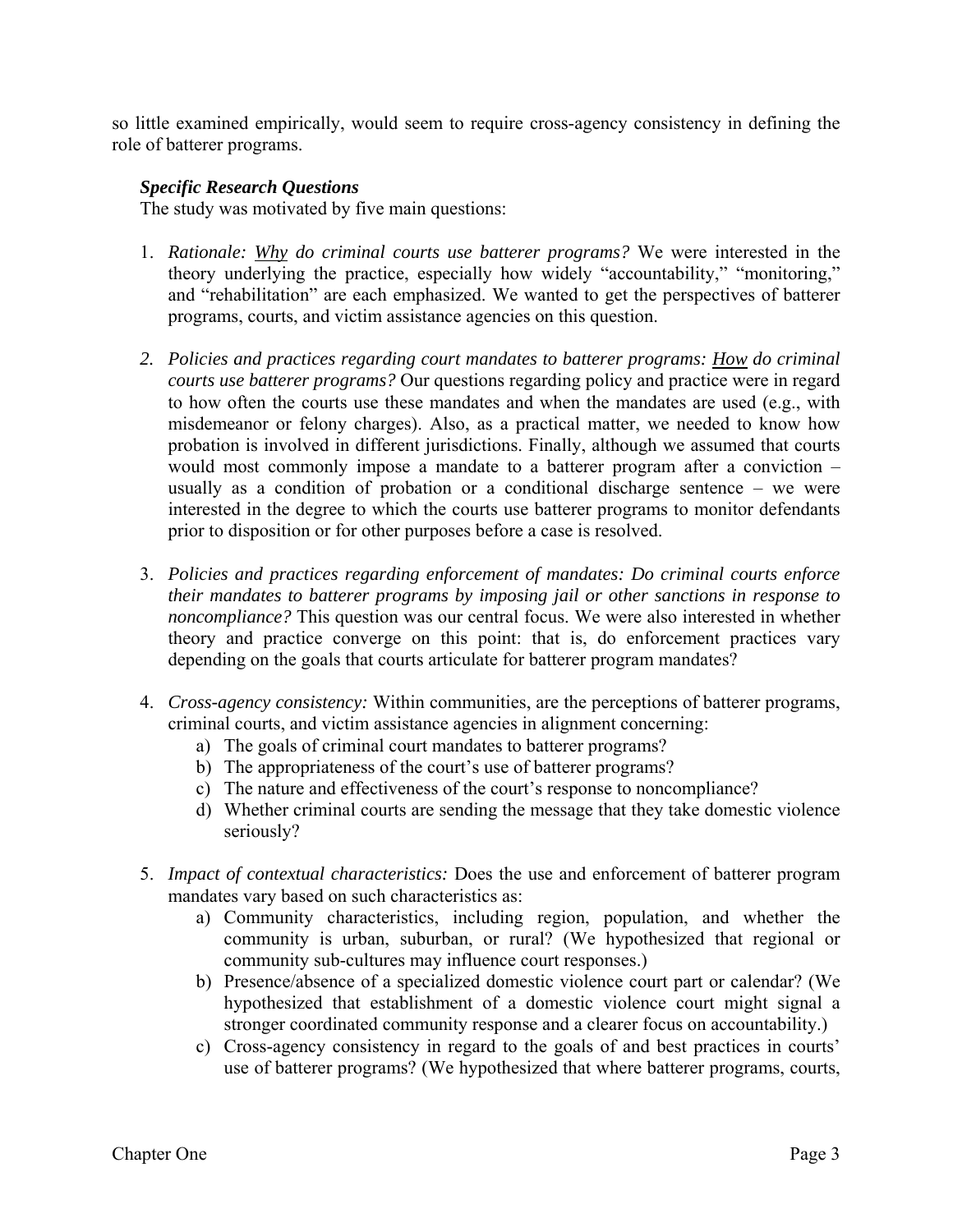so little examined empirically, would seem to require cross-agency consistency in defining the role of batterer programs.

## *Specific Research Questions*

The study was motivated by five main questions:

- 1. *Rationale: Why do criminal courts use batterer programs?* We were interested in the theory underlying the practice, especially how widely "accountability," "monitoring," and "rehabilitation" are each emphasized. We wanted to get the perspectives of batterer programs, courts, and victim assistance agencies on this question.
- *2. Policies and practices regarding court mandates to batterer programs: How do criminal courts use batterer programs?* Our questions regarding policy and practice were in regard to how often the courts use these mandates and when the mandates are used (e.g., with misdemeanor or felony charges). Also, as a practical matter, we needed to know how probation is involved in different jurisdictions. Finally, although we assumed that courts would most commonly impose a mandate to a batterer program after a conviction – usually as a condition of probation or a conditional discharge sentence – we were interested in the degree to which the courts use batterer programs to monitor defendants prior to disposition or for other purposes before a case is resolved.
- 3. *Policies and practices regarding enforcement of mandates: Do criminal courts enforce their mandates to batterer programs by imposing jail or other sanctions in response to noncompliance?* This question was our central focus. We were also interested in whether theory and practice converge on this point: that is, do enforcement practices vary depending on the goals that courts articulate for batterer program mandates?
- 4. *Cross-agency consistency:* Within communities, are the perceptions of batterer programs, criminal courts, and victim assistance agencies in alignment concerning:
	- a) The goals of criminal court mandates to batterer programs?
	- b) The appropriateness of the court's use of batterer programs?
	- c) The nature and effectiveness of the court's response to noncompliance?
	- d) Whether criminal courts are sending the message that they take domestic violence seriously?
- 5. *Impact of contextual characteristics:* Does the use and enforcement of batterer program mandates vary based on such characteristics as:
	- a) Community characteristics, including region, population, and whether the community is urban, suburban, or rural? (We hypothesized that regional or community sub-cultures may influence court responses.)
	- b) Presence/absence of a specialized domestic violence court part or calendar? (We hypothesized that establishment of a domestic violence court might signal a stronger coordinated community response and a clearer focus on accountability.)
	- c) Cross-agency consistency in regard to the goals of and best practices in courts' use of batterer programs? (We hypothesized that where batterer programs, courts,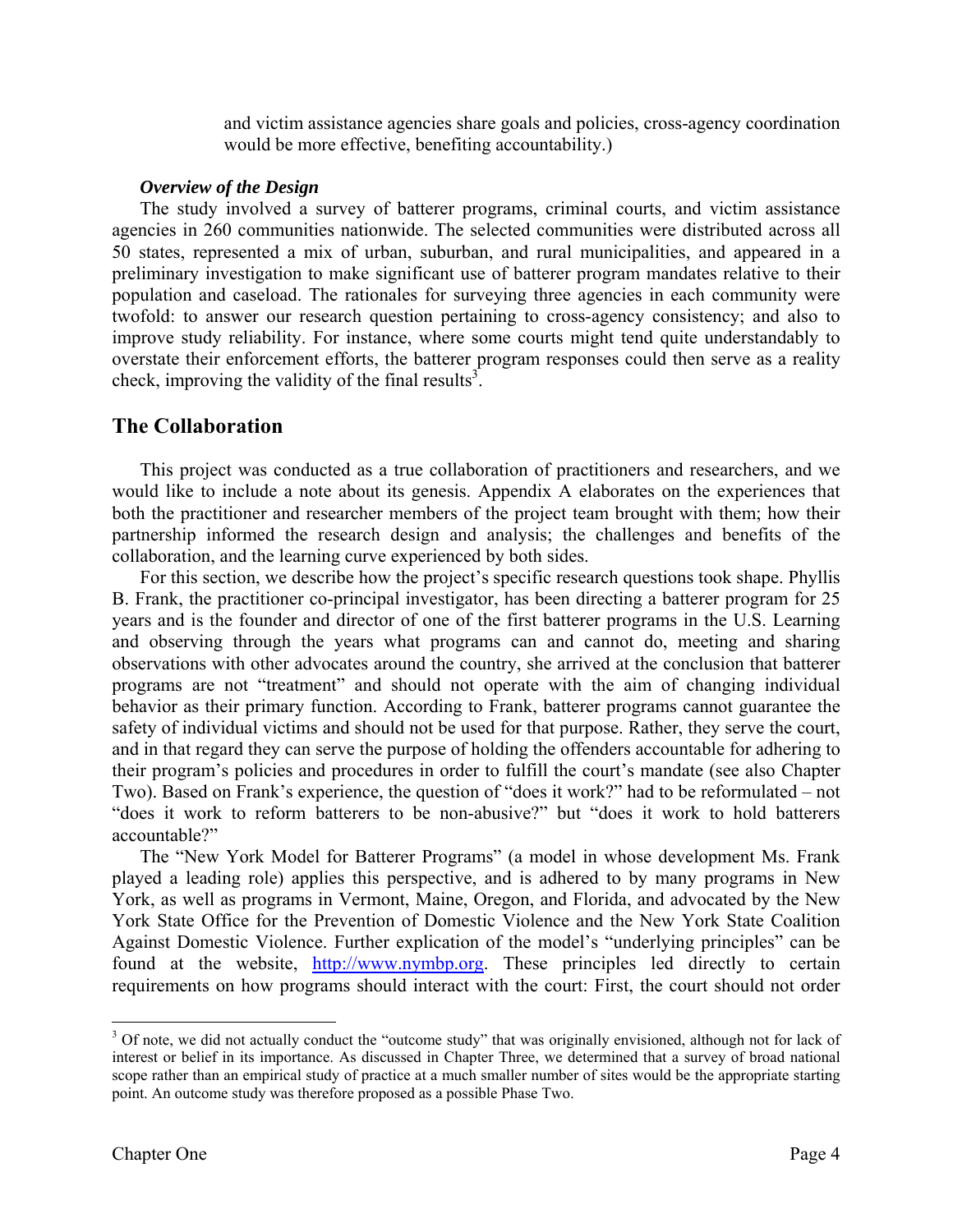and victim assistance agencies share goals and policies, cross-agency coordination would be more effective, benefiting accountability.)

#### *Overview of the Design*

The study involved a survey of batterer programs, criminal courts, and victim assistance agencies in 260 communities nationwide. The selected communities were distributed across all 50 states, represented a mix of urban, suburban, and rural municipalities, and appeared in a preliminary investigation to make significant use of batterer program mandates relative to their population and caseload. The rationales for surveying three agencies in each community were twofold: to answer our research question pertaining to cross-agency consistency; and also to improve study reliability. For instance, where some courts might tend quite understandably to overstate their enforcement efforts, the batterer program responses could then serve as a reality check, improving the validity of the final results<sup>3</sup>.

# **The Collaboration**

 This project was conducted as a true collaboration of practitioners and researchers, and we would like to include a note about its genesis. Appendix A elaborates on the experiences that both the practitioner and researcher members of the project team brought with them; how their partnership informed the research design and analysis; the challenges and benefits of the collaboration, and the learning curve experienced by both sides.

For this section, we describe how the project's specific research questions took shape. Phyllis B. Frank, the practitioner co-principal investigator, has been directing a batterer program for 25 years and is the founder and director of one of the first batterer programs in the U.S. Learning and observing through the years what programs can and cannot do, meeting and sharing observations with other advocates around the country, she arrived at the conclusion that batterer programs are not "treatment" and should not operate with the aim of changing individual behavior as their primary function. According to Frank, batterer programs cannot guarantee the safety of individual victims and should not be used for that purpose. Rather, they serve the court, and in that regard they can serve the purpose of holding the offenders accountable for adhering to their program's policies and procedures in order to fulfill the court's mandate (see also Chapter Two). Based on Frank's experience, the question of "does it work?" had to be reformulated – not "does it work to reform batterers to be non-abusive?" but "does it work to hold batterers accountable?"

 The "New York Model for Batterer Programs" (a model in whose development Ms. Frank played a leading role) applies this perspective, and is adhered to by many programs in New York, as well as programs in Vermont, Maine, Oregon, and Florida, and advocated by the New York State Office for the Prevention of Domestic Violence and the New York State Coalition Against Domestic Violence. Further explication of the model's "underlying principles" can be found at the website, http://www.nymbp.org. These principles led directly to certain requirements on how programs should interact with the court: First, the court should not order

1

<sup>&</sup>lt;sup>3</sup> Of note, we did not actually conduct the "outcome study" that was originally envisioned, although not for lack of interest or belief in its importance. As discussed in Chapter Three, we determined that a survey of broad national scope rather than an empirical study of practice at a much smaller number of sites would be the appropriate starting point. An outcome study was therefore proposed as a possible Phase Two.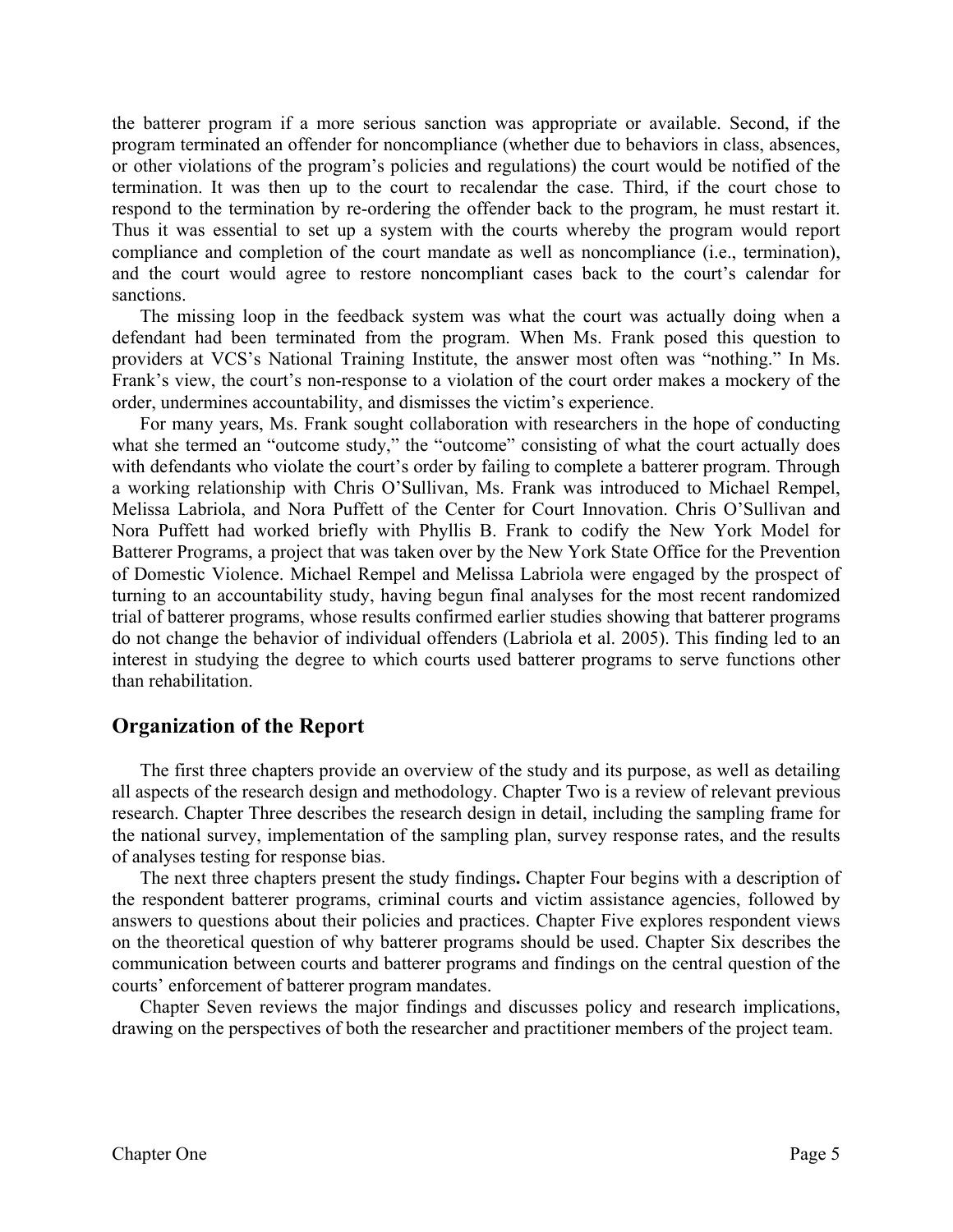the batterer program if a more serious sanction was appropriate or available. Second, if the program terminated an offender for noncompliance (whether due to behaviors in class, absences, or other violations of the program's policies and regulations) the court would be notified of the termination. It was then up to the court to recalendar the case. Third, if the court chose to respond to the termination by re-ordering the offender back to the program, he must restart it. Thus it was essential to set up a system with the courts whereby the program would report compliance and completion of the court mandate as well as noncompliance (i.e., termination), and the court would agree to restore noncompliant cases back to the court's calendar for sanctions.

 The missing loop in the feedback system was what the court was actually doing when a defendant had been terminated from the program. When Ms. Frank posed this question to providers at VCS's National Training Institute, the answer most often was "nothing." In Ms. Frank's view, the court's non-response to a violation of the court order makes a mockery of the order, undermines accountability, and dismisses the victim's experience.

For many years, Ms. Frank sought collaboration with researchers in the hope of conducting what she termed an "outcome study," the "outcome" consisting of what the court actually does with defendants who violate the court's order by failing to complete a batterer program. Through a working relationship with Chris O'Sullivan, Ms. Frank was introduced to Michael Rempel, Melissa Labriola, and Nora Puffett of the Center for Court Innovation. Chris O'Sullivan and Nora Puffett had worked briefly with Phyllis B. Frank to codify the New York Model for Batterer Programs, a project that was taken over by the New York State Office for the Prevention of Domestic Violence. Michael Rempel and Melissa Labriola were engaged by the prospect of turning to an accountability study, having begun final analyses for the most recent randomized trial of batterer programs, whose results confirmed earlier studies showing that batterer programs do not change the behavior of individual offenders (Labriola et al. 2005). This finding led to an interest in studying the degree to which courts used batterer programs to serve functions other than rehabilitation.

# **Organization of the Report**

 The first three chapters provide an overview of the study and its purpose, as well as detailing all aspects of the research design and methodology. Chapter Two is a review of relevant previous research. Chapter Three describes the research design in detail, including the sampling frame for the national survey, implementation of the sampling plan, survey response rates, and the results of analyses testing for response bias.

 The next three chapters present the study findings**.** Chapter Four begins with a description of the respondent batterer programs, criminal courts and victim assistance agencies, followed by answers to questions about their policies and practices. Chapter Five explores respondent views on the theoretical question of why batterer programs should be used. Chapter Six describes the communication between courts and batterer programs and findings on the central question of the courts' enforcement of batterer program mandates.

 Chapter Seven reviews the major findings and discusses policy and research implications, drawing on the perspectives of both the researcher and practitioner members of the project team.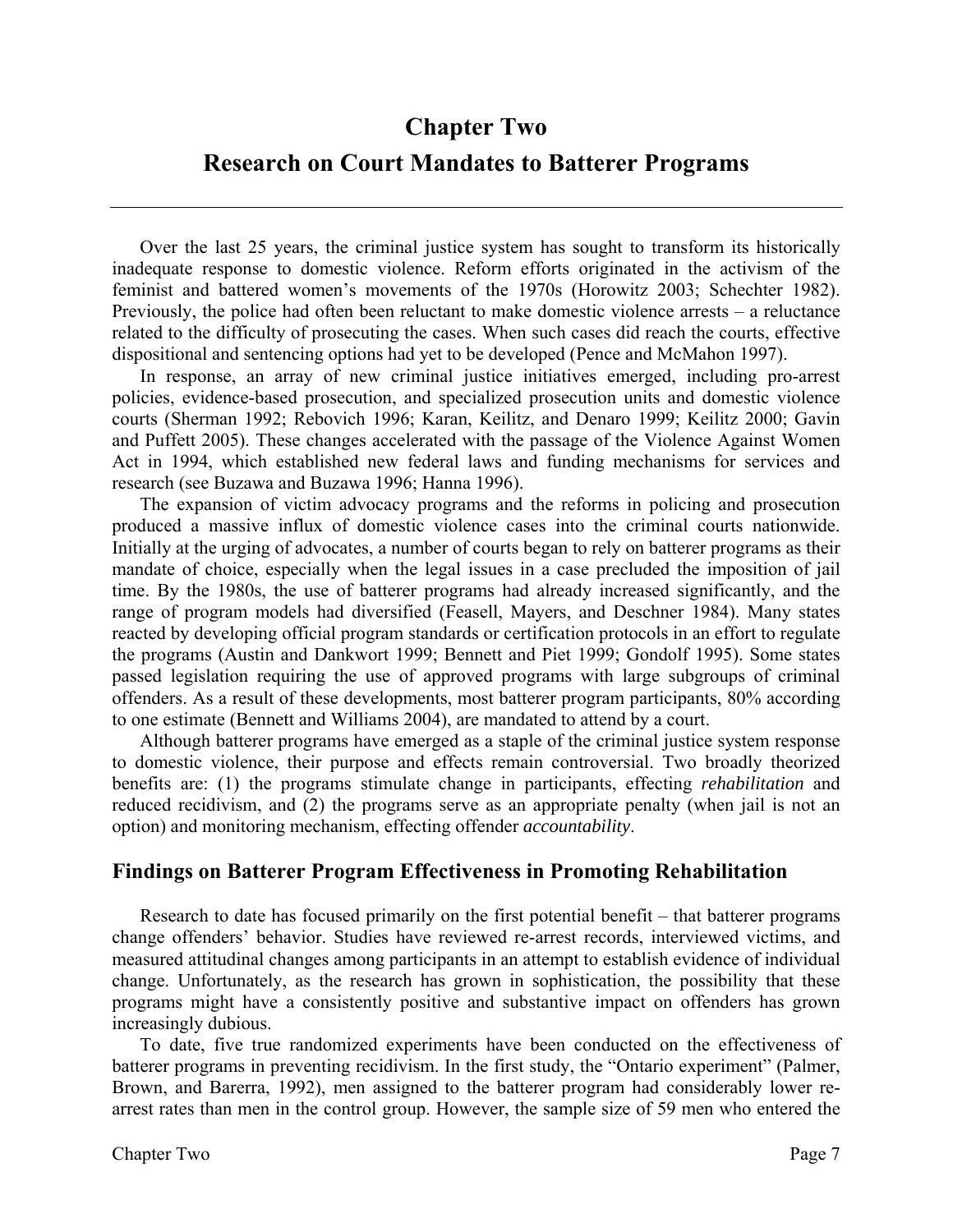# **Chapter Two Research on Court Mandates to Batterer Programs**

Over the last 25 years, the criminal justice system has sought to transform its historically inadequate response to domestic violence. Reform efforts originated in the activism of the feminist and battered women's movements of the 1970s (Horowitz 2003; Schechter 1982). Previously, the police had often been reluctant to make domestic violence arrests – a reluctance related to the difficulty of prosecuting the cases. When such cases did reach the courts, effective dispositional and sentencing options had yet to be developed (Pence and McMahon 1997).

In response, an array of new criminal justice initiatives emerged, including pro-arrest policies, evidence-based prosecution, and specialized prosecution units and domestic violence courts (Sherman 1992; Rebovich 1996; Karan, Keilitz, and Denaro 1999; Keilitz 2000; Gavin and Puffett 2005). These changes accelerated with the passage of the Violence Against Women Act in 1994, which established new federal laws and funding mechanisms for services and research (see Buzawa and Buzawa 1996; Hanna 1996).

The expansion of victim advocacy programs and the reforms in policing and prosecution produced a massive influx of domestic violence cases into the criminal courts nationwide. Initially at the urging of advocates, a number of courts began to rely on batterer programs as their mandate of choice, especially when the legal issues in a case precluded the imposition of jail time. By the 1980s, the use of batterer programs had already increased significantly, and the range of program models had diversified (Feasell, Mayers, and Deschner 1984). Many states reacted by developing official program standards or certification protocols in an effort to regulate the programs (Austin and Dankwort 1999; Bennett and Piet 1999; Gondolf 1995). Some states passed legislation requiring the use of approved programs with large subgroups of criminal offenders. As a result of these developments, most batterer program participants, 80% according to one estimate (Bennett and Williams 2004), are mandated to attend by a court.

Although batterer programs have emerged as a staple of the criminal justice system response to domestic violence, their purpose and effects remain controversial. Two broadly theorized benefits are: (1) the programs stimulate change in participants, effecting *rehabilitation* and reduced recidivism, and (2) the programs serve as an appropriate penalty (when jail is not an option) and monitoring mechanism, effecting offender *accountability*.

# **Findings on Batterer Program Effectiveness in Promoting Rehabilitation**

Research to date has focused primarily on the first potential benefit – that batterer programs change offenders' behavior. Studies have reviewed re-arrest records, interviewed victims, and measured attitudinal changes among participants in an attempt to establish evidence of individual change. Unfortunately, as the research has grown in sophistication, the possibility that these programs might have a consistently positive and substantive impact on offenders has grown increasingly dubious.

To date, five true randomized experiments have been conducted on the effectiveness of batterer programs in preventing recidivism. In the first study, the "Ontario experiment" (Palmer, Brown, and Barerra, 1992), men assigned to the batterer program had considerably lower rearrest rates than men in the control group. However, the sample size of 59 men who entered the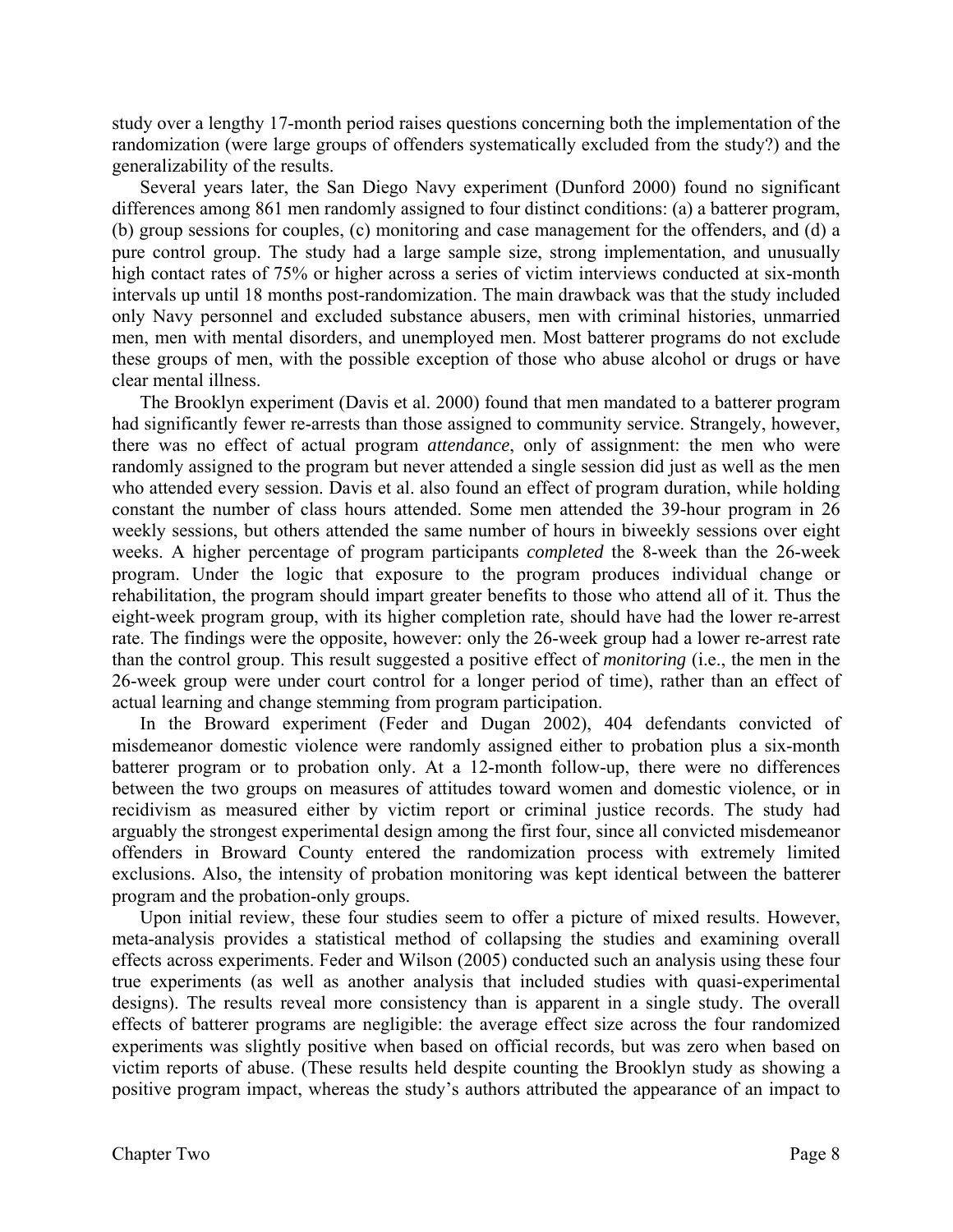study over a lengthy 17-month period raises questions concerning both the implementation of the randomization (were large groups of offenders systematically excluded from the study?) and the generalizability of the results.

 Several years later, the San Diego Navy experiment (Dunford 2000) found no significant differences among 861 men randomly assigned to four distinct conditions: (a) a batterer program, (b) group sessions for couples, (c) monitoring and case management for the offenders, and (d) a pure control group. The study had a large sample size, strong implementation, and unusually high contact rates of 75% or higher across a series of victim interviews conducted at six-month intervals up until 18 months post-randomization. The main drawback was that the study included only Navy personnel and excluded substance abusers, men with criminal histories, unmarried men, men with mental disorders, and unemployed men. Most batterer programs do not exclude these groups of men, with the possible exception of those who abuse alcohol or drugs or have clear mental illness.

The Brooklyn experiment (Davis et al. 2000) found that men mandated to a batterer program had significantly fewer re-arrests than those assigned to community service. Strangely, however, there was no effect of actual program *attendance*, only of assignment: the men who were randomly assigned to the program but never attended a single session did just as well as the men who attended every session. Davis et al. also found an effect of program duration, while holding constant the number of class hours attended. Some men attended the 39-hour program in 26 weekly sessions, but others attended the same number of hours in biweekly sessions over eight weeks. A higher percentage of program participants *completed* the 8-week than the 26-week program. Under the logic that exposure to the program produces individual change or rehabilitation, the program should impart greater benefits to those who attend all of it. Thus the eight-week program group, with its higher completion rate, should have had the lower re-arrest rate. The findings were the opposite, however: only the 26-week group had a lower re-arrest rate than the control group. This result suggested a positive effect of *monitoring* (i.e., the men in the 26-week group were under court control for a longer period of time), rather than an effect of actual learning and change stemming from program participation.

In the Broward experiment (Feder and Dugan 2002), 404 defendants convicted of misdemeanor domestic violence were randomly assigned either to probation plus a six-month batterer program or to probation only. At a 12-month follow-up, there were no differences between the two groups on measures of attitudes toward women and domestic violence, or in recidivism as measured either by victim report or criminal justice records. The study had arguably the strongest experimental design among the first four, since all convicted misdemeanor offenders in Broward County entered the randomization process with extremely limited exclusions. Also, the intensity of probation monitoring was kept identical between the batterer program and the probation-only groups.

Upon initial review, these four studies seem to offer a picture of mixed results. However, meta-analysis provides a statistical method of collapsing the studies and examining overall effects across experiments. Feder and Wilson (2005) conducted such an analysis using these four true experiments (as well as another analysis that included studies with quasi-experimental designs). The results reveal more consistency than is apparent in a single study. The overall effects of batterer programs are negligible: the average effect size across the four randomized experiments was slightly positive when based on official records, but was zero when based on victim reports of abuse. (These results held despite counting the Brooklyn study as showing a positive program impact, whereas the study's authors attributed the appearance of an impact to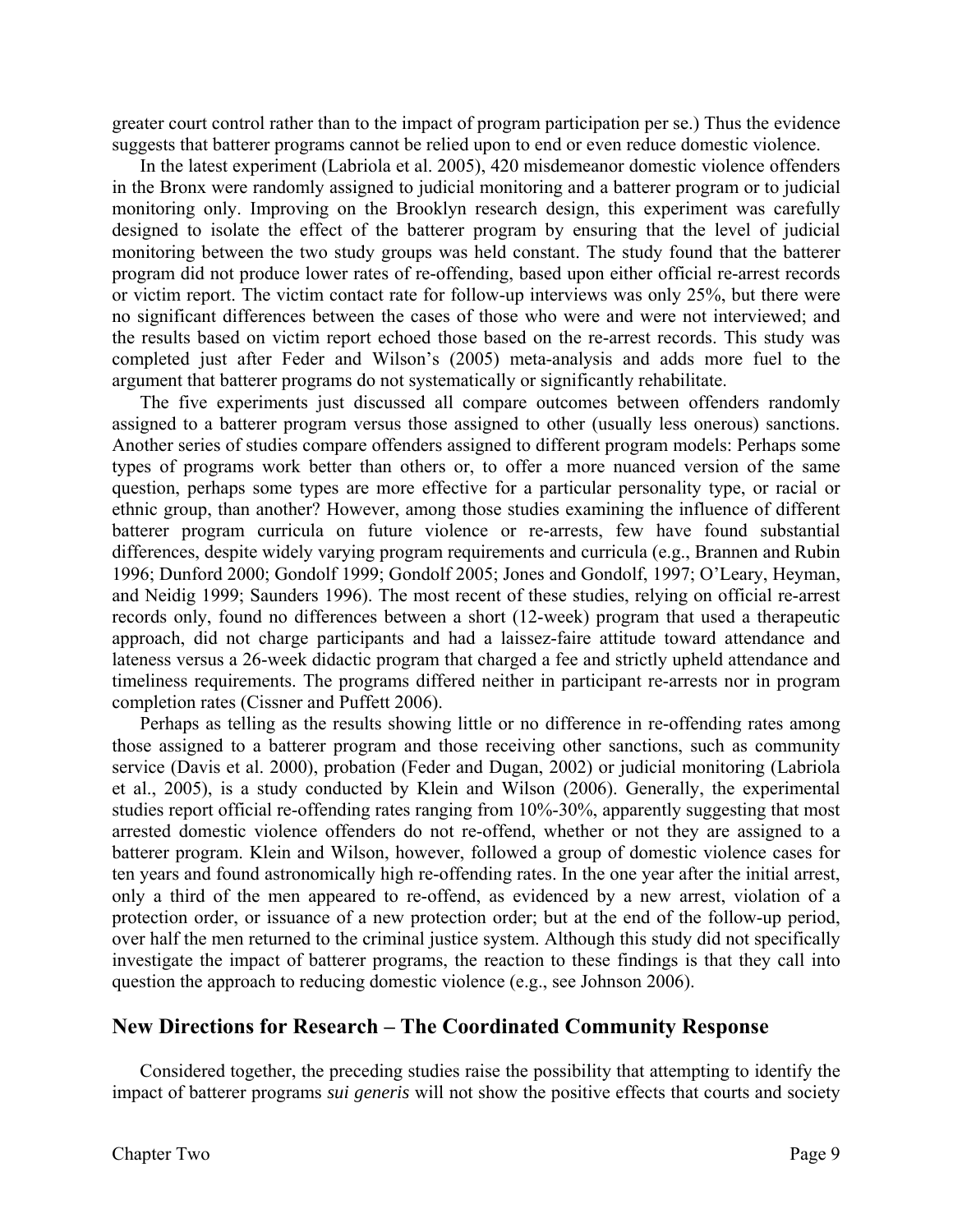greater court control rather than to the impact of program participation per se.) Thus the evidence suggests that batterer programs cannot be relied upon to end or even reduce domestic violence.

 In the latest experiment (Labriola et al. 2005), 420 misdemeanor domestic violence offenders in the Bronx were randomly assigned to judicial monitoring and a batterer program or to judicial monitoring only. Improving on the Brooklyn research design, this experiment was carefully designed to isolate the effect of the batterer program by ensuring that the level of judicial monitoring between the two study groups was held constant. The study found that the batterer program did not produce lower rates of re-offending, based upon either official re-arrest records or victim report. The victim contact rate for follow-up interviews was only 25%, but there were no significant differences between the cases of those who were and were not interviewed; and the results based on victim report echoed those based on the re-arrest records. This study was completed just after Feder and Wilson's (2005) meta-analysis and adds more fuel to the argument that batterer programs do not systematically or significantly rehabilitate.

The five experiments just discussed all compare outcomes between offenders randomly assigned to a batterer program versus those assigned to other (usually less onerous) sanctions. Another series of studies compare offenders assigned to different program models: Perhaps some types of programs work better than others or, to offer a more nuanced version of the same question, perhaps some types are more effective for a particular personality type, or racial or ethnic group, than another? However, among those studies examining the influence of different batterer program curricula on future violence or re-arrests, few have found substantial differences, despite widely varying program requirements and curricula (e.g., Brannen and Rubin 1996; Dunford 2000; Gondolf 1999; Gondolf 2005; Jones and Gondolf, 1997; O'Leary, Heyman, and Neidig 1999; Saunders 1996). The most recent of these studies, relying on official re-arrest records only, found no differences between a short (12-week) program that used a therapeutic approach, did not charge participants and had a laissez-faire attitude toward attendance and lateness versus a 26-week didactic program that charged a fee and strictly upheld attendance and timeliness requirements. The programs differed neither in participant re-arrests nor in program completion rates (Cissner and Puffett 2006).

 Perhaps as telling as the results showing little or no difference in re-offending rates among those assigned to a batterer program and those receiving other sanctions, such as community service (Davis et al. 2000), probation (Feder and Dugan, 2002) or judicial monitoring (Labriola et al., 2005), is a study conducted by Klein and Wilson (2006). Generally, the experimental studies report official re-offending rates ranging from 10%-30%, apparently suggesting that most arrested domestic violence offenders do not re-offend, whether or not they are assigned to a batterer program. Klein and Wilson, however, followed a group of domestic violence cases for ten years and found astronomically high re-offending rates. In the one year after the initial arrest, only a third of the men appeared to re-offend, as evidenced by a new arrest, violation of a protection order, or issuance of a new protection order; but at the end of the follow-up period, over half the men returned to the criminal justice system. Although this study did not specifically investigate the impact of batterer programs, the reaction to these findings is that they call into question the approach to reducing domestic violence (e.g., see Johnson 2006).

#### **New Directions for Research – The Coordinated Community Response**

 Considered together, the preceding studies raise the possibility that attempting to identify the impact of batterer programs *sui generis* will not show the positive effects that courts and society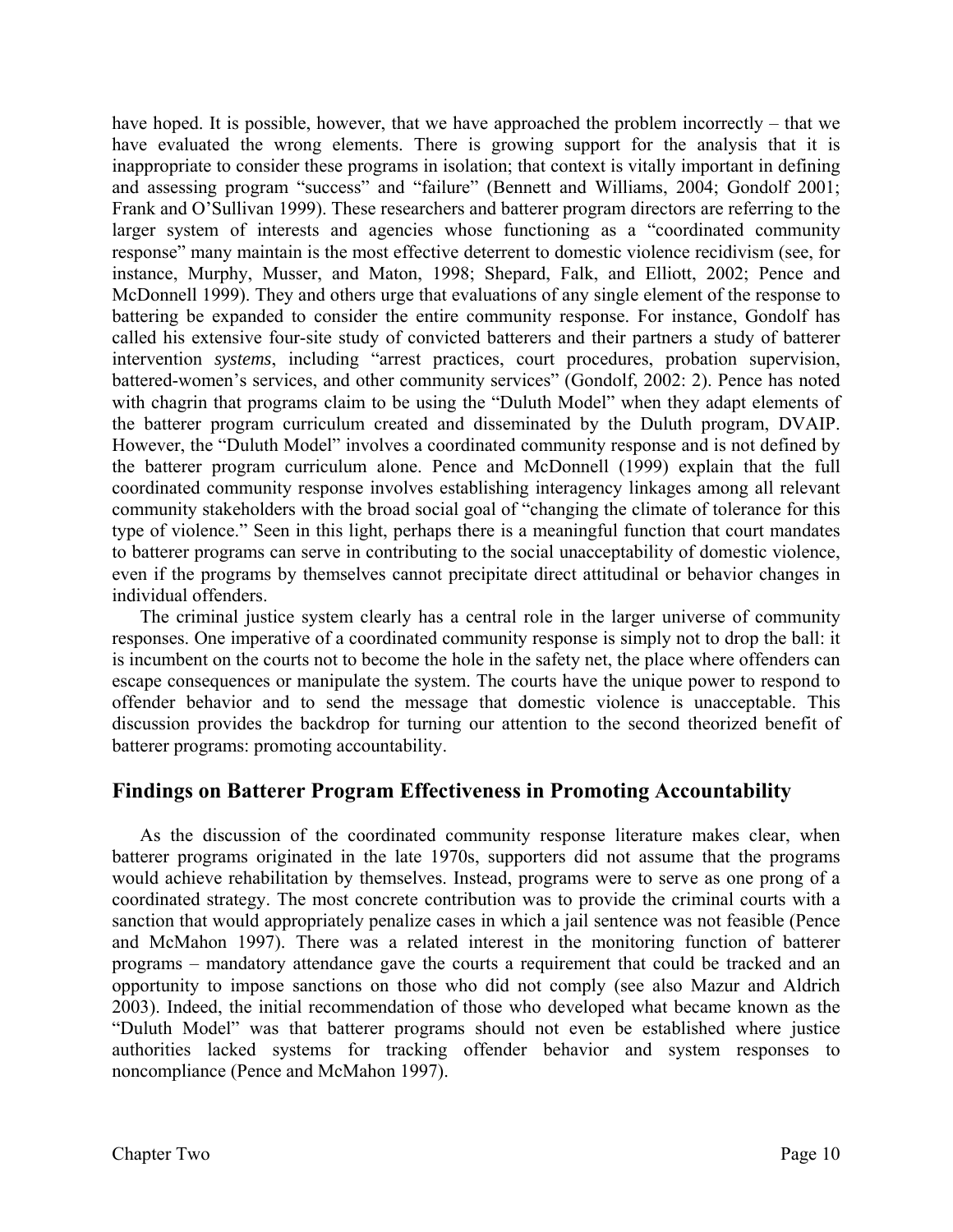have hoped. It is possible, however, that we have approached the problem incorrectly – that we have evaluated the wrong elements. There is growing support for the analysis that it is inappropriate to consider these programs in isolation; that context is vitally important in defining and assessing program "success" and "failure" (Bennett and Williams, 2004; Gondolf 2001; Frank and O'Sullivan 1999). These researchers and batterer program directors are referring to the larger system of interests and agencies whose functioning as a "coordinated community response" many maintain is the most effective deterrent to domestic violence recidivism (see, for instance, Murphy, Musser, and Maton, 1998; Shepard, Falk, and Elliott, 2002; Pence and McDonnell 1999). They and others urge that evaluations of any single element of the response to battering be expanded to consider the entire community response. For instance, Gondolf has called his extensive four-site study of convicted batterers and their partners a study of batterer intervention *systems*, including "arrest practices, court procedures, probation supervision, battered-women's services, and other community services" (Gondolf, 2002: 2). Pence has noted with chagrin that programs claim to be using the "Duluth Model" when they adapt elements of the batterer program curriculum created and disseminated by the Duluth program, DVAIP. However, the "Duluth Model" involves a coordinated community response and is not defined by the batterer program curriculum alone. Pence and McDonnell (1999) explain that the full coordinated community response involves establishing interagency linkages among all relevant community stakeholders with the broad social goal of "changing the climate of tolerance for this type of violence." Seen in this light, perhaps there is a meaningful function that court mandates to batterer programs can serve in contributing to the social unacceptability of domestic violence, even if the programs by themselves cannot precipitate direct attitudinal or behavior changes in individual offenders.

 The criminal justice system clearly has a central role in the larger universe of community responses. One imperative of a coordinated community response is simply not to drop the ball: it is incumbent on the courts not to become the hole in the safety net, the place where offenders can escape consequences or manipulate the system. The courts have the unique power to respond to offender behavior and to send the message that domestic violence is unacceptable. This discussion provides the backdrop for turning our attention to the second theorized benefit of batterer programs: promoting accountability.

# **Findings on Batterer Program Effectiveness in Promoting Accountability**

 As the discussion of the coordinated community response literature makes clear, when batterer programs originated in the late 1970s, supporters did not assume that the programs would achieve rehabilitation by themselves. Instead, programs were to serve as one prong of a coordinated strategy. The most concrete contribution was to provide the criminal courts with a sanction that would appropriately penalize cases in which a jail sentence was not feasible (Pence and McMahon 1997). There was a related interest in the monitoring function of batterer programs – mandatory attendance gave the courts a requirement that could be tracked and an opportunity to impose sanctions on those who did not comply (see also Mazur and Aldrich 2003). Indeed, the initial recommendation of those who developed what became known as the "Duluth Model" was that batterer programs should not even be established where justice authorities lacked systems for tracking offender behavior and system responses to noncompliance (Pence and McMahon 1997).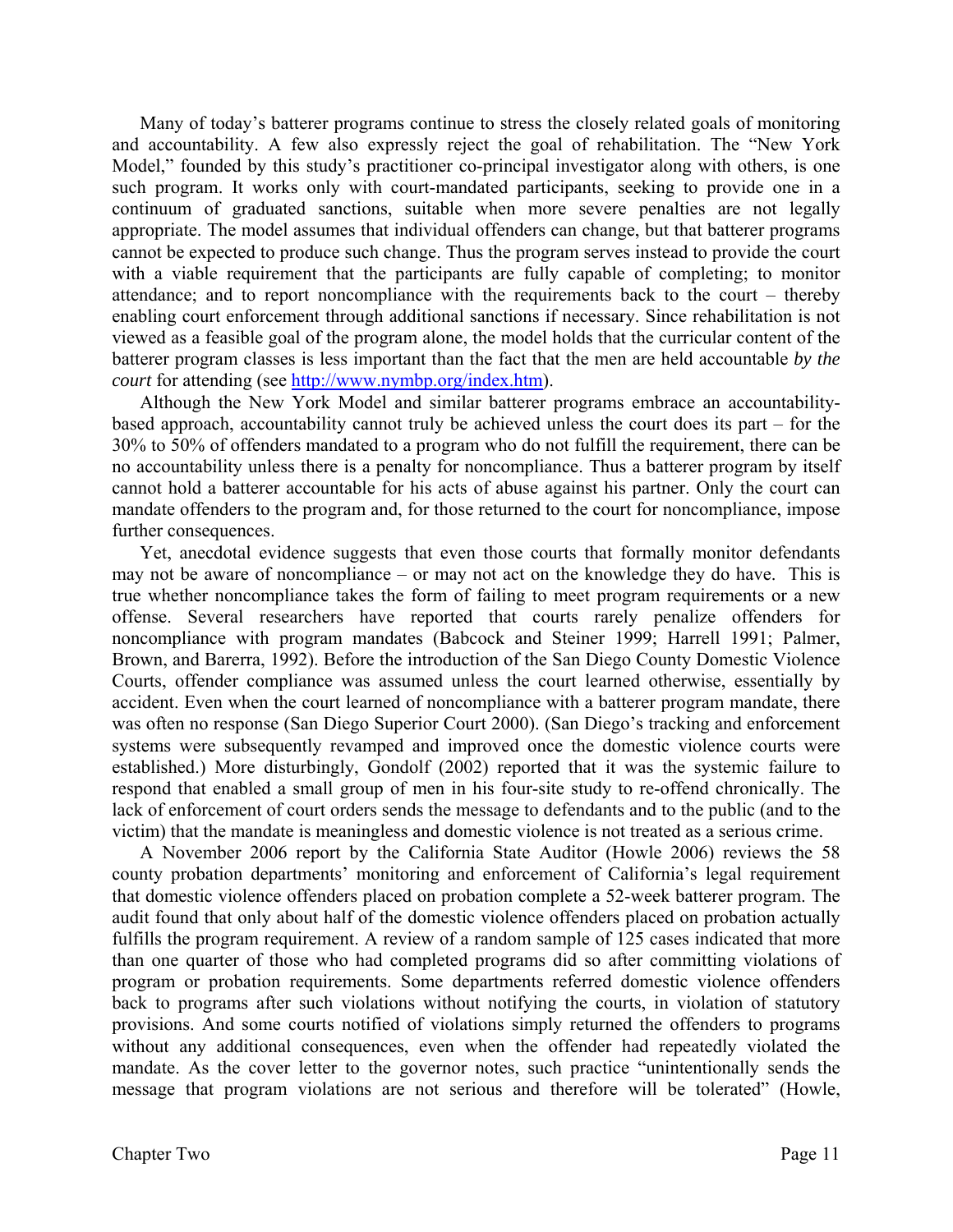Many of today's batterer programs continue to stress the closely related goals of monitoring and accountability. A few also expressly reject the goal of rehabilitation. The "New York Model," founded by this study's practitioner co-principal investigator along with others, is one such program. It works only with court-mandated participants, seeking to provide one in a continuum of graduated sanctions, suitable when more severe penalties are not legally appropriate. The model assumes that individual offenders can change, but that batterer programs cannot be expected to produce such change. Thus the program serves instead to provide the court with a viable requirement that the participants are fully capable of completing; to monitor attendance; and to report noncompliance with the requirements back to the court – thereby enabling court enforcement through additional sanctions if necessary. Since rehabilitation is not viewed as a feasible goal of the program alone, the model holds that the curricular content of the batterer program classes is less important than the fact that the men are held accountable *by the court* for attending (see http://www.nymbp.org/index.htm).

 Although the New York Model and similar batterer programs embrace an accountabilitybased approach, accountability cannot truly be achieved unless the court does its part – for the 30% to 50% of offenders mandated to a program who do not fulfill the requirement, there can be no accountability unless there is a penalty for noncompliance. Thus a batterer program by itself cannot hold a batterer accountable for his acts of abuse against his partner. Only the court can mandate offenders to the program and, for those returned to the court for noncompliance, impose further consequences.

 Yet, anecdotal evidence suggests that even those courts that formally monitor defendants may not be aware of noncompliance – or may not act on the knowledge they do have. This is true whether noncompliance takes the form of failing to meet program requirements or a new offense. Several researchers have reported that courts rarely penalize offenders for noncompliance with program mandates (Babcock and Steiner 1999; Harrell 1991; Palmer, Brown, and Barerra, 1992). Before the introduction of the San Diego County Domestic Violence Courts, offender compliance was assumed unless the court learned otherwise, essentially by accident. Even when the court learned of noncompliance with a batterer program mandate, there was often no response (San Diego Superior Court 2000). (San Diego's tracking and enforcement systems were subsequently revamped and improved once the domestic violence courts were established.) More disturbingly, Gondolf (2002) reported that it was the systemic failure to respond that enabled a small group of men in his four-site study to re-offend chronically. The lack of enforcement of court orders sends the message to defendants and to the public (and to the victim) that the mandate is meaningless and domestic violence is not treated as a serious crime.

 A November 2006 report by the California State Auditor (Howle 2006) reviews the 58 county probation departments' monitoring and enforcement of California's legal requirement that domestic violence offenders placed on probation complete a 52-week batterer program. The audit found that only about half of the domestic violence offenders placed on probation actually fulfills the program requirement. A review of a random sample of 125 cases indicated that more than one quarter of those who had completed programs did so after committing violations of program or probation requirements. Some departments referred domestic violence offenders back to programs after such violations without notifying the courts, in violation of statutory provisions. And some courts notified of violations simply returned the offenders to programs without any additional consequences, even when the offender had repeatedly violated the mandate. As the cover letter to the governor notes, such practice "unintentionally sends the message that program violations are not serious and therefore will be tolerated" (Howle,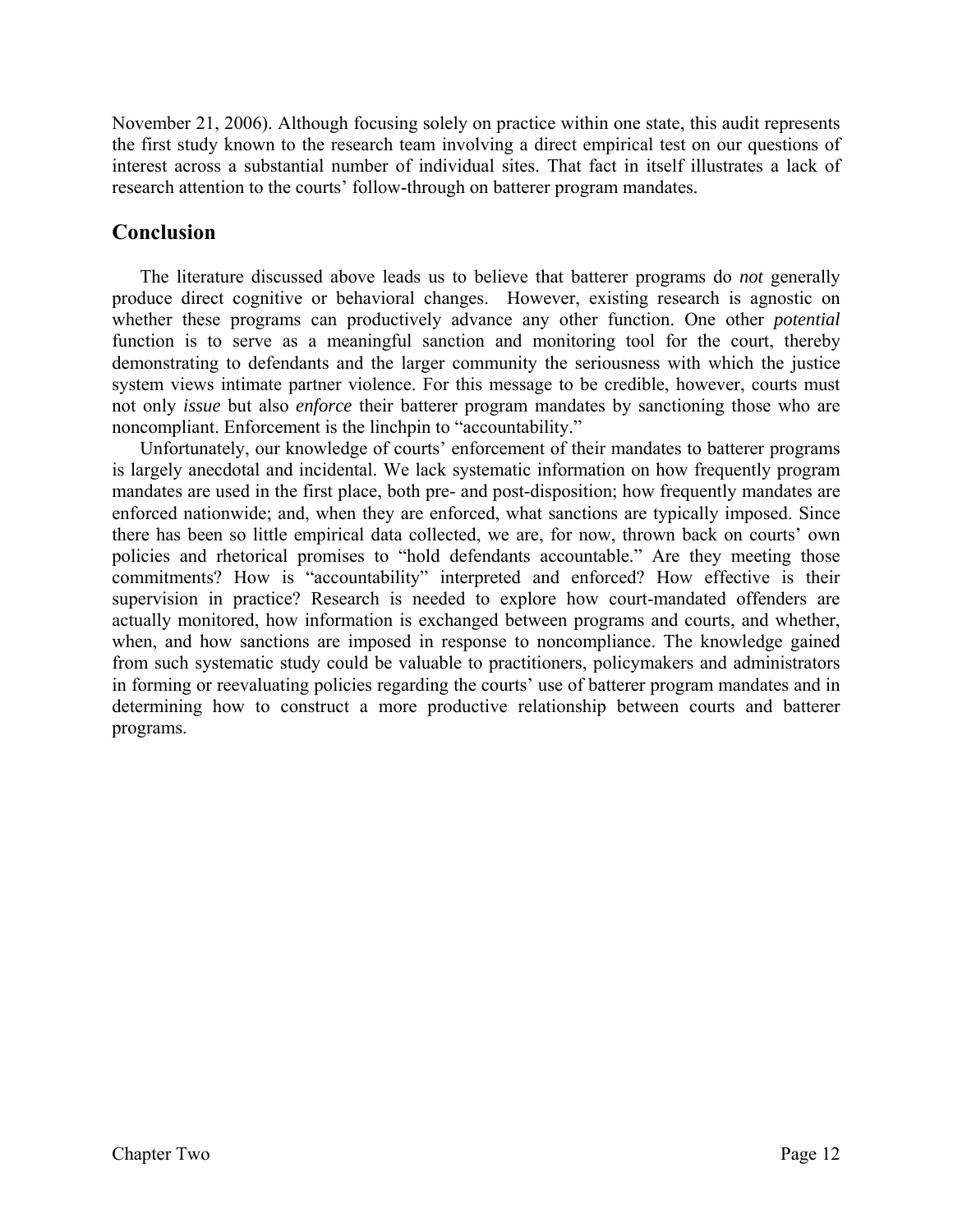November 21, 2006). Although focusing solely on practice within one state, this audit represents the first study known to the research team involving a direct empirical test on our questions of interest across a substantial number of individual sites. That fact in itself illustrates a lack of research attention to the courts' follow-through on batterer program mandates.

# **Conclusion**

The literature discussed above leads us to believe that batterer programs do *not* generally produce direct cognitive or behavioral changes. However, existing research is agnostic on whether these programs can productively advance any other function. One other *potential* function is to serve as a meaningful sanction and monitoring tool for the court, thereby demonstrating to defendants and the larger community the seriousness with which the justice system views intimate partner violence. For this message to be credible, however, courts must not only *issue* but also *enforce* their batterer program mandates by sanctioning those who are noncompliant. Enforcement is the linchpin to "accountability."

Unfortunately, our knowledge of courts' enforcement of their mandates to batterer programs is largely anecdotal and incidental. We lack systematic information on how frequently program mandates are used in the first place, both pre- and post-disposition; how frequently mandates are enforced nationwide; and, when they are enforced, what sanctions are typically imposed. Since there has been so little empirical data collected, we are, for now, thrown back on courts' own policies and rhetorical promises to "hold defendants accountable." Are they meeting those commitments? How is "accountability" interpreted and enforced? How effective is their supervision in practice? Research is needed to explore how court-mandated offenders are actually monitored, how information is exchanged between programs and courts, and whether, when, and how sanctions are imposed in response to noncompliance. The knowledge gained from such systematic study could be valuable to practitioners, policymakers and administrators in forming or reevaluating policies regarding the courts' use of batterer program mandates and in determining how to construct a more productive relationship between courts and batterer programs.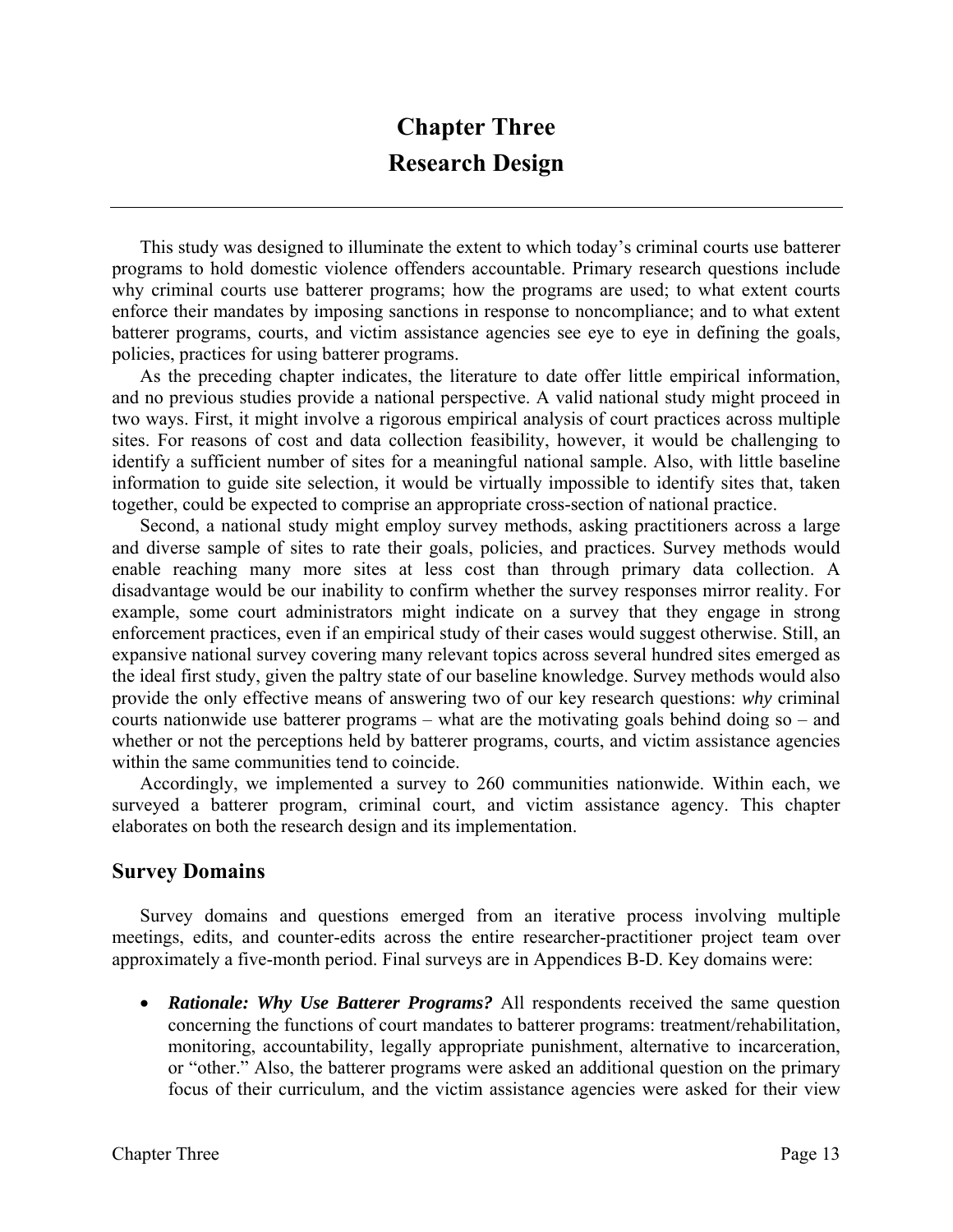# **Chapter Three Research Design**

 This study was designed to illuminate the extent to which today's criminal courts use batterer programs to hold domestic violence offenders accountable. Primary research questions include why criminal courts use batterer programs; how the programs are used; to what extent courts enforce their mandates by imposing sanctions in response to noncompliance; and to what extent batterer programs, courts, and victim assistance agencies see eye to eye in defining the goals, policies, practices for using batterer programs.

As the preceding chapter indicates, the literature to date offer little empirical information, and no previous studies provide a national perspective. A valid national study might proceed in two ways. First, it might involve a rigorous empirical analysis of court practices across multiple sites. For reasons of cost and data collection feasibility, however, it would be challenging to identify a sufficient number of sites for a meaningful national sample. Also, with little baseline information to guide site selection, it would be virtually impossible to identify sites that, taken together, could be expected to comprise an appropriate cross-section of national practice.

Second, a national study might employ survey methods, asking practitioners across a large and diverse sample of sites to rate their goals, policies, and practices. Survey methods would enable reaching many more sites at less cost than through primary data collection. A disadvantage would be our inability to confirm whether the survey responses mirror reality. For example, some court administrators might indicate on a survey that they engage in strong enforcement practices, even if an empirical study of their cases would suggest otherwise. Still, an expansive national survey covering many relevant topics across several hundred sites emerged as the ideal first study, given the paltry state of our baseline knowledge. Survey methods would also provide the only effective means of answering two of our key research questions: *why* criminal courts nationwide use batterer programs – what are the motivating goals behind doing so – and whether or not the perceptions held by batterer programs, courts, and victim assistance agencies within the same communities tend to coincide.

Accordingly, we implemented a survey to 260 communities nationwide. Within each, we surveyed a batterer program, criminal court, and victim assistance agency. This chapter elaborates on both the research design and its implementation.

# **Survey Domains**

 Survey domains and questions emerged from an iterative process involving multiple meetings, edits, and counter-edits across the entire researcher-practitioner project team over approximately a five-month period. Final surveys are in Appendices B-D. Key domains were:

• *Rationale: Why Use Batterer Programs?* All respondents received the same question concerning the functions of court mandates to batterer programs: treatment/rehabilitation, monitoring, accountability, legally appropriate punishment, alternative to incarceration, or "other." Also, the batterer programs were asked an additional question on the primary focus of their curriculum, and the victim assistance agencies were asked for their view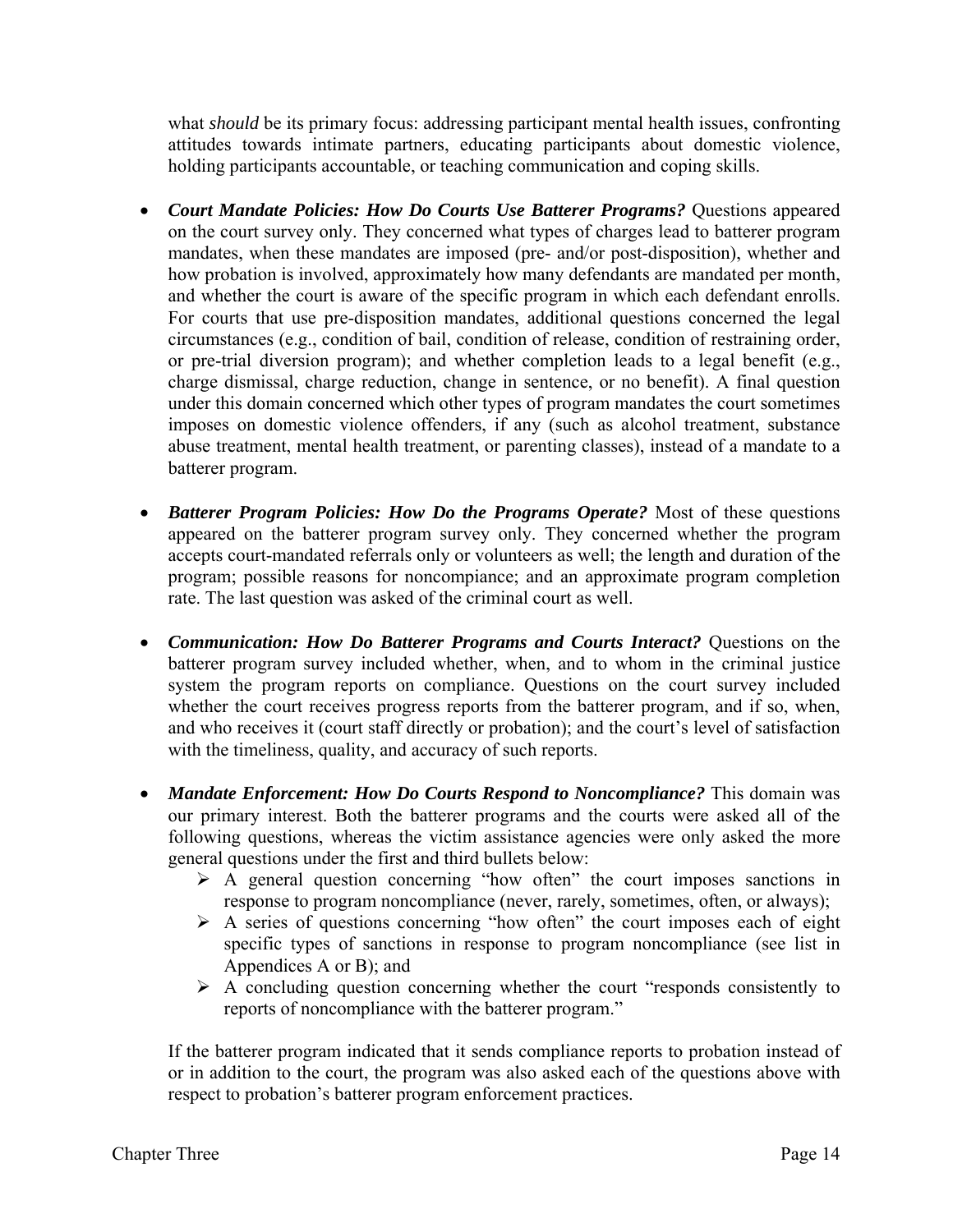what *should* be its primary focus: addressing participant mental health issues, confronting attitudes towards intimate partners, educating participants about domestic violence, holding participants accountable, or teaching communication and coping skills.

- *Court Mandate Policies: How Do Courts Use Batterer Programs?* Questions appeared on the court survey only. They concerned what types of charges lead to batterer program mandates, when these mandates are imposed (pre- and/or post-disposition), whether and how probation is involved, approximately how many defendants are mandated per month, and whether the court is aware of the specific program in which each defendant enrolls. For courts that use pre-disposition mandates, additional questions concerned the legal circumstances (e.g., condition of bail, condition of release, condition of restraining order, or pre-trial diversion program); and whether completion leads to a legal benefit (e.g., charge dismissal, charge reduction, change in sentence, or no benefit). A final question under this domain concerned which other types of program mandates the court sometimes imposes on domestic violence offenders, if any (such as alcohol treatment, substance abuse treatment, mental health treatment, or parenting classes), instead of a mandate to a batterer program.
- *Batterer Program Policies: How Do the Programs Operate?* Most of these questions appeared on the batterer program survey only. They concerned whether the program accepts court-mandated referrals only or volunteers as well; the length and duration of the program; possible reasons for noncompiance; and an approximate program completion rate. The last question was asked of the criminal court as well.
- *Communication: How Do Batterer Programs and Courts Interact?* Questions on the batterer program survey included whether, when, and to whom in the criminal justice system the program reports on compliance. Questions on the court survey included whether the court receives progress reports from the batterer program, and if so, when, and who receives it (court staff directly or probation); and the court's level of satisfaction with the timeliness, quality, and accuracy of such reports.
- *Mandate Enforcement: How Do Courts Respond to Noncompliance?* This domain was our primary interest. Both the batterer programs and the courts were asked all of the following questions, whereas the victim assistance agencies were only asked the more general questions under the first and third bullets below:
	- $\triangleright$  A general question concerning "how often" the court imposes sanctions in response to program noncompliance (never, rarely, sometimes, often, or always);
	- $\triangleright$  A series of questions concerning "how often" the court imposes each of eight specific types of sanctions in response to program noncompliance (see list in Appendices A or B); and
	- $\triangleright$  A concluding question concerning whether the court "responds consistently to reports of noncompliance with the batterer program."

If the batterer program indicated that it sends compliance reports to probation instead of or in addition to the court, the program was also asked each of the questions above with respect to probation's batterer program enforcement practices.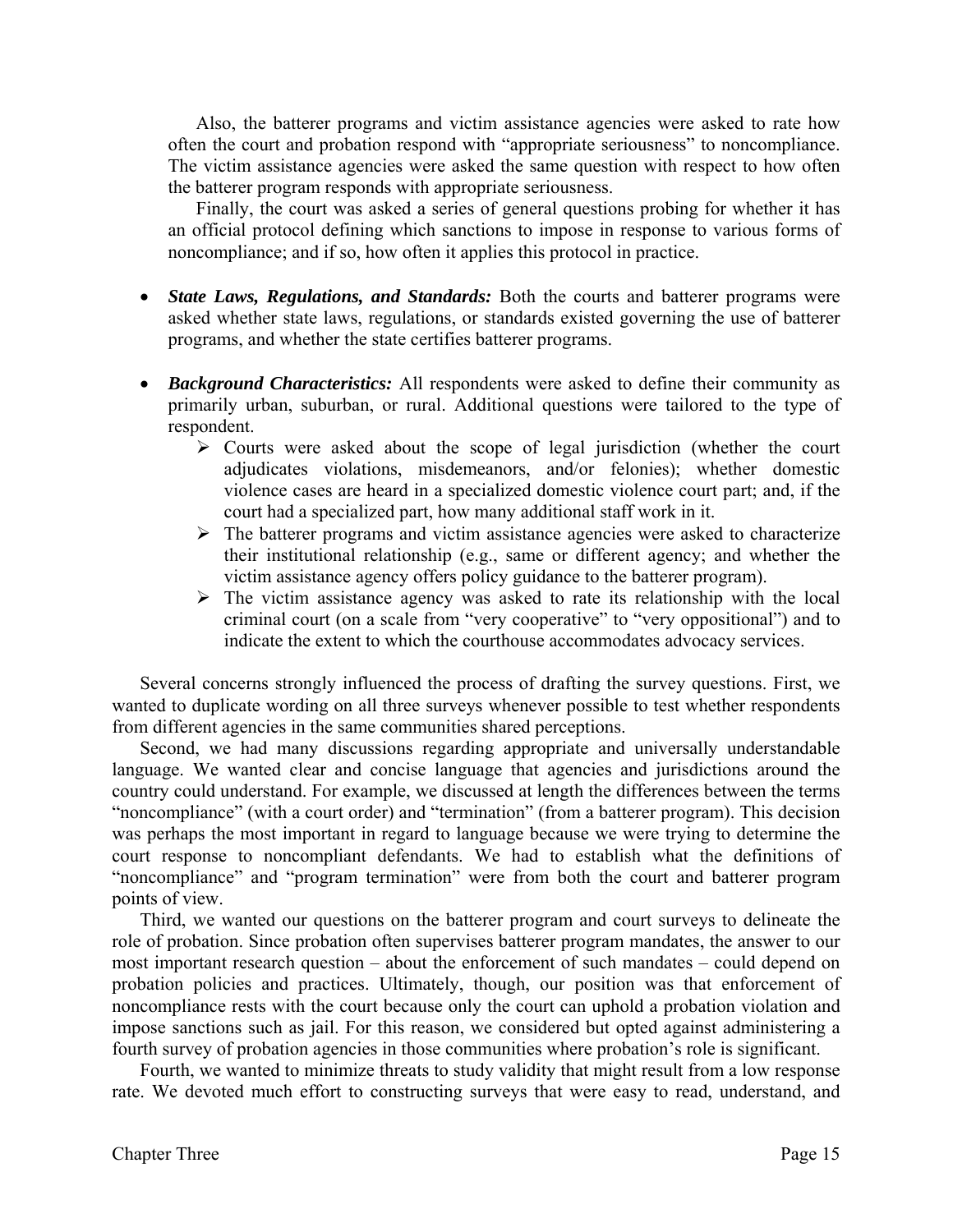Also, the batterer programs and victim assistance agencies were asked to rate how often the court and probation respond with "appropriate seriousness" to noncompliance. The victim assistance agencies were asked the same question with respect to how often the batterer program responds with appropriate seriousness.

Finally, the court was asked a series of general questions probing for whether it has an official protocol defining which sanctions to impose in response to various forms of noncompliance; and if so, how often it applies this protocol in practice.

- *State Laws, Regulations, and Standards:* Both the courts and batterer programs were asked whether state laws, regulations, or standards existed governing the use of batterer programs, and whether the state certifies batterer programs.
- *Background Characteristics:* All respondents were asked to define their community as primarily urban, suburban, or rural. Additional questions were tailored to the type of respondent.
	- $\triangleright$  Courts were asked about the scope of legal jurisdiction (whether the court adjudicates violations, misdemeanors, and/or felonies); whether domestic violence cases are heard in a specialized domestic violence court part; and, if the court had a specialized part, how many additional staff work in it.
	- $\triangleright$  The batterer programs and victim assistance agencies were asked to characterize their institutional relationship (e.g., same or different agency; and whether the victim assistance agency offers policy guidance to the batterer program).
	- $\triangleright$  The victim assistance agency was asked to rate its relationship with the local criminal court (on a scale from "very cooperative" to "very oppositional") and to indicate the extent to which the courthouse accommodates advocacy services.

Several concerns strongly influenced the process of drafting the survey questions. First, we wanted to duplicate wording on all three surveys whenever possible to test whether respondents from different agencies in the same communities shared perceptions.

Second, we had many discussions regarding appropriate and universally understandable language. We wanted clear and concise language that agencies and jurisdictions around the country could understand. For example, we discussed at length the differences between the terms "noncompliance" (with a court order) and "termination" (from a batterer program). This decision was perhaps the most important in regard to language because we were trying to determine the court response to noncompliant defendants. We had to establish what the definitions of "noncompliance" and "program termination" were from both the court and batterer program points of view.

Third, we wanted our questions on the batterer program and court surveys to delineate the role of probation. Since probation often supervises batterer program mandates, the answer to our most important research question – about the enforcement of such mandates – could depend on probation policies and practices. Ultimately, though, our position was that enforcement of noncompliance rests with the court because only the court can uphold a probation violation and impose sanctions such as jail. For this reason, we considered but opted against administering a fourth survey of probation agencies in those communities where probation's role is significant.

Fourth, we wanted to minimize threats to study validity that might result from a low response rate. We devoted much effort to constructing surveys that were easy to read, understand, and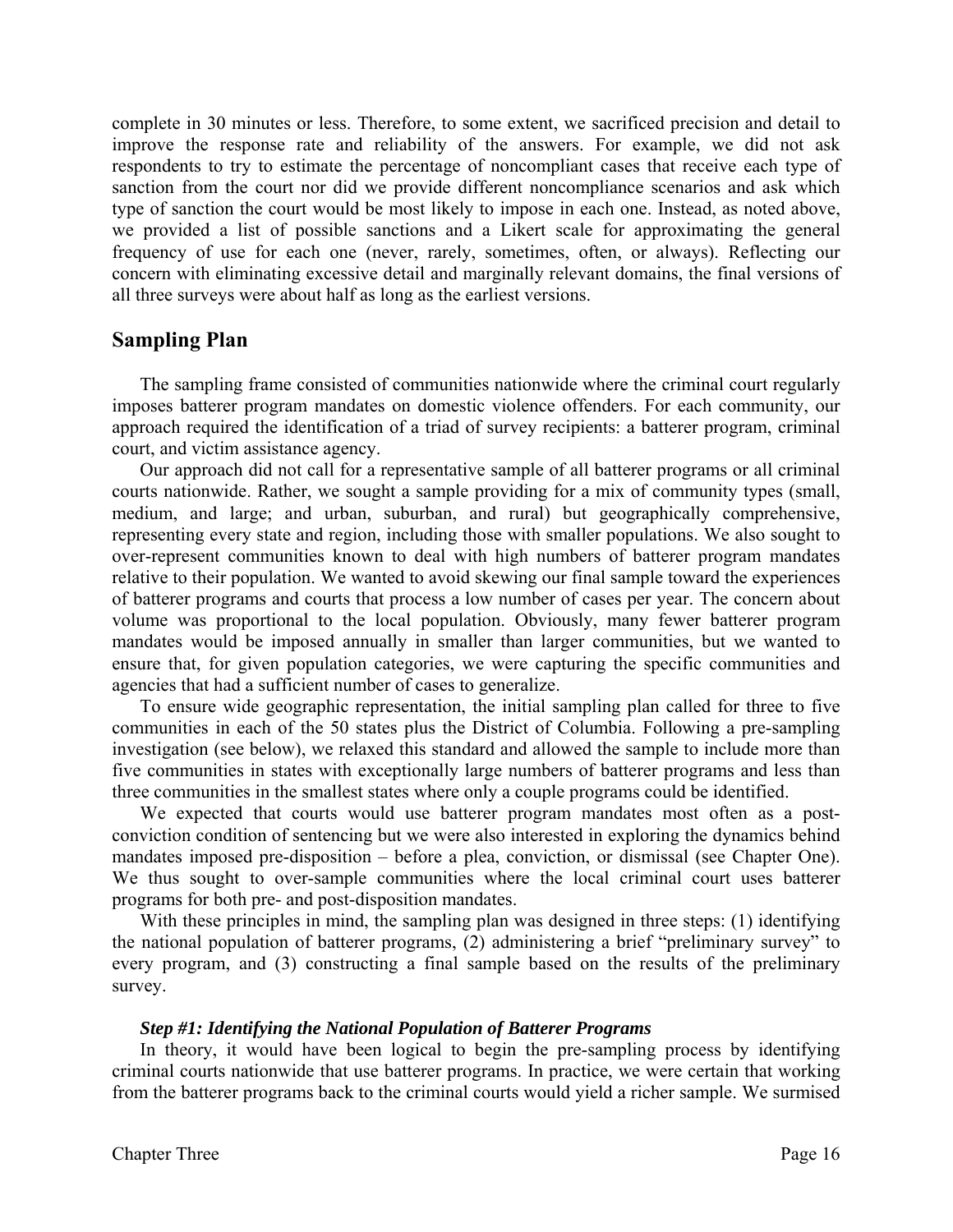complete in 30 minutes or less. Therefore, to some extent, we sacrificed precision and detail to improve the response rate and reliability of the answers. For example, we did not ask respondents to try to estimate the percentage of noncompliant cases that receive each type of sanction from the court nor did we provide different noncompliance scenarios and ask which type of sanction the court would be most likely to impose in each one. Instead, as noted above, we provided a list of possible sanctions and a Likert scale for approximating the general frequency of use for each one (never, rarely, sometimes, often, or always). Reflecting our concern with eliminating excessive detail and marginally relevant domains, the final versions of all three surveys were about half as long as the earliest versions.

# **Sampling Plan**

The sampling frame consisted of communities nationwide where the criminal court regularly imposes batterer program mandates on domestic violence offenders. For each community, our approach required the identification of a triad of survey recipients: a batterer program, criminal court, and victim assistance agency.

Our approach did not call for a representative sample of all batterer programs or all criminal courts nationwide. Rather, we sought a sample providing for a mix of community types (small, medium, and large; and urban, suburban, and rural) but geographically comprehensive, representing every state and region, including those with smaller populations. We also sought to over-represent communities known to deal with high numbers of batterer program mandates relative to their population. We wanted to avoid skewing our final sample toward the experiences of batterer programs and courts that process a low number of cases per year. The concern about volume was proportional to the local population. Obviously, many fewer batterer program mandates would be imposed annually in smaller than larger communities, but we wanted to ensure that, for given population categories, we were capturing the specific communities and agencies that had a sufficient number of cases to generalize.

To ensure wide geographic representation, the initial sampling plan called for three to five communities in each of the 50 states plus the District of Columbia. Following a pre-sampling investigation (see below), we relaxed this standard and allowed the sample to include more than five communities in states with exceptionally large numbers of batterer programs and less than three communities in the smallest states where only a couple programs could be identified.

We expected that courts would use batterer program mandates most often as a postconviction condition of sentencing but we were also interested in exploring the dynamics behind mandates imposed pre-disposition – before a plea, conviction, or dismissal (see Chapter One). We thus sought to over-sample communities where the local criminal court uses batterer programs for both pre- and post-disposition mandates.

With these principles in mind, the sampling plan was designed in three steps: (1) identifying the national population of batterer programs, (2) administering a brief "preliminary survey" to every program, and (3) constructing a final sample based on the results of the preliminary survey.

#### *Step #1: Identifying the National Population of Batterer Programs*

In theory, it would have been logical to begin the pre-sampling process by identifying criminal courts nationwide that use batterer programs. In practice, we were certain that working from the batterer programs back to the criminal courts would yield a richer sample. We surmised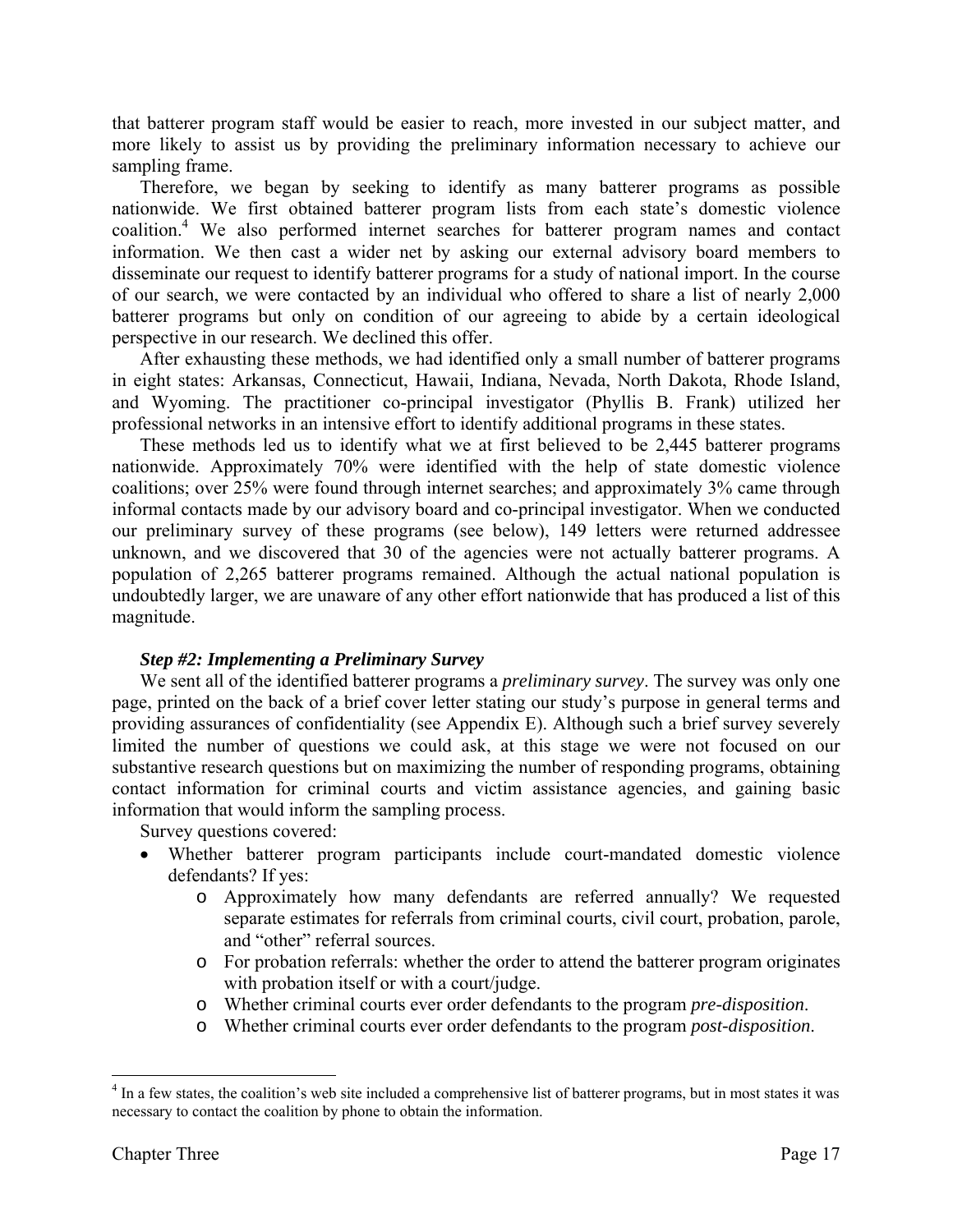that batterer program staff would be easier to reach, more invested in our subject matter, and more likely to assist us by providing the preliminary information necessary to achieve our sampling frame.

Therefore, we began by seeking to identify as many batterer programs as possible nationwide. We first obtained batterer program lists from each state's domestic violence coalition.4 We also performed internet searches for batterer program names and contact information. We then cast a wider net by asking our external advisory board members to disseminate our request to identify batterer programs for a study of national import. In the course of our search, we were contacted by an individual who offered to share a list of nearly 2,000 batterer programs but only on condition of our agreeing to abide by a certain ideological perspective in our research. We declined this offer.

After exhausting these methods, we had identified only a small number of batterer programs in eight states: Arkansas, Connecticut, Hawaii, Indiana, Nevada, North Dakota, Rhode Island, and Wyoming. The practitioner co-principal investigator (Phyllis B. Frank) utilized her professional networks in an intensive effort to identify additional programs in these states.

These methods led us to identify what we at first believed to be 2,445 batterer programs nationwide. Approximately 70% were identified with the help of state domestic violence coalitions; over 25% were found through internet searches; and approximately 3% came through informal contacts made by our advisory board and co-principal investigator. When we conducted our preliminary survey of these programs (see below), 149 letters were returned addressee unknown, and we discovered that 30 of the agencies were not actually batterer programs. A population of 2,265 batterer programs remained. Although the actual national population is undoubtedly larger, we are unaware of any other effort nationwide that has produced a list of this magnitude.

# *Step #2: Implementing a Preliminary Survey*

 We sent all of the identified batterer programs a *preliminary survey*. The survey was only one page, printed on the back of a brief cover letter stating our study's purpose in general terms and providing assurances of confidentiality (see Appendix E). Although such a brief survey severely limited the number of questions we could ask, at this stage we were not focused on our substantive research questions but on maximizing the number of responding programs, obtaining contact information for criminal courts and victim assistance agencies, and gaining basic information that would inform the sampling process.

Survey questions covered:

- Whether batterer program participants include court-mandated domestic violence defendants? If yes:
	- o Approximately how many defendants are referred annually? We requested separate estimates for referrals from criminal courts, civil court, probation, parole, and "other" referral sources.
	- o For probation referrals: whether the order to attend the batterer program originates with probation itself or with a court/judge.
	- o Whether criminal courts ever order defendants to the program *pre-disposition*.
	- o Whether criminal courts ever order defendants to the program *post-disposition*.

1

<sup>&</sup>lt;sup>4</sup> In a few states, the coalition's web site included a comprehensive list of batterer programs, but in most states it was necessary to contact the coalition by phone to obtain the information.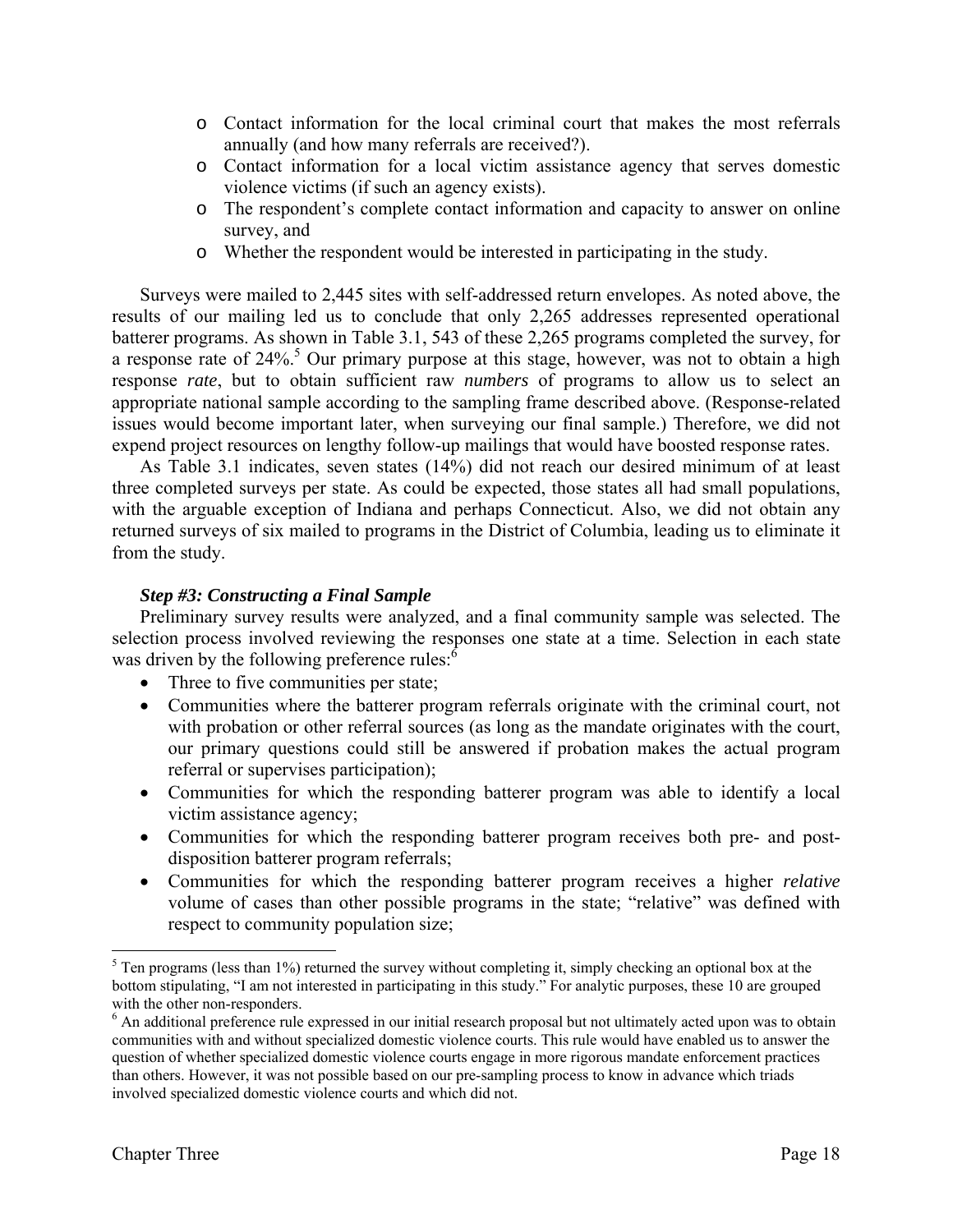- o Contact information for the local criminal court that makes the most referrals annually (and how many referrals are received?).
- o Contact information for a local victim assistance agency that serves domestic violence victims (if such an agency exists).
- o The respondent's complete contact information and capacity to answer on online survey, and
- o Whether the respondent would be interested in participating in the study.

Surveys were mailed to 2,445 sites with self-addressed return envelopes. As noted above, the results of our mailing led us to conclude that only 2,265 addresses represented operational batterer programs. As shown in Table 3.1, 543 of these 2,265 programs completed the survey, for a response rate of  $24\%$ <sup>5</sup> Our primary purpose at this stage, however, was not to obtain a high response *rate*, but to obtain sufficient raw *numbers* of programs to allow us to select an appropriate national sample according to the sampling frame described above. (Response-related issues would become important later, when surveying our final sample.) Therefore, we did not expend project resources on lengthy follow-up mailings that would have boosted response rates.

As Table 3.1 indicates, seven states (14%) did not reach our desired minimum of at least three completed surveys per state. As could be expected, those states all had small populations, with the arguable exception of Indiana and perhaps Connecticut. Also, we did not obtain any returned surveys of six mailed to programs in the District of Columbia, leading us to eliminate it from the study.

#### *Step #3: Constructing a Final Sample*

 Preliminary survey results were analyzed, and a final community sample was selected. The selection process involved reviewing the responses one state at a time. Selection in each state was driven by the following preference rules:<sup>6</sup>

- Three to five communities per state;
- Communities where the batterer program referrals originate with the criminal court, not with probation or other referral sources (as long as the mandate originates with the court, our primary questions could still be answered if probation makes the actual program referral or supervises participation);
- Communities for which the responding batterer program was able to identify a local victim assistance agency;
- Communities for which the responding batterer program receives both pre- and postdisposition batterer program referrals;
- Communities for which the responding batterer program receives a higher *relative* volume of cases than other possible programs in the state; "relative" was defined with respect to community population size;

 $\overline{a}$ 

 $<sup>5</sup>$  Ten programs (less than 1%) returned the survey without completing it, simply checking an optional box at the</sup> bottom stipulating, "I am not interested in participating in this study." For analytic purposes, these 10 are grouped with the other non-responders.

<sup>&</sup>lt;sup>6</sup> An additional preference rule expressed in our initial research proposal but not ultimately acted upon was to obtain communities with and without specialized domestic violence courts. This rule would have enabled us to answer the question of whether specialized domestic violence courts engage in more rigorous mandate enforcement practices than others. However, it was not possible based on our pre-sampling process to know in advance which triads involved specialized domestic violence courts and which did not.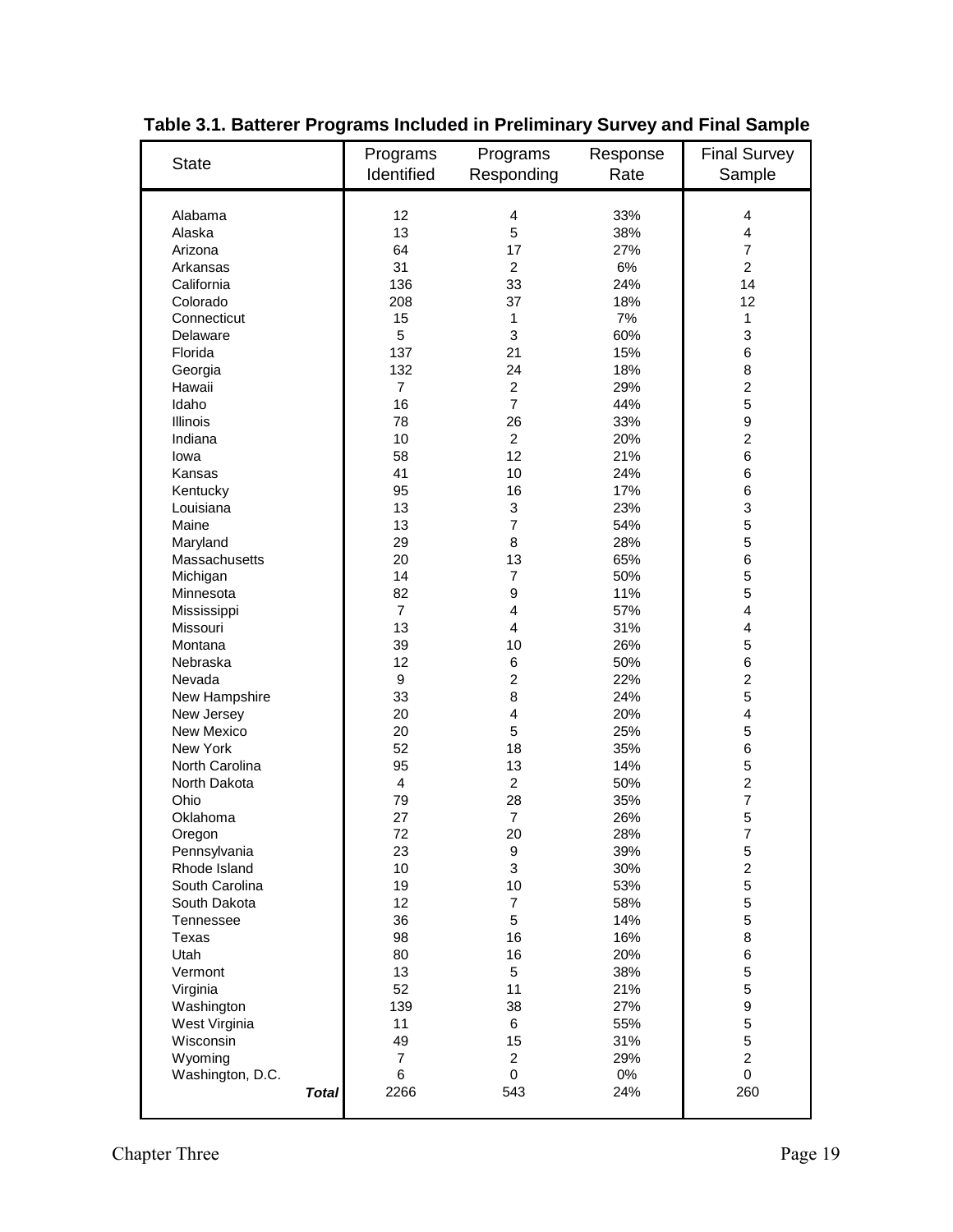| <b>State</b>     | Programs<br>Identified | Programs<br>Responding  | Response<br>Rate | <b>Final Survey</b><br>Sample |
|------------------|------------------------|-------------------------|------------------|-------------------------------|
| Alabama          | 12                     | 4                       | 33%              | 4                             |
| Alaska           | 13                     | 5                       | 38%              | 4                             |
| Arizona          | 64                     | 17                      | 27%              | $\overline{7}$                |
| Arkansas         | 31                     | $\overline{2}$          | 6%               | $\overline{2}$                |
| California       | 136                    | 33                      | 24%              | 14                            |
| Colorado         | 208                    | 37                      | 18%              | 12                            |
| Connecticut      | 15                     | 1                       | 7%               | 1                             |
| Delaware         | 5                      | 3                       | 60%              | 3                             |
| Florida          | 137                    | 21                      | 15%              | 6                             |
| Georgia          | 132                    | 24                      | 18%              | 8                             |
| Hawaii           | $\overline{7}$         | $\overline{2}$          | 29%              | $\overline{2}$                |
| Idaho            | 16                     | $\overline{7}$          | 44%              | 5                             |
| <b>Illinois</b>  | 78                     | 26                      | 33%              | 9                             |
| Indiana          | 10                     | $\overline{2}$          | 20%              | $\overline{2}$                |
| lowa             | 58                     | 12                      | 21%              | 6                             |
| Kansas           | 41                     | 10                      | 24%              | 6                             |
| Kentucky         | 95                     | 16                      | 17%              | 6                             |
| Louisiana        | 13                     | 3                       | 23%              | 3                             |
| Maine            | 13                     | $\overline{7}$          | 54%              | 5                             |
| Maryland         | 29                     | 8                       | 28%              | 5                             |
| Massachusetts    | 20                     | 13                      | 65%              | 6                             |
| Michigan         | 14                     | $\overline{7}$          | 50%              | 5                             |
| Minnesota        | 82                     | 9                       | 11%              | 5                             |
| Mississippi      | $\overline{7}$         | $\overline{\mathbf{4}}$ | 57%              | 4                             |
| Missouri         | 13                     | $\overline{\mathbf{4}}$ | 31%              | 4                             |
| Montana          | 39                     | 10                      | 26%              | 5                             |
| Nebraska         | 12                     | 6                       | 50%              | 6                             |
| Nevada           | 9                      | $\overline{2}$          | 22%              | $\overline{c}$                |
| New Hampshire    | 33                     | 8                       | 24%              | 5                             |
| New Jersey       | 20                     | $\overline{\mathbf{4}}$ | 20%              | 4                             |
| New Mexico       | 20                     | 5                       | 25%              | 5                             |
| New York         | 52                     | 18                      | 35%              | 6                             |
| North Carolina   | 95                     | 13                      | 14%              | 5                             |
| North Dakota     | 4                      | $\overline{2}$          | 50%              | $\overline{2}$                |
| Ohio             | 79                     | 28                      | 35%              | $\overline{7}$                |
| Oklahoma         | 27                     | $\overline{7}$          | 26%              | 5                             |
| Oregon           | 72                     | 20                      | 28%              | $\overline{7}$                |
| Pennsylvania     | 23                     | 9                       | 39%              | 5                             |
| Rhode Island     | 10                     | 3                       | 30%              | $\overline{\mathbf{c}}$       |
| South Carolina   | 19                     | 10                      | 53%              | 5                             |
| South Dakota     | 12                     | $\overline{7}$          | 58%              | 5                             |
| Tennessee        | 36                     | 5                       | 14%              | 5                             |
| Texas            | 98                     | 16                      | 16%              | 8                             |
| Utah             | 80                     | 16                      | 20%              | 6                             |
| Vermont          | 13                     | 5                       | 38%              | 5                             |
| Virginia         | 52                     | 11                      | 21%              | 5                             |
| Washington       | 139                    | 38                      | 27%              | 9                             |
| West Virginia    | 11                     | 6                       | 55%              | 5                             |
| Wisconsin        | 49                     | 15                      | 31%              | 5                             |
| Wyoming          | $\overline{7}$         | $\overline{c}$          | 29%              | $\overline{c}$                |
| Washington, D.C. | 6                      | 0                       | $0\%$            | 0                             |
| <b>Total</b>     | 2266                   | 543                     | 24%              | 260                           |
|                  |                        |                         |                  |                               |

**Table 3.1. Batterer Programs Included in Preliminary Survey and Final Sample**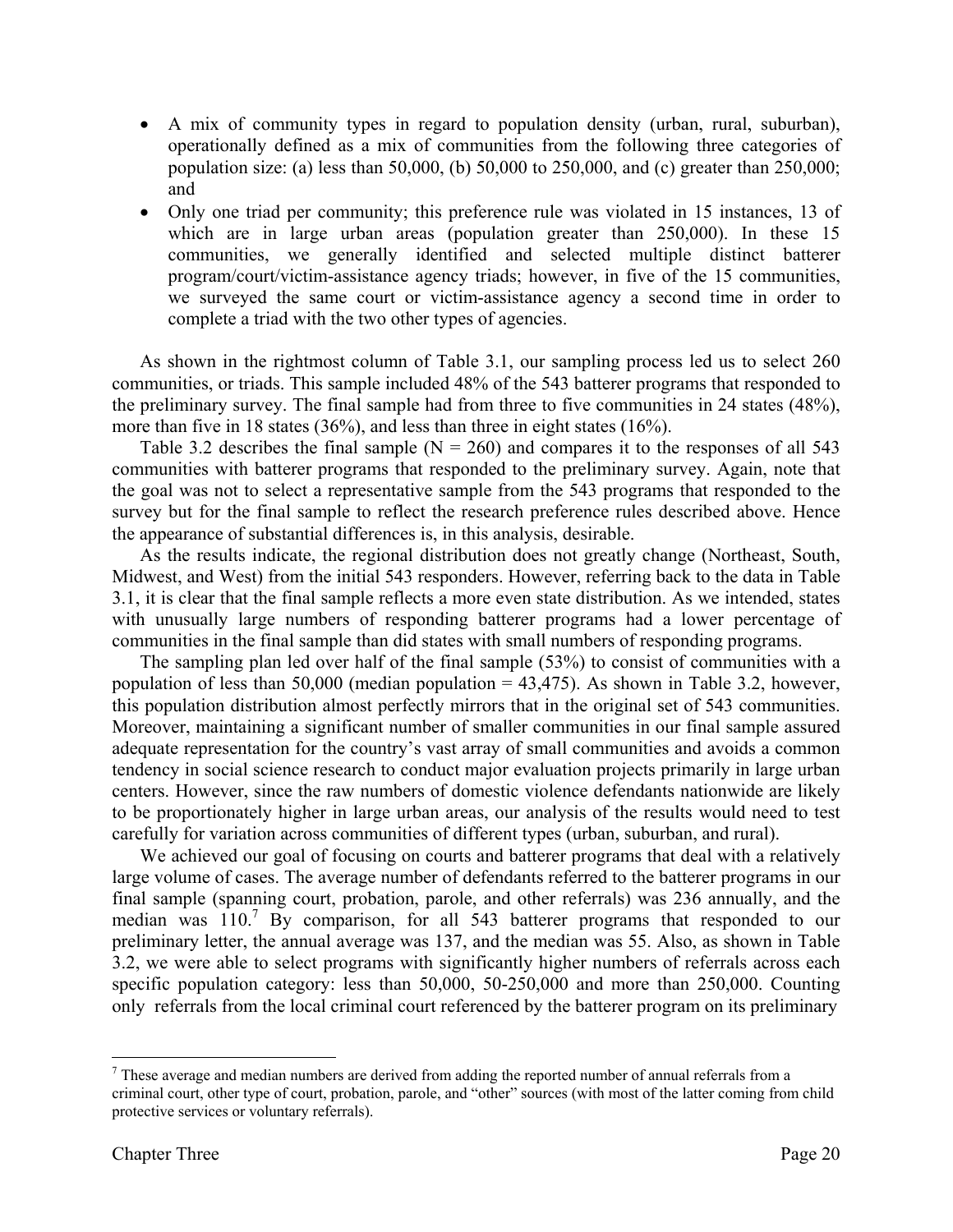- A mix of community types in regard to population density (urban, rural, suburban), operationally defined as a mix of communities from the following three categories of population size: (a) less than 50,000, (b) 50,000 to 250,000, and (c) greater than 250,000; and
- Only one triad per community; this preference rule was violated in 15 instances, 13 of which are in large urban areas (population greater than 250,000). In these 15 communities, we generally identified and selected multiple distinct batterer program/court/victim-assistance agency triads; however, in five of the 15 communities, we surveyed the same court or victim-assistance agency a second time in order to complete a triad with the two other types of agencies.

As shown in the rightmost column of Table 3.1, our sampling process led us to select 260 communities, or triads. This sample included 48% of the 543 batterer programs that responded to the preliminary survey. The final sample had from three to five communities in 24 states (48%), more than five in 18 states (36%), and less than three in eight states (16%).

Table 3.2 describes the final sample  $(N = 260)$  and compares it to the responses of all 543 communities with batterer programs that responded to the preliminary survey. Again, note that the goal was not to select a representative sample from the 543 programs that responded to the survey but for the final sample to reflect the research preference rules described above. Hence the appearance of substantial differences is, in this analysis, desirable.

As the results indicate, the regional distribution does not greatly change (Northeast, South, Midwest, and West) from the initial 543 responders. However, referring back to the data in Table 3.1, it is clear that the final sample reflects a more even state distribution. As we intended, states with unusually large numbers of responding batterer programs had a lower percentage of communities in the final sample than did states with small numbers of responding programs.

The sampling plan led over half of the final sample (53%) to consist of communities with a population of less than 50,000 (median population  $=$  43,475). As shown in Table 3.2, however, this population distribution almost perfectly mirrors that in the original set of 543 communities. Moreover, maintaining a significant number of smaller communities in our final sample assured adequate representation for the country's vast array of small communities and avoids a common tendency in social science research to conduct major evaluation projects primarily in large urban centers. However, since the raw numbers of domestic violence defendants nationwide are likely to be proportionately higher in large urban areas, our analysis of the results would need to test carefully for variation across communities of different types (urban, suburban, and rural).

We achieved our goal of focusing on courts and batterer programs that deal with a relatively large volume of cases. The average number of defendants referred to the batterer programs in our final sample (spanning court, probation, parole, and other referrals) was 236 annually, and the median was 110.<sup>7</sup> By comparison, for all 543 batterer programs that responded to our preliminary letter, the annual average was 137, and the median was 55. Also, as shown in Table 3.2, we were able to select programs with significantly higher numbers of referrals across each specific population category: less than 50,000, 50-250,000 and more than 250,000. Counting only referrals from the local criminal court referenced by the batterer program on its preliminary

1

 $<sup>7</sup>$  These average and median numbers are derived from adding the reported number of annual referrals from a</sup> criminal court, other type of court, probation, parole, and "other" sources (with most of the latter coming from child protective services or voluntary referrals).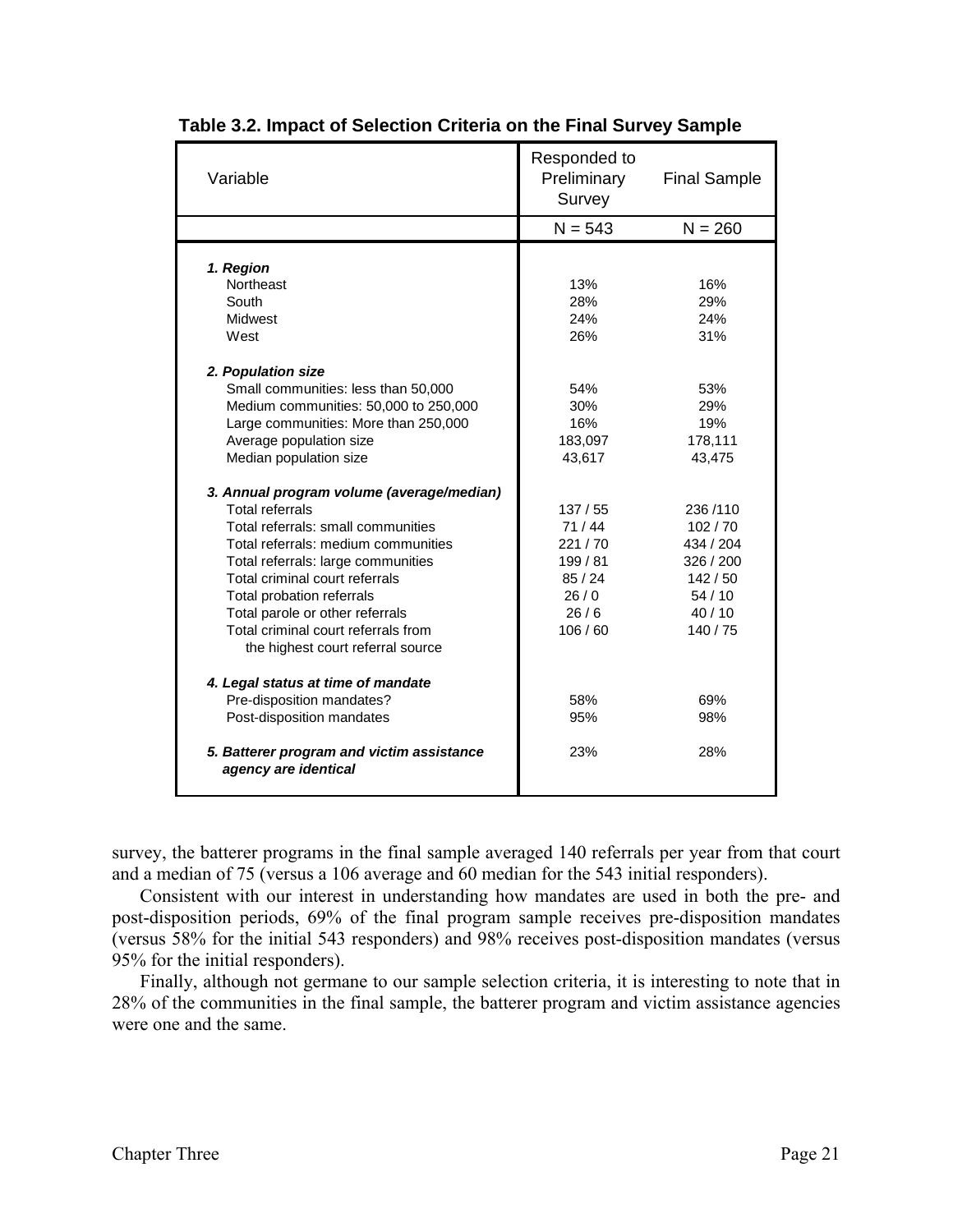| Variable                                                          | Responded to<br>Preliminary<br>Survey | <b>Final Sample</b> |  |
|-------------------------------------------------------------------|---------------------------------------|---------------------|--|
|                                                                   | $N = 543$                             | $N = 260$           |  |
| 1. Region                                                         |                                       |                     |  |
| Northeast                                                         | 13%                                   | 16%                 |  |
| South                                                             | 28%                                   | 29%                 |  |
| Midwest                                                           | 24%                                   | 24%                 |  |
| West                                                              | 26%                                   | 31%                 |  |
|                                                                   |                                       |                     |  |
| 2. Population size                                                |                                       |                     |  |
| Small communities: less than 50,000                               | 54%                                   | 53%                 |  |
| Medium communities: 50,000 to 250,000                             | 30%                                   | 29%                 |  |
| Large communities: More than 250,000                              | 16%                                   | 19%                 |  |
| Average population size                                           | 183,097                               | 178,111             |  |
| Median population size                                            | 43,617                                | 43,475              |  |
|                                                                   |                                       |                     |  |
| 3. Annual program volume (average/median)                         |                                       |                     |  |
| <b>Total referrals</b>                                            | 137/55                                | 236/110             |  |
| Total referrals: small communities                                | 71/44                                 | 102/70              |  |
| Total referrals: medium communities                               | 221/70                                | 434 / 204           |  |
| Total referrals: large communities                                | 199/81                                | 326 / 200           |  |
| Total criminal court referrals                                    | 85/24                                 | 142/50              |  |
| Total probation referrals                                         | 26/0                                  | 54/10               |  |
| Total parole or other referrals                                   | 26/6                                  | 40/10               |  |
| Total criminal court referrals from                               | 106/60                                | 140/75              |  |
| the highest court referral source                                 |                                       |                     |  |
|                                                                   |                                       |                     |  |
| 4. Legal status at time of mandate                                |                                       |                     |  |
| Pre-disposition mandates?                                         | 58%                                   | 69%                 |  |
| Post-disposition mandates                                         | 95%                                   | 98%                 |  |
| 5. Batterer program and victim assistance<br>agency are identical | 23%                                   | 28%                 |  |

| Table 3.2. Impact of Selection Criteria on the Final Survey Sample |  |  |  |  |
|--------------------------------------------------------------------|--|--|--|--|
|                                                                    |  |  |  |  |

survey, the batterer programs in the final sample averaged 140 referrals per year from that court and a median of 75 (versus a 106 average and 60 median for the 543 initial responders).

Consistent with our interest in understanding how mandates are used in both the pre- and post-disposition periods, 69% of the final program sample receives pre-disposition mandates (versus 58% for the initial 543 responders) and 98% receives post-disposition mandates (versus 95% for the initial responders).

Finally, although not germane to our sample selection criteria, it is interesting to note that in 28% of the communities in the final sample, the batterer program and victim assistance agencies were one and the same.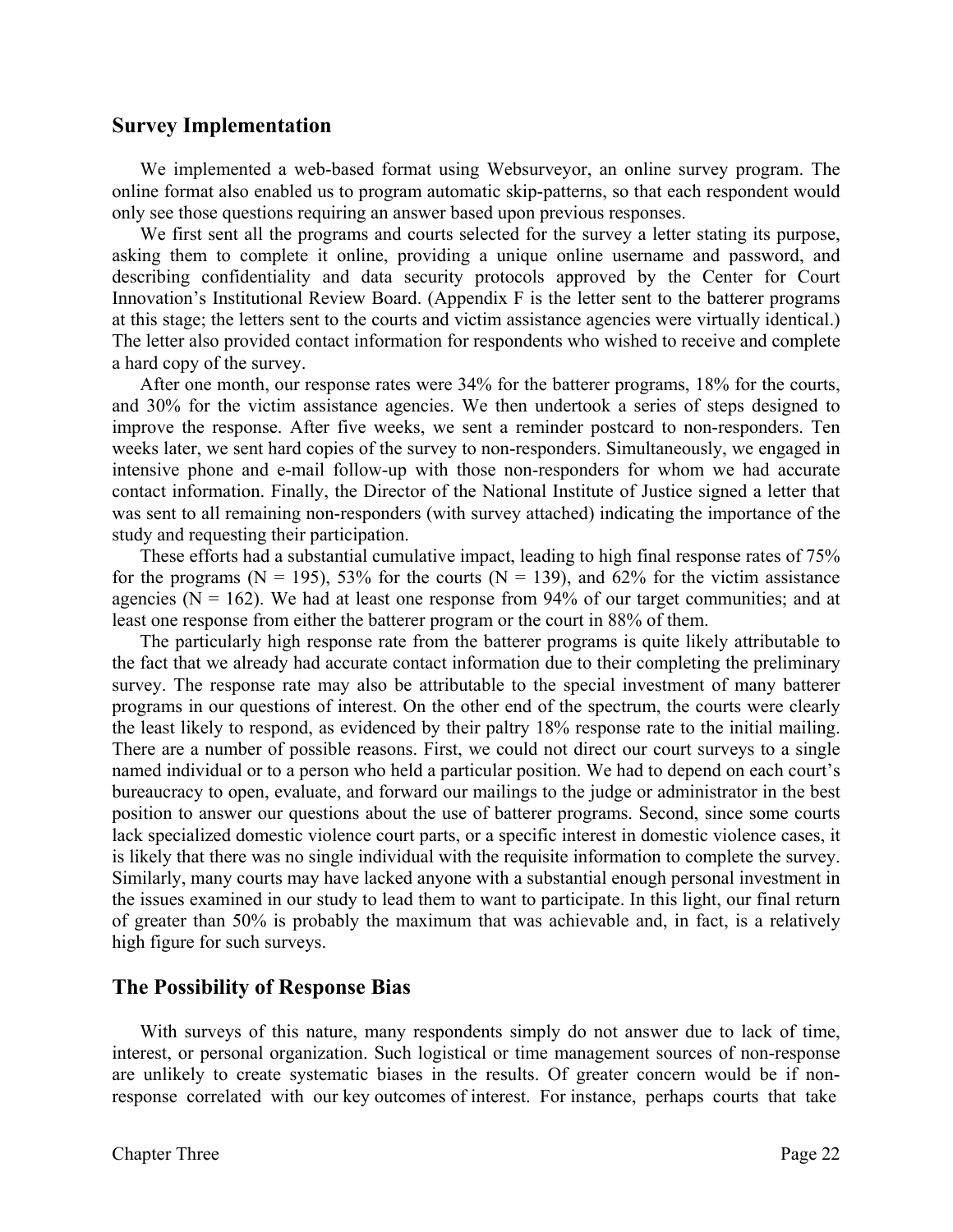## **Survey Implementation**

We implemented a web-based format using Websurveyor, an online survey program. The online format also enabled us to program automatic skip-patterns, so that each respondent would only see those questions requiring an answer based upon previous responses.

 We first sent all the programs and courts selected for the survey a letter stating its purpose, asking them to complete it online, providing a unique online username and password, and describing confidentiality and data security protocols approved by the Center for Court Innovation's Institutional Review Board. (Appendix F is the letter sent to the batterer programs at this stage; the letters sent to the courts and victim assistance agencies were virtually identical.) The letter also provided contact information for respondents who wished to receive and complete a hard copy of the survey.

 After one month, our response rates were 34% for the batterer programs, 18% for the courts, and 30% for the victim assistance agencies. We then undertook a series of steps designed to improve the response. After five weeks, we sent a reminder postcard to non-responders. Ten weeks later, we sent hard copies of the survey to non-responders. Simultaneously, we engaged in intensive phone and e-mail follow-up with those non-responders for whom we had accurate contact information. Finally, the Director of the National Institute of Justice signed a letter that was sent to all remaining non-responders (with survey attached) indicating the importance of the study and requesting their participation.

These efforts had a substantial cumulative impact, leading to high final response rates of 75% for the programs ( $N = 195$ ), 53% for the courts ( $N = 139$ ), and 62% for the victim assistance agencies ( $N = 162$ ). We had at least one response from 94% of our target communities; and at least one response from either the batterer program or the court in 88% of them.

The particularly high response rate from the batterer programs is quite likely attributable to the fact that we already had accurate contact information due to their completing the preliminary survey. The response rate may also be attributable to the special investment of many batterer programs in our questions of interest. On the other end of the spectrum, the courts were clearly the least likely to respond, as evidenced by their paltry 18% response rate to the initial mailing. There are a number of possible reasons. First, we could not direct our court surveys to a single named individual or to a person who held a particular position. We had to depend on each court's bureaucracy to open, evaluate, and forward our mailings to the judge or administrator in the best position to answer our questions about the use of batterer programs. Second, since some courts lack specialized domestic violence court parts, or a specific interest in domestic violence cases, it is likely that there was no single individual with the requisite information to complete the survey. Similarly, many courts may have lacked anyone with a substantial enough personal investment in the issues examined in our study to lead them to want to participate. In this light, our final return of greater than 50% is probably the maximum that was achievable and, in fact, is a relatively high figure for such surveys.

# **The Possibility of Response Bias**

With surveys of this nature, many respondents simply do not answer due to lack of time, interest, or personal organization. Such logistical or time management sources of non-response are unlikely to create systematic biases in the results. Of greater concern would be if nonresponse correlated with our key outcomes of interest. For instance, perhaps courts that take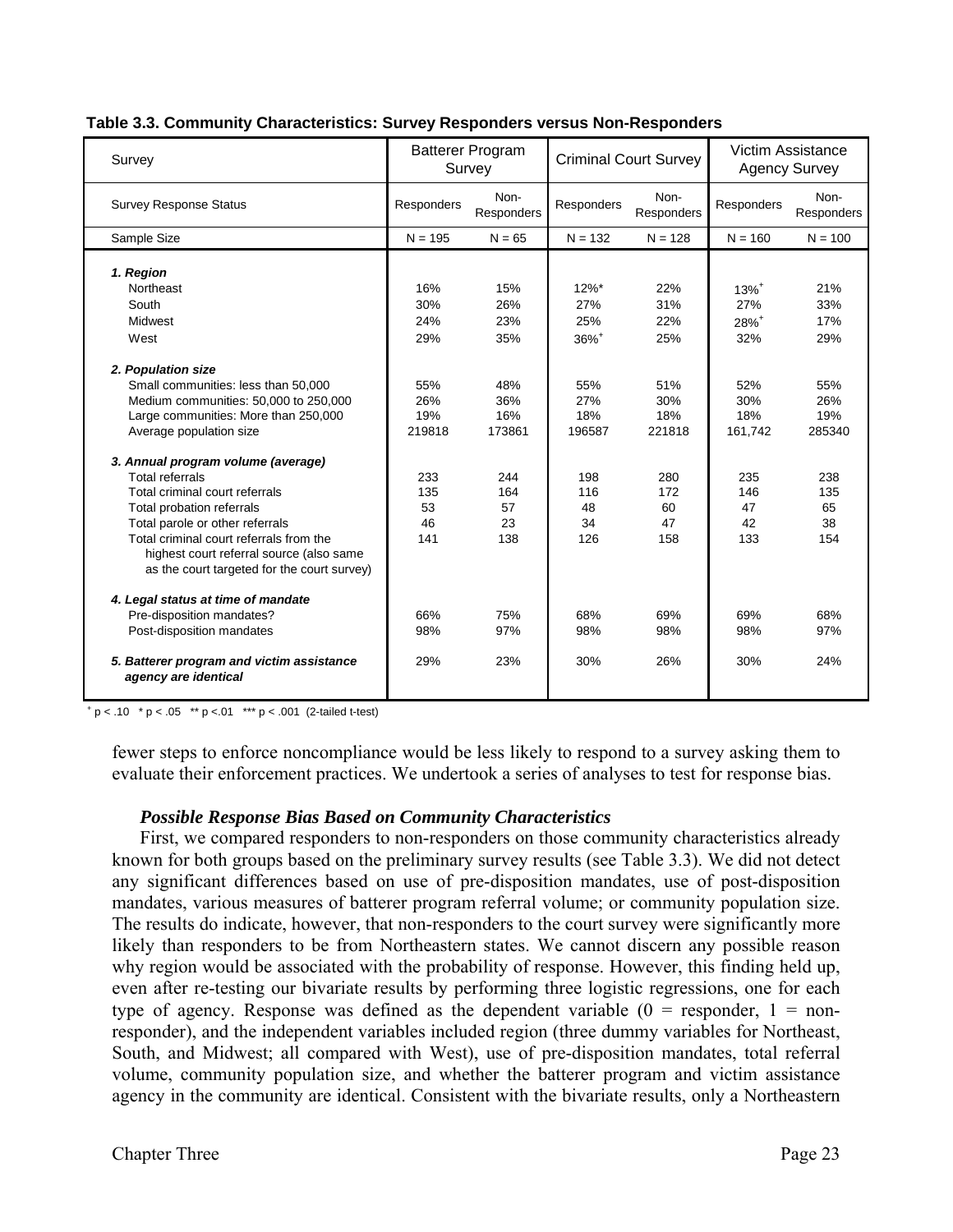| Survey                                                            | <b>Batterer Program</b><br>Survey |                    | <b>Criminal Court Survey</b> |                    | Victim Assistance<br><b>Agency Survey</b> |                    |
|-------------------------------------------------------------------|-----------------------------------|--------------------|------------------------------|--------------------|-------------------------------------------|--------------------|
| <b>Survey Response Status</b>                                     | Responders                        | Non-<br>Responders | Responders                   | Non-<br>Responders | Responders                                | Non-<br>Responders |
| Sample Size                                                       | $N = 195$                         | $N = 65$           | $N = 132$                    | $N = 128$          | $N = 160$                                 | $N = 100$          |
|                                                                   |                                   |                    |                              |                    |                                           |                    |
| 1. Region                                                         |                                   |                    |                              |                    |                                           |                    |
| Northeast                                                         | 16%                               | 15%                | $12\%$ *                     | 22%                | $13%^{+}$                                 | 21%                |
| South                                                             | 30%                               | 26%                | 27%                          | 31%                | 27%                                       | 33%                |
| Midwest                                                           | 24%                               | 23%                | 25%                          | 22%                | 28%+                                      | 17%                |
| West                                                              | 29%                               | 35%                | $36\%$ <sup>+</sup>          | 25%                | 32%                                       | 29%                |
| 2. Population size                                                |                                   |                    |                              |                    |                                           |                    |
| Small communities: less than 50,000                               | 55%                               | 48%                | 55%                          | 51%                | 52%                                       | 55%                |
| Medium communities: 50,000 to 250,000                             | 26%                               | 36%                | 27%                          | 30%                | 30%                                       | 26%                |
| Large communities: More than 250,000                              | 19%                               | 16%                | 18%                          | 18%                | 18%                                       | 19%                |
| Average population size                                           | 219818                            | 173861             | 196587                       | 221818             | 161,742                                   | 285340             |
| 3. Annual program volume (average)                                |                                   |                    |                              |                    |                                           |                    |
| <b>Total referrals</b>                                            | 233                               | 244                | 198                          | 280                | 235                                       | 238                |
| Total criminal court referrals                                    | 135                               | 164                | 116                          | 172                | 146                                       | 135                |
| Total probation referrals                                         | 53                                | 57                 | 48                           | 60                 | 47                                        | 65                 |
| Total parole or other referrals                                   | 46                                | 23                 | 34                           | 47                 | 42                                        | 38                 |
| Total criminal court referrals from the                           | 141                               | 138                | 126                          | 158                | 133                                       | 154                |
| highest court referral source (also same                          |                                   |                    |                              |                    |                                           |                    |
| as the court targeted for the court survey)                       |                                   |                    |                              |                    |                                           |                    |
| 4. Legal status at time of mandate                                |                                   |                    |                              |                    |                                           |                    |
| Pre-disposition mandates?                                         | 66%                               | 75%                | 68%                          | 69%                | 69%                                       | 68%                |
| Post-disposition mandates                                         | 98%                               | 97%                | 98%                          | 98%                | 98%                                       | 97%                |
| 5. Batterer program and victim assistance<br>agency are identical | 29%                               | 23%                | 30%                          | 26%                | 30%                                       | 24%                |

#### **Table 3.3. Community Characteristics: Survey Responders versus Non-Responders**

 $+p < .10$  \* p < .05 \*\* p < .01 \*\*\* p < .001 (2-tailed t-test)

fewer steps to enforce noncompliance would be less likely to respond to a survey asking them to evaluate their enforcement practices. We undertook a series of analyses to test for response bias.

#### *Possible Response Bias Based on Community Characteristics*

First, we compared responders to non-responders on those community characteristics already known for both groups based on the preliminary survey results (see Table 3.3). We did not detect any significant differences based on use of pre-disposition mandates, use of post-disposition mandates, various measures of batterer program referral volume; or community population size. The results do indicate, however, that non-responders to the court survey were significantly more likely than responders to be from Northeastern states. We cannot discern any possible reason why region would be associated with the probability of response. However, this finding held up, even after re-testing our bivariate results by performing three logistic regressions, one for each type of agency. Response was defined as the dependent variable  $(0 =$  responder,  $1 =$  nonresponder), and the independent variables included region (three dummy variables for Northeast, South, and Midwest; all compared with West), use of pre-disposition mandates, total referral volume, community population size, and whether the batterer program and victim assistance agency in the community are identical. Consistent with the bivariate results, only a Northeastern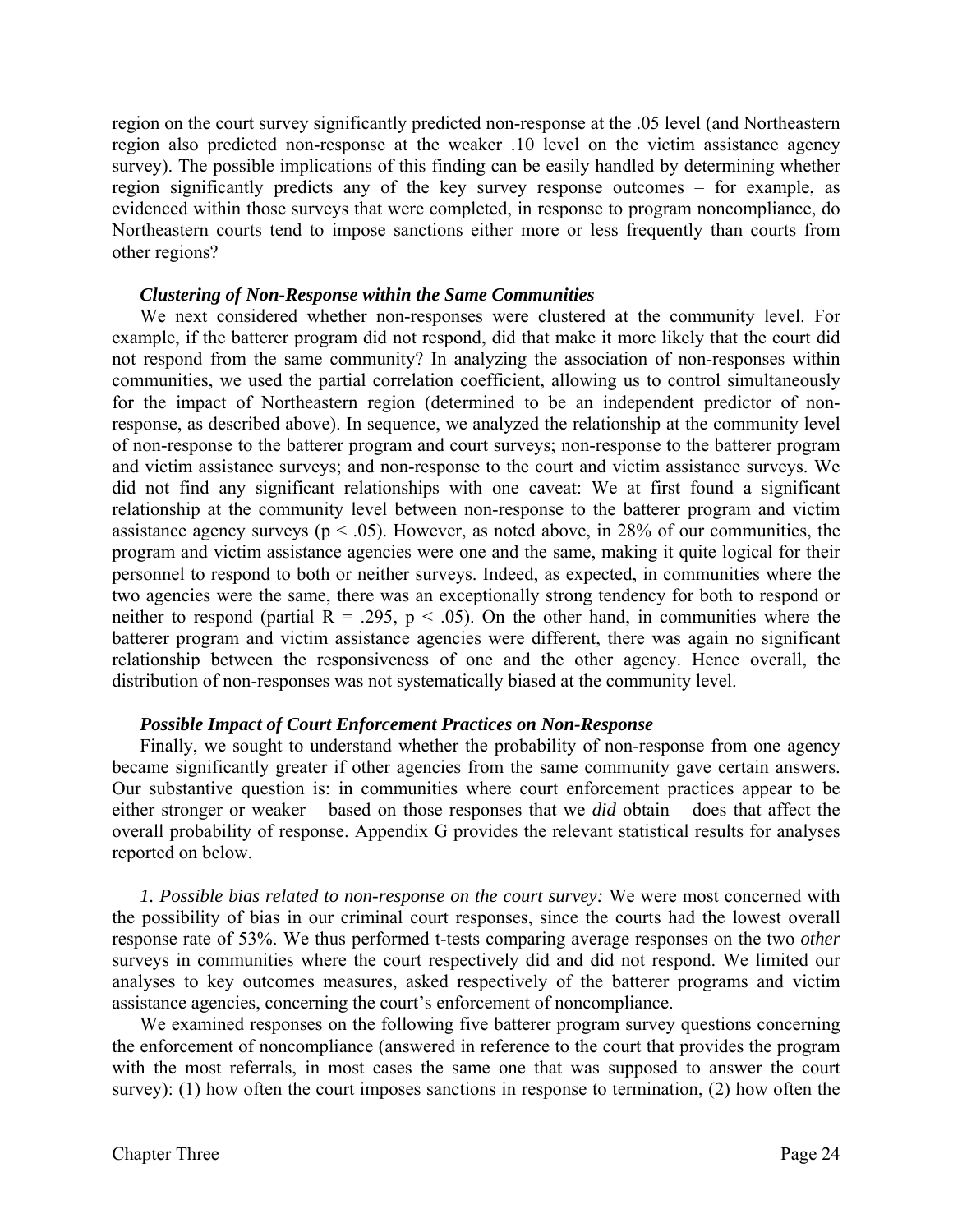region on the court survey significantly predicted non-response at the .05 level (and Northeastern region also predicted non-response at the weaker .10 level on the victim assistance agency survey). The possible implications of this finding can be easily handled by determining whether region significantly predicts any of the key survey response outcomes – for example, as evidenced within those surveys that were completed, in response to program noncompliance, do Northeastern courts tend to impose sanctions either more or less frequently than courts from other regions?

#### *Clustering of Non-Response within the Same Communities*

We next considered whether non-responses were clustered at the community level. For example, if the batterer program did not respond, did that make it more likely that the court did not respond from the same community? In analyzing the association of non-responses within communities, we used the partial correlation coefficient, allowing us to control simultaneously for the impact of Northeastern region (determined to be an independent predictor of nonresponse, as described above). In sequence, we analyzed the relationship at the community level of non-response to the batterer program and court surveys; non-response to the batterer program and victim assistance surveys; and non-response to the court and victim assistance surveys. We did not find any significant relationships with one caveat: We at first found a significant relationship at the community level between non-response to the batterer program and victim assistance agency surveys ( $p < .05$ ). However, as noted above, in 28% of our communities, the program and victim assistance agencies were one and the same, making it quite logical for their personnel to respond to both or neither surveys. Indeed, as expected, in communities where the two agencies were the same, there was an exceptionally strong tendency for both to respond or neither to respond (partial  $R = .295$ ,  $p < .05$ ). On the other hand, in communities where the batterer program and victim assistance agencies were different, there was again no significant relationship between the responsiveness of one and the other agency. Hence overall, the distribution of non-responses was not systematically biased at the community level.

#### *Possible Impact of Court Enforcement Practices on Non-Response*

Finally, we sought to understand whether the probability of non-response from one agency became significantly greater if other agencies from the same community gave certain answers. Our substantive question is: in communities where court enforcement practices appear to be either stronger or weaker – based on those responses that we *did* obtain – does that affect the overall probability of response. Appendix G provides the relevant statistical results for analyses reported on below.

*1. Possible bias related to non-response on the court survey:* We were most concerned with the possibility of bias in our criminal court responses, since the courts had the lowest overall response rate of 53%. We thus performed t-tests comparing average responses on the two *other* surveys in communities where the court respectively did and did not respond. We limited our analyses to key outcomes measures, asked respectively of the batterer programs and victim assistance agencies, concerning the court's enforcement of noncompliance.

We examined responses on the following five batterer program survey questions concerning the enforcement of noncompliance (answered in reference to the court that provides the program with the most referrals, in most cases the same one that was supposed to answer the court survey): (1) how often the court imposes sanctions in response to termination, (2) how often the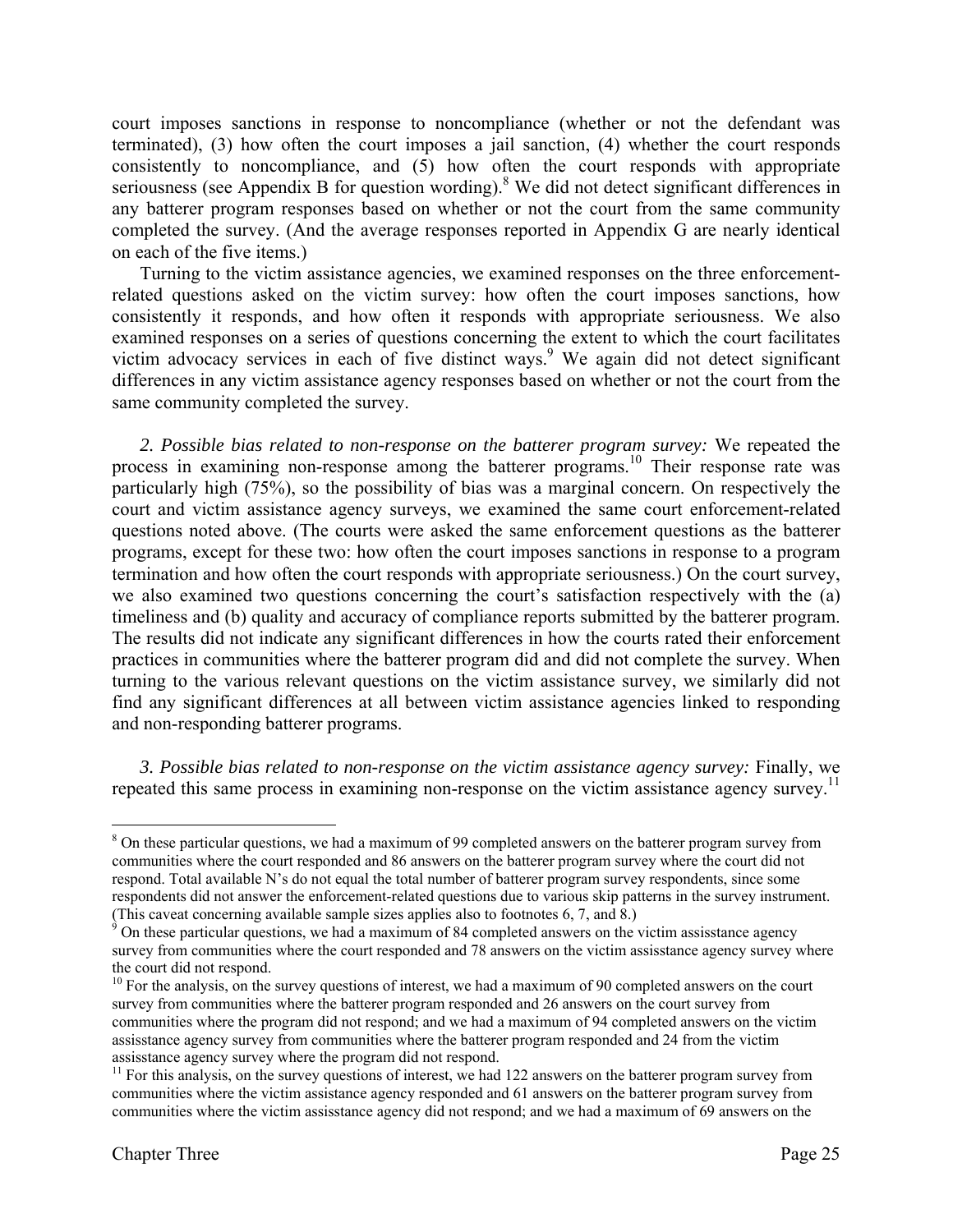court imposes sanctions in response to noncompliance (whether or not the defendant was terminated), (3) how often the court imposes a jail sanction, (4) whether the court responds consistently to noncompliance, and (5) how often the court responds with appropriate seriousness (see Appendix B for question wording).<sup>8</sup> We did not detect significant differences in any batterer program responses based on whether or not the court from the same community completed the survey. (And the average responses reported in Appendix G are nearly identical on each of the five items.)

Turning to the victim assistance agencies, we examined responses on the three enforcementrelated questions asked on the victim survey: how often the court imposes sanctions, how consistently it responds, and how often it responds with appropriate seriousness. We also examined responses on a series of questions concerning the extent to which the court facilitates victim advocacy services in each of five distinct ways.<sup>9</sup> We again did not detect significant differences in any victim assistance agency responses based on whether or not the court from the same community completed the survey.

*2. Possible bias related to non-response on the batterer program survey:* We repeated the process in examining non-response among the batterer programs.<sup>10</sup> Their response rate was particularly high (75%), so the possibility of bias was a marginal concern. On respectively the court and victim assistance agency surveys, we examined the same court enforcement-related questions noted above. (The courts were asked the same enforcement questions as the batterer programs, except for these two: how often the court imposes sanctions in response to a program termination and how often the court responds with appropriate seriousness.) On the court survey, we also examined two questions concerning the court's satisfaction respectively with the (a) timeliness and (b) quality and accuracy of compliance reports submitted by the batterer program. The results did not indicate any significant differences in how the courts rated their enforcement practices in communities where the batterer program did and did not complete the survey. When turning to the various relevant questions on the victim assistance survey, we similarly did not find any significant differences at all between victim assistance agencies linked to responding and non-responding batterer programs.

*3. Possible bias related to non-response on the victim assistance agency survey:* Finally, we repeated this same process in examining non-response on the victim assistance agency survey.<sup>11</sup>

<sup>1</sup> <sup>8</sup> On these particular questions, we had a maximum of 99 completed answers on the batterer program survey from communities where the court responded and 86 answers on the batterer program survey where the court did not respond. Total available N's do not equal the total number of batterer program survey respondents, since some respondents did not answer the enforcement-related questions due to various skip patterns in the survey instrument.

<sup>(</sup>This caveat concerning available sample sizes applies also to footnotes 6, 7, and 8.)<br><sup>9</sup> On these particular questions, we had a maximum of 84 completed answers on the victim assisstance agency survey from communities where the court responded and 78 answers on the victim assisstance agency survey where the court did not respond.

<sup>&</sup>lt;sup>10</sup> For the analysis, on the survey questions of interest, we had a maximum of 90 completed answers on the court survey from communities where the batterer program responded and 26 answers on the court survey from communities where the program did not respond; and we had a maximum of 94 completed answers on the victim assisstance agency survey from communities where the batterer program responded and 24 from the victim

assisstance agency survey where the program did not respond.  $11$  For this analysis, on the survey questions of interest, we had 122 answers on the batterer program survey from communities where the victim assistance agency responded and 61 answers on the batterer program survey from communities where the victim assisstance agency did not respond; and we had a maximum of 69 answers on the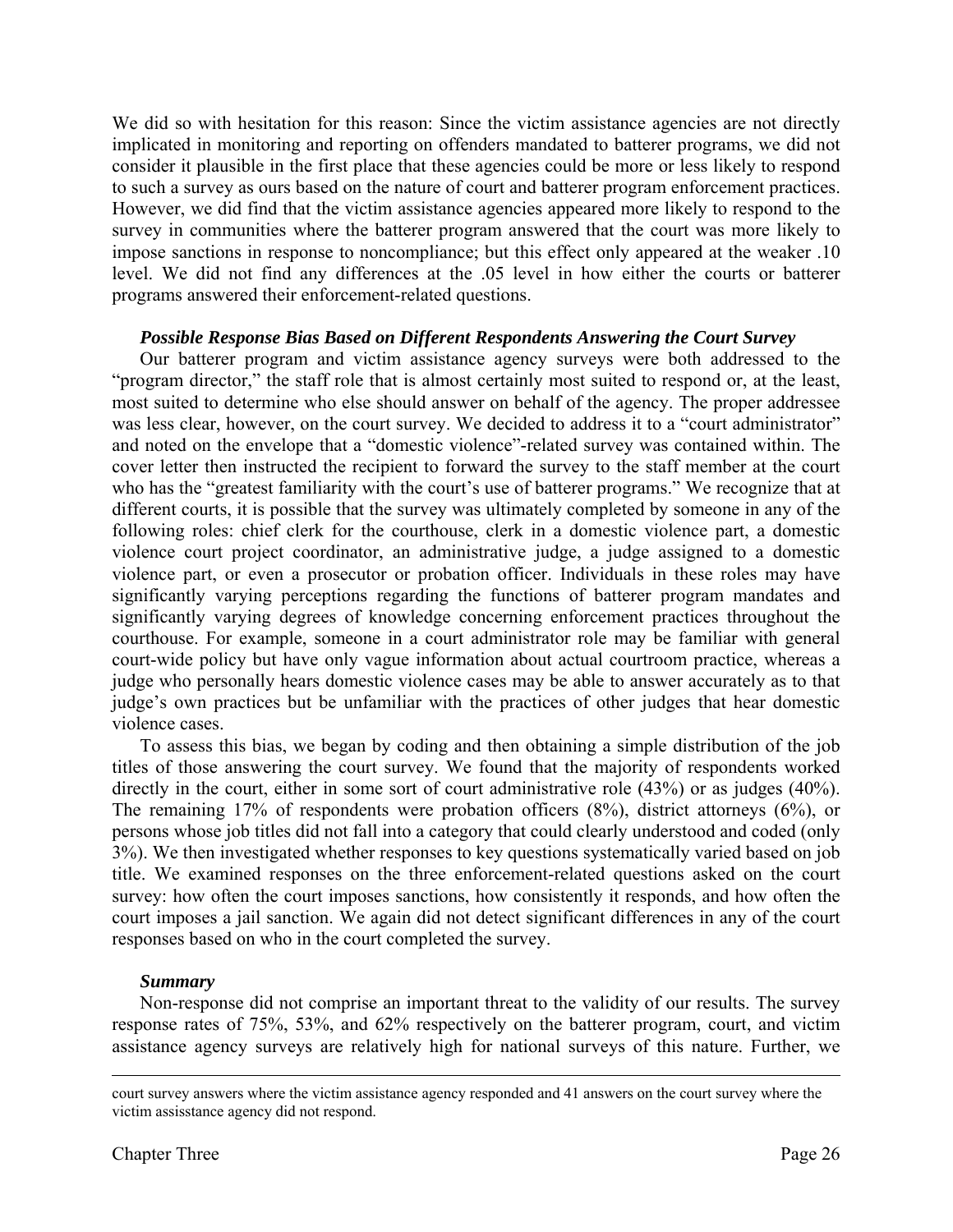We did so with hesitation for this reason: Since the victim assistance agencies are not directly implicated in monitoring and reporting on offenders mandated to batterer programs, we did not consider it plausible in the first place that these agencies could be more or less likely to respond to such a survey as ours based on the nature of court and batterer program enforcement practices. However, we did find that the victim assistance agencies appeared more likely to respond to the survey in communities where the batterer program answered that the court was more likely to impose sanctions in response to noncompliance; but this effect only appeared at the weaker .10 level. We did not find any differences at the .05 level in how either the courts or batterer programs answered their enforcement-related questions.

#### *Possible Response Bias Based on Different Respondents Answering the Court Survey*

 Our batterer program and victim assistance agency surveys were both addressed to the "program director," the staff role that is almost certainly most suited to respond or, at the least, most suited to determine who else should answer on behalf of the agency. The proper addressee was less clear, however, on the court survey. We decided to address it to a "court administrator" and noted on the envelope that a "domestic violence"-related survey was contained within. The cover letter then instructed the recipient to forward the survey to the staff member at the court who has the "greatest familiarity with the court's use of batterer programs." We recognize that at different courts, it is possible that the survey was ultimately completed by someone in any of the following roles: chief clerk for the courthouse, clerk in a domestic violence part, a domestic violence court project coordinator, an administrative judge, a judge assigned to a domestic violence part, or even a prosecutor or probation officer. Individuals in these roles may have significantly varying perceptions regarding the functions of batterer program mandates and significantly varying degrees of knowledge concerning enforcement practices throughout the courthouse. For example, someone in a court administrator role may be familiar with general court-wide policy but have only vague information about actual courtroom practice, whereas a judge who personally hears domestic violence cases may be able to answer accurately as to that judge's own practices but be unfamiliar with the practices of other judges that hear domestic violence cases.

 To assess this bias, we began by coding and then obtaining a simple distribution of the job titles of those answering the court survey. We found that the majority of respondents worked directly in the court, either in some sort of court administrative role (43%) or as judges (40%). The remaining 17% of respondents were probation officers (8%), district attorneys (6%), or persons whose job titles did not fall into a category that could clearly understood and coded (only 3%). We then investigated whether responses to key questions systematically varied based on job title. We examined responses on the three enforcement-related questions asked on the court survey: how often the court imposes sanctions, how consistently it responds, and how often the court imposes a jail sanction. We again did not detect significant differences in any of the court responses based on who in the court completed the survey.

#### *Summary*

 Non-response did not comprise an important threat to the validity of our results. The survey response rates of 75%, 53%, and 62% respectively on the batterer program, court, and victim assistance agency surveys are relatively high for national surveys of this nature. Further, we

court survey answers where the victim assistance agency responded and 41 answers on the court survey where the victim assisstance agency did not respond.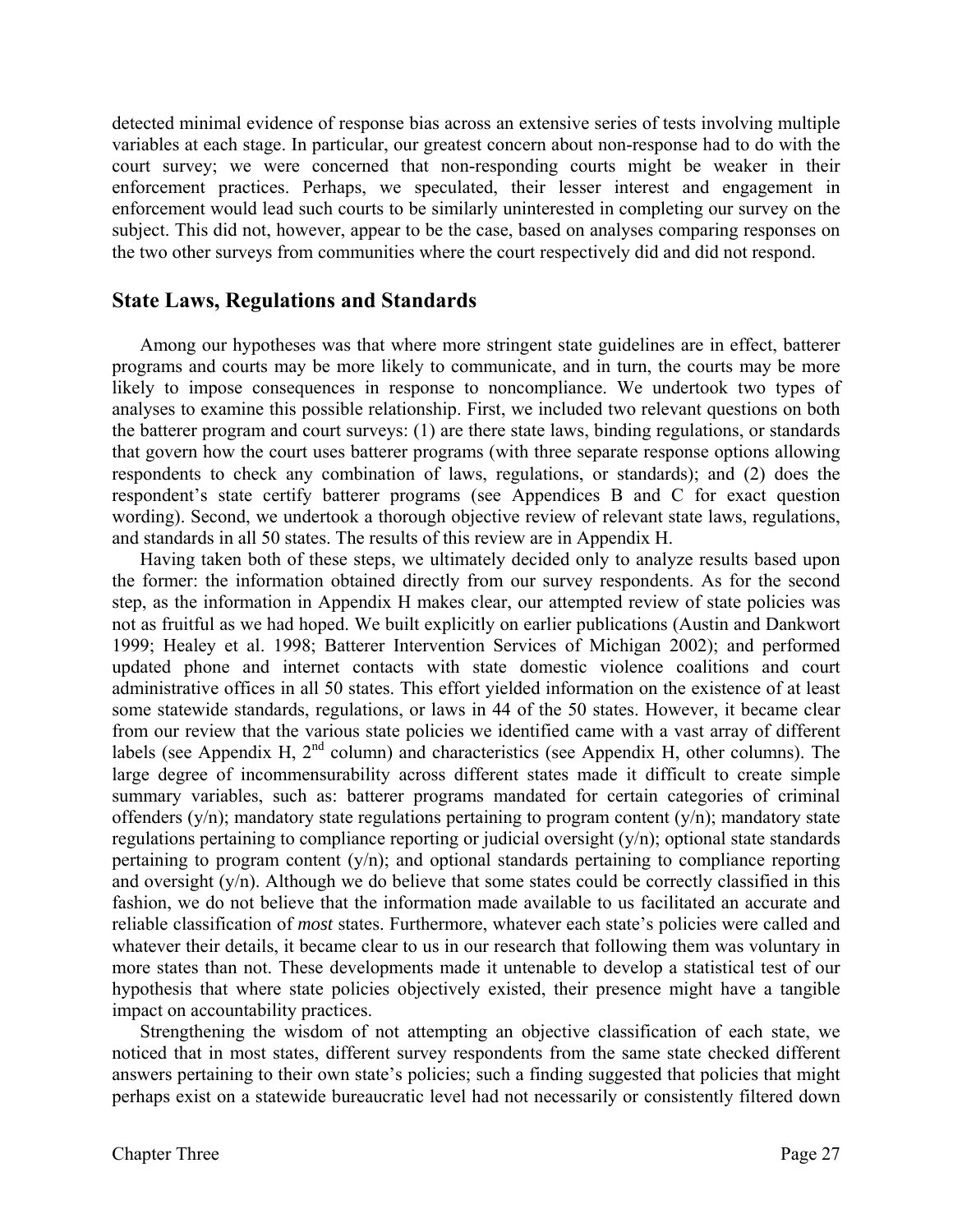detected minimal evidence of response bias across an extensive series of tests involving multiple variables at each stage. In particular, our greatest concern about non-response had to do with the court survey; we were concerned that non-responding courts might be weaker in their enforcement practices. Perhaps, we speculated, their lesser interest and engagement in enforcement would lead such courts to be similarly uninterested in completing our survey on the subject. This did not, however, appear to be the case, based on analyses comparing responses on the two other surveys from communities where the court respectively did and did not respond.

# **State Laws, Regulations and Standards**

 Among our hypotheses was that where more stringent state guidelines are in effect, batterer programs and courts may be more likely to communicate, and in turn, the courts may be more likely to impose consequences in response to noncompliance. We undertook two types of analyses to examine this possible relationship. First, we included two relevant questions on both the batterer program and court surveys: (1) are there state laws, binding regulations, or standards that govern how the court uses batterer programs (with three separate response options allowing respondents to check any combination of laws, regulations, or standards); and (2) does the respondent's state certify batterer programs (see Appendices B and C for exact question wording). Second, we undertook a thorough objective review of relevant state laws, regulations, and standards in all 50 states. The results of this review are in Appendix H.

Having taken both of these steps, we ultimately decided only to analyze results based upon the former: the information obtained directly from our survey respondents. As for the second step, as the information in Appendix H makes clear, our attempted review of state policies was not as fruitful as we had hoped. We built explicitly on earlier publications (Austin and Dankwort 1999; Healey et al. 1998; Batterer Intervention Services of Michigan 2002); and performed updated phone and internet contacts with state domestic violence coalitions and court administrative offices in all 50 states. This effort yielded information on the existence of at least some statewide standards, regulations, or laws in 44 of the 50 states. However, it became clear from our review that the various state policies we identified came with a vast array of different labels (see Appendix H, 2<sup>nd</sup> column) and characteristics (see Appendix H, other columns). The large degree of incommensurability across different states made it difficult to create simple summary variables, such as: batterer programs mandated for certain categories of criminal offenders  $(y/n)$ ; mandatory state regulations pertaining to program content  $(y/n)$ ; mandatory state regulations pertaining to compliance reporting or judicial oversight (y/n); optional state standards pertaining to program content  $(y/n)$ ; and optional standards pertaining to compliance reporting and oversight (y/n). Although we do believe that some states could be correctly classified in this fashion, we do not believe that the information made available to us facilitated an accurate and reliable classification of *most* states. Furthermore, whatever each state's policies were called and whatever their details, it became clear to us in our research that following them was voluntary in more states than not. These developments made it untenable to develop a statistical test of our hypothesis that where state policies objectively existed, their presence might have a tangible impact on accountability practices.

Strengthening the wisdom of not attempting an objective classification of each state, we noticed that in most states, different survey respondents from the same state checked different answers pertaining to their own state's policies; such a finding suggested that policies that might perhaps exist on a statewide bureaucratic level had not necessarily or consistently filtered down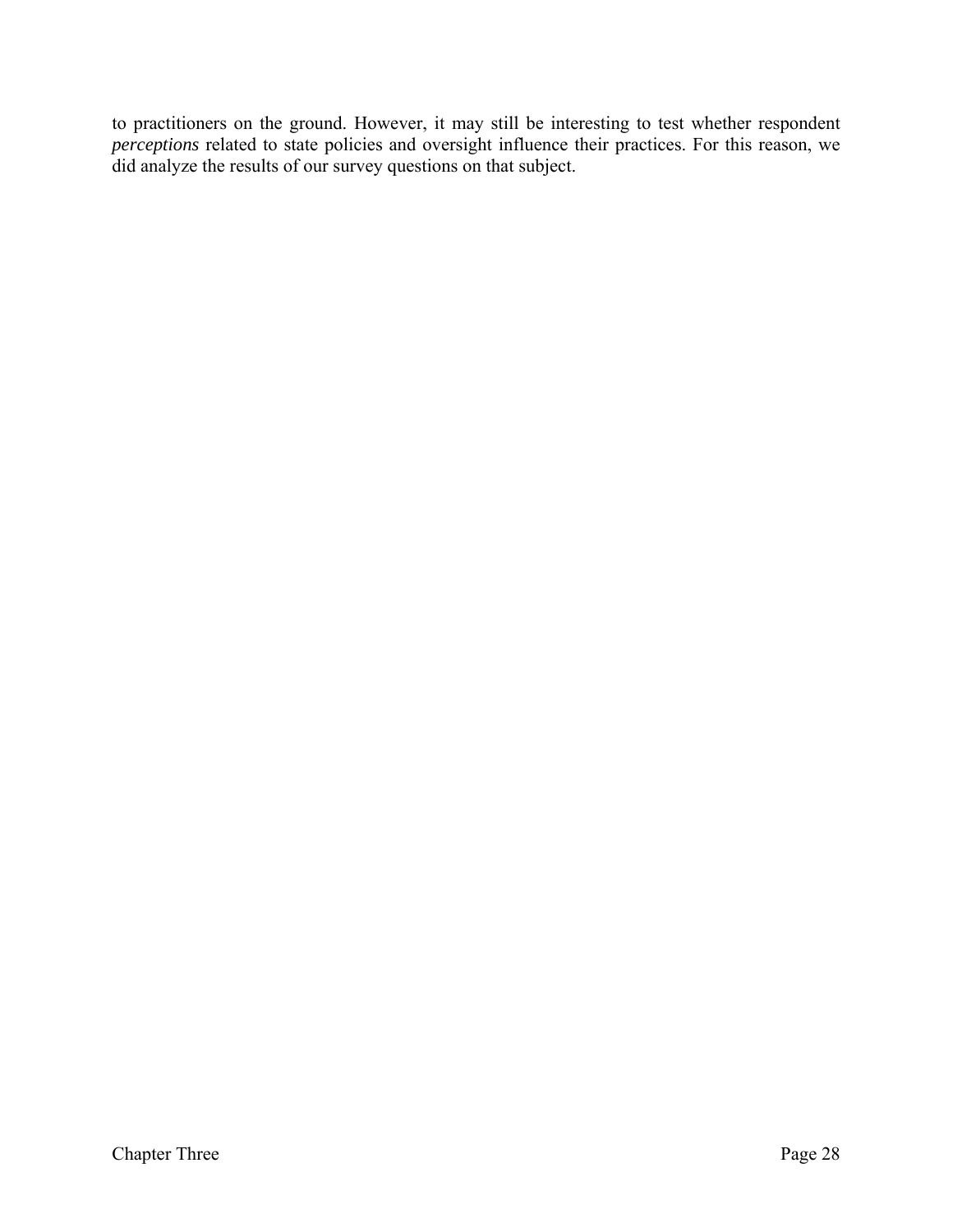to practitioners on the ground. However, it may still be interesting to test whether respondent *perceptions* related to state policies and oversight influence their practices. For this reason, we did analyze the results of our survey questions on that subject.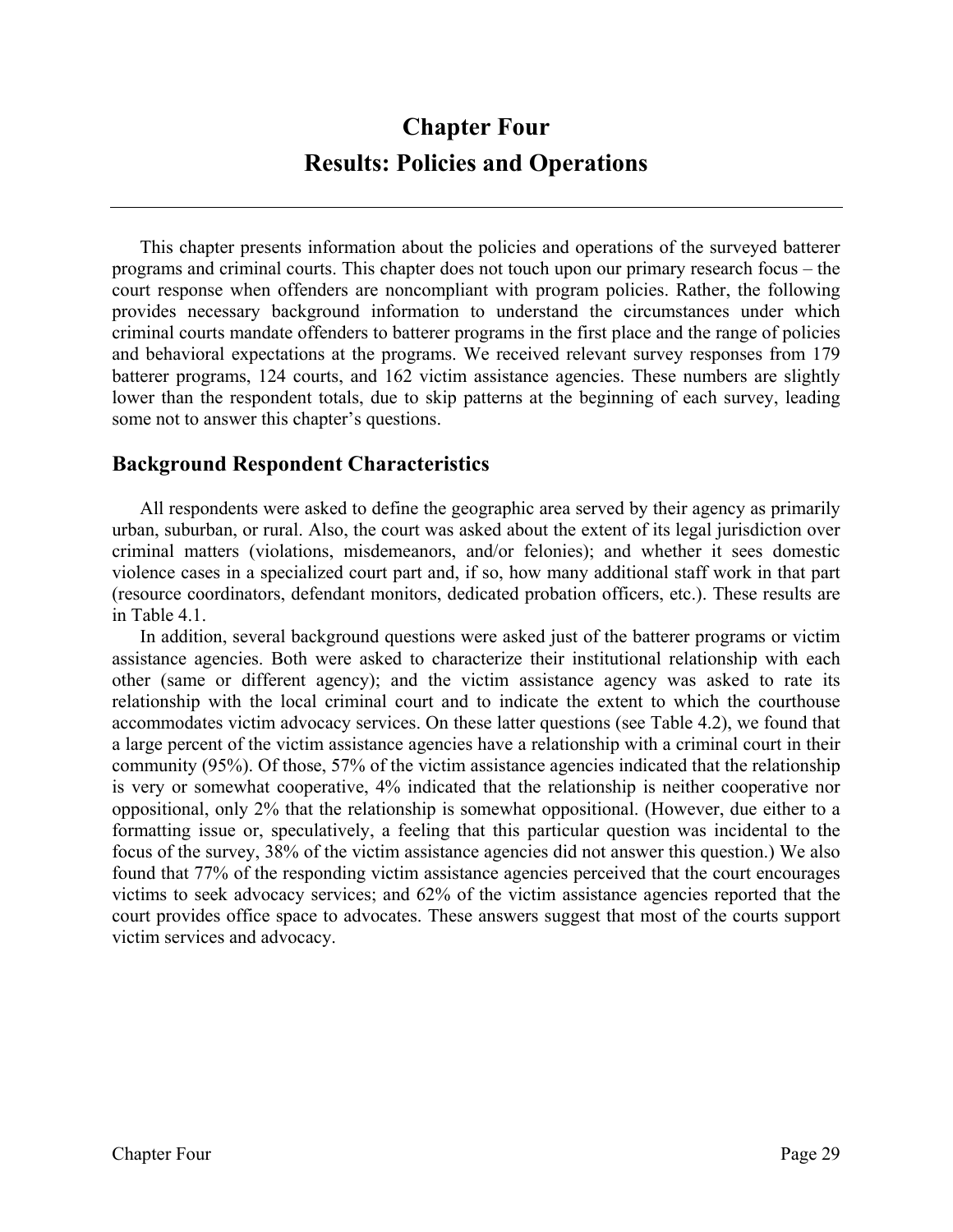# **Chapter Four Results: Policies and Operations**

This chapter presents information about the policies and operations of the surveyed batterer programs and criminal courts. This chapter does not touch upon our primary research focus – the court response when offenders are noncompliant with program policies. Rather, the following provides necessary background information to understand the circumstances under which criminal courts mandate offenders to batterer programs in the first place and the range of policies and behavioral expectations at the programs. We received relevant survey responses from 179 batterer programs, 124 courts, and 162 victim assistance agencies. These numbers are slightly lower than the respondent totals, due to skip patterns at the beginning of each survey, leading some not to answer this chapter's questions.

# **Background Respondent Characteristics**

All respondents were asked to define the geographic area served by their agency as primarily urban, suburban, or rural. Also, the court was asked about the extent of its legal jurisdiction over criminal matters (violations, misdemeanors, and/or felonies); and whether it sees domestic violence cases in a specialized court part and, if so, how many additional staff work in that part (resource coordinators, defendant monitors, dedicated probation officers, etc.). These results are in Table 4.1.

 In addition, several background questions were asked just of the batterer programs or victim assistance agencies. Both were asked to characterize their institutional relationship with each other (same or different agency); and the victim assistance agency was asked to rate its relationship with the local criminal court and to indicate the extent to which the courthouse accommodates victim advocacy services. On these latter questions (see Table 4.2), we found that a large percent of the victim assistance agencies have a relationship with a criminal court in their community (95%). Of those, 57% of the victim assistance agencies indicated that the relationship is very or somewhat cooperative, 4% indicated that the relationship is neither cooperative nor oppositional, only 2% that the relationship is somewhat oppositional. (However, due either to a formatting issue or, speculatively, a feeling that this particular question was incidental to the focus of the survey, 38% of the victim assistance agencies did not answer this question.) We also found that 77% of the responding victim assistance agencies perceived that the court encourages victims to seek advocacy services; and 62% of the victim assistance agencies reported that the court provides office space to advocates. These answers suggest that most of the courts support victim services and advocacy.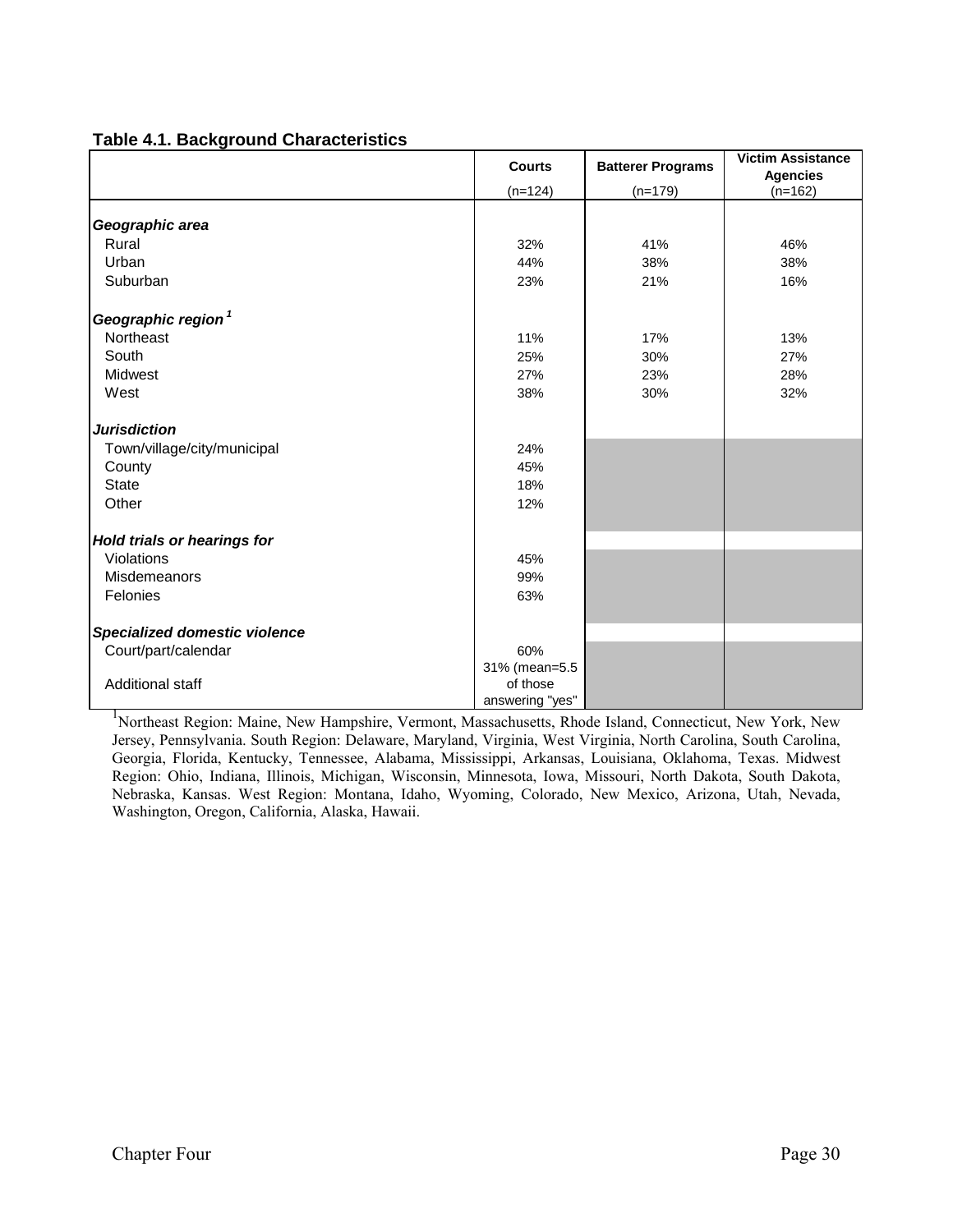|                                      | <b>Courts</b>   | <b>Batterer Programs</b> | <b>Victim Assistance</b> |
|--------------------------------------|-----------------|--------------------------|--------------------------|
|                                      |                 |                          | <b>Agencies</b>          |
|                                      | $(n=124)$       | $(n=179)$                | $(n=162)$                |
|                                      |                 |                          |                          |
| Geographic area                      |                 |                          |                          |
| Rural                                | 32%             | 41%                      | 46%                      |
| Urban                                | 44%             | 38%                      | 38%                      |
| Suburban                             | 23%             | 21%                      | 16%                      |
| Geographic region <sup>1</sup>       |                 |                          |                          |
| Northeast                            | 11%             | 17%                      | 13%                      |
| South                                | 25%             | 30%                      | 27%                      |
| Midwest                              | 27%             | 23%                      | 28%                      |
| West                                 | 38%             | 30%                      | 32%                      |
| <b>Jurisdiction</b>                  |                 |                          |                          |
| Town/village/city/municipal          | 24%             |                          |                          |
| County                               | 45%             |                          |                          |
| <b>State</b>                         | 18%             |                          |                          |
| Other                                | 12%             |                          |                          |
|                                      |                 |                          |                          |
| <b>Hold trials or hearings for</b>   |                 |                          |                          |
| Violations                           | 45%             |                          |                          |
| Misdemeanors                         | 99%             |                          |                          |
| Felonies                             | 63%             |                          |                          |
|                                      |                 |                          |                          |
| <b>Specialized domestic violence</b> |                 |                          |                          |
| Court/part/calendar                  | 60%             |                          |                          |
|                                      | 31% (mean=5.5   |                          |                          |
| <b>Additional staff</b>              | of those        |                          |                          |
|                                      | answering "yes" |                          |                          |

<sup>1</sup>Northeast Region: Maine, New Hampshire, Vermont, Massachusetts, Rhode Island, Connecticut, New York, New Jersey, Pennsylvania. South Region: Delaware, Maryland, Virginia, West Virginia, North Carolina, South Carolina, Georgia, Florida, Kentucky, Tennessee, Alabama, Mississippi, Arkansas, Louisiana, Oklahoma, Texas. Midwest Region: Ohio, Indiana, Illinois, Michigan, Wisconsin, Minnesota, Iowa, Missouri, North Dakota, South Dakota, Nebraska, Kansas. West Region: Montana, Idaho, Wyoming, Colorado, New Mexico, Arizona, Utah, Nevada, Washington, Oregon, California, Alaska, Hawaii.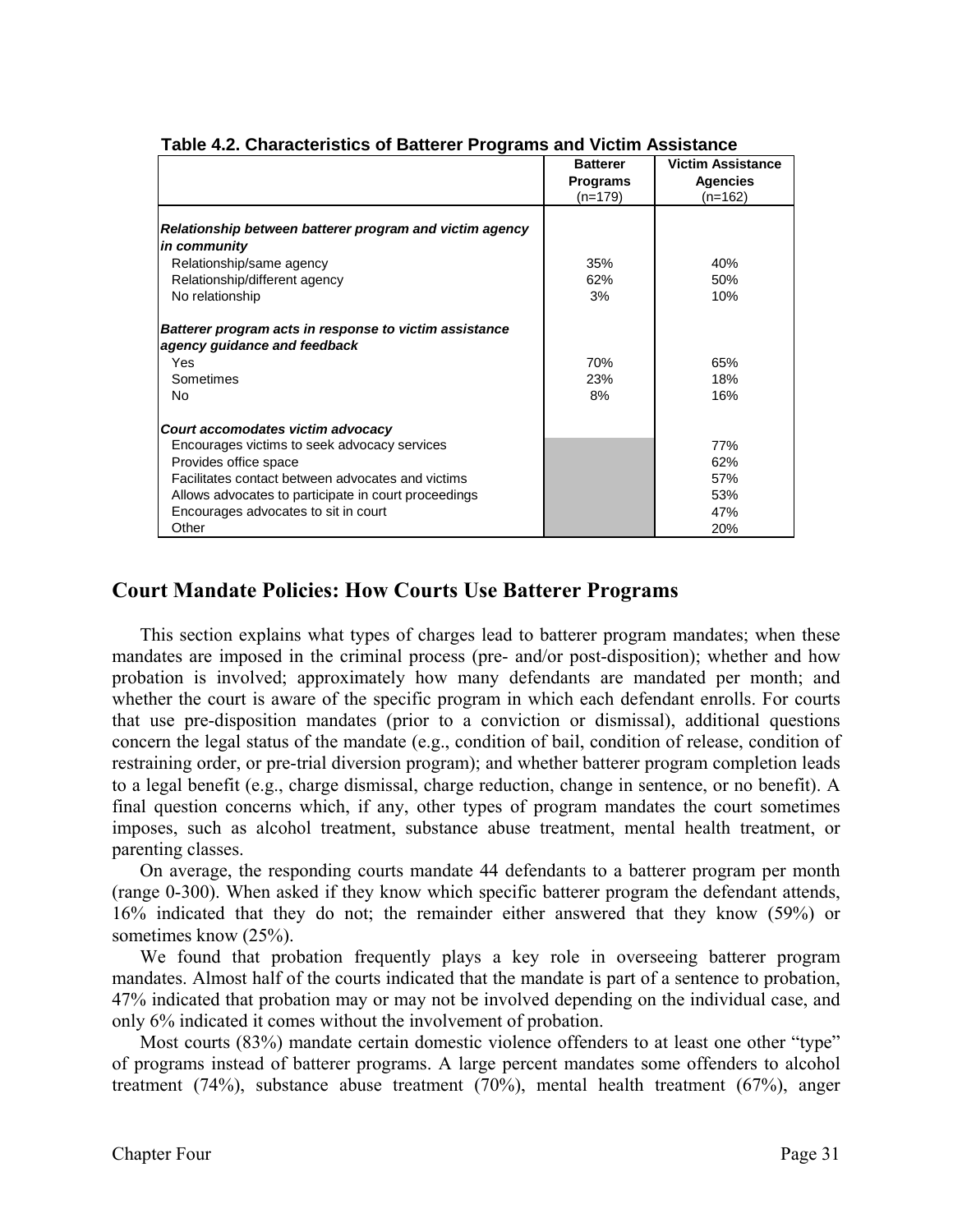| 2010 - 21 - 21 - 21 - 2010 - 2010 - 2010 - 2011 - 2011 - 2011 - 2011 - 2011 - 2011 - 2011 - 2011 - 20 |                 |                          |  |
|-------------------------------------------------------------------------------------------------------|-----------------|--------------------------|--|
|                                                                                                       | <b>Batterer</b> | <b>Victim Assistance</b> |  |
|                                                                                                       | <b>Programs</b> | <b>Agencies</b>          |  |
|                                                                                                       | $(n=179)$       | $(n=162)$                |  |
|                                                                                                       |                 |                          |  |
| Relationship between batterer program and victim agency                                               |                 |                          |  |
| in community                                                                                          |                 |                          |  |
| Relationship/same agency                                                                              | 35%             | 40%                      |  |
| Relationship/different agency                                                                         | 62%             | 50%                      |  |
| No relationship                                                                                       | 3%              | 10%                      |  |
| Batterer program acts in response to victim assistance                                                |                 |                          |  |
| agency guidance and feedback                                                                          |                 |                          |  |
| Yes                                                                                                   | 70%             | 65%                      |  |
| Sometimes                                                                                             | 23%             | 18%                      |  |
| No                                                                                                    | 8%              | 16%                      |  |
| Court accomodates victim advocacy                                                                     |                 |                          |  |
| Encourages victims to seek advocacy services                                                          |                 | 77%                      |  |
| Provides office space                                                                                 |                 | 62%                      |  |
| Facilitates contact between advocates and victims                                                     |                 | 57%                      |  |
| Allows advocates to participate in court proceedings                                                  |                 | 53%                      |  |
| Encourages advocates to sit in court                                                                  |                 | 47%                      |  |
| Other                                                                                                 |                 | 20%                      |  |

#### **Table 4.2. Characteristics of Batterer Programs and Victim Assistance**

# **Court Mandate Policies: How Courts Use Batterer Programs**

 This section explains what types of charges lead to batterer program mandates; when these mandates are imposed in the criminal process (pre- and/or post-disposition); whether and how probation is involved; approximately how many defendants are mandated per month; and whether the court is aware of the specific program in which each defendant enrolls. For courts that use pre-disposition mandates (prior to a conviction or dismissal), additional questions concern the legal status of the mandate (e.g., condition of bail, condition of release, condition of restraining order, or pre-trial diversion program); and whether batterer program completion leads to a legal benefit (e.g., charge dismissal, charge reduction, change in sentence, or no benefit). A final question concerns which, if any, other types of program mandates the court sometimes imposes, such as alcohol treatment, substance abuse treatment, mental health treatment, or parenting classes.

On average, the responding courts mandate 44 defendants to a batterer program per month (range 0-300). When asked if they know which specific batterer program the defendant attends, 16% indicated that they do not; the remainder either answered that they know (59%) or sometimes know (25%).

We found that probation frequently plays a key role in overseeing batterer program mandates. Almost half of the courts indicated that the mandate is part of a sentence to probation, 47% indicated that probation may or may not be involved depending on the individual case, and only 6% indicated it comes without the involvement of probation.

Most courts (83%) mandate certain domestic violence offenders to at least one other "type" of programs instead of batterer programs. A large percent mandates some offenders to alcohol treatment (74%), substance abuse treatment (70%), mental health treatment (67%), anger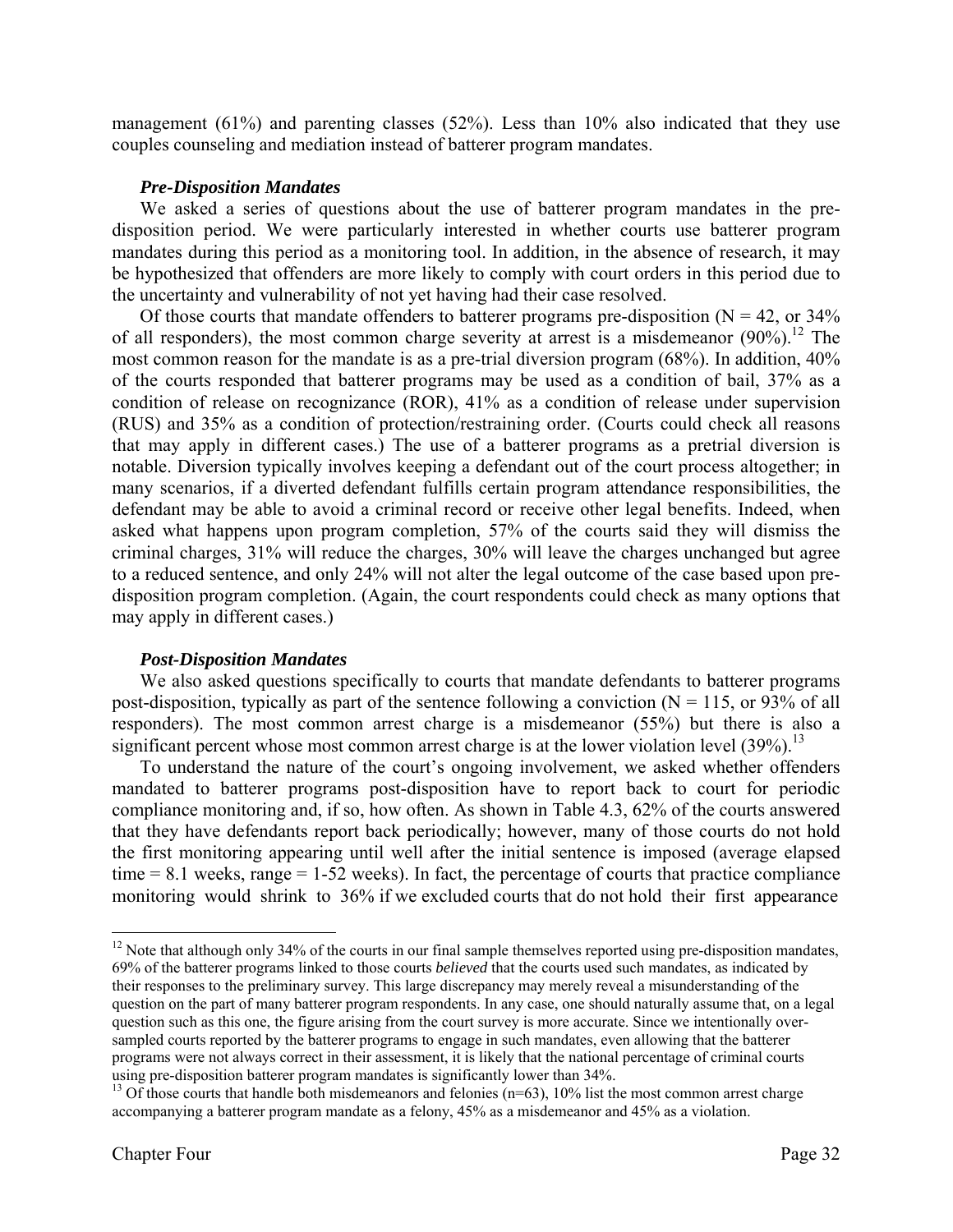management (61%) and parenting classes (52%). Less than 10% also indicated that they use couples counseling and mediation instead of batterer program mandates.

### *Pre-Disposition Mandates*

We asked a series of questions about the use of batterer program mandates in the predisposition period. We were particularly interested in whether courts use batterer program mandates during this period as a monitoring tool. In addition, in the absence of research, it may be hypothesized that offenders are more likely to comply with court orders in this period due to the uncertainty and vulnerability of not yet having had their case resolved.

Of those courts that mandate offenders to batterer programs pre-disposition ( $N = 42$ , or 34%) of all responders), the most common charge severity at arrest is a misdemeanor  $(90\%)$ .<sup>12</sup> The most common reason for the mandate is as a pre-trial diversion program (68%). In addition, 40% of the courts responded that batterer programs may be used as a condition of bail, 37% as a condition of release on recognizance (ROR), 41% as a condition of release under supervision (RUS) and 35% as a condition of protection/restraining order. (Courts could check all reasons that may apply in different cases.) The use of a batterer programs as a pretrial diversion is notable. Diversion typically involves keeping a defendant out of the court process altogether; in many scenarios, if a diverted defendant fulfills certain program attendance responsibilities, the defendant may be able to avoid a criminal record or receive other legal benefits. Indeed, when asked what happens upon program completion, 57% of the courts said they will dismiss the criminal charges, 31% will reduce the charges, 30% will leave the charges unchanged but agree to a reduced sentence, and only 24% will not alter the legal outcome of the case based upon predisposition program completion. (Again, the court respondents could check as many options that may apply in different cases.)

#### *Post-Disposition Mandates*

 We also asked questions specifically to courts that mandate defendants to batterer programs post-disposition, typically as part of the sentence following a conviction ( $N = 115$ , or 93% of all responders). The most common arrest charge is a misdemeanor (55%) but there is also a significant percent whose most common arrest charge is at the lower violation level  $(39\%)$ .<sup>13</sup>

To understand the nature of the court's ongoing involvement, we asked whether offenders mandated to batterer programs post-disposition have to report back to court for periodic compliance monitoring and, if so, how often. As shown in Table 4.3, 62% of the courts answered that they have defendants report back periodically; however, many of those courts do not hold the first monitoring appearing until well after the initial sentence is imposed (average elapsed  $time = 8.1$  weeks, range  $= 1-52$  weeks). In fact, the percentage of courts that practice compliance monitoring would shrink to 36% if we excluded courts that do not hold their first appearance

 $12$  Note that although only 34% of the courts in our final sample themselves reported using pre-disposition mandates, 69% of the batterer programs linked to those courts *believed* that the courts used such mandates, as indicated by their responses to the preliminary survey. This large discrepancy may merely reveal a misunderstanding of the question on the part of many batterer program respondents. In any case, one should naturally assume that, on a legal question such as this one, the figure arising from the court survey is more accurate. Since we intentionally oversampled courts reported by the batterer programs to engage in such mandates, even allowing that the batterer programs were not always correct in their assessment, it is likely that the national percentage of criminal courts using pre-disposition batterer program mandates is significantly lower than  $34\%$ .<br><sup>13</sup> Of those courts that handle both misdemeanors and felonies (n=63), 10% list the most common arrest charge

accompanying a batterer program mandate as a felony, 45% as a misdemeanor and 45% as a violation.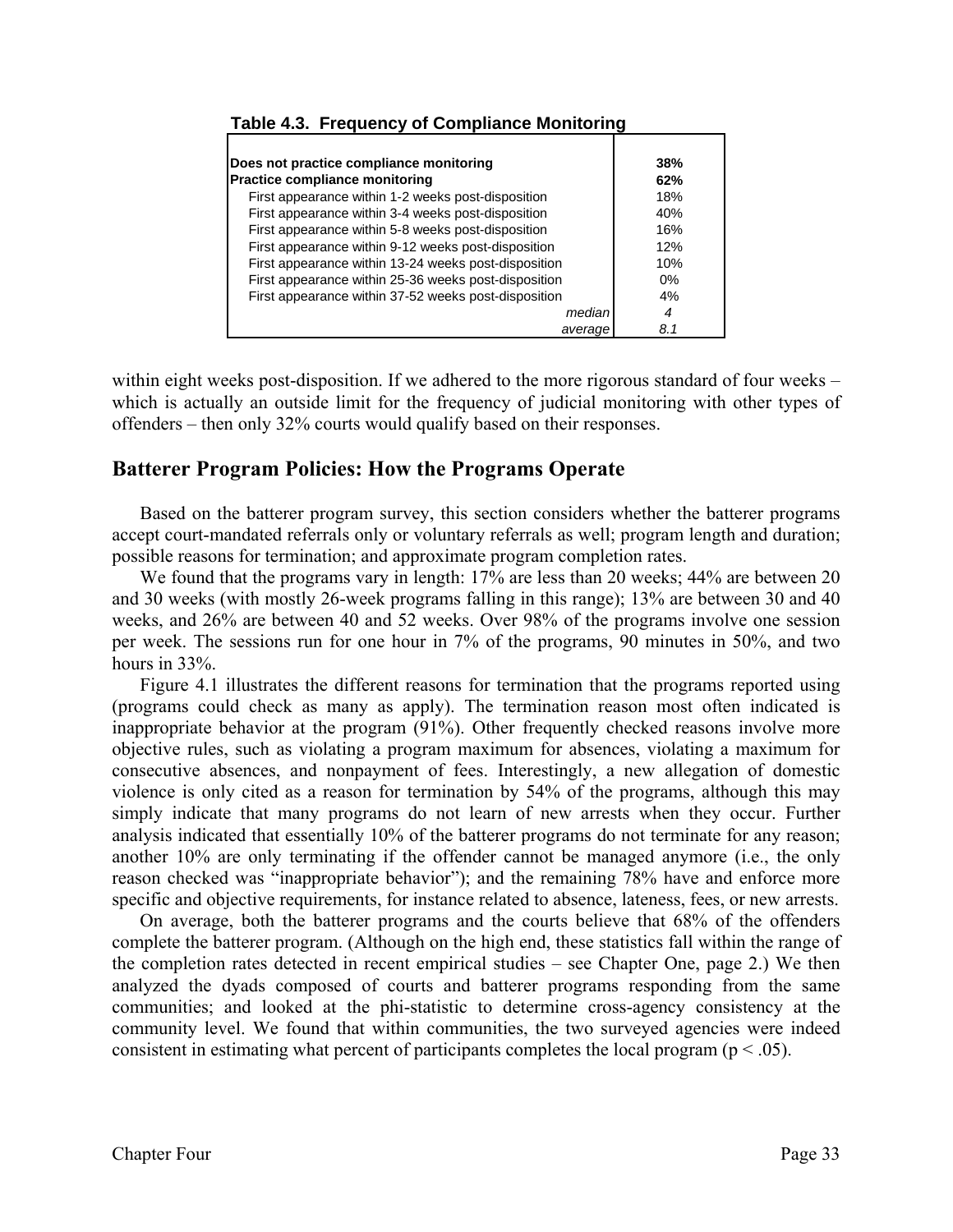| Does not practice compliance monitoring              | 38%   |
|------------------------------------------------------|-------|
| Practice compliance monitoring                       | 62%   |
| First appearance within 1-2 weeks post-disposition   | 18%   |
| First appearance within 3-4 weeks post-disposition   | 40%   |
| First appearance within 5-8 weeks post-disposition   | 16%   |
| First appearance within 9-12 weeks post-disposition  | 12%   |
| First appearance within 13-24 weeks post-disposition | 10%   |
| First appearance within 25-36 weeks post-disposition | $0\%$ |
| First appearance within 37-52 weeks post-disposition | 4%    |
| median                                               | 4     |
| average                                              | 8.1   |

#### **Table 4.3. Frequency of Compliance Monitoring**

within eight weeks post-disposition. If we adhered to the more rigorous standard of four weeks – which is actually an outside limit for the frequency of judicial monitoring with other types of offenders – then only 32% courts would qualify based on their responses.

# **Batterer Program Policies: How the Programs Operate**

 Based on the batterer program survey, this section considers whether the batterer programs accept court-mandated referrals only or voluntary referrals as well; program length and duration; possible reasons for termination; and approximate program completion rates.

We found that the programs vary in length: 17% are less than 20 weeks; 44% are between 20 and 30 weeks (with mostly 26-week programs falling in this range); 13% are between 30 and 40 weeks, and 26% are between 40 and 52 weeks. Over 98% of the programs involve one session per week. The sessions run for one hour in 7% of the programs, 90 minutes in 50%, and two hours in 33%.

 Figure 4.1 illustrates the different reasons for termination that the programs reported using (programs could check as many as apply). The termination reason most often indicated is inappropriate behavior at the program (91%). Other frequently checked reasons involve more objective rules, such as violating a program maximum for absences, violating a maximum for consecutive absences, and nonpayment of fees. Interestingly, a new allegation of domestic violence is only cited as a reason for termination by 54% of the programs, although this may simply indicate that many programs do not learn of new arrests when they occur. Further analysis indicated that essentially 10% of the batterer programs do not terminate for any reason; another 10% are only terminating if the offender cannot be managed anymore (i.e., the only reason checked was "inappropriate behavior"); and the remaining 78% have and enforce more specific and objective requirements, for instance related to absence, lateness, fees, or new arrests.

On average, both the batterer programs and the courts believe that 68% of the offenders complete the batterer program. (Although on the high end, these statistics fall within the range of the completion rates detected in recent empirical studies – see Chapter One, page 2.) We then analyzed the dyads composed of courts and batterer programs responding from the same communities; and looked at the phi-statistic to determine cross-agency consistency at the community level. We found that within communities, the two surveyed agencies were indeed consistent in estimating what percent of participants completes the local program ( $p < .05$ ).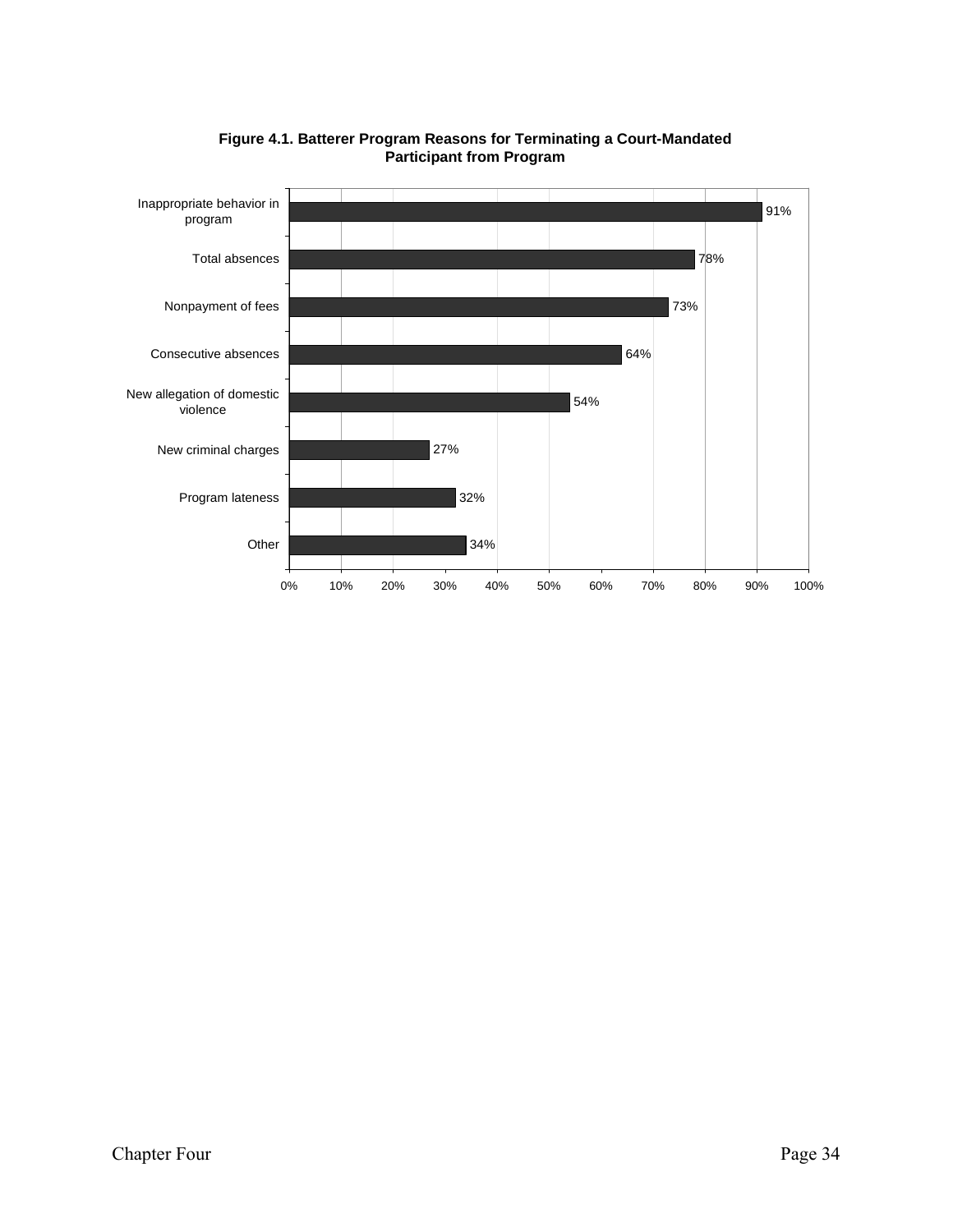

#### **Figure 4.1. Batterer Program Reasons for Terminating a Court-Mandated Participant from Program**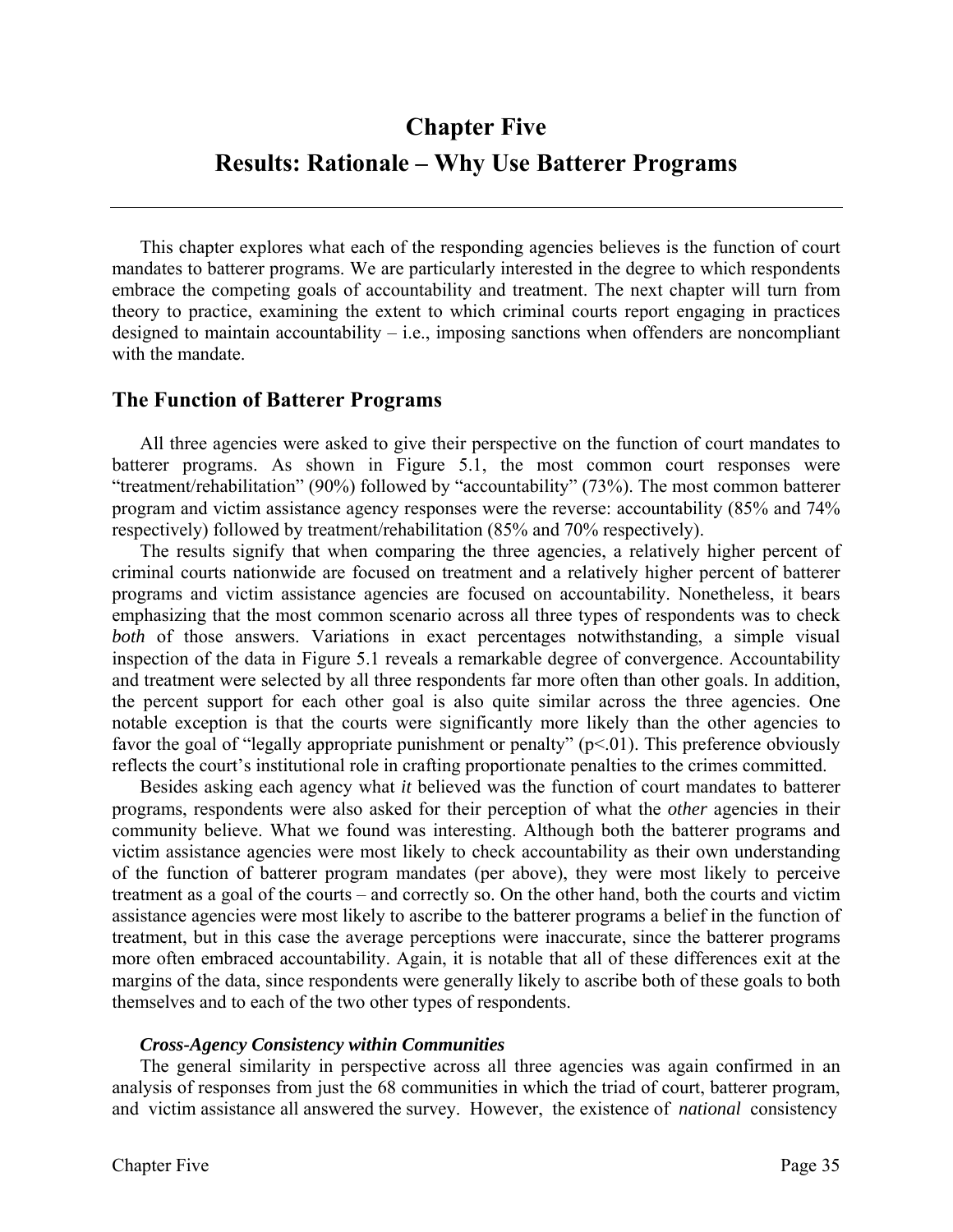# **Chapter Five Results: Rationale – Why Use Batterer Programs**

 This chapter explores what each of the responding agencies believes is the function of court mandates to batterer programs. We are particularly interested in the degree to which respondents embrace the competing goals of accountability and treatment. The next chapter will turn from theory to practice, examining the extent to which criminal courts report engaging in practices designed to maintain accountability  $-$  i.e., imposing sanctions when offenders are noncompliant with the mandate.

# **The Function of Batterer Programs**

 All three agencies were asked to give their perspective on the function of court mandates to batterer programs. As shown in Figure 5.1, the most common court responses were "treatment/rehabilitation" (90%) followed by "accountability" (73%). The most common batterer program and victim assistance agency responses were the reverse: accountability (85% and 74% respectively) followed by treatment/rehabilitation (85% and 70% respectively).

The results signify that when comparing the three agencies, a relatively higher percent of criminal courts nationwide are focused on treatment and a relatively higher percent of batterer programs and victim assistance agencies are focused on accountability. Nonetheless, it bears emphasizing that the most common scenario across all three types of respondents was to check *both* of those answers. Variations in exact percentages notwithstanding, a simple visual inspection of the data in Figure 5.1 reveals a remarkable degree of convergence. Accountability and treatment were selected by all three respondents far more often than other goals. In addition, the percent support for each other goal is also quite similar across the three agencies. One notable exception is that the courts were significantly more likely than the other agencies to favor the goal of "legally appropriate punishment or penalty"  $(p<.01)$ . This preference obviously reflects the court's institutional role in crafting proportionate penalties to the crimes committed.

 Besides asking each agency what *it* believed was the function of court mandates to batterer programs, respondents were also asked for their perception of what the *other* agencies in their community believe. What we found was interesting. Although both the batterer programs and victim assistance agencies were most likely to check accountability as their own understanding of the function of batterer program mandates (per above), they were most likely to perceive treatment as a goal of the courts – and correctly so. On the other hand, both the courts and victim assistance agencies were most likely to ascribe to the batterer programs a belief in the function of treatment, but in this case the average perceptions were inaccurate, since the batterer programs more often embraced accountability. Again, it is notable that all of these differences exit at the margins of the data, since respondents were generally likely to ascribe both of these goals to both themselves and to each of the two other types of respondents.

#### *Cross-Agency Consistency within Communities*

 The general similarity in perspective across all three agencies was again confirmed in an analysis of responses from just the 68 communities in which the triad of court, batterer program, and victim assistance all answered the survey. However, the existence of *national* consistency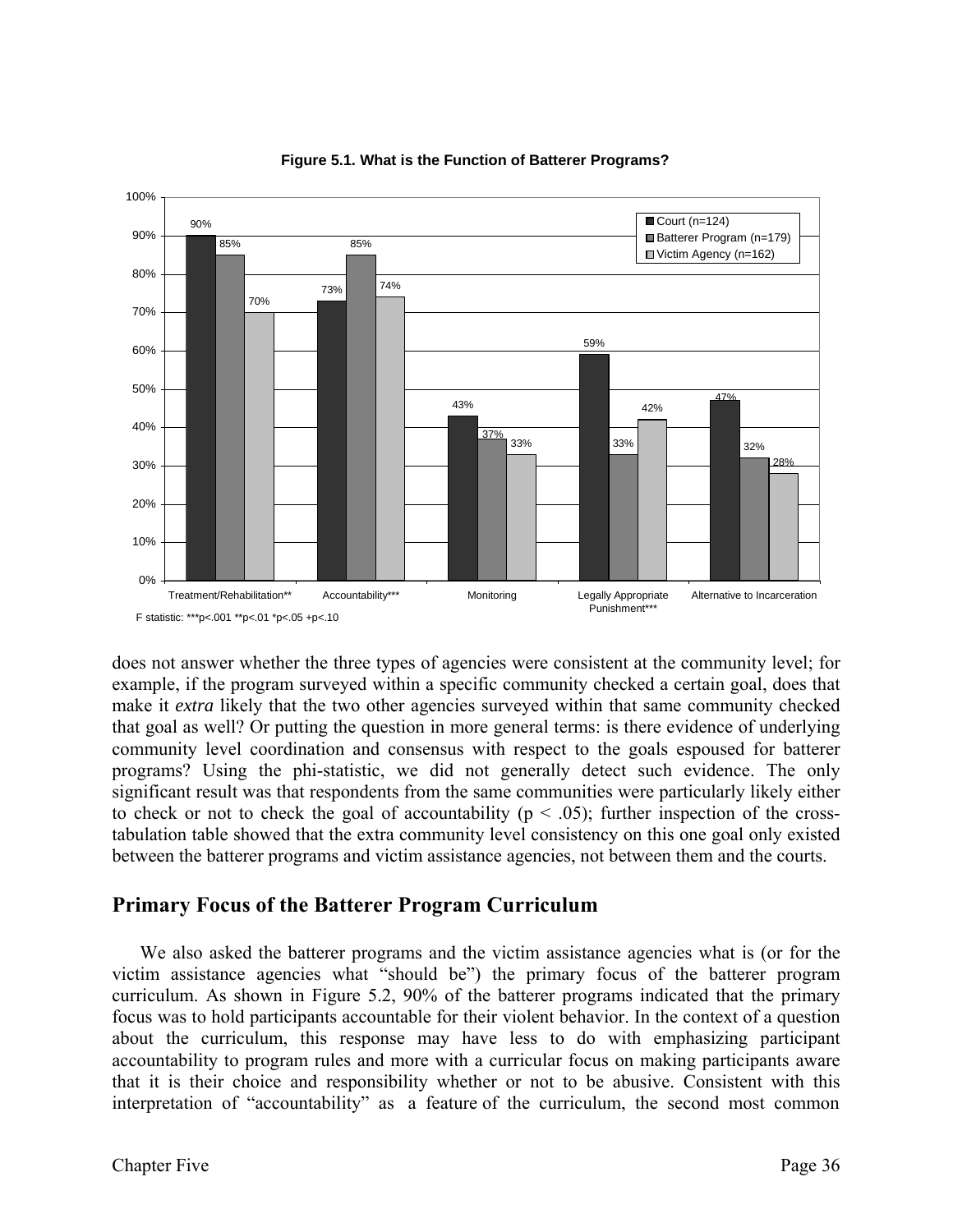



does not answer whether the three types of agencies were consistent at the community level; for example, if the program surveyed within a specific community checked a certain goal, does that make it *extra* likely that the two other agencies surveyed within that same community checked that goal as well? Or putting the question in more general terms: is there evidence of underlying community level coordination and consensus with respect to the goals espoused for batterer programs? Using the phi-statistic, we did not generally detect such evidence. The only significant result was that respondents from the same communities were particularly likely either to check or not to check the goal of accountability ( $p < .05$ ); further inspection of the crosstabulation table showed that the extra community level consistency on this one goal only existed between the batterer programs and victim assistance agencies, not between them and the courts.

# **Primary Focus of the Batterer Program Curriculum**

 We also asked the batterer programs and the victim assistance agencies what is (or for the victim assistance agencies what "should be") the primary focus of the batterer program curriculum. As shown in Figure 5.2, 90% of the batterer programs indicated that the primary focus was to hold participants accountable for their violent behavior. In the context of a question about the curriculum, this response may have less to do with emphasizing participant accountability to program rules and more with a curricular focus on making participants aware that it is their choice and responsibility whether or not to be abusive. Consistent with this interpretation of "accountability" as a feature of the curriculum, the second most common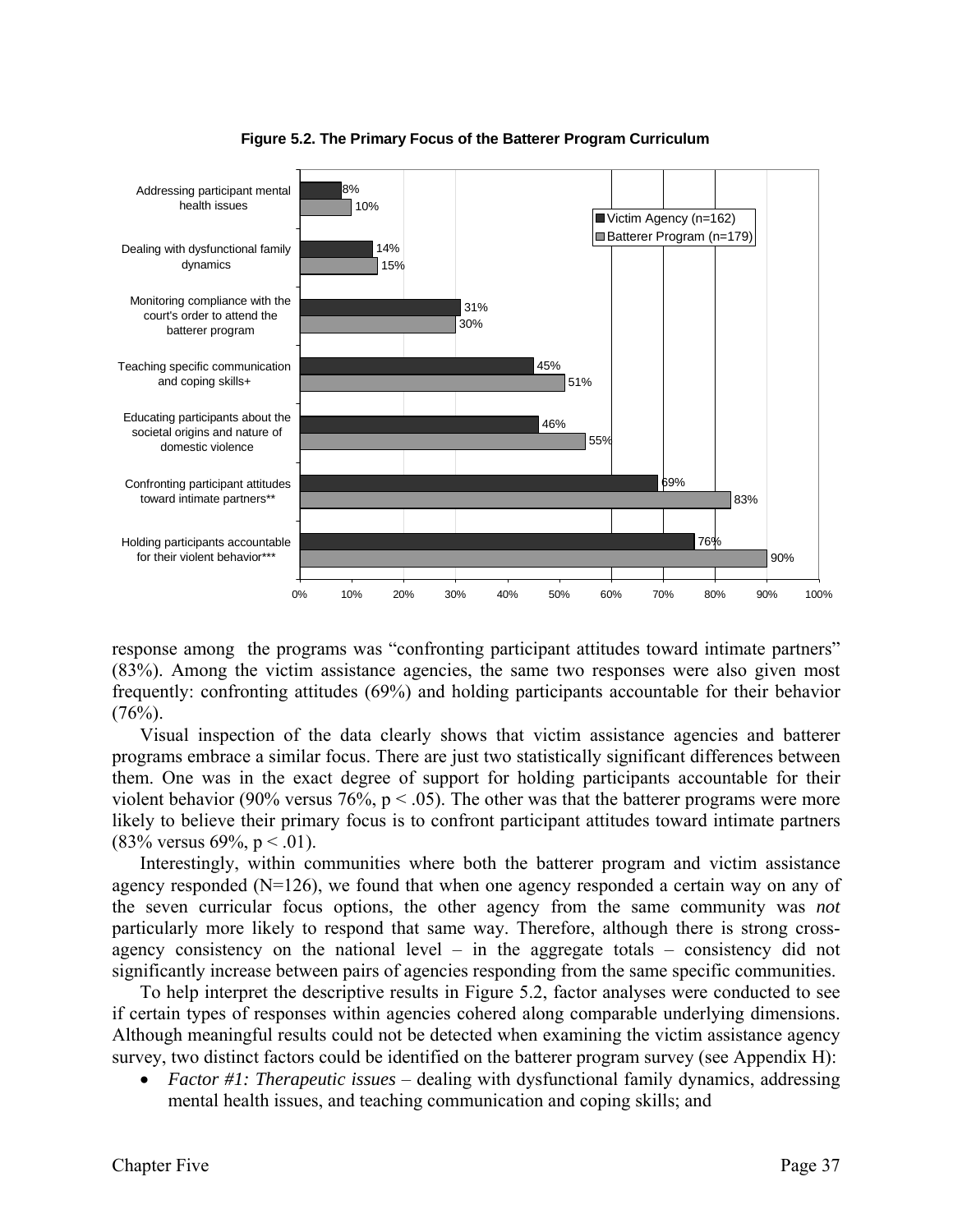

**Figure 5.2. The Primary Focus of the Batterer Program Curriculum**

response among the programs was "confronting participant attitudes toward intimate partners" (83%). Among the victim assistance agencies, the same two responses were also given most frequently: confronting attitudes (69%) and holding participants accountable for their behavior  $(76%)$ .

 Visual inspection of the data clearly shows that victim assistance agencies and batterer programs embrace a similar focus. There are just two statistically significant differences between them. One was in the exact degree of support for holding participants accountable for their violent behavior (90% versus 76%,  $p < .05$ ). The other was that the batterer programs were more likely to believe their primary focus is to confront participant attitudes toward intimate partners  $(83\%$  versus 69%, p < .01).

Interestingly, within communities where both the batterer program and victim assistance agency responded (N=126), we found that when one agency responded a certain way on any of the seven curricular focus options, the other agency from the same community was *not* particularly more likely to respond that same way. Therefore, although there is strong crossagency consistency on the national level – in the aggregate totals – consistency did not significantly increase between pairs of agencies responding from the same specific communities.

To help interpret the descriptive results in Figure 5.2, factor analyses were conducted to see if certain types of responses within agencies cohered along comparable underlying dimensions. Although meaningful results could not be detected when examining the victim assistance agency survey, two distinct factors could be identified on the batterer program survey (see Appendix H):

• *Factor #1: Therapeutic issues* – dealing with dysfunctional family dynamics, addressing mental health issues, and teaching communication and coping skills; and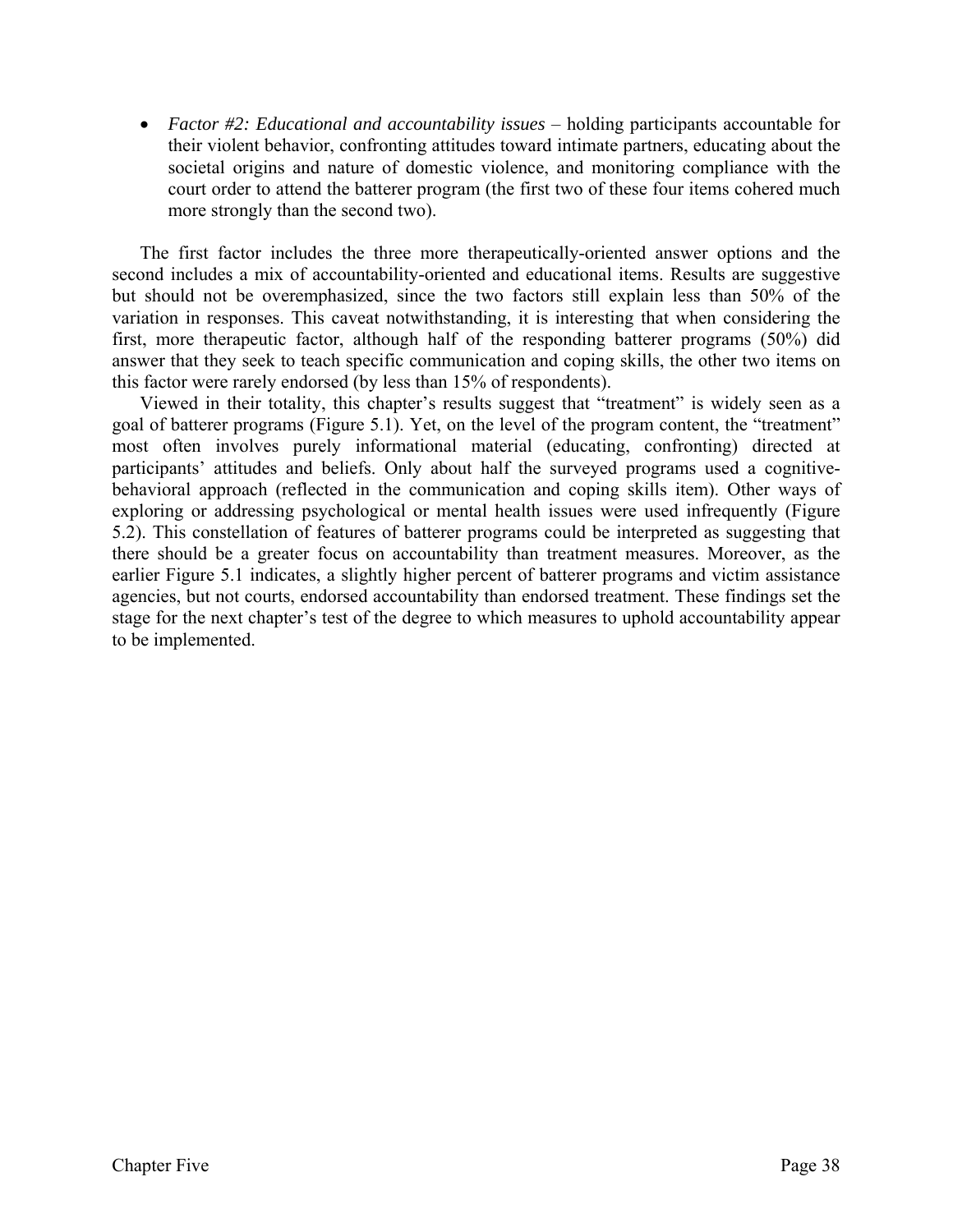• *Factor #2: Educational and accountability issues* – holding participants accountable for their violent behavior, confronting attitudes toward intimate partners, educating about the societal origins and nature of domestic violence, and monitoring compliance with the court order to attend the batterer program (the first two of these four items cohered much more strongly than the second two).

The first factor includes the three more therapeutically-oriented answer options and the second includes a mix of accountability-oriented and educational items. Results are suggestive but should not be overemphasized, since the two factors still explain less than 50% of the variation in responses. This caveat notwithstanding, it is interesting that when considering the first, more therapeutic factor, although half of the responding batterer programs (50%) did answer that they seek to teach specific communication and coping skills, the other two items on this factor were rarely endorsed (by less than 15% of respondents).

Viewed in their totality, this chapter's results suggest that "treatment" is widely seen as a goal of batterer programs (Figure 5.1). Yet, on the level of the program content, the "treatment" most often involves purely informational material (educating, confronting) directed at participants' attitudes and beliefs. Only about half the surveyed programs used a cognitivebehavioral approach (reflected in the communication and coping skills item). Other ways of exploring or addressing psychological or mental health issues were used infrequently (Figure 5.2). This constellation of features of batterer programs could be interpreted as suggesting that there should be a greater focus on accountability than treatment measures. Moreover, as the earlier Figure 5.1 indicates, a slightly higher percent of batterer programs and victim assistance agencies, but not courts, endorsed accountability than endorsed treatment. These findings set the stage for the next chapter's test of the degree to which measures to uphold accountability appear to be implemented.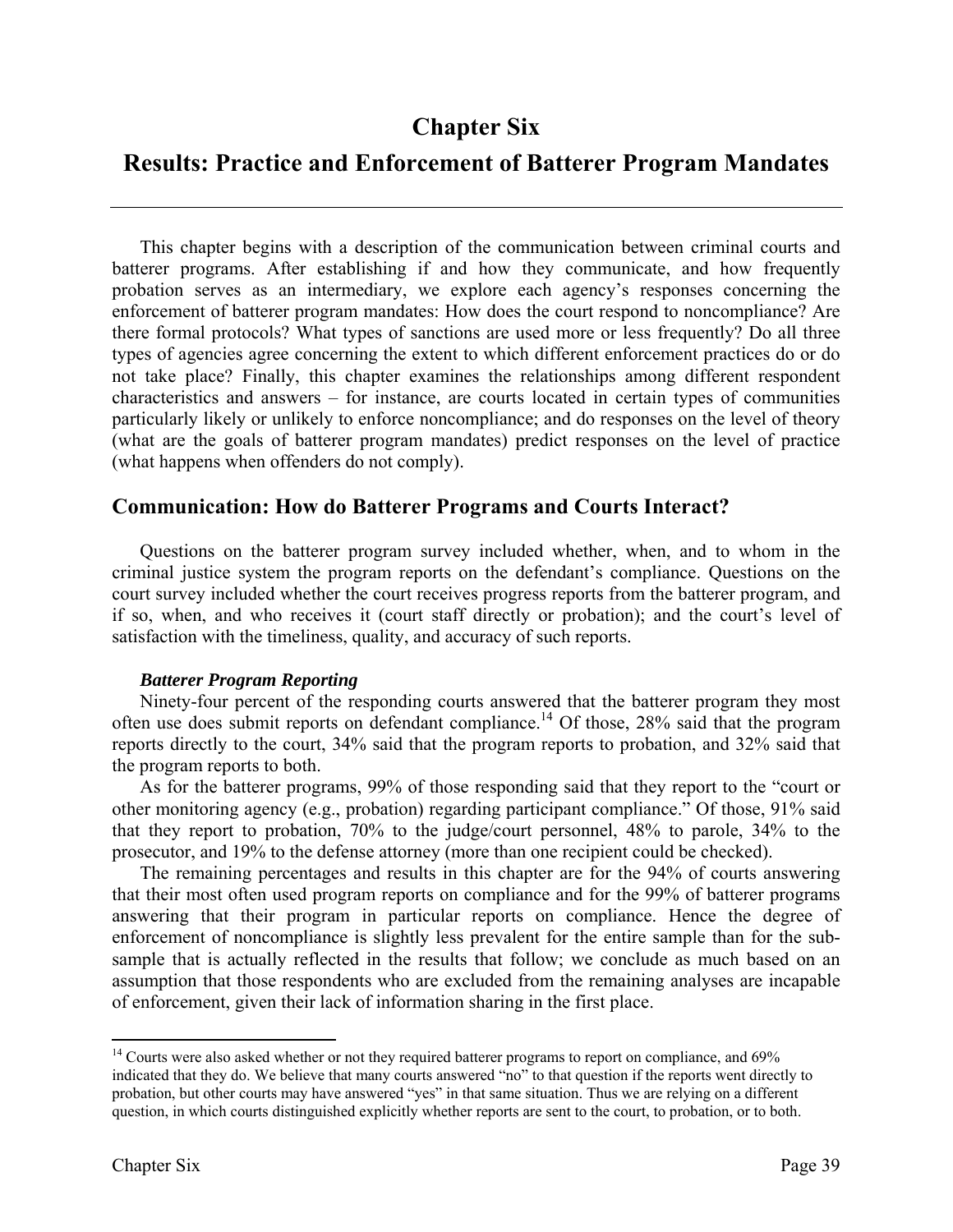# **Results: Practice and Enforcement of Batterer Program Mandates**

 This chapter begins with a description of the communication between criminal courts and batterer programs. After establishing if and how they communicate, and how frequently probation serves as an intermediary, we explore each agency's responses concerning the enforcement of batterer program mandates: How does the court respond to noncompliance? Are there formal protocols? What types of sanctions are used more or less frequently? Do all three types of agencies agree concerning the extent to which different enforcement practices do or do not take place? Finally, this chapter examines the relationships among different respondent characteristics and answers – for instance, are courts located in certain types of communities particularly likely or unlikely to enforce noncompliance; and do responses on the level of theory (what are the goals of batterer program mandates) predict responses on the level of practice (what happens when offenders do not comply).

# **Communication: How do Batterer Programs and Courts Interact?**

Questions on the batterer program survey included whether, when, and to whom in the criminal justice system the program reports on the defendant's compliance. Questions on the court survey included whether the court receives progress reports from the batterer program, and if so, when, and who receives it (court staff directly or probation); and the court's level of satisfaction with the timeliness, quality, and accuracy of such reports.

#### *Batterer Program Reporting*

 Ninety-four percent of the responding courts answered that the batterer program they most often use does submit reports on defendant compliance.14 Of those, 28% said that the program reports directly to the court, 34% said that the program reports to probation, and 32% said that the program reports to both.

As for the batterer programs, 99% of those responding said that they report to the "court or other monitoring agency (e.g., probation) regarding participant compliance." Of those, 91% said that they report to probation, 70% to the judge/court personnel, 48% to parole, 34% to the prosecutor, and 19% to the defense attorney (more than one recipient could be checked).

 The remaining percentages and results in this chapter are for the 94% of courts answering that their most often used program reports on compliance and for the 99% of batterer programs answering that their program in particular reports on compliance. Hence the degree of enforcement of noncompliance is slightly less prevalent for the entire sample than for the subsample that is actually reflected in the results that follow; we conclude as much based on an assumption that those respondents who are excluded from the remaining analyses are incapable of enforcement, given their lack of information sharing in the first place.

<sup>&</sup>lt;sup>14</sup> Courts were also asked whether or not they required batterer programs to report on compliance, and 69% indicated that they do. We believe that many courts answered "no" to that question if the reports went directly to probation, but other courts may have answered "yes" in that same situation. Thus we are relying on a different question, in which courts distinguished explicitly whether reports are sent to the court, to probation, or to both.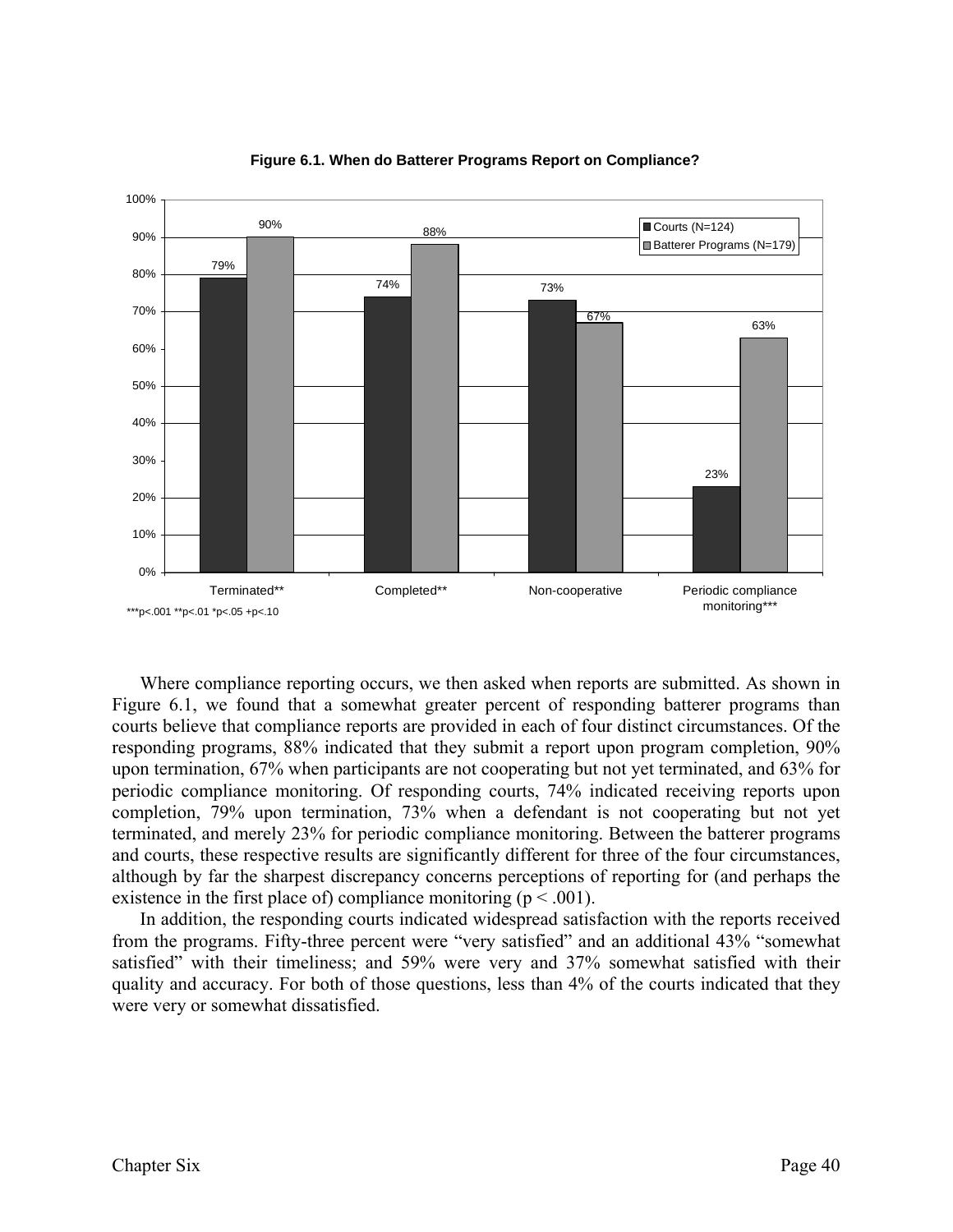

**Figure 6.1. When do Batterer Programs Report on Compliance?**

Where compliance reporting occurs, we then asked when reports are submitted. As shown in Figure 6.1, we found that a somewhat greater percent of responding batterer programs than courts believe that compliance reports are provided in each of four distinct circumstances. Of the responding programs, 88% indicated that they submit a report upon program completion, 90% upon termination, 67% when participants are not cooperating but not yet terminated, and 63% for periodic compliance monitoring. Of responding courts, 74% indicated receiving reports upon completion, 79% upon termination, 73% when a defendant is not cooperating but not yet terminated, and merely 23% for periodic compliance monitoring. Between the batterer programs and courts, these respective results are significantly different for three of the four circumstances, although by far the sharpest discrepancy concerns perceptions of reporting for (and perhaps the existence in the first place of) compliance monitoring ( $p < .001$ ).

 In addition, the responding courts indicated widespread satisfaction with the reports received from the programs. Fifty-three percent were "very satisfied" and an additional 43% "somewhat satisfied" with their timeliness; and 59% were very and 37% somewhat satisfied with their quality and accuracy. For both of those questions, less than 4% of the courts indicated that they were very or somewhat dissatisfied.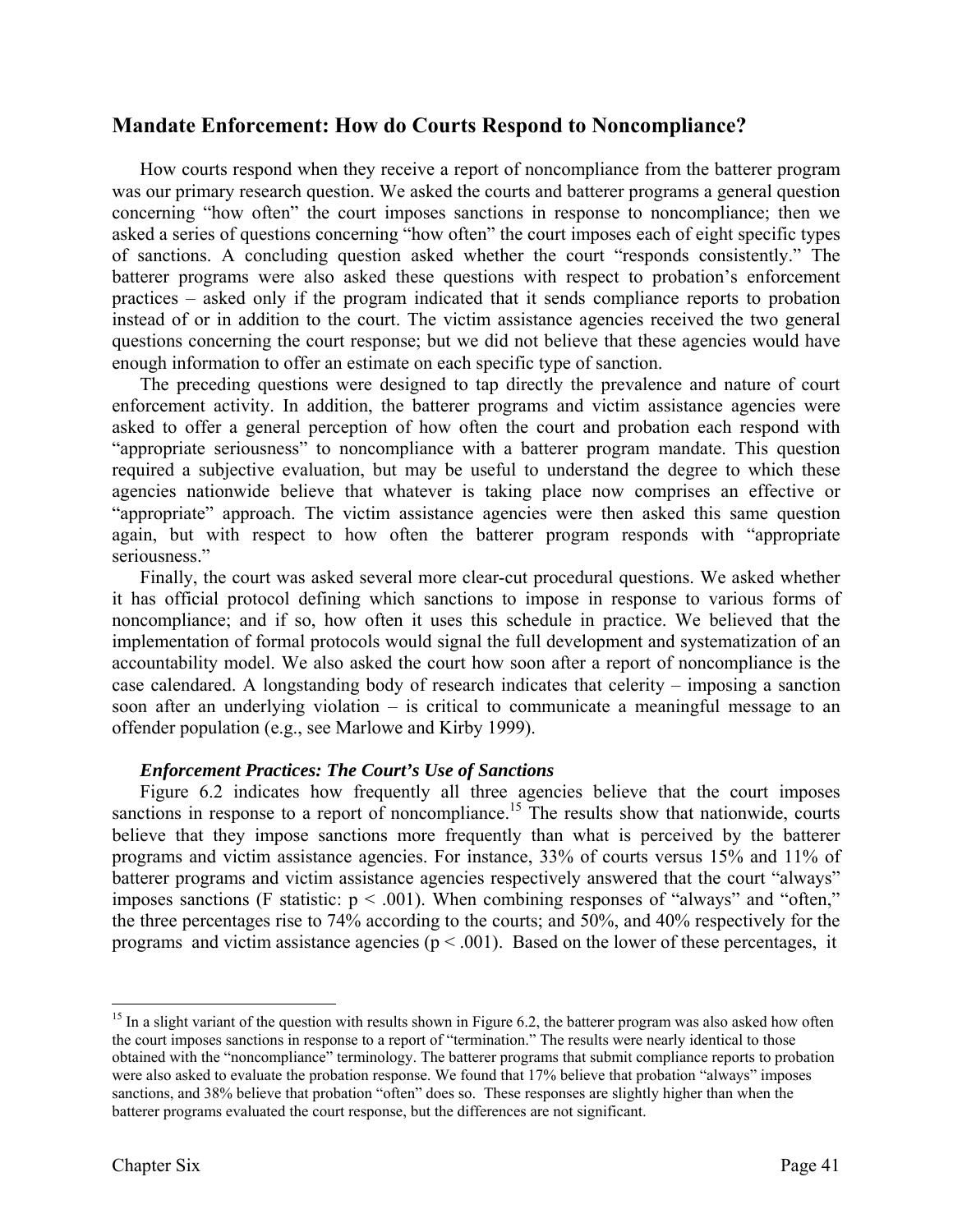# **Mandate Enforcement: How do Courts Respond to Noncompliance?**

How courts respond when they receive a report of noncompliance from the batterer program was our primary research question. We asked the courts and batterer programs a general question concerning "how often" the court imposes sanctions in response to noncompliance; then we asked a series of questions concerning "how often" the court imposes each of eight specific types of sanctions. A concluding question asked whether the court "responds consistently." The batterer programs were also asked these questions with respect to probation's enforcement practices – asked only if the program indicated that it sends compliance reports to probation instead of or in addition to the court. The victim assistance agencies received the two general questions concerning the court response; but we did not believe that these agencies would have enough information to offer an estimate on each specific type of sanction.

The preceding questions were designed to tap directly the prevalence and nature of court enforcement activity. In addition, the batterer programs and victim assistance agencies were asked to offer a general perception of how often the court and probation each respond with "appropriate seriousness" to noncompliance with a batterer program mandate. This question required a subjective evaluation, but may be useful to understand the degree to which these agencies nationwide believe that whatever is taking place now comprises an effective or "appropriate" approach. The victim assistance agencies were then asked this same question again, but with respect to how often the batterer program responds with "appropriate seriousness."

Finally, the court was asked several more clear-cut procedural questions. We asked whether it has official protocol defining which sanctions to impose in response to various forms of noncompliance; and if so, how often it uses this schedule in practice. We believed that the implementation of formal protocols would signal the full development and systematization of an accountability model. We also asked the court how soon after a report of noncompliance is the case calendared. A longstanding body of research indicates that celerity – imposing a sanction soon after an underlying violation – is critical to communicate a meaningful message to an offender population (e.g., see Marlowe and Kirby 1999).

#### *Enforcement Practices: The Court's Use of Sanctions*

Figure 6.2 indicates how frequently all three agencies believe that the court imposes sanctions in response to a report of noncompliance.<sup>15</sup> The results show that nationwide, courts believe that they impose sanctions more frequently than what is perceived by the batterer programs and victim assistance agencies. For instance, 33% of courts versus 15% and 11% of batterer programs and victim assistance agencies respectively answered that the court "always" imposes sanctions (F statistic:  $p < .001$ ). When combining responses of "always" and "often," the three percentages rise to 74% according to the courts; and 50%, and 40% respectively for the programs and victim assistance agencies ( $p < .001$ ). Based on the lower of these percentages, it

 $15$  In a slight variant of the question with results shown in Figure 6.2, the batterer program was also asked how often the court imposes sanctions in response to a report of "termination." The results were nearly identical to those obtained with the "noncompliance" terminology. The batterer programs that submit compliance reports to probation were also asked to evaluate the probation response. We found that 17% believe that probation "always" imposes sanctions, and 38% believe that probation "often" does so. These responses are slightly higher than when the batterer programs evaluated the court response, but the differences are not significant.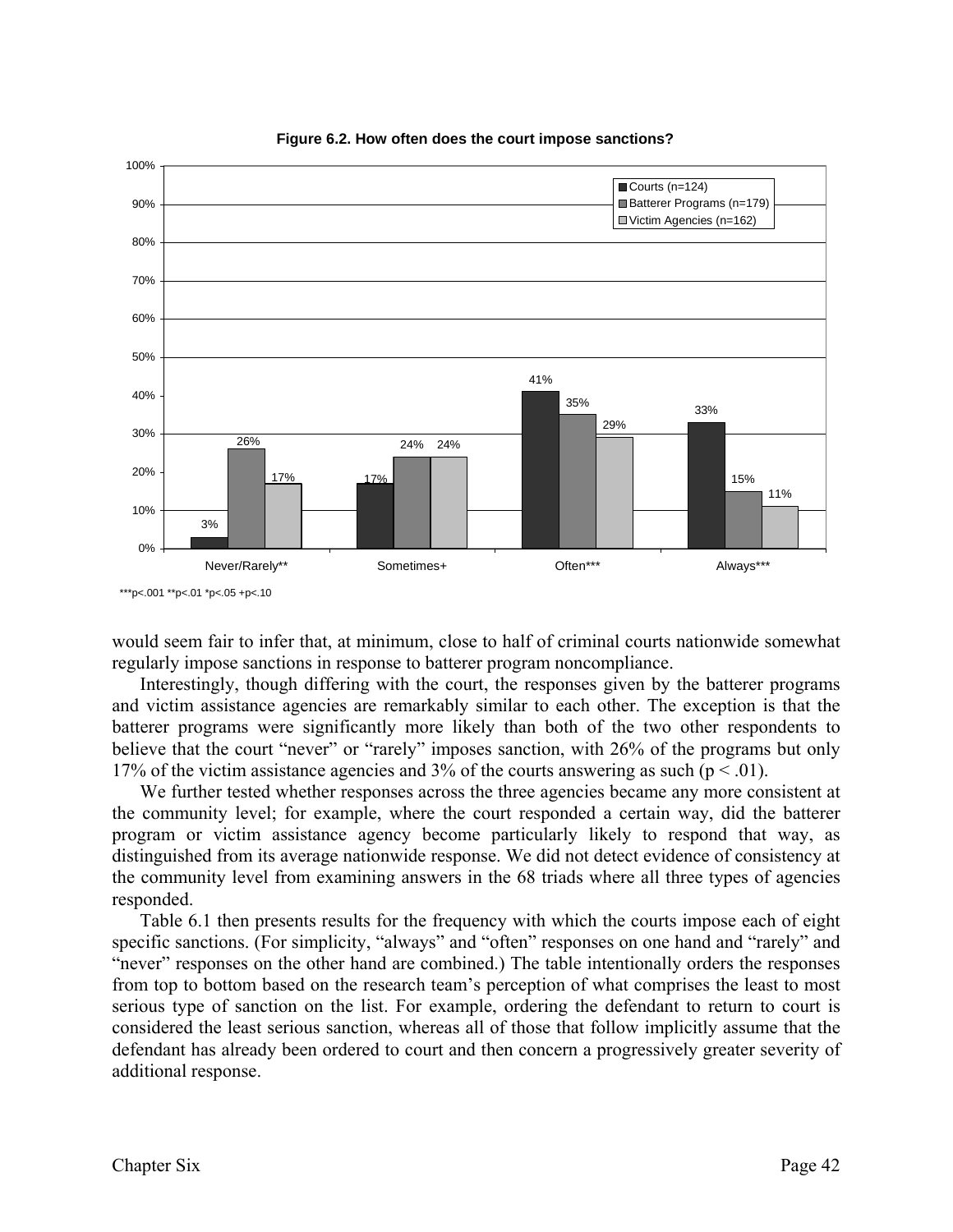

**Figure 6.2. How often does the court impose sanctions?**

would seem fair to infer that, at minimum, close to half of criminal courts nationwide somewhat regularly impose sanctions in response to batterer program noncompliance.

Interestingly, though differing with the court, the responses given by the batterer programs and victim assistance agencies are remarkably similar to each other. The exception is that the batterer programs were significantly more likely than both of the two other respondents to believe that the court "never" or "rarely" imposes sanction, with 26% of the programs but only 17% of the victim assistance agencies and 3% of the courts answering as such ( $p < .01$ ).

We further tested whether responses across the three agencies became any more consistent at the community level; for example, where the court responded a certain way, did the batterer program or victim assistance agency become particularly likely to respond that way, as distinguished from its average nationwide response. We did not detect evidence of consistency at the community level from examining answers in the 68 triads where all three types of agencies responded.

Table 6.1 then presents results for the frequency with which the courts impose each of eight specific sanctions. (For simplicity, "always" and "often" responses on one hand and "rarely" and "never" responses on the other hand are combined.) The table intentionally orders the responses from top to bottom based on the research team's perception of what comprises the least to most serious type of sanction on the list. For example, ordering the defendant to return to court is considered the least serious sanction, whereas all of those that follow implicitly assume that the defendant has already been ordered to court and then concern a progressively greater severity of additional response.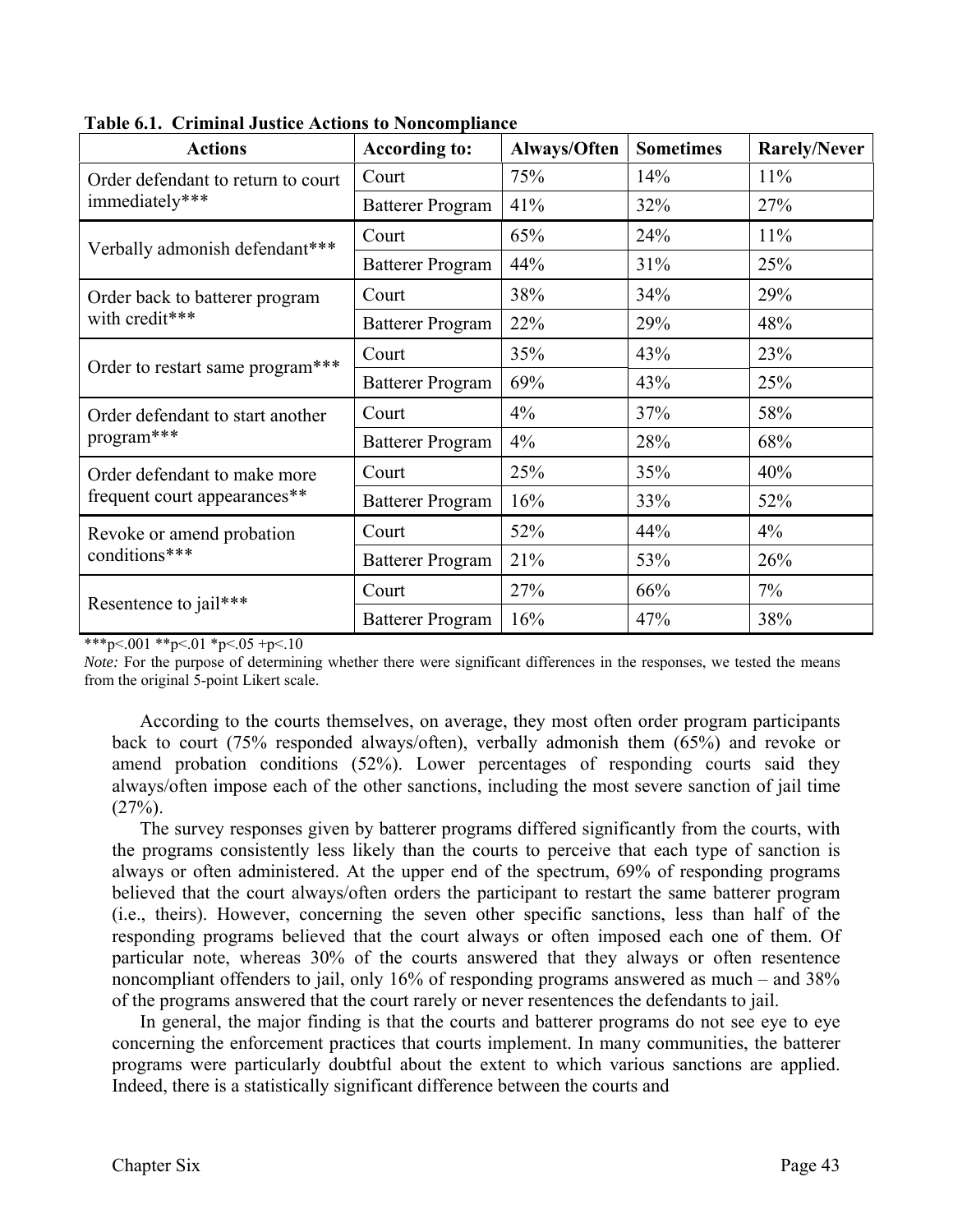| <b>Actions</b>                     | <b>According to:</b>    | Always/Often | <b>Sometimes</b> | <b>Rarely/Never</b> |
|------------------------------------|-------------------------|--------------|------------------|---------------------|
| Order defendant to return to court | Court                   | 75%          | 14%              | 11%                 |
| immediately***                     | <b>Batterer Program</b> | 41%          | 32%              | 27%                 |
| Verbally admonish defendant***     | Court                   | 65%          | 24%              | 11%                 |
|                                    | <b>Batterer Program</b> | 44%          | 31%              | 25%                 |
| Order back to batterer program     | Court                   | 38%          | 34%              | 29%                 |
| with credit***                     | <b>Batterer Program</b> | 22%          | 29%              | 48%                 |
|                                    | Court                   | 35%          | 43%              | 23%                 |
| Order to restart same program***   | <b>Batterer Program</b> | 69%          | 43%              | 25%                 |
| Order defendant to start another   | Court                   | 4%           | 37%              | 58%                 |
| program***                         | <b>Batterer Program</b> | 4%           | 28%              | 68%                 |
| Order defendant to make more       | Court                   | 25%          | 35%              | 40%                 |
| frequent court appearances**       | <b>Batterer Program</b> | 16%          | 33%              | 52%                 |
| Revoke or amend probation          | Court                   | 52%          | 44%              | $4\%$               |
| conditions***                      | <b>Batterer Program</b> | 21%          | 53%              | 26%                 |
|                                    | Court                   | 27%          | 66%              | 7%                  |
| Resentence to jail***              | <b>Batterer Program</b> | 16%          | 47%              | 38%                 |

**Table 6.1. Criminal Justice Actions to Noncompliance**

\*\*\*p<.001 \*\*p<.01 \*p<.05 +p<.10

*Note:* For the purpose of determining whether there were significant differences in the responses, we tested the means from the original 5-point Likert scale.

According to the courts themselves, on average, they most often order program participants back to court (75% responded always/often), verbally admonish them (65%) and revoke or amend probation conditions (52%). Lower percentages of responding courts said they always/often impose each of the other sanctions, including the most severe sanction of jail time  $(27%)$ .

The survey responses given by batterer programs differed significantly from the courts, with the programs consistently less likely than the courts to perceive that each type of sanction is always or often administered. At the upper end of the spectrum, 69% of responding programs believed that the court always/often orders the participant to restart the same batterer program (i.e., theirs). However, concerning the seven other specific sanctions, less than half of the responding programs believed that the court always or often imposed each one of them. Of particular note, whereas 30% of the courts answered that they always or often resentence noncompliant offenders to jail, only 16% of responding programs answered as much – and 38% of the programs answered that the court rarely or never resentences the defendants to jail.

In general, the major finding is that the courts and batterer programs do not see eye to eye concerning the enforcement practices that courts implement. In many communities, the batterer programs were particularly doubtful about the extent to which various sanctions are applied. Indeed, there is a statistically significant difference between the courts and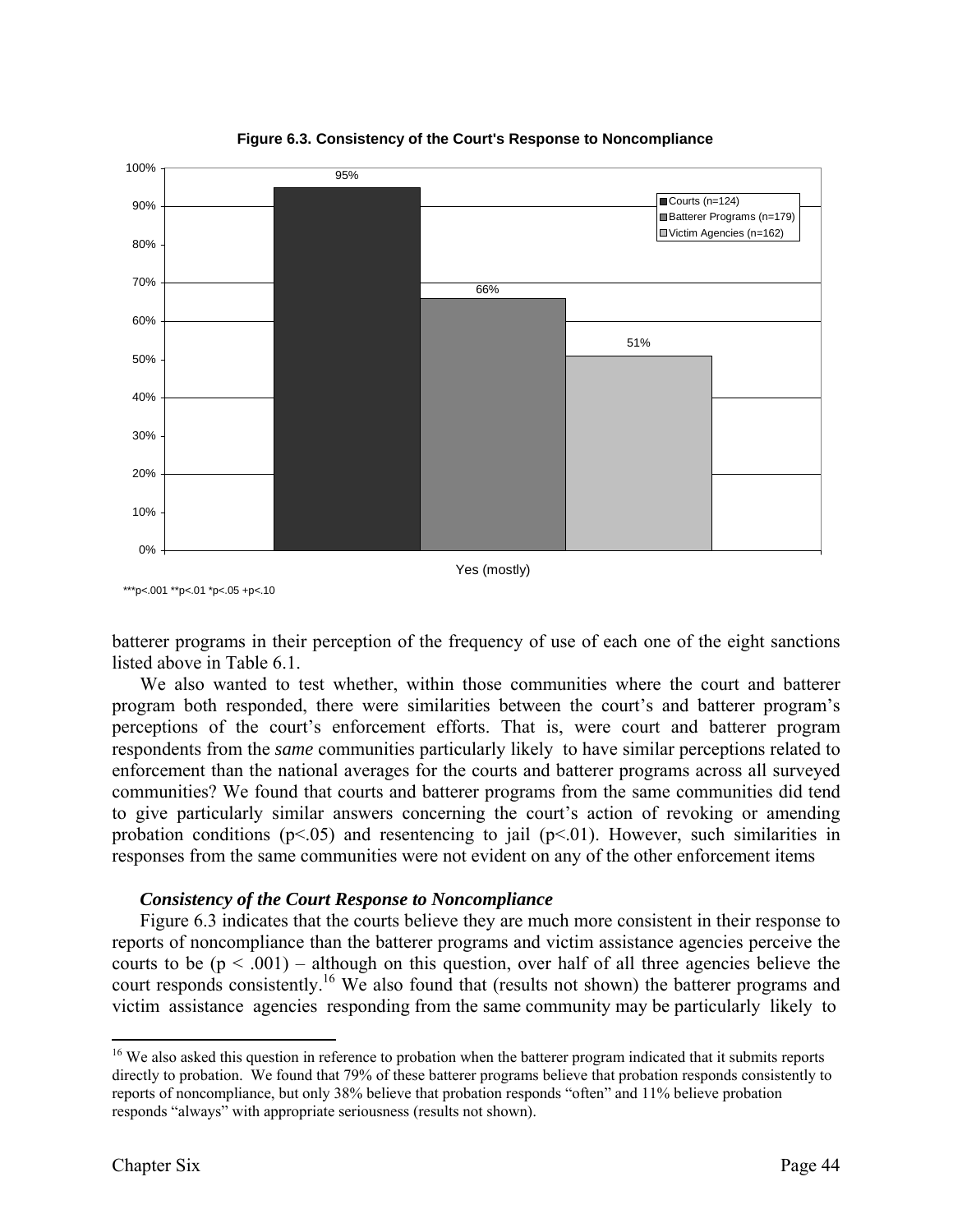



\*\*\*p<.001 \*\*p<.01 \*p<.05 +p<.10

batterer programs in their perception of the frequency of use of each one of the eight sanctions listed above in Table 6.1.

We also wanted to test whether, within those communities where the court and batterer program both responded, there were similarities between the court's and batterer program's perceptions of the court's enforcement efforts. That is, were court and batterer program respondents from the *same* communities particularly likely to have similar perceptions related to enforcement than the national averages for the courts and batterer programs across all surveyed communities? We found that courts and batterer programs from the same communities did tend to give particularly similar answers concerning the court's action of revoking or amending probation conditions ( $p \le 0.05$ ) and resentencing to jail ( $p \le 0.01$ ). However, such similarities in responses from the same communities were not evident on any of the other enforcement items

#### *Consistency of the Court Response to Noncompliance*

Figure 6.3 indicates that the courts believe they are much more consistent in their response to reports of noncompliance than the batterer programs and victim assistance agencies perceive the courts to be  $(p < .001)$  – although on this question, over half of all three agencies believe the court responds consistently.<sup>16</sup> We also found that (results not shown) the batterer programs and victim assistance agencies responding from the same community may be particularly likely to

<sup>&</sup>lt;sup>16</sup> We also asked this question in reference to probation when the batterer program indicated that it submits reports directly to probation. We found that 79% of these batterer programs believe that probation responds consistently to reports of noncompliance, but only 38% believe that probation responds "often" and 11% believe probation responds "always" with appropriate seriousness (results not shown).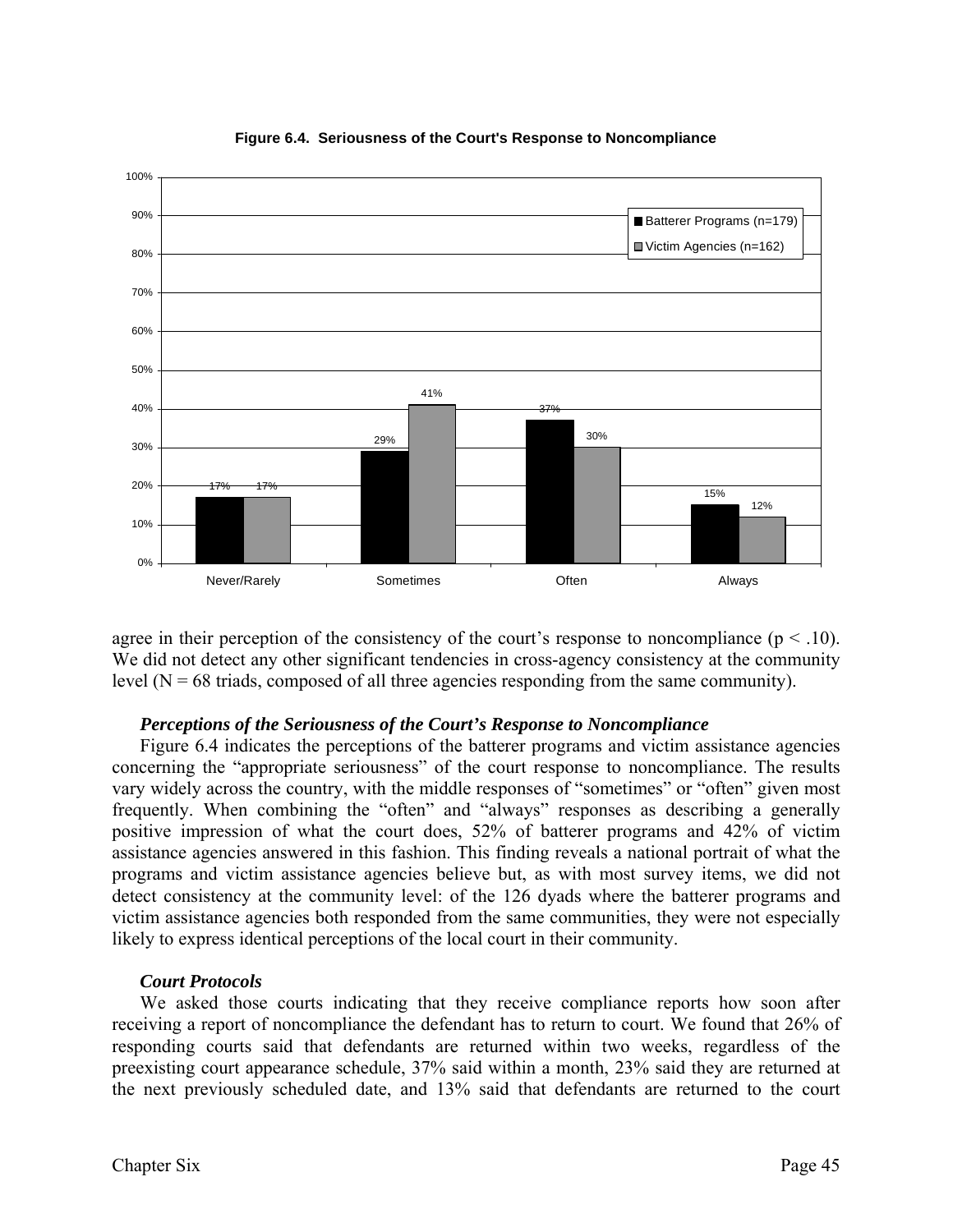

**Figure 6.4. Seriousness of the Court's Response to Noncompliance**

agree in their perception of the consistency of the court's response to noncompliance ( $p < .10$ ). We did not detect any other significant tendencies in cross-agency consistency at the community level  $(N = 68$  triads, composed of all three agencies responding from the same community).

#### *Perceptions of the Seriousness of the Court's Response to Noncompliance*

Figure 6.4 indicates the perceptions of the batterer programs and victim assistance agencies concerning the "appropriate seriousness" of the court response to noncompliance. The results vary widely across the country, with the middle responses of "sometimes" or "often" given most frequently. When combining the "often" and "always" responses as describing a generally positive impression of what the court does, 52% of batterer programs and 42% of victim assistance agencies answered in this fashion. This finding reveals a national portrait of what the programs and victim assistance agencies believe but, as with most survey items, we did not detect consistency at the community level: of the 126 dyads where the batterer programs and victim assistance agencies both responded from the same communities, they were not especially likely to express identical perceptions of the local court in their community.

#### *Court Protocols*

 We asked those courts indicating that they receive compliance reports how soon after receiving a report of noncompliance the defendant has to return to court. We found that 26% of responding courts said that defendants are returned within two weeks, regardless of the preexisting court appearance schedule, 37% said within a month, 23% said they are returned at the next previously scheduled date, and 13% said that defendants are returned to the court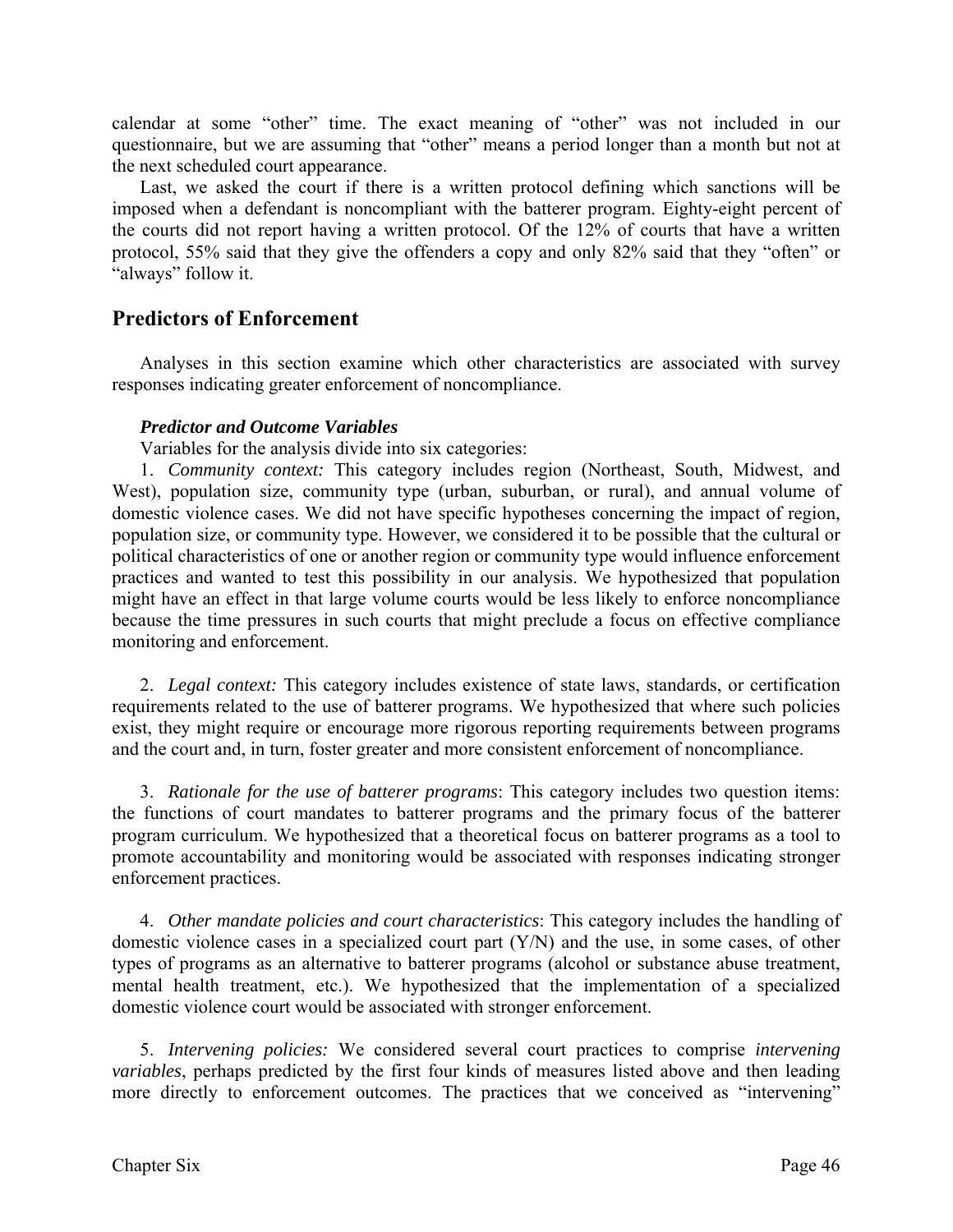calendar at some "other" time. The exact meaning of "other" was not included in our questionnaire, but we are assuming that "other" means a period longer than a month but not at the next scheduled court appearance.

Last, we asked the court if there is a written protocol defining which sanctions will be imposed when a defendant is noncompliant with the batterer program. Eighty-eight percent of the courts did not report having a written protocol. Of the 12% of courts that have a written protocol, 55% said that they give the offenders a copy and only 82% said that they "often" or "always" follow it.

# **Predictors of Enforcement**

 Analyses in this section examine which other characteristics are associated with survey responses indicating greater enforcement of noncompliance.

# *Predictor and Outcome Variables*

Variables for the analysis divide into six categories:

1. *Community context:* This category includes region (Northeast, South, Midwest, and West), population size, community type (urban, suburban, or rural), and annual volume of domestic violence cases. We did not have specific hypotheses concerning the impact of region, population size, or community type. However, we considered it to be possible that the cultural or political characteristics of one or another region or community type would influence enforcement practices and wanted to test this possibility in our analysis. We hypothesized that population might have an effect in that large volume courts would be less likely to enforce noncompliance because the time pressures in such courts that might preclude a focus on effective compliance monitoring and enforcement.

2. *Legal context:* This category includes existence of state laws, standards, or certification requirements related to the use of batterer programs. We hypothesized that where such policies exist, they might require or encourage more rigorous reporting requirements between programs and the court and, in turn, foster greater and more consistent enforcement of noncompliance.

3. *Rationale for the use of batterer programs*: This category includes two question items: the functions of court mandates to batterer programs and the primary focus of the batterer program curriculum. We hypothesized that a theoretical focus on batterer programs as a tool to promote accountability and monitoring would be associated with responses indicating stronger enforcement practices.

4. *Other mandate policies and court characteristics*: This category includes the handling of domestic violence cases in a specialized court part (Y/N) and the use, in some cases, of other types of programs as an alternative to batterer programs (alcohol or substance abuse treatment, mental health treatment, etc.). We hypothesized that the implementation of a specialized domestic violence court would be associated with stronger enforcement.

5. *Intervening policies:* We considered several court practices to comprise *intervening variables*, perhaps predicted by the first four kinds of measures listed above and then leading more directly to enforcement outcomes. The practices that we conceived as "intervening"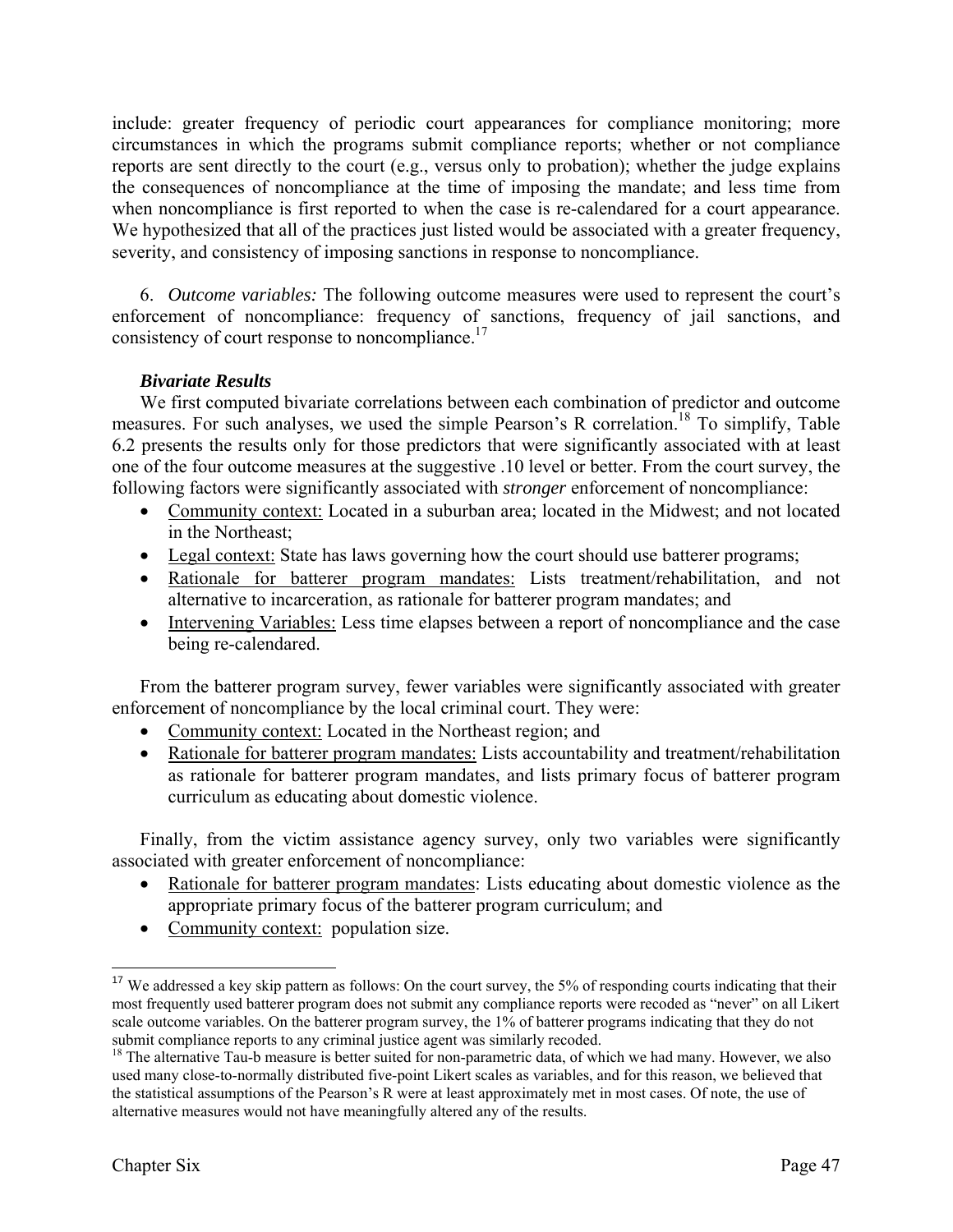include: greater frequency of periodic court appearances for compliance monitoring; more circumstances in which the programs submit compliance reports; whether or not compliance reports are sent directly to the court (e.g., versus only to probation); whether the judge explains the consequences of noncompliance at the time of imposing the mandate; and less time from when noncompliance is first reported to when the case is re-calendared for a court appearance. We hypothesized that all of the practices just listed would be associated with a greater frequency, severity, and consistency of imposing sanctions in response to noncompliance.

6. *Outcome variables:* The following outcome measures were used to represent the court's enforcement of noncompliance: frequency of sanctions, frequency of jail sanctions, and consistency of court response to noncompliance.<sup>17</sup>

# *Bivariate Results*

 We first computed bivariate correlations between each combination of predictor and outcome measures. For such analyses, we used the simple Pearson's R correlation.<sup>18</sup> To simplify, Table 6.2 presents the results only for those predictors that were significantly associated with at least one of the four outcome measures at the suggestive .10 level or better. From the court survey, the following factors were significantly associated with *stronger* enforcement of noncompliance:

- Community context: Located in a suburban area; located in the Midwest; and not located in the Northeast;
- Legal context: State has laws governing how the court should use batterer programs;
- Rationale for batterer program mandates: Lists treatment/rehabilitation, and not alternative to incarceration, as rationale for batterer program mandates; and
- Intervening Variables: Less time elapses between a report of noncompliance and the case being re-calendared.

From the batterer program survey, fewer variables were significantly associated with greater enforcement of noncompliance by the local criminal court. They were:

- Community context: Located in the Northeast region; and
- Rationale for batterer program mandates: Lists accountability and treatment/rehabilitation as rationale for batterer program mandates, and lists primary focus of batterer program curriculum as educating about domestic violence.

Finally, from the victim assistance agency survey, only two variables were significantly associated with greater enforcement of noncompliance:

- Rationale for batterer program mandates: Lists educating about domestic violence as the appropriate primary focus of the batterer program curriculum; and
- Community context: population size.

<sup>&</sup>lt;sup>17</sup> We addressed a key skip pattern as follows: On the court survey, the 5% of responding courts indicating that their most frequently used batterer program does not submit any compliance reports were recoded as "never" on all Likert scale outcome variables. On the batterer program survey, the 1% of batterer programs indicating that they do not submit compliance reports to any criminal justice agent was similarly recoded.<br><sup>18</sup> The alternative Tau-b measure is better suited for non-parametric data, of which we had many. However, we also

used many close-to-normally distributed five-point Likert scales as variables, and for this reason, we believed that the statistical assumptions of the Pearson's R were at least approximately met in most cases. Of note, the use of alternative measures would not have meaningfully altered any of the results.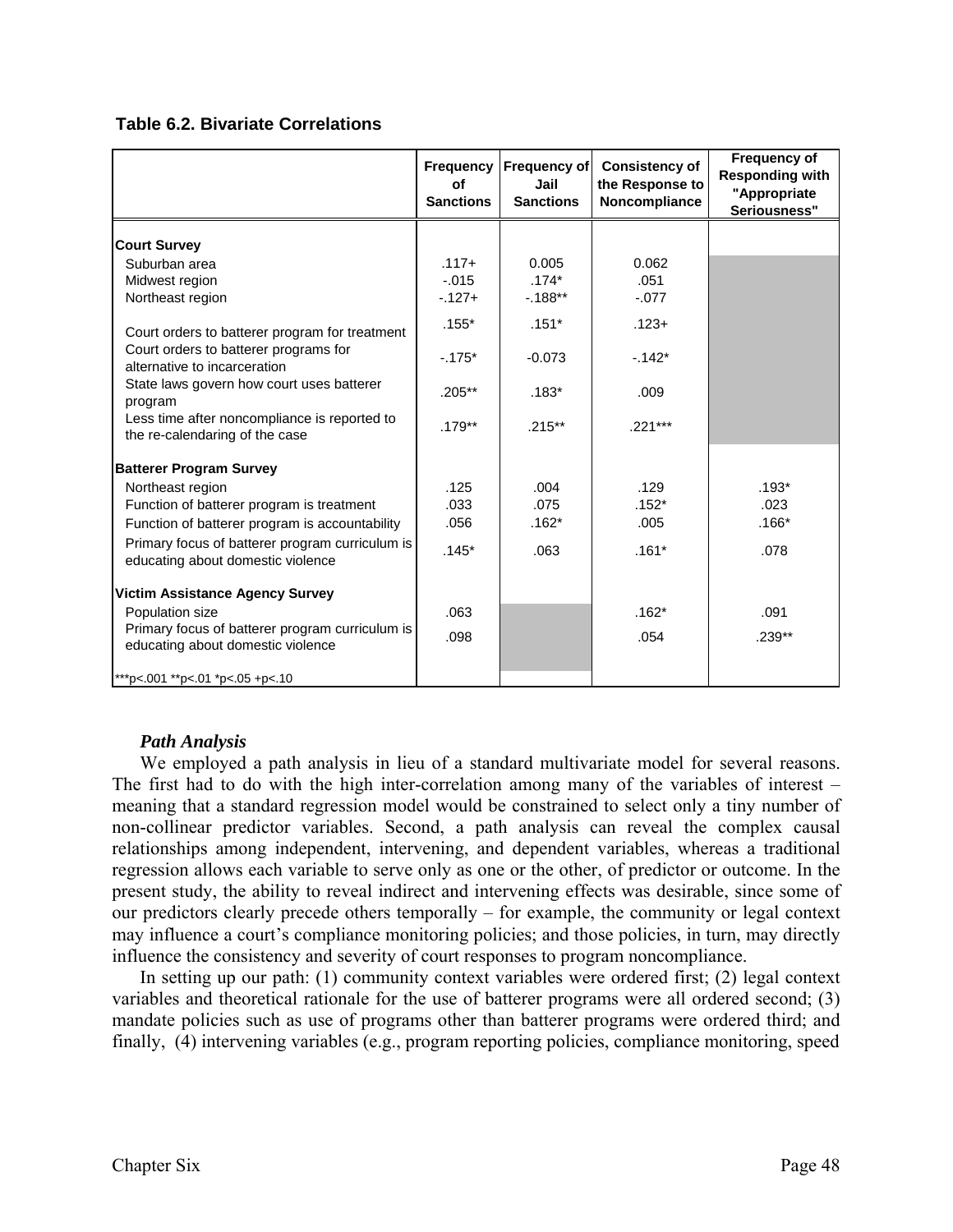|  |  |  |  | <b>Table 6.2. Bivariate Correlations</b> |
|--|--|--|--|------------------------------------------|
|--|--|--|--|------------------------------------------|

|                                                                                      | <b>Frequency</b><br>of<br><b>Sanctions</b> | <b>Frequency of</b><br>Jail<br><b>Sanctions</b> | <b>Consistency of</b><br>the Response to<br>Noncompliance | Frequency of<br><b>Responding with</b><br>"Appropriate<br>Seriousness" |
|--------------------------------------------------------------------------------------|--------------------------------------------|-------------------------------------------------|-----------------------------------------------------------|------------------------------------------------------------------------|
| <b>Court Survey</b>                                                                  |                                            |                                                 |                                                           |                                                                        |
| Suburban area                                                                        | $.117+$                                    | 0.005                                           | 0.062                                                     |                                                                        |
| Midwest region                                                                       | $-.015$                                    | $.174*$                                         | .051                                                      |                                                                        |
| Northeast region                                                                     | $-127+$                                    | $-0.188**$                                      | $-.077$                                                   |                                                                        |
| Court orders to batterer program for treatment                                       | $.155*$                                    | $.151*$                                         | $.123 +$                                                  |                                                                        |
| Court orders to batterer programs for<br>alternative to incarceration                | $-175*$                                    | $-0.073$                                        | $-142*$                                                   |                                                                        |
| State laws govern how court uses batterer<br>program                                 | $.205***$                                  | $.183*$                                         | .009                                                      |                                                                        |
| Less time after noncompliance is reported to<br>the re-calendaring of the case       | $.179**$                                   | $.215***$                                       | $.221***$                                                 |                                                                        |
| <b>Batterer Program Survey</b>                                                       |                                            |                                                 |                                                           |                                                                        |
| Northeast region                                                                     | .125                                       | .004                                            | .129                                                      | $.193*$                                                                |
| Function of batterer program is treatment                                            | .033                                       | .075                                            | $.152*$                                                   | .023                                                                   |
| Function of batterer program is accountability                                       | .056                                       | $.162*$                                         | .005                                                      | $.166*$                                                                |
| Primary focus of batterer program curriculum is<br>educating about domestic violence | $.145*$                                    | .063                                            | $.161*$                                                   | .078                                                                   |
| <b>Victim Assistance Agency Survey</b>                                               |                                            |                                                 |                                                           |                                                                        |
| Population size                                                                      | .063                                       |                                                 | $.162*$                                                   | .091                                                                   |
| Primary focus of batterer program curriculum is<br>educating about domestic violence | .098                                       |                                                 | .054                                                      | $.239**$                                                               |
| ***p<.001 **p<.01 *p<.05 +p<.10                                                      |                                            |                                                 |                                                           |                                                                        |

# *Path Analysis*

 We employed a path analysis in lieu of a standard multivariate model for several reasons. The first had to do with the high inter-correlation among many of the variables of interest – meaning that a standard regression model would be constrained to select only a tiny number of non-collinear predictor variables. Second, a path analysis can reveal the complex causal relationships among independent, intervening, and dependent variables, whereas a traditional regression allows each variable to serve only as one or the other, of predictor or outcome. In the present study, the ability to reveal indirect and intervening effects was desirable, since some of our predictors clearly precede others temporally – for example, the community or legal context may influence a court's compliance monitoring policies; and those policies, in turn, may directly influence the consistency and severity of court responses to program noncompliance.

In setting up our path: (1) community context variables were ordered first; (2) legal context variables and theoretical rationale for the use of batterer programs were all ordered second; (3) mandate policies such as use of programs other than batterer programs were ordered third; and finally, (4) intervening variables (e.g., program reporting policies, compliance monitoring, speed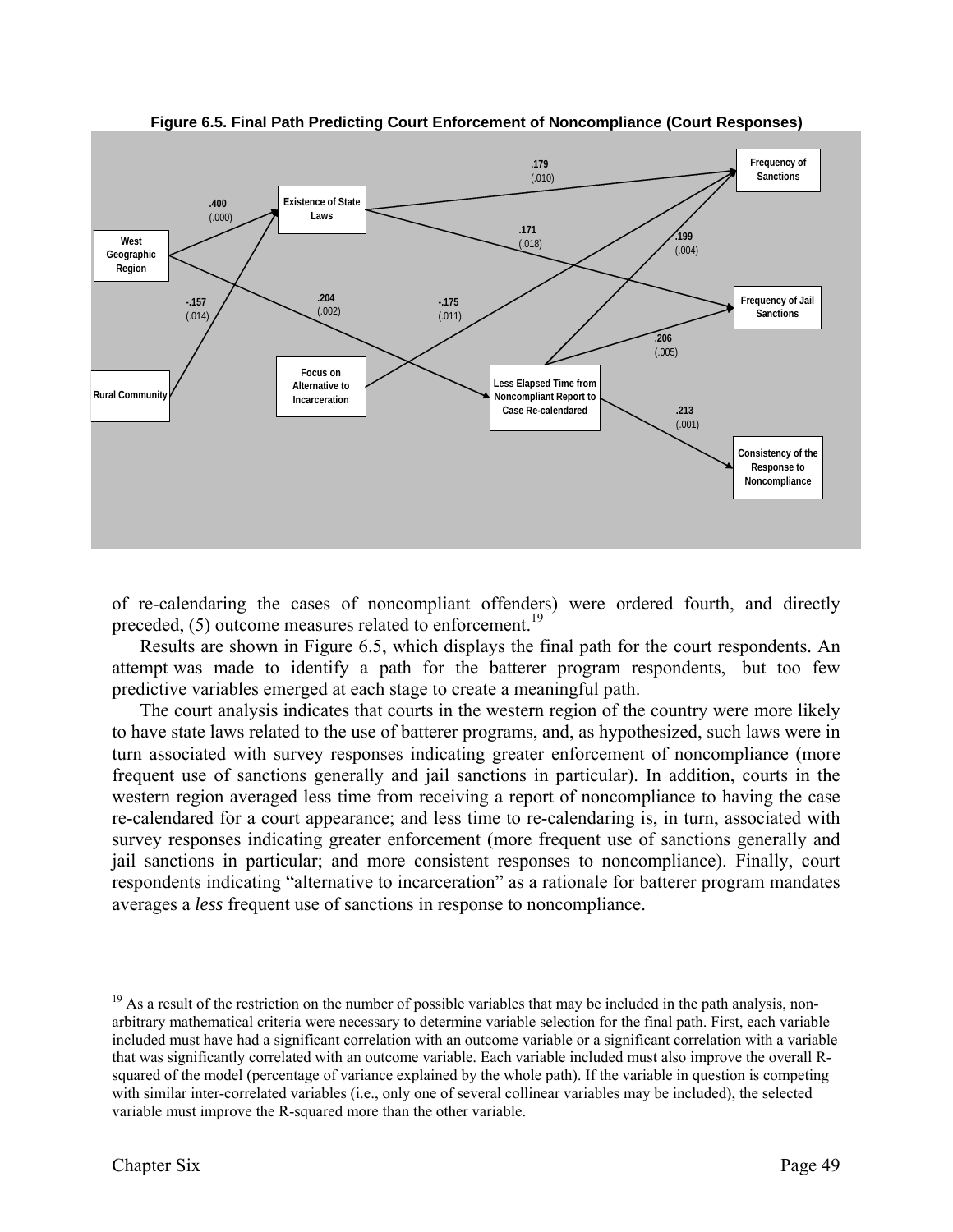

**Figure 6.5. Final Path Predicting Court Enforcement of Noncompliance (Court Responses)**

of re-calendaring the cases of noncompliant offenders) were ordered fourth, and directly preceded,  $(5)$  outcome measures related to enforcement.<sup>19</sup>

 Results are shown in Figure 6.5, which displays the final path for the court respondents. An attempt was made to identify a path for the batterer program respondents, but too few predictive variables emerged at each stage to create a meaningful path.

The court analysis indicates that courts in the western region of the country were more likely to have state laws related to the use of batterer programs, and, as hypothesized, such laws were in turn associated with survey responses indicating greater enforcement of noncompliance (more frequent use of sanctions generally and jail sanctions in particular). In addition, courts in the western region averaged less time from receiving a report of noncompliance to having the case re-calendared for a court appearance; and less time to re-calendaring is, in turn, associated with survey responses indicating greater enforcement (more frequent use of sanctions generally and jail sanctions in particular; and more consistent responses to noncompliance). Finally, court respondents indicating "alternative to incarceration" as a rationale for batterer program mandates averages a *less* frequent use of sanctions in response to noncompliance.

 $19$  As a result of the restriction on the number of possible variables that may be included in the path analysis, nonarbitrary mathematical criteria were necessary to determine variable selection for the final path. First, each variable included must have had a significant correlation with an outcome variable or a significant correlation with a variable that was significantly correlated with an outcome variable. Each variable included must also improve the overall Rsquared of the model (percentage of variance explained by the whole path). If the variable in question is competing with similar inter-correlated variables (i.e., only one of several collinear variables may be included), the selected variable must improve the R-squared more than the other variable.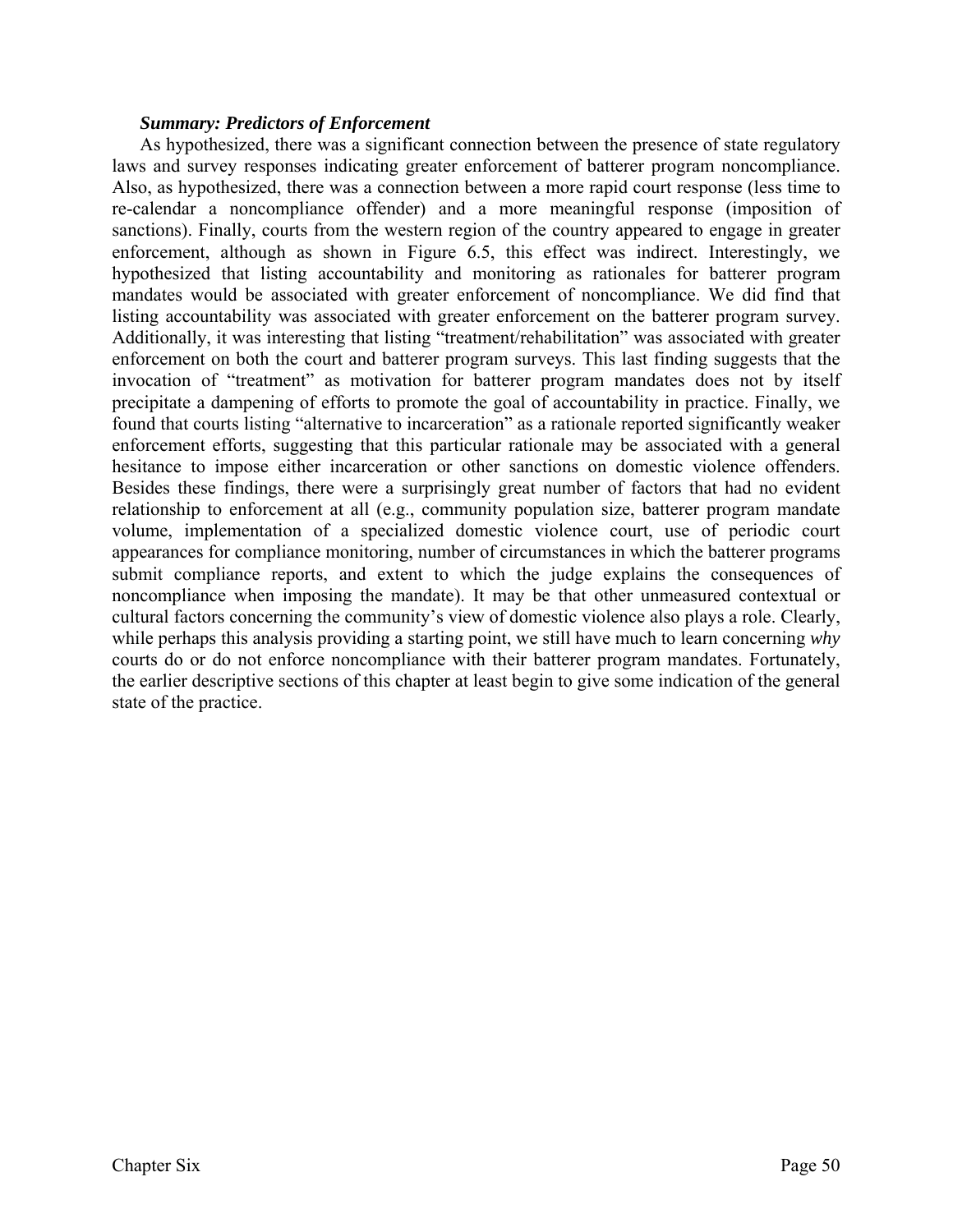#### *Summary: Predictors of Enforcement*

As hypothesized, there was a significant connection between the presence of state regulatory laws and survey responses indicating greater enforcement of batterer program noncompliance. Also, as hypothesized, there was a connection between a more rapid court response (less time to re-calendar a noncompliance offender) and a more meaningful response (imposition of sanctions). Finally, courts from the western region of the country appeared to engage in greater enforcement, although as shown in Figure 6.5, this effect was indirect. Interestingly, we hypothesized that listing accountability and monitoring as rationales for batterer program mandates would be associated with greater enforcement of noncompliance. We did find that listing accountability was associated with greater enforcement on the batterer program survey. Additionally, it was interesting that listing "treatment/rehabilitation" was associated with greater enforcement on both the court and batterer program surveys. This last finding suggests that the invocation of "treatment" as motivation for batterer program mandates does not by itself precipitate a dampening of efforts to promote the goal of accountability in practice. Finally, we found that courts listing "alternative to incarceration" as a rationale reported significantly weaker enforcement efforts, suggesting that this particular rationale may be associated with a general hesitance to impose either incarceration or other sanctions on domestic violence offenders. Besides these findings, there were a surprisingly great number of factors that had no evident relationship to enforcement at all (e.g., community population size, batterer program mandate volume, implementation of a specialized domestic violence court, use of periodic court appearances for compliance monitoring, number of circumstances in which the batterer programs submit compliance reports, and extent to which the judge explains the consequences of noncompliance when imposing the mandate). It may be that other unmeasured contextual or cultural factors concerning the community's view of domestic violence also plays a role. Clearly, while perhaps this analysis providing a starting point, we still have much to learn concerning *why* courts do or do not enforce noncompliance with their batterer program mandates. Fortunately, the earlier descriptive sections of this chapter at least begin to give some indication of the general state of the practice.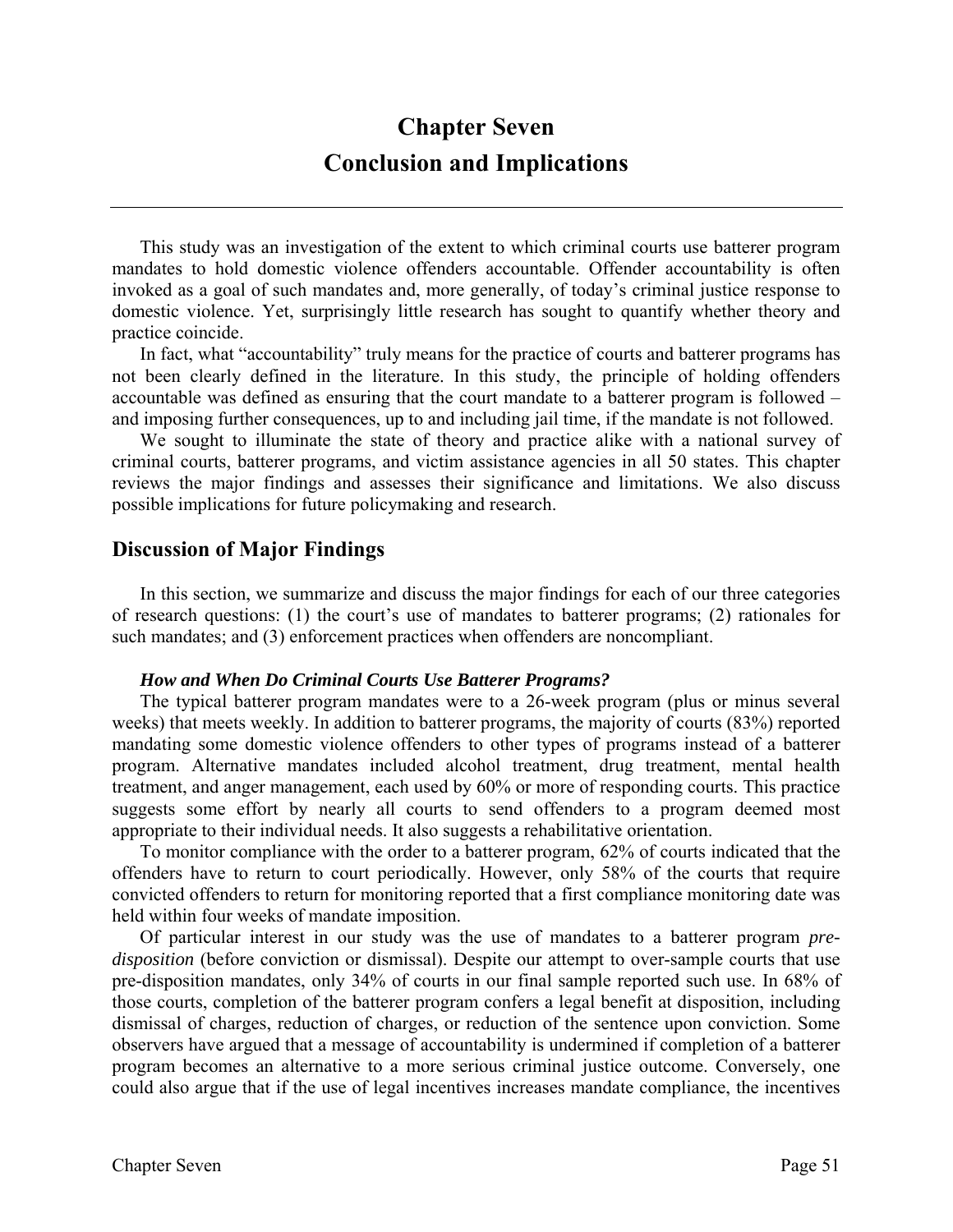# **Chapter Seven Conclusion and Implications**

This study was an investigation of the extent to which criminal courts use batterer program mandates to hold domestic violence offenders accountable. Offender accountability is often invoked as a goal of such mandates and, more generally, of today's criminal justice response to domestic violence. Yet, surprisingly little research has sought to quantify whether theory and practice coincide.

In fact, what "accountability" truly means for the practice of courts and batterer programs has not been clearly defined in the literature. In this study, the principle of holding offenders accountable was defined as ensuring that the court mandate to a batterer program is followed – and imposing further consequences, up to and including jail time, if the mandate is not followed.

We sought to illuminate the state of theory and practice alike with a national survey of criminal courts, batterer programs, and victim assistance agencies in all 50 states. This chapter reviews the major findings and assesses their significance and limitations. We also discuss possible implications for future policymaking and research.

# **Discussion of Major Findings**

In this section, we summarize and discuss the major findings for each of our three categories of research questions: (1) the court's use of mandates to batterer programs; (2) rationales for such mandates; and (3) enforcement practices when offenders are noncompliant.

#### *How and When Do Criminal Courts Use Batterer Programs?*

The typical batterer program mandates were to a 26-week program (plus or minus several weeks) that meets weekly. In addition to batterer programs, the majority of courts (83%) reported mandating some domestic violence offenders to other types of programs instead of a batterer program. Alternative mandates included alcohol treatment, drug treatment, mental health treatment, and anger management, each used by 60% or more of responding courts. This practice suggests some effort by nearly all courts to send offenders to a program deemed most appropriate to their individual needs. It also suggests a rehabilitative orientation.

To monitor compliance with the order to a batterer program, 62% of courts indicated that the offenders have to return to court periodically. However, only 58% of the courts that require convicted offenders to return for monitoring reported that a first compliance monitoring date was held within four weeks of mandate imposition.

Of particular interest in our study was the use of mandates to a batterer program *predisposition* (before conviction or dismissal). Despite our attempt to over-sample courts that use pre-disposition mandates, only 34% of courts in our final sample reported such use. In 68% of those courts, completion of the batterer program confers a legal benefit at disposition, including dismissal of charges, reduction of charges, or reduction of the sentence upon conviction. Some observers have argued that a message of accountability is undermined if completion of a batterer program becomes an alternative to a more serious criminal justice outcome. Conversely, one could also argue that if the use of legal incentives increases mandate compliance, the incentives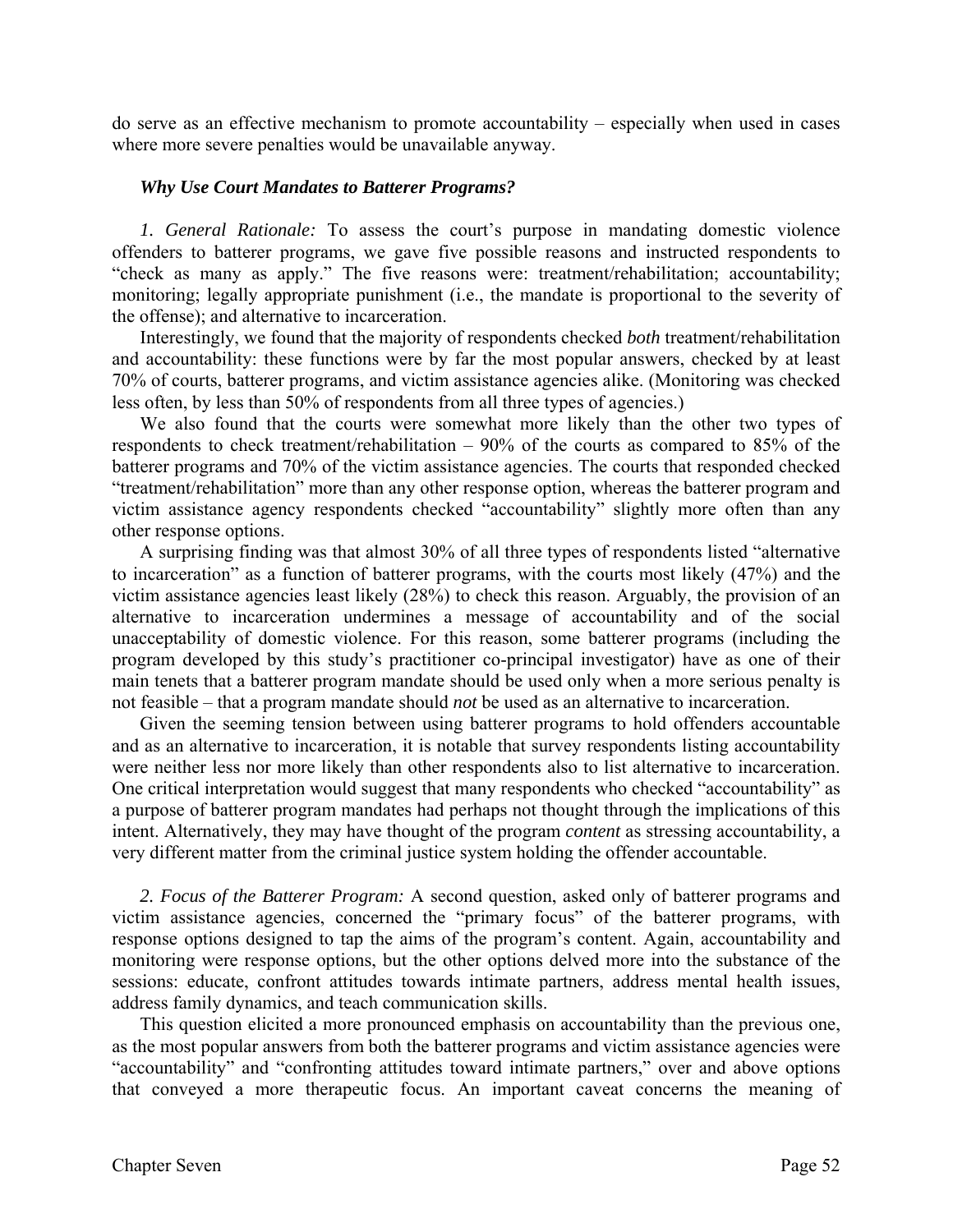do serve as an effective mechanism to promote accountability – especially when used in cases where more severe penalties would be unavailable anyway.

#### *Why Use Court Mandates to Batterer Programs?*

*1. General Rationale:* To assess the court's purpose in mandating domestic violence offenders to batterer programs, we gave five possible reasons and instructed respondents to "check as many as apply." The five reasons were: treatment/rehabilitation; accountability; monitoring; legally appropriate punishment (i.e., the mandate is proportional to the severity of the offense); and alternative to incarceration.

Interestingly, we found that the majority of respondents checked *both* treatment/rehabilitation and accountability: these functions were by far the most popular answers, checked by at least 70% of courts, batterer programs, and victim assistance agencies alike. (Monitoring was checked less often, by less than 50% of respondents from all three types of agencies.)

We also found that the courts were somewhat more likely than the other two types of respondents to check treatment/rehabilitation – 90% of the courts as compared to 85% of the batterer programs and 70% of the victim assistance agencies. The courts that responded checked "treatment/rehabilitation" more than any other response option, whereas the batterer program and victim assistance agency respondents checked "accountability" slightly more often than any other response options.

A surprising finding was that almost 30% of all three types of respondents listed "alternative to incarceration" as a function of batterer programs, with the courts most likely (47%) and the victim assistance agencies least likely (28%) to check this reason. Arguably, the provision of an alternative to incarceration undermines a message of accountability and of the social unacceptability of domestic violence. For this reason, some batterer programs (including the program developed by this study's practitioner co-principal investigator) have as one of their main tenets that a batterer program mandate should be used only when a more serious penalty is not feasible – that a program mandate should *not* be used as an alternative to incarceration.

Given the seeming tension between using batterer programs to hold offenders accountable and as an alternative to incarceration, it is notable that survey respondents listing accountability were neither less nor more likely than other respondents also to list alternative to incarceration. One critical interpretation would suggest that many respondents who checked "accountability" as a purpose of batterer program mandates had perhaps not thought through the implications of this intent. Alternatively, they may have thought of the program *content* as stressing accountability, a very different matter from the criminal justice system holding the offender accountable.

*2. Focus of the Batterer Program:* A second question, asked only of batterer programs and victim assistance agencies, concerned the "primary focus" of the batterer programs, with response options designed to tap the aims of the program's content. Again, accountability and monitoring were response options, but the other options delved more into the substance of the sessions: educate, confront attitudes towards intimate partners, address mental health issues, address family dynamics, and teach communication skills.

This question elicited a more pronounced emphasis on accountability than the previous one, as the most popular answers from both the batterer programs and victim assistance agencies were "accountability" and "confronting attitudes toward intimate partners," over and above options that conveyed a more therapeutic focus. An important caveat concerns the meaning of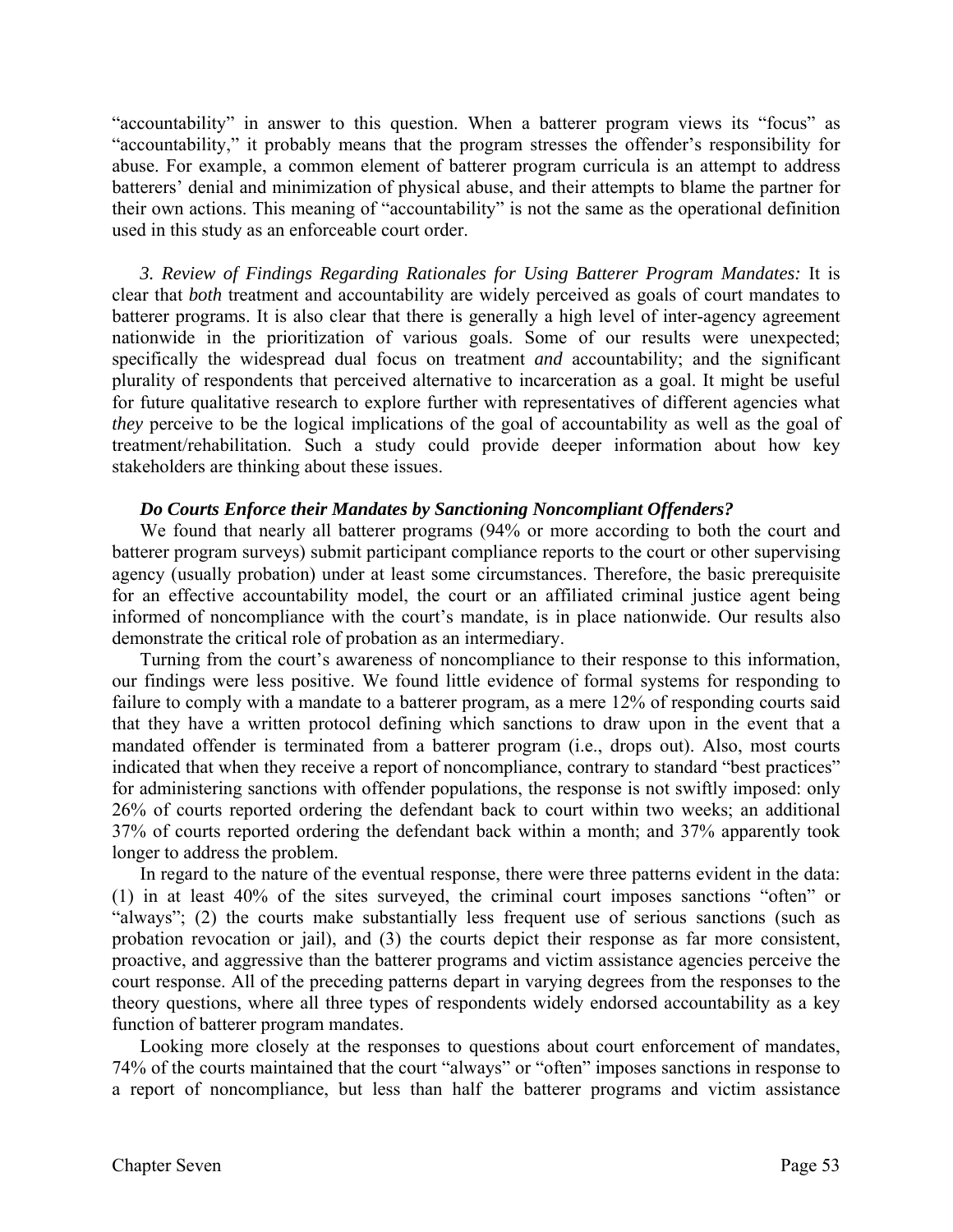"accountability" in answer to this question. When a batterer program views its "focus" as "accountability," it probably means that the program stresses the offender's responsibility for abuse. For example, a common element of batterer program curricula is an attempt to address batterers' denial and minimization of physical abuse, and their attempts to blame the partner for their own actions. This meaning of "accountability" is not the same as the operational definition used in this study as an enforceable court order.

*3. Review of Findings Regarding Rationales for Using Batterer Program Mandates:* It is clear that *both* treatment and accountability are widely perceived as goals of court mandates to batterer programs. It is also clear that there is generally a high level of inter-agency agreement nationwide in the prioritization of various goals. Some of our results were unexpected; specifically the widespread dual focus on treatment *and* accountability; and the significant plurality of respondents that perceived alternative to incarceration as a goal. It might be useful for future qualitative research to explore further with representatives of different agencies what *they* perceive to be the logical implications of the goal of accountability as well as the goal of treatment/rehabilitation. Such a study could provide deeper information about how key stakeholders are thinking about these issues.

#### *Do Courts Enforce their Mandates by Sanctioning Noncompliant Offenders?*

 We found that nearly all batterer programs (94% or more according to both the court and batterer program surveys) submit participant compliance reports to the court or other supervising agency (usually probation) under at least some circumstances. Therefore, the basic prerequisite for an effective accountability model, the court or an affiliated criminal justice agent being informed of noncompliance with the court's mandate, is in place nationwide. Our results also demonstrate the critical role of probation as an intermediary.

Turning from the court's awareness of noncompliance to their response to this information, our findings were less positive. We found little evidence of formal systems for responding to failure to comply with a mandate to a batterer program, as a mere 12% of responding courts said that they have a written protocol defining which sanctions to draw upon in the event that a mandated offender is terminated from a batterer program (i.e., drops out). Also, most courts indicated that when they receive a report of noncompliance, contrary to standard "best practices" for administering sanctions with offender populations, the response is not swiftly imposed: only 26% of courts reported ordering the defendant back to court within two weeks; an additional 37% of courts reported ordering the defendant back within a month; and 37% apparently took longer to address the problem.

In regard to the nature of the eventual response, there were three patterns evident in the data: (1) in at least 40% of the sites surveyed, the criminal court imposes sanctions "often" or "always"; (2) the courts make substantially less frequent use of serious sanctions (such as probation revocation or jail), and (3) the courts depict their response as far more consistent, proactive, and aggressive than the batterer programs and victim assistance agencies perceive the court response. All of the preceding patterns depart in varying degrees from the responses to the theory questions, where all three types of respondents widely endorsed accountability as a key function of batterer program mandates.

Looking more closely at the responses to questions about court enforcement of mandates, 74% of the courts maintained that the court "always" or "often" imposes sanctions in response to a report of noncompliance, but less than half the batterer programs and victim assistance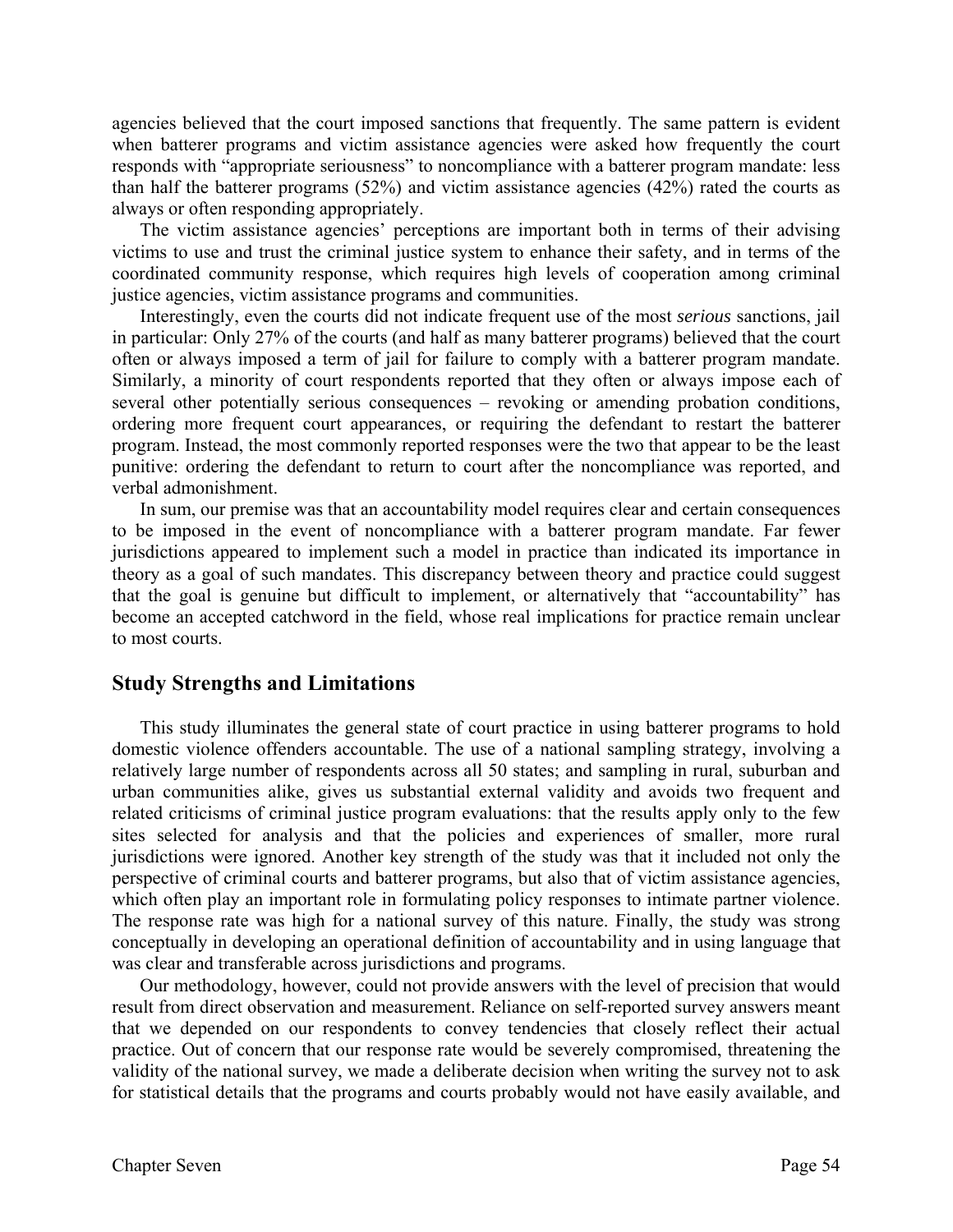agencies believed that the court imposed sanctions that frequently. The same pattern is evident when batterer programs and victim assistance agencies were asked how frequently the court responds with "appropriate seriousness" to noncompliance with a batterer program mandate: less than half the batterer programs (52%) and victim assistance agencies (42%) rated the courts as always or often responding appropriately.

The victim assistance agencies' perceptions are important both in terms of their advising victims to use and trust the criminal justice system to enhance their safety, and in terms of the coordinated community response, which requires high levels of cooperation among criminal justice agencies, victim assistance programs and communities.

Interestingly, even the courts did not indicate frequent use of the most *serious* sanctions, jail in particular: Only 27% of the courts (and half as many batterer programs) believed that the court often or always imposed a term of jail for failure to comply with a batterer program mandate. Similarly, a minority of court respondents reported that they often or always impose each of several other potentially serious consequences – revoking or amending probation conditions, ordering more frequent court appearances, or requiring the defendant to restart the batterer program. Instead, the most commonly reported responses were the two that appear to be the least punitive: ordering the defendant to return to court after the noncompliance was reported, and verbal admonishment.

In sum, our premise was that an accountability model requires clear and certain consequences to be imposed in the event of noncompliance with a batterer program mandate. Far fewer jurisdictions appeared to implement such a model in practice than indicated its importance in theory as a goal of such mandates. This discrepancy between theory and practice could suggest that the goal is genuine but difficult to implement, or alternatively that "accountability" has become an accepted catchword in the field, whose real implications for practice remain unclear to most courts.

# **Study Strengths and Limitations**

 This study illuminates the general state of court practice in using batterer programs to hold domestic violence offenders accountable. The use of a national sampling strategy, involving a relatively large number of respondents across all 50 states; and sampling in rural, suburban and urban communities alike, gives us substantial external validity and avoids two frequent and related criticisms of criminal justice program evaluations: that the results apply only to the few sites selected for analysis and that the policies and experiences of smaller, more rural jurisdictions were ignored. Another key strength of the study was that it included not only the perspective of criminal courts and batterer programs, but also that of victim assistance agencies, which often play an important role in formulating policy responses to intimate partner violence. The response rate was high for a national survey of this nature. Finally, the study was strong conceptually in developing an operational definition of accountability and in using language that was clear and transferable across jurisdictions and programs.

Our methodology, however, could not provide answers with the level of precision that would result from direct observation and measurement. Reliance on self-reported survey answers meant that we depended on our respondents to convey tendencies that closely reflect their actual practice. Out of concern that our response rate would be severely compromised, threatening the validity of the national survey, we made a deliberate decision when writing the survey not to ask for statistical details that the programs and courts probably would not have easily available, and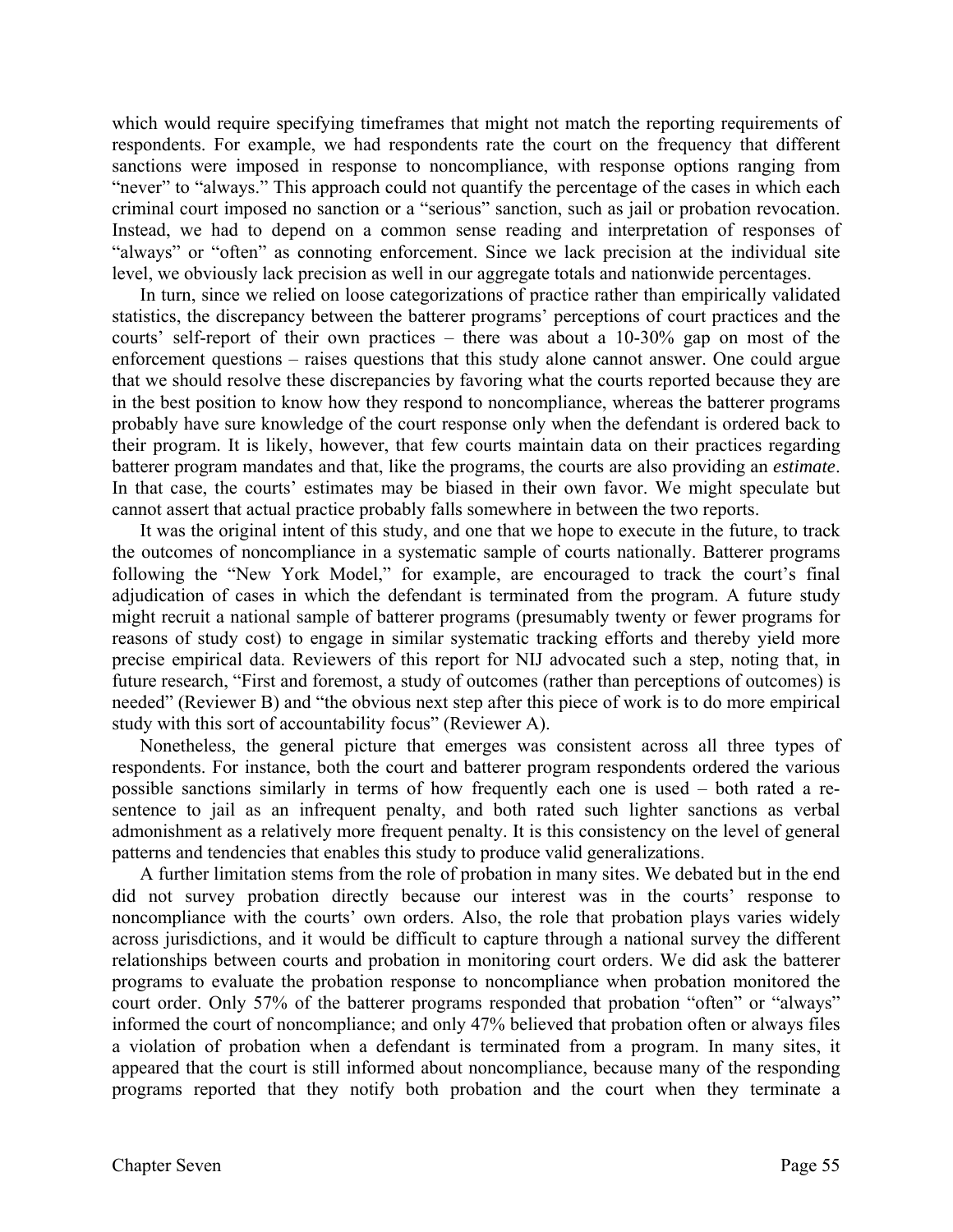which would require specifying timeframes that might not match the reporting requirements of respondents. For example, we had respondents rate the court on the frequency that different sanctions were imposed in response to noncompliance, with response options ranging from "never" to "always." This approach could not quantify the percentage of the cases in which each criminal court imposed no sanction or a "serious" sanction, such as jail or probation revocation. Instead, we had to depend on a common sense reading and interpretation of responses of "always" or "often" as connoting enforcement. Since we lack precision at the individual site level, we obviously lack precision as well in our aggregate totals and nationwide percentages.

In turn, since we relied on loose categorizations of practice rather than empirically validated statistics, the discrepancy between the batterer programs' perceptions of court practices and the courts' self-report of their own practices – there was about a 10-30% gap on most of the enforcement questions – raises questions that this study alone cannot answer. One could argue that we should resolve these discrepancies by favoring what the courts reported because they are in the best position to know how they respond to noncompliance, whereas the batterer programs probably have sure knowledge of the court response only when the defendant is ordered back to their program. It is likely, however, that few courts maintain data on their practices regarding batterer program mandates and that, like the programs, the courts are also providing an *estimate*. In that case, the courts' estimates may be biased in their own favor. We might speculate but cannot assert that actual practice probably falls somewhere in between the two reports.

It was the original intent of this study, and one that we hope to execute in the future, to track the outcomes of noncompliance in a systematic sample of courts nationally. Batterer programs following the "New York Model," for example, are encouraged to track the court's final adjudication of cases in which the defendant is terminated from the program. A future study might recruit a national sample of batterer programs (presumably twenty or fewer programs for reasons of study cost) to engage in similar systematic tracking efforts and thereby yield more precise empirical data. Reviewers of this report for NIJ advocated such a step, noting that, in future research, "First and foremost, a study of outcomes (rather than perceptions of outcomes) is needed" (Reviewer B) and "the obvious next step after this piece of work is to do more empirical study with this sort of accountability focus" (Reviewer A).

Nonetheless, the general picture that emerges was consistent across all three types of respondents. For instance, both the court and batterer program respondents ordered the various possible sanctions similarly in terms of how frequently each one is used – both rated a resentence to jail as an infrequent penalty, and both rated such lighter sanctions as verbal admonishment as a relatively more frequent penalty. It is this consistency on the level of general patterns and tendencies that enables this study to produce valid generalizations.

 A further limitation stems from the role of probation in many sites. We debated but in the end did not survey probation directly because our interest was in the courts' response to noncompliance with the courts' own orders. Also, the role that probation plays varies widely across jurisdictions, and it would be difficult to capture through a national survey the different relationships between courts and probation in monitoring court orders. We did ask the batterer programs to evaluate the probation response to noncompliance when probation monitored the court order. Only 57% of the batterer programs responded that probation "often" or "always" informed the court of noncompliance; and only 47% believed that probation often or always files a violation of probation when a defendant is terminated from a program. In many sites, it appeared that the court is still informed about noncompliance, because many of the responding programs reported that they notify both probation and the court when they terminate a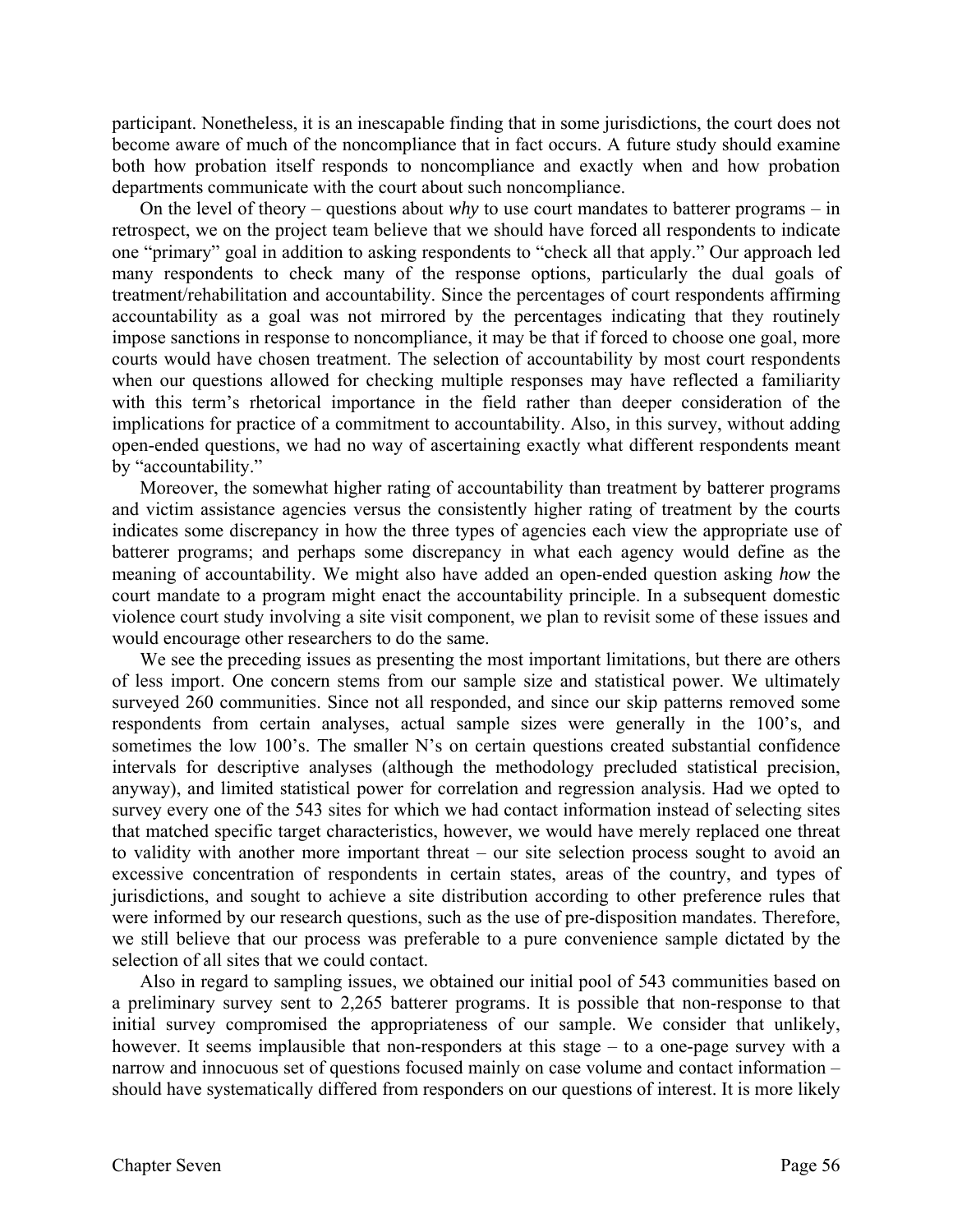participant. Nonetheless, it is an inescapable finding that in some jurisdictions, the court does not become aware of much of the noncompliance that in fact occurs. A future study should examine both how probation itself responds to noncompliance and exactly when and how probation departments communicate with the court about such noncompliance.

 On the level of theory – questions about *why* to use court mandates to batterer programs – in retrospect, we on the project team believe that we should have forced all respondents to indicate one "primary" goal in addition to asking respondents to "check all that apply." Our approach led many respondents to check many of the response options, particularly the dual goals of treatment/rehabilitation and accountability. Since the percentages of court respondents affirming accountability as a goal was not mirrored by the percentages indicating that they routinely impose sanctions in response to noncompliance, it may be that if forced to choose one goal, more courts would have chosen treatment. The selection of accountability by most court respondents when our questions allowed for checking multiple responses may have reflected a familiarity with this term's rhetorical importance in the field rather than deeper consideration of the implications for practice of a commitment to accountability. Also, in this survey, without adding open-ended questions, we had no way of ascertaining exactly what different respondents meant by "accountability."

Moreover, the somewhat higher rating of accountability than treatment by batterer programs and victim assistance agencies versus the consistently higher rating of treatment by the courts indicates some discrepancy in how the three types of agencies each view the appropriate use of batterer programs; and perhaps some discrepancy in what each agency would define as the meaning of accountability. We might also have added an open-ended question asking *how* the court mandate to a program might enact the accountability principle. In a subsequent domestic violence court study involving a site visit component, we plan to revisit some of these issues and would encourage other researchers to do the same.

 We see the preceding issues as presenting the most important limitations, but there are others of less import. One concern stems from our sample size and statistical power. We ultimately surveyed 260 communities. Since not all responded, and since our skip patterns removed some respondents from certain analyses, actual sample sizes were generally in the 100's, and sometimes the low 100's. The smaller N's on certain questions created substantial confidence intervals for descriptive analyses (although the methodology precluded statistical precision, anyway), and limited statistical power for correlation and regression analysis. Had we opted to survey every one of the 543 sites for which we had contact information instead of selecting sites that matched specific target characteristics, however, we would have merely replaced one threat to validity with another more important threat – our site selection process sought to avoid an excessive concentration of respondents in certain states, areas of the country, and types of jurisdictions, and sought to achieve a site distribution according to other preference rules that were informed by our research questions, such as the use of pre-disposition mandates. Therefore, we still believe that our process was preferable to a pure convenience sample dictated by the selection of all sites that we could contact.

 Also in regard to sampling issues, we obtained our initial pool of 543 communities based on a preliminary survey sent to 2,265 batterer programs. It is possible that non-response to that initial survey compromised the appropriateness of our sample. We consider that unlikely, however. It seems implausible that non-responders at this stage – to a one-page survey with a narrow and innocuous set of questions focused mainly on case volume and contact information – should have systematically differed from responders on our questions of interest. It is more likely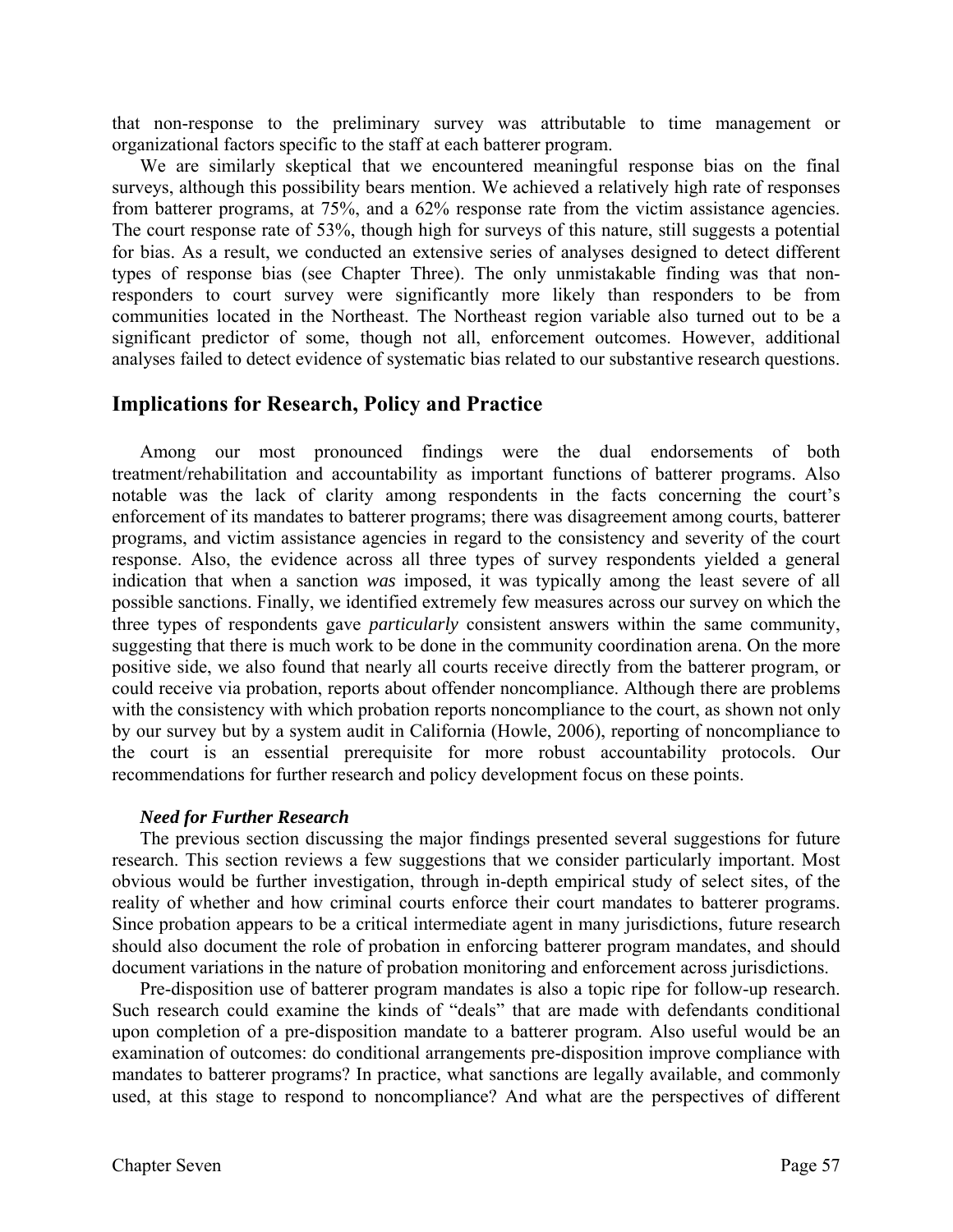that non-response to the preliminary survey was attributable to time management or organizational factors specific to the staff at each batterer program.

 We are similarly skeptical that we encountered meaningful response bias on the final surveys, although this possibility bears mention. We achieved a relatively high rate of responses from batterer programs, at 75%, and a 62% response rate from the victim assistance agencies. The court response rate of 53%, though high for surveys of this nature, still suggests a potential for bias. As a result, we conducted an extensive series of analyses designed to detect different types of response bias (see Chapter Three). The only unmistakable finding was that nonresponders to court survey were significantly more likely than responders to be from communities located in the Northeast. The Northeast region variable also turned out to be a significant predictor of some, though not all, enforcement outcomes. However, additional analyses failed to detect evidence of systematic bias related to our substantive research questions.

# **Implications for Research, Policy and Practice**

Among our most pronounced findings were the dual endorsements of both treatment/rehabilitation and accountability as important functions of batterer programs. Also notable was the lack of clarity among respondents in the facts concerning the court's enforcement of its mandates to batterer programs; there was disagreement among courts, batterer programs, and victim assistance agencies in regard to the consistency and severity of the court response. Also, the evidence across all three types of survey respondents yielded a general indication that when a sanction *was* imposed, it was typically among the least severe of all possible sanctions. Finally, we identified extremely few measures across our survey on which the three types of respondents gave *particularly* consistent answers within the same community, suggesting that there is much work to be done in the community coordination arena. On the more positive side, we also found that nearly all courts receive directly from the batterer program, or could receive via probation, reports about offender noncompliance. Although there are problems with the consistency with which probation reports noncompliance to the court, as shown not only by our survey but by a system audit in California (Howle, 2006), reporting of noncompliance to the court is an essential prerequisite for more robust accountability protocols. Our recommendations for further research and policy development focus on these points.

#### *Need for Further Research*

The previous section discussing the major findings presented several suggestions for future research. This section reviews a few suggestions that we consider particularly important. Most obvious would be further investigation, through in-depth empirical study of select sites, of the reality of whether and how criminal courts enforce their court mandates to batterer programs. Since probation appears to be a critical intermediate agent in many jurisdictions, future research should also document the role of probation in enforcing batterer program mandates, and should document variations in the nature of probation monitoring and enforcement across jurisdictions.

Pre-disposition use of batterer program mandates is also a topic ripe for follow-up research. Such research could examine the kinds of "deals" that are made with defendants conditional upon completion of a pre-disposition mandate to a batterer program. Also useful would be an examination of outcomes: do conditional arrangements pre-disposition improve compliance with mandates to batterer programs? In practice, what sanctions are legally available, and commonly used, at this stage to respond to noncompliance? And what are the perspectives of different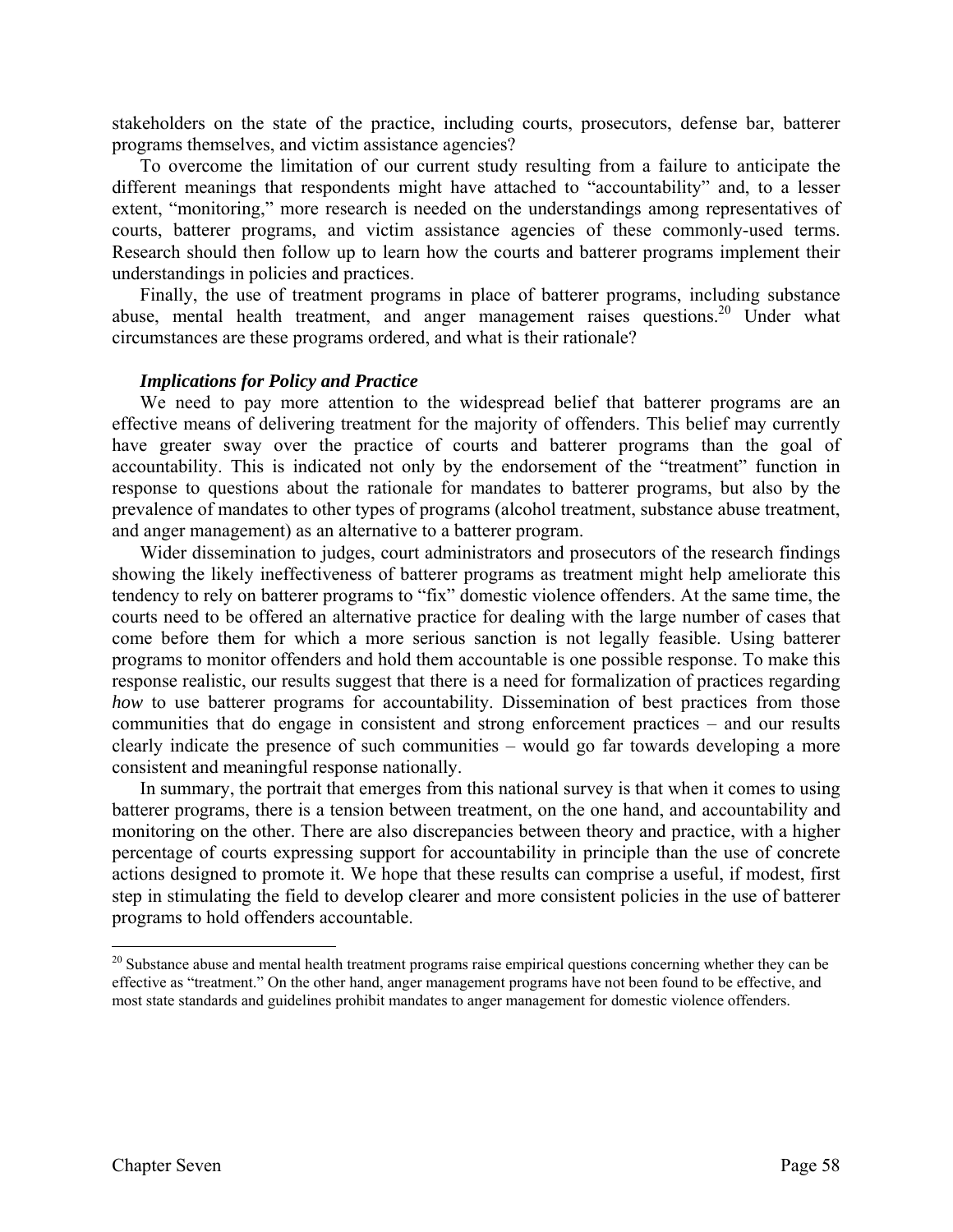stakeholders on the state of the practice, including courts, prosecutors, defense bar, batterer programs themselves, and victim assistance agencies?

To overcome the limitation of our current study resulting from a failure to anticipate the different meanings that respondents might have attached to "accountability" and, to a lesser extent, "monitoring," more research is needed on the understandings among representatives of courts, batterer programs, and victim assistance agencies of these commonly-used terms. Research should then follow up to learn how the courts and batterer programs implement their understandings in policies and practices.

Finally, the use of treatment programs in place of batterer programs, including substance abuse, mental health treatment, and anger management raises questions.<sup>20</sup> Under what circumstances are these programs ordered, and what is their rationale?

#### *Implications for Policy and Practice*

We need to pay more attention to the widespread belief that batterer programs are an effective means of delivering treatment for the majority of offenders. This belief may currently have greater sway over the practice of courts and batterer programs than the goal of accountability. This is indicated not only by the endorsement of the "treatment" function in response to questions about the rationale for mandates to batterer programs, but also by the prevalence of mandates to other types of programs (alcohol treatment, substance abuse treatment, and anger management) as an alternative to a batterer program.

Wider dissemination to judges, court administrators and prosecutors of the research findings showing the likely ineffectiveness of batterer programs as treatment might help ameliorate this tendency to rely on batterer programs to "fix" domestic violence offenders. At the same time, the courts need to be offered an alternative practice for dealing with the large number of cases that come before them for which a more serious sanction is not legally feasible. Using batterer programs to monitor offenders and hold them accountable is one possible response. To make this response realistic, our results suggest that there is a need for formalization of practices regarding *how* to use batterer programs for accountability. Dissemination of best practices from those communities that do engage in consistent and strong enforcement practices – and our results clearly indicate the presence of such communities – would go far towards developing a more consistent and meaningful response nationally.

In summary, the portrait that emerges from this national survey is that when it comes to using batterer programs, there is a tension between treatment, on the one hand, and accountability and monitoring on the other. There are also discrepancies between theory and practice, with a higher percentage of courts expressing support for accountability in principle than the use of concrete actions designed to promote it. We hope that these results can comprise a useful, if modest, first step in stimulating the field to develop clearer and more consistent policies in the use of batterer programs to hold offenders accountable.

<sup>&</sup>lt;sup>20</sup> Substance abuse and mental health treatment programs raise empirical questions concerning whether they can be effective as "treatment." On the other hand, anger management programs have not been found to be effective, and most state standards and guidelines prohibit mandates to anger management for domestic violence offenders.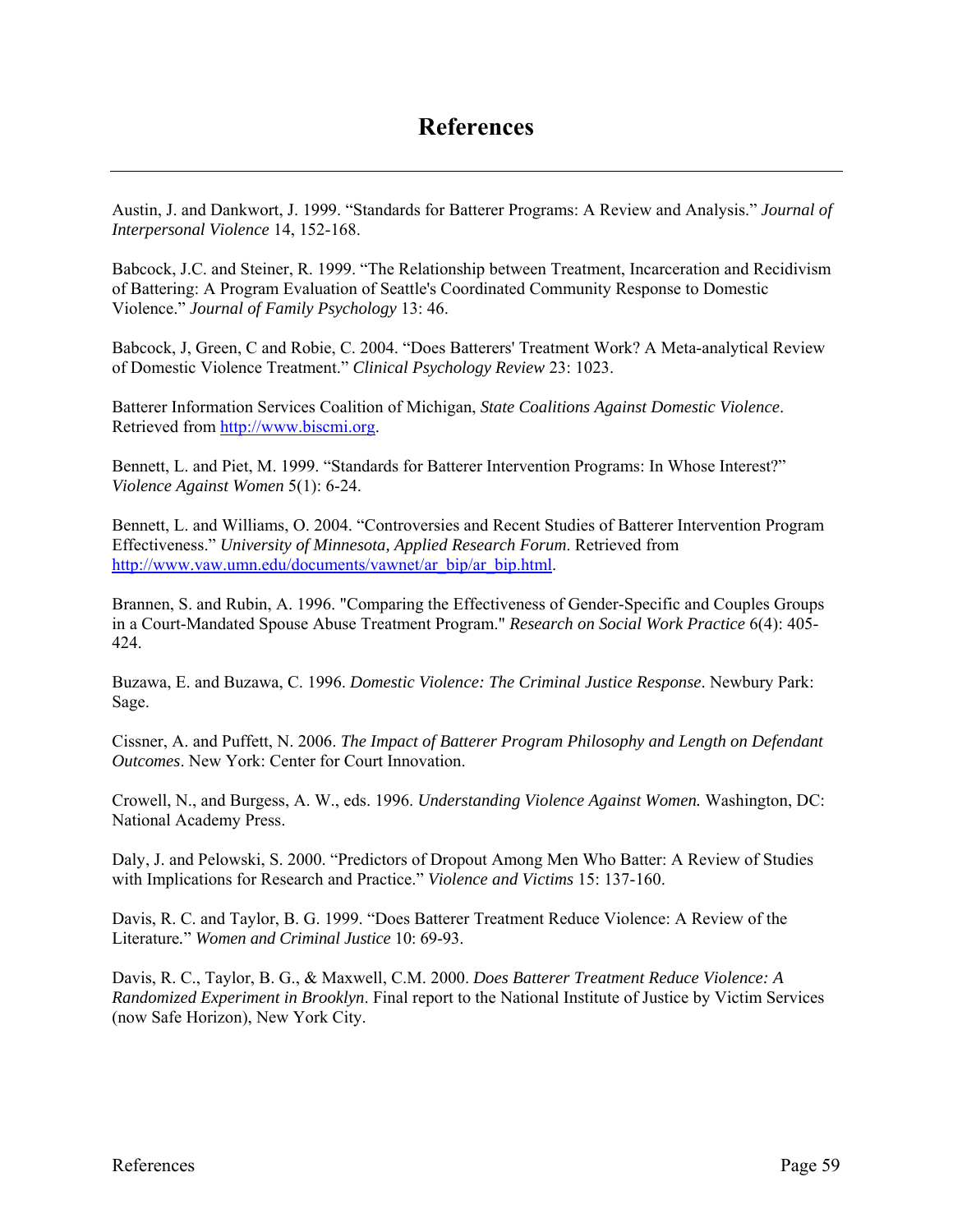Austin, J. and Dankwort, J. 1999. "Standards for Batterer Programs: A Review and Analysis." *Journal of Interpersonal Violence* 14, 152-168.

Babcock, J.C. and Steiner, R. 1999. "The Relationship between Treatment, Incarceration and Recidivism of Battering: A Program Evaluation of Seattle's Coordinated Community Response to Domestic Violence." *Journal of Family Psychology* 13: 46.

Babcock, J, Green, C and Robie, C. 2004. "Does Batterers' Treatment Work? A Meta-analytical Review of Domestic Violence Treatment." *Clinical Psychology Review* 23: 1023.

Batterer Information Services Coalition of Michigan, *State Coalitions Against Domestic Violence*. Retrieved from http://www.biscmi.org.

Bennett, L. and Piet, M. 1999. "Standards for Batterer Intervention Programs: In Whose Interest?" *Violence Against Women* 5(1): 6-24.

Bennett, L. and Williams, O. 2004. "Controversies and Recent Studies of Batterer Intervention Program Effectiveness." *University of Minnesota, Applied Research Forum*. Retrieved from http://www.vaw.umn.edu/documents/vawnet/ar\_bip/ar\_bip.html.

Brannen, S. and Rubin, A. 1996. "Comparing the Effectiveness of Gender-Specific and Couples Groups in a Court-Mandated Spouse Abuse Treatment Program." *Research on Social Work Practice* 6(4): 405- 424.

Buzawa, E. and Buzawa, C. 1996. *Domestic Violence: The Criminal Justice Response*. Newbury Park: Sage.

Cissner, A. and Puffett, N. 2006. *The Impact of Batterer Program Philosophy and Length on Defendant Outcomes*. New York: Center for Court Innovation.

Crowell, N., and Burgess, A. W., eds. 1996. *Understanding Violence Against Women.* Washington, DC: National Academy Press.

Daly, J. and Pelowski, S. 2000. "Predictors of Dropout Among Men Who Batter: A Review of Studies with Implications for Research and Practice." *Violence and Victims* 15: 137-160.

Davis, R. C. and Taylor, B. G. 1999. "Does Batterer Treatment Reduce Violence: A Review of the Literature*.*" *Women and Criminal Justice* 10: 69-93.

Davis, R. C., Taylor, B. G., & Maxwell, C.M. 2000. *Does Batterer Treatment Reduce Violence: A Randomized Experiment in Brooklyn*. Final report to the National Institute of Justice by Victim Services (now Safe Horizon), New York City.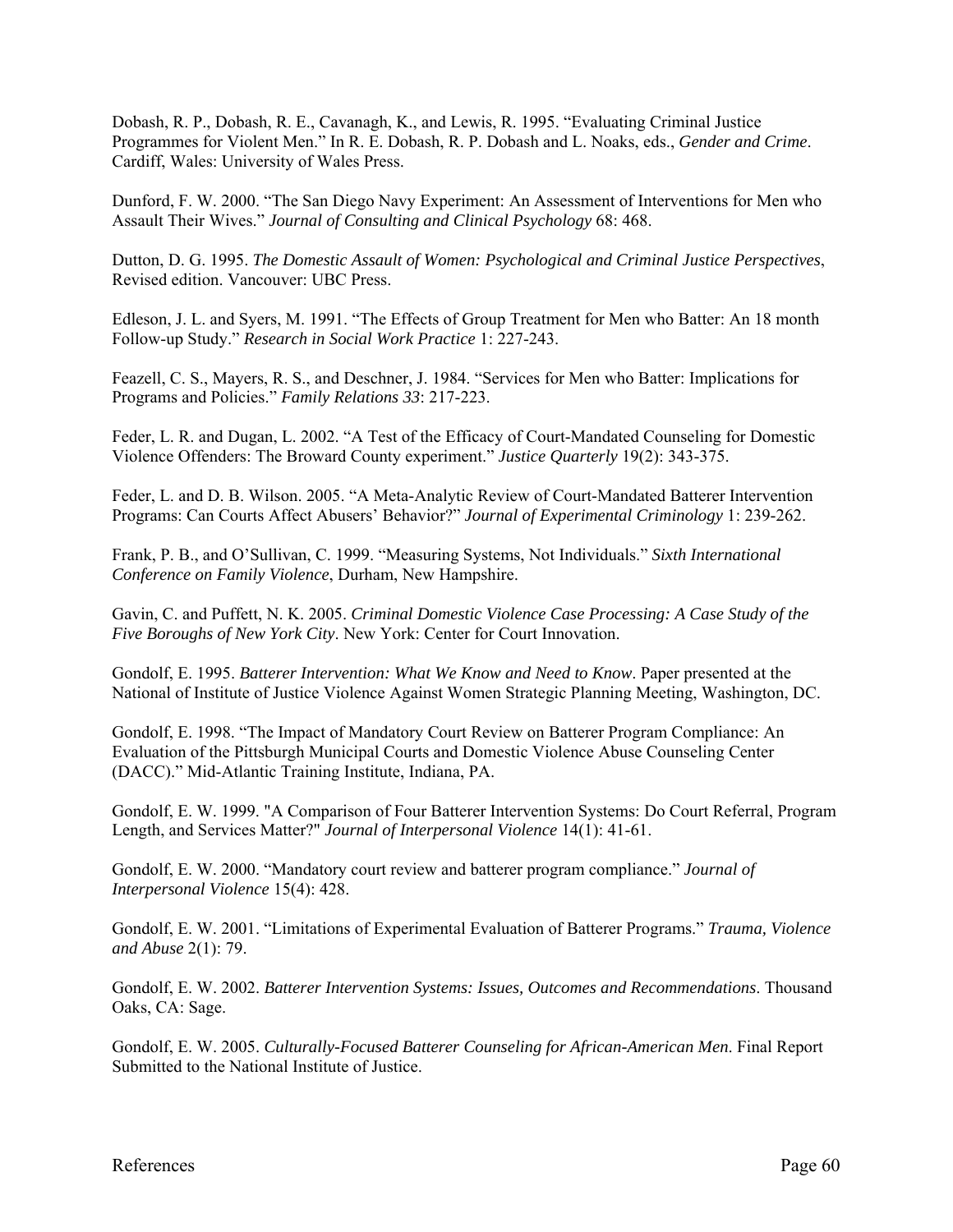Dobash, R. P., Dobash, R. E., Cavanagh, K., and Lewis, R. 1995. "Evaluating Criminal Justice Programmes for Violent Men." In R. E. Dobash, R. P. Dobash and L. Noaks, eds., *Gender and Crime*. Cardiff, Wales: University of Wales Press.

Dunford, F. W. 2000. "The San Diego Navy Experiment: An Assessment of Interventions for Men who Assault Their Wives." *Journal of Consulting and Clinical Psychology* 68: 468.

Dutton, D. G. 1995. *The Domestic Assault of Women: Psychological and Criminal Justice Perspectives*, Revised edition. Vancouver: UBC Press.

Edleson, J. L. and Syers, M. 1991. "The Effects of Group Treatment for Men who Batter: An 18 month Follow-up Study." *Research in Social Work Practice* 1: 227-243.

Feazell, C. S., Mayers, R. S., and Deschner, J. 1984. "Services for Men who Batter: Implications for Programs and Policies." *Family Relations 33*: 217-223.

Feder, L. R. and Dugan, L. 2002. "A Test of the Efficacy of Court-Mandated Counseling for Domestic Violence Offenders: The Broward County experiment." *Justice Quarterly* 19(2): 343-375.

Feder, L. and D. B. Wilson. 2005. "A Meta-Analytic Review of Court-Mandated Batterer Intervention Programs: Can Courts Affect Abusers' Behavior?" *Journal of Experimental Criminology* 1: 239-262.

Frank, P. B., and O'Sullivan, C. 1999. "Measuring Systems, Not Individuals." *Sixth International Conference on Family Violence*, Durham, New Hampshire.

Gavin, C. and Puffett, N. K. 2005. *Criminal Domestic Violence Case Processing: A Case Study of the Five Boroughs of New York City*. New York: Center for Court Innovation.

Gondolf, E. 1995. *Batterer Intervention: What We Know and Need to Know*. Paper presented at the National of Institute of Justice Violence Against Women Strategic Planning Meeting, Washington, DC.

Gondolf, E. 1998. "The Impact of Mandatory Court Review on Batterer Program Compliance: An Evaluation of the Pittsburgh Municipal Courts and Domestic Violence Abuse Counseling Center (DACC)." Mid-Atlantic Training Institute, Indiana, PA.

Gondolf, E. W. 1999. "A Comparison of Four Batterer Intervention Systems: Do Court Referral, Program Length, and Services Matter?" *Journal of Interpersonal Violence* 14(1): 41-61.

Gondolf, E. W. 2000. "Mandatory court review and batterer program compliance." *Journal of Interpersonal Violence* 15(4): 428.

Gondolf, E. W. 2001. "Limitations of Experimental Evaluation of Batterer Programs." *Trauma, Violence and Abuse* 2(1): 79.

Gondolf, E. W. 2002. *Batterer Intervention Systems: Issues, Outcomes and Recommendations*. Thousand Oaks, CA: Sage.

Gondolf, E. W. 2005. *Culturally-Focused Batterer Counseling for African-American Men*. Final Report Submitted to the National Institute of Justice.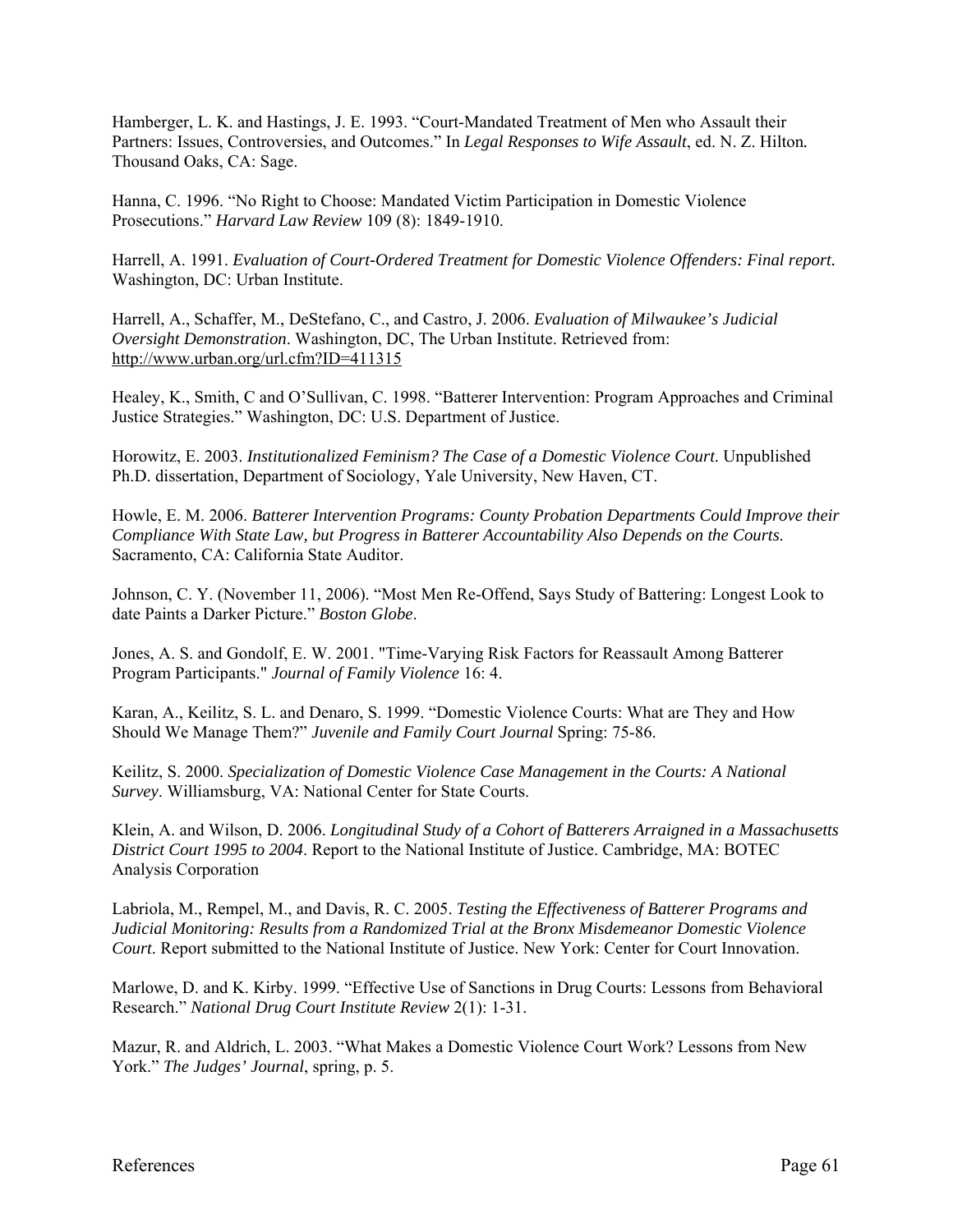Hamberger, L. K. and Hastings, J. E. 1993. "Court-Mandated Treatment of Men who Assault their Partners: Issues, Controversies, and Outcomes." In *Legal Responses to Wife Assault*, ed. N. Z. Hilton*.* Thousand Oaks, CA: Sage.

Hanna, C. 1996. "No Right to Choose: Mandated Victim Participation in Domestic Violence Prosecutions." *Harvard Law Review* 109 (8): 1849-1910.

Harrell, A. 1991. *Evaluation of Court-Ordered Treatment for Domestic Violence Offenders: Final report.*  Washington, DC: Urban Institute.

Harrell, A., Schaffer, M., DeStefano, C., and Castro, J. 2006. *Evaluation of Milwaukee's Judicial Oversight Demonstration*. Washington, DC, The Urban Institute. Retrieved from: http://www.urban.org/url.cfm?ID=411315

Healey, K., Smith, C and O'Sullivan, C. 1998. "Batterer Intervention: Program Approaches and Criminal Justice Strategies." Washington, DC: U.S. Department of Justice.

Horowitz, E. 2003. *Institutionalized Feminism? The Case of a Domestic Violence Court*. Unpublished Ph.D. dissertation, Department of Sociology, Yale University, New Haven, CT.

Howle, E. M. 2006. *Batterer Intervention Programs: County Probation Departments Could Improve their Compliance With State Law, but Progress in Batterer Accountability Also Depends on the Courts*. Sacramento, CA: California State Auditor.

Johnson, C. Y. (November 11, 2006). "Most Men Re-Offend, Says Study of Battering: Longest Look to date Paints a Darker Picture." *Boston Globe*.

Jones, A. S. and Gondolf, E. W. 2001. "Time-Varying Risk Factors for Reassault Among Batterer Program Participants." *Journal of Family Violence* 16: 4.

Karan, A., Keilitz, S. L. and Denaro, S. 1999. "Domestic Violence Courts: What are They and How Should We Manage Them?" *Juvenile and Family Court Journal* Spring: 75-86.

Keilitz, S. 2000. *Specialization of Domestic Violence Case Management in the Courts: A National Survey*. Williamsburg, VA: National Center for State Courts.

Klein, A. and Wilson, D. 2006. *Longitudinal Study of a Cohort of Batterers Arraigned in a Massachusetts District Court 1995 to 2004*. Report to the National Institute of Justice. Cambridge, MA: BOTEC Analysis Corporation

Labriola, M., Rempel, M., and Davis, R. C. 2005. *Testing the Effectiveness of Batterer Programs and Judicial Monitoring: Results from a Randomized Trial at the Bronx Misdemeanor Domestic Violence Court*. Report submitted to the National Institute of Justice. New York: Center for Court Innovation.

Marlowe, D. and K. Kirby. 1999. "Effective Use of Sanctions in Drug Courts: Lessons from Behavioral Research." *National Drug Court Institute Review* 2(1): 1-31.

Mazur, R. and Aldrich, L. 2003. "What Makes a Domestic Violence Court Work? Lessons from New York." *The Judges' Journal*, spring, p. 5.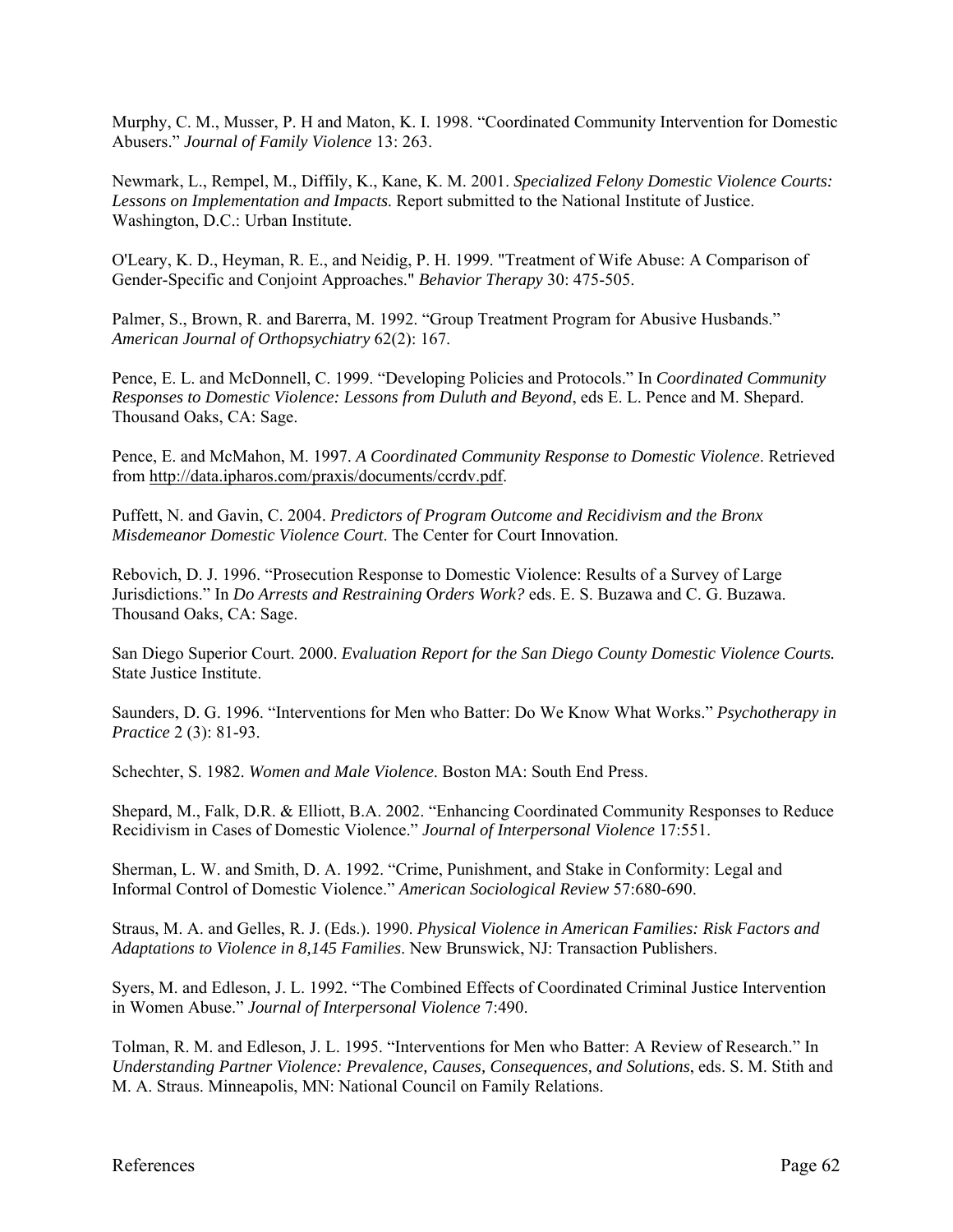Murphy, C. M., Musser, P. H and Maton, K. I. 1998. "Coordinated Community Intervention for Domestic Abusers." *Journal of Family Violence* 13: 263.

Newmark, L., Rempel, M., Diffily, K., Kane, K. M. 2001. *Specialized Felony Domestic Violence Courts: Lessons on Implementation and Impacts*. Report submitted to the National Institute of Justice. Washington, D.C.: Urban Institute.

O'Leary, K. D., Heyman, R. E., and Neidig, P. H. 1999. "Treatment of Wife Abuse: A Comparison of Gender-Specific and Conjoint Approaches." *Behavior Therapy* 30: 475-505.

Palmer, S., Brown, R. and Barerra, M. 1992. "Group Treatment Program for Abusive Husbands." *American Journal of Orthopsychiatry* 62(2): 167.

Pence, E. L. and McDonnell, C. 1999. "Developing Policies and Protocols." In *Coordinated Community Responses to Domestic Violence: Lessons from Duluth and Beyond*, eds E. L. Pence and M. Shepard. Thousand Oaks, CA: Sage.

Pence, E. and McMahon, M. 1997. *A Coordinated Community Response to Domestic Violence*. Retrieved from http://data.ipharos.com/praxis/documents/ccrdv.pdf.

Puffett, N. and Gavin, C. 2004. *Predictors of Program Outcome and Recidivism and the Bronx Misdemeanor Domestic Violence Court*. The Center for Court Innovation.

Rebovich, D. J. 1996. "Prosecution Response to Domestic Violence: Results of a Survey of Large Jurisdictions." In *Do Arrests and Restraining* O*rders Work?* eds. E. S. Buzawa and C. G. Buzawa. Thousand Oaks, CA: Sage.

San Diego Superior Court. 2000. *Evaluation Report for the San Diego County Domestic Violence Courts.* State Justice Institute.

Saunders, D. G. 1996. "Interventions for Men who Batter: Do We Know What Works." *Psychotherapy in Practice* 2 (3): 81-93.

Schechter, S. 1982. *Women and Male Violence*. Boston MA: South End Press.

Shepard, M., Falk, D.R. & Elliott, B.A. 2002. "Enhancing Coordinated Community Responses to Reduce Recidivism in Cases of Domestic Violence." *Journal of Interpersonal Violence* 17:551.

Sherman, L. W. and Smith, D. A. 1992. "Crime, Punishment, and Stake in Conformity: Legal and Informal Control of Domestic Violence." *American Sociological Review* 57:680-690.

Straus, M. A. and Gelles, R. J. (Eds.). 1990. *Physical Violence in American Families: Risk Factors and Adaptations to Violence in 8,145 Families*. New Brunswick, NJ: Transaction Publishers.

Syers, M. and Edleson, J. L. 1992. "The Combined Effects of Coordinated Criminal Justice Intervention in Women Abuse." *Journal of Interpersonal Violence* 7:490.

Tolman, R. M. and Edleson, J. L. 1995. "Interventions for Men who Batter: A Review of Research." In *Understanding Partner Violence: Prevalence, Causes, Consequences, and Solutions*, eds. S. M. Stith and M. A. Straus. Minneapolis, MN: National Council on Family Relations.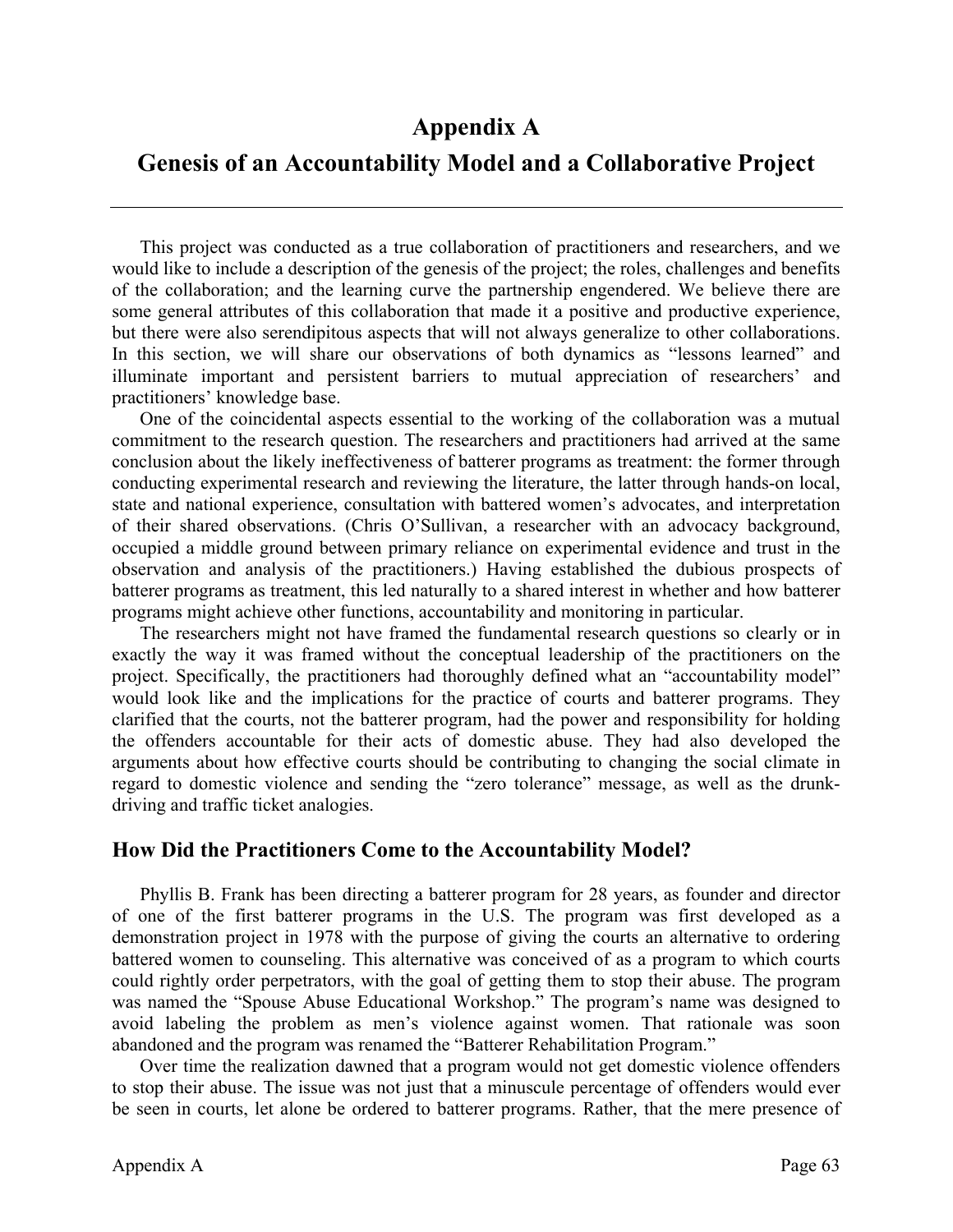### **Appendix A**

### **Genesis of an Accountability Model and a Collaborative Project**

 This project was conducted as a true collaboration of practitioners and researchers, and we would like to include a description of the genesis of the project; the roles, challenges and benefits of the collaboration; and the learning curve the partnership engendered. We believe there are some general attributes of this collaboration that made it a positive and productive experience, but there were also serendipitous aspects that will not always generalize to other collaborations. In this section, we will share our observations of both dynamics as "lessons learned" and illuminate important and persistent barriers to mutual appreciation of researchers' and practitioners' knowledge base.

One of the coincidental aspects essential to the working of the collaboration was a mutual commitment to the research question. The researchers and practitioners had arrived at the same conclusion about the likely ineffectiveness of batterer programs as treatment: the former through conducting experimental research and reviewing the literature, the latter through hands-on local, state and national experience, consultation with battered women's advocates, and interpretation of their shared observations. (Chris O'Sullivan, a researcher with an advocacy background, occupied a middle ground between primary reliance on experimental evidence and trust in the observation and analysis of the practitioners.) Having established the dubious prospects of batterer programs as treatment, this led naturally to a shared interest in whether and how batterer programs might achieve other functions, accountability and monitoring in particular.

The researchers might not have framed the fundamental research questions so clearly or in exactly the way it was framed without the conceptual leadership of the practitioners on the project. Specifically, the practitioners had thoroughly defined what an "accountability model" would look like and the implications for the practice of courts and batterer programs. They clarified that the courts, not the batterer program, had the power and responsibility for holding the offenders accountable for their acts of domestic abuse. They had also developed the arguments about how effective courts should be contributing to changing the social climate in regard to domestic violence and sending the "zero tolerance" message, as well as the drunkdriving and traffic ticket analogies.

#### **How Did the Practitioners Come to the Accountability Model?**

Phyllis B. Frank has been directing a batterer program for 28 years, as founder and director of one of the first batterer programs in the U.S. The program was first developed as a demonstration project in 1978 with the purpose of giving the courts an alternative to ordering battered women to counseling. This alternative was conceived of as a program to which courts could rightly order perpetrators, with the goal of getting them to stop their abuse. The program was named the "Spouse Abuse Educational Workshop." The program's name was designed to avoid labeling the problem as men's violence against women. That rationale was soon abandoned and the program was renamed the "Batterer Rehabilitation Program."

Over time the realization dawned that a program would not get domestic violence offenders to stop their abuse. The issue was not just that a minuscule percentage of offenders would ever be seen in courts, let alone be ordered to batterer programs. Rather, that the mere presence of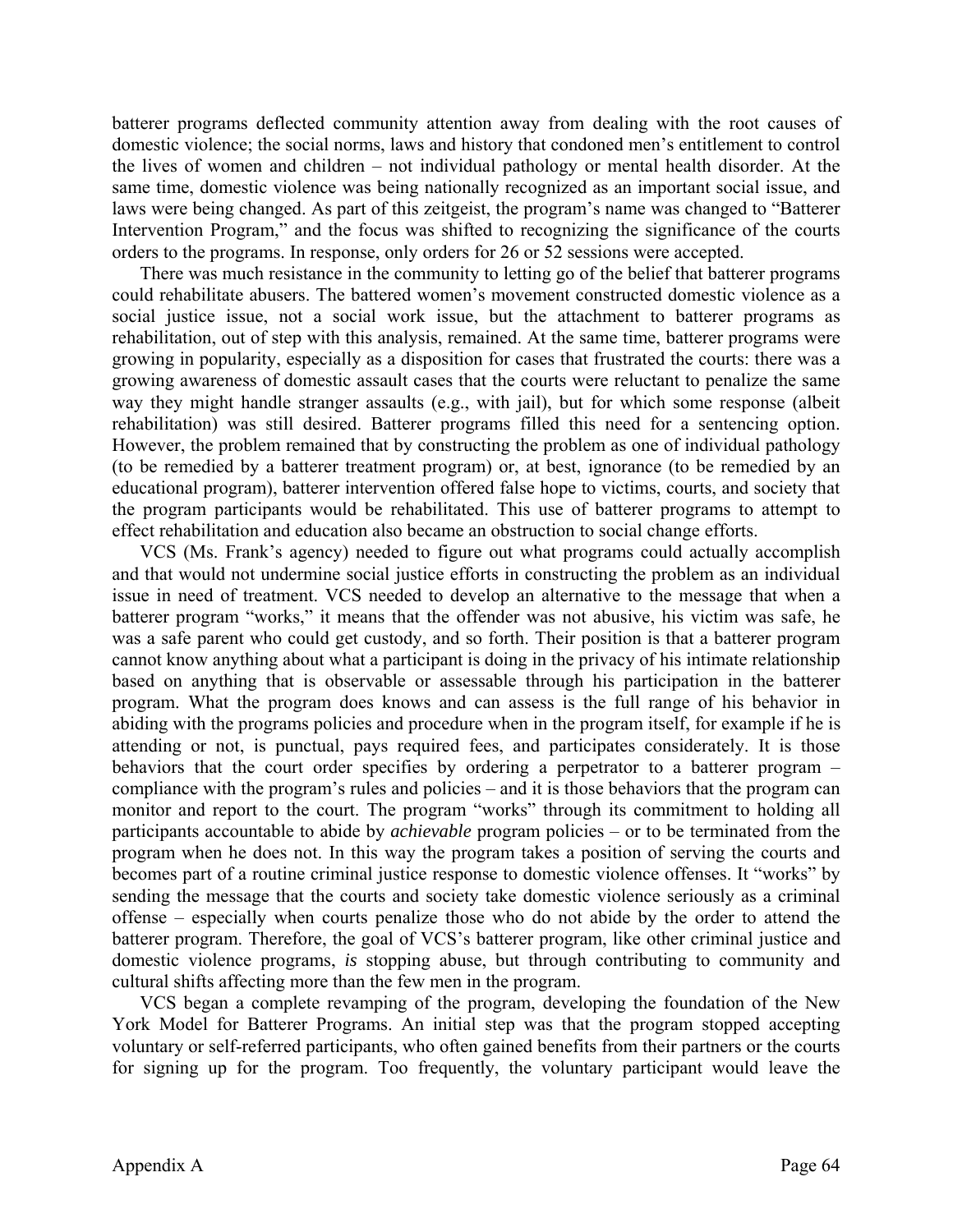batterer programs deflected community attention away from dealing with the root causes of domestic violence; the social norms, laws and history that condoned men's entitlement to control the lives of women and children – not individual pathology or mental health disorder. At the same time, domestic violence was being nationally recognized as an important social issue, and laws were being changed. As part of this zeitgeist, the program's name was changed to "Batterer Intervention Program," and the focus was shifted to recognizing the significance of the courts orders to the programs. In response, only orders for 26 or 52 sessions were accepted.

There was much resistance in the community to letting go of the belief that batterer programs could rehabilitate abusers. The battered women's movement constructed domestic violence as a social justice issue, not a social work issue, but the attachment to batterer programs as rehabilitation, out of step with this analysis, remained. At the same time, batterer programs were growing in popularity, especially as a disposition for cases that frustrated the courts: there was a growing awareness of domestic assault cases that the courts were reluctant to penalize the same way they might handle stranger assaults (e.g., with jail), but for which some response (albeit rehabilitation) was still desired. Batterer programs filled this need for a sentencing option. However, the problem remained that by constructing the problem as one of individual pathology (to be remedied by a batterer treatment program) or, at best, ignorance (to be remedied by an educational program), batterer intervention offered false hope to victims, courts, and society that the program participants would be rehabilitated. This use of batterer programs to attempt to effect rehabilitation and education also became an obstruction to social change efforts.

VCS (Ms. Frank's agency) needed to figure out what programs could actually accomplish and that would not undermine social justice efforts in constructing the problem as an individual issue in need of treatment. VCS needed to develop an alternative to the message that when a batterer program "works," it means that the offender was not abusive, his victim was safe, he was a safe parent who could get custody, and so forth. Their position is that a batterer program cannot know anything about what a participant is doing in the privacy of his intimate relationship based on anything that is observable or assessable through his participation in the batterer program. What the program does knows and can assess is the full range of his behavior in abiding with the programs policies and procedure when in the program itself, for example if he is attending or not, is punctual, pays required fees, and participates considerately. It is those behaviors that the court order specifies by ordering a perpetrator to a batterer program – compliance with the program's rules and policies – and it is those behaviors that the program can monitor and report to the court. The program "works" through its commitment to holding all participants accountable to abide by *achievable* program policies – or to be terminated from the program when he does not. In this way the program takes a position of serving the courts and becomes part of a routine criminal justice response to domestic violence offenses. It "works" by sending the message that the courts and society take domestic violence seriously as a criminal offense – especially when courts penalize those who do not abide by the order to attend the batterer program. Therefore, the goal of VCS's batterer program, like other criminal justice and domestic violence programs, *is* stopping abuse, but through contributing to community and cultural shifts affecting more than the few men in the program.

VCS began a complete revamping of the program, developing the foundation of the New York Model for Batterer Programs. An initial step was that the program stopped accepting voluntary or self-referred participants, who often gained benefits from their partners or the courts for signing up for the program. Too frequently, the voluntary participant would leave the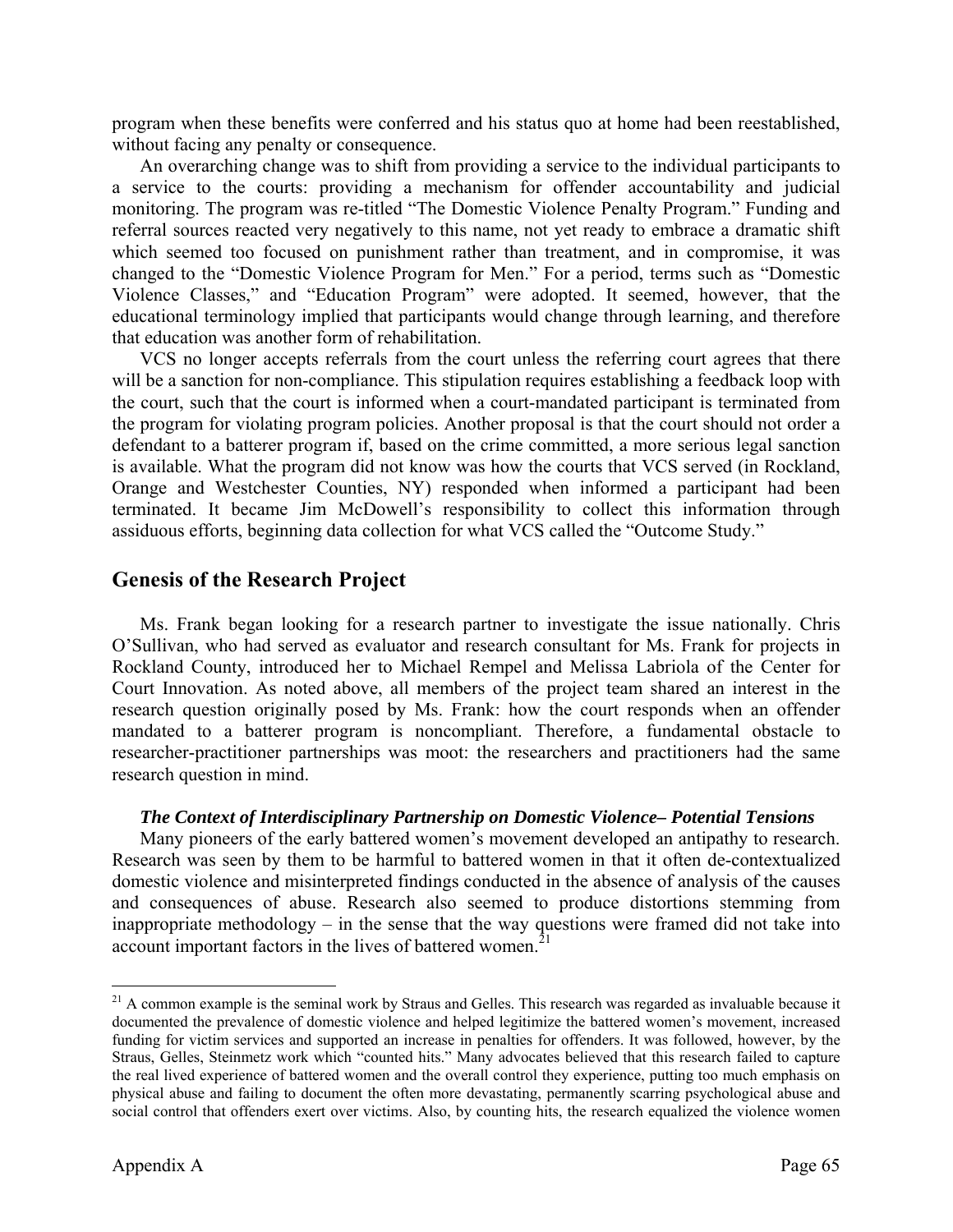program when these benefits were conferred and his status quo at home had been reestablished, without facing any penalty or consequence.

An overarching change was to shift from providing a service to the individual participants to a service to the courts: providing a mechanism for offender accountability and judicial monitoring. The program was re-titled "The Domestic Violence Penalty Program." Funding and referral sources reacted very negatively to this name, not yet ready to embrace a dramatic shift which seemed too focused on punishment rather than treatment, and in compromise, it was changed to the "Domestic Violence Program for Men." For a period, terms such as "Domestic Violence Classes," and "Education Program" were adopted. It seemed, however, that the educational terminology implied that participants would change through learning, and therefore that education was another form of rehabilitation.

VCS no longer accepts referrals from the court unless the referring court agrees that there will be a sanction for non-compliance. This stipulation requires establishing a feedback loop with the court, such that the court is informed when a court-mandated participant is terminated from the program for violating program policies. Another proposal is that the court should not order a defendant to a batterer program if, based on the crime committed, a more serious legal sanction is available. What the program did not know was how the courts that VCS served (in Rockland, Orange and Westchester Counties, NY) responded when informed a participant had been terminated. It became Jim McDowell's responsibility to collect this information through assiduous efforts, beginning data collection for what VCS called the "Outcome Study."

#### **Genesis of the Research Project**

Ms. Frank began looking for a research partner to investigate the issue nationally. Chris O'Sullivan, who had served as evaluator and research consultant for Ms. Frank for projects in Rockland County, introduced her to Michael Rempel and Melissa Labriola of the Center for Court Innovation. As noted above, all members of the project team shared an interest in the research question originally posed by Ms. Frank: how the court responds when an offender mandated to a batterer program is noncompliant. Therefore, a fundamental obstacle to researcher-practitioner partnerships was moot: the researchers and practitioners had the same research question in mind.

#### *The Context of Interdisciplinary Partnership on Domestic Violence– Potential Tensions*

Many pioneers of the early battered women's movement developed an antipathy to research. Research was seen by them to be harmful to battered women in that it often de-contextualized domestic violence and misinterpreted findings conducted in the absence of analysis of the causes and consequences of abuse. Research also seemed to produce distortions stemming from inappropriate methodology – in the sense that the way questions were framed did not take into account important factors in the lives of battered women.<sup>21</sup>

 $\overline{a}$ 

 $21$  A common example is the seminal work by Straus and Gelles. This research was regarded as invaluable because it documented the prevalence of domestic violence and helped legitimize the battered women's movement, increased funding for victim services and supported an increase in penalties for offenders. It was followed, however, by the Straus, Gelles, Steinmetz work which "counted hits." Many advocates believed that this research failed to capture the real lived experience of battered women and the overall control they experience, putting too much emphasis on physical abuse and failing to document the often more devastating, permanently scarring psychological abuse and social control that offenders exert over victims. Also, by counting hits, the research equalized the violence women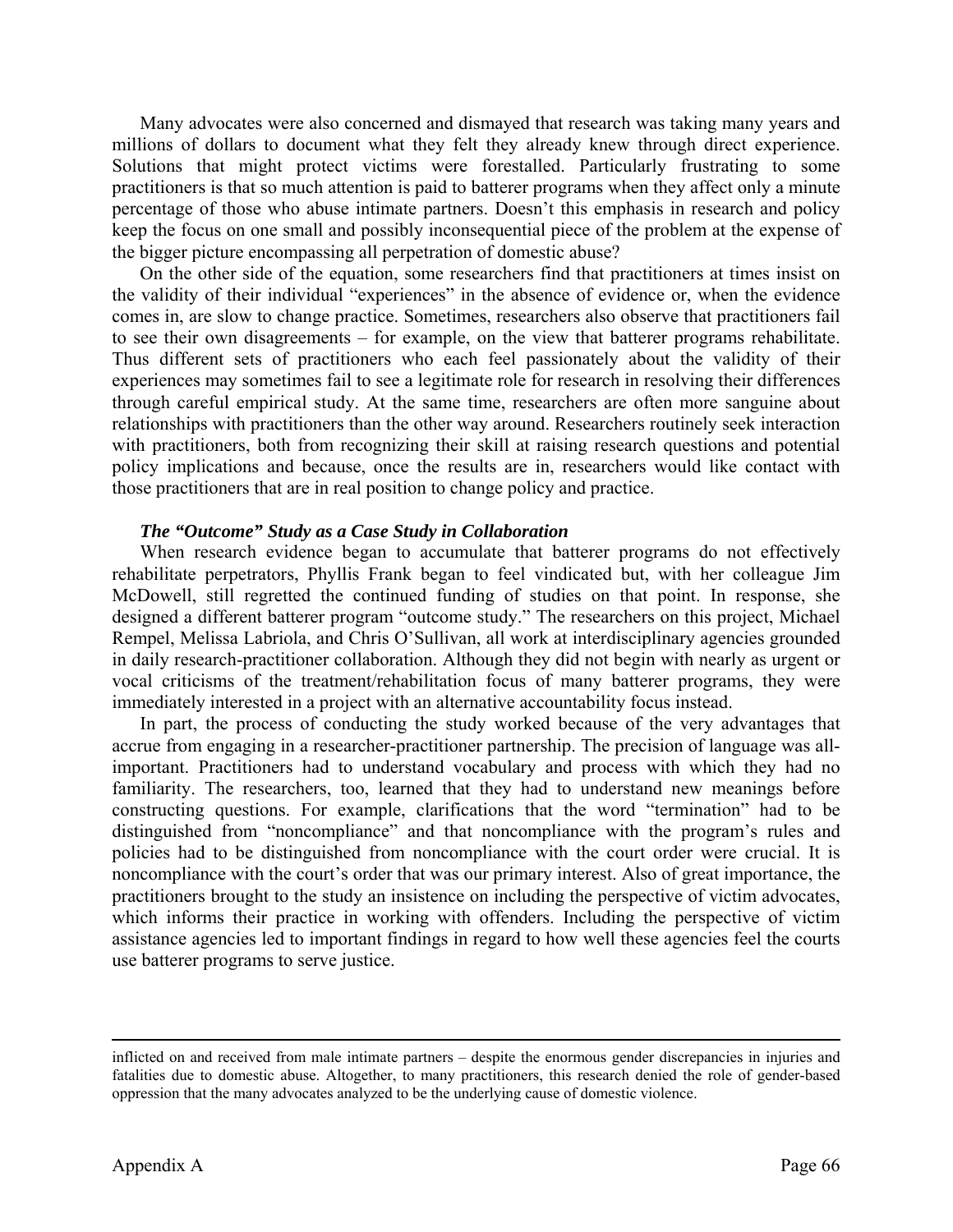Many advocates were also concerned and dismayed that research was taking many years and millions of dollars to document what they felt they already knew through direct experience. Solutions that might protect victims were forestalled. Particularly frustrating to some practitioners is that so much attention is paid to batterer programs when they affect only a minute percentage of those who abuse intimate partners. Doesn't this emphasis in research and policy keep the focus on one small and possibly inconsequential piece of the problem at the expense of the bigger picture encompassing all perpetration of domestic abuse?

On the other side of the equation, some researchers find that practitioners at times insist on the validity of their individual "experiences" in the absence of evidence or, when the evidence comes in, are slow to change practice. Sometimes, researchers also observe that practitioners fail to see their own disagreements – for example, on the view that batterer programs rehabilitate. Thus different sets of practitioners who each feel passionately about the validity of their experiences may sometimes fail to see a legitimate role for research in resolving their differences through careful empirical study. At the same time, researchers are often more sanguine about relationships with practitioners than the other way around. Researchers routinely seek interaction with practitioners, both from recognizing their skill at raising research questions and potential policy implications and because, once the results are in, researchers would like contact with those practitioners that are in real position to change policy and practice.

#### *The "Outcome" Study as a Case Study in Collaboration*

When research evidence began to accumulate that batterer programs do not effectively rehabilitate perpetrators, Phyllis Frank began to feel vindicated but, with her colleague Jim McDowell, still regretted the continued funding of studies on that point. In response, she designed a different batterer program "outcome study." The researchers on this project, Michael Rempel, Melissa Labriola, and Chris O'Sullivan, all work at interdisciplinary agencies grounded in daily research-practitioner collaboration. Although they did not begin with nearly as urgent or vocal criticisms of the treatment/rehabilitation focus of many batterer programs, they were immediately interested in a project with an alternative accountability focus instead.

In part, the process of conducting the study worked because of the very advantages that accrue from engaging in a researcher-practitioner partnership. The precision of language was allimportant. Practitioners had to understand vocabulary and process with which they had no familiarity. The researchers, too, learned that they had to understand new meanings before constructing questions. For example, clarifications that the word "termination" had to be distinguished from "noncompliance" and that noncompliance with the program's rules and policies had to be distinguished from noncompliance with the court order were crucial. It is noncompliance with the court's order that was our primary interest. Also of great importance, the practitioners brought to the study an insistence on including the perspective of victim advocates, which informs their practice in working with offenders. Including the perspective of victim assistance agencies led to important findings in regard to how well these agencies feel the courts use batterer programs to serve justice.

 $\overline{a}$ 

inflicted on and received from male intimate partners – despite the enormous gender discrepancies in injuries and fatalities due to domestic abuse. Altogether, to many practitioners, this research denied the role of gender-based oppression that the many advocates analyzed to be the underlying cause of domestic violence.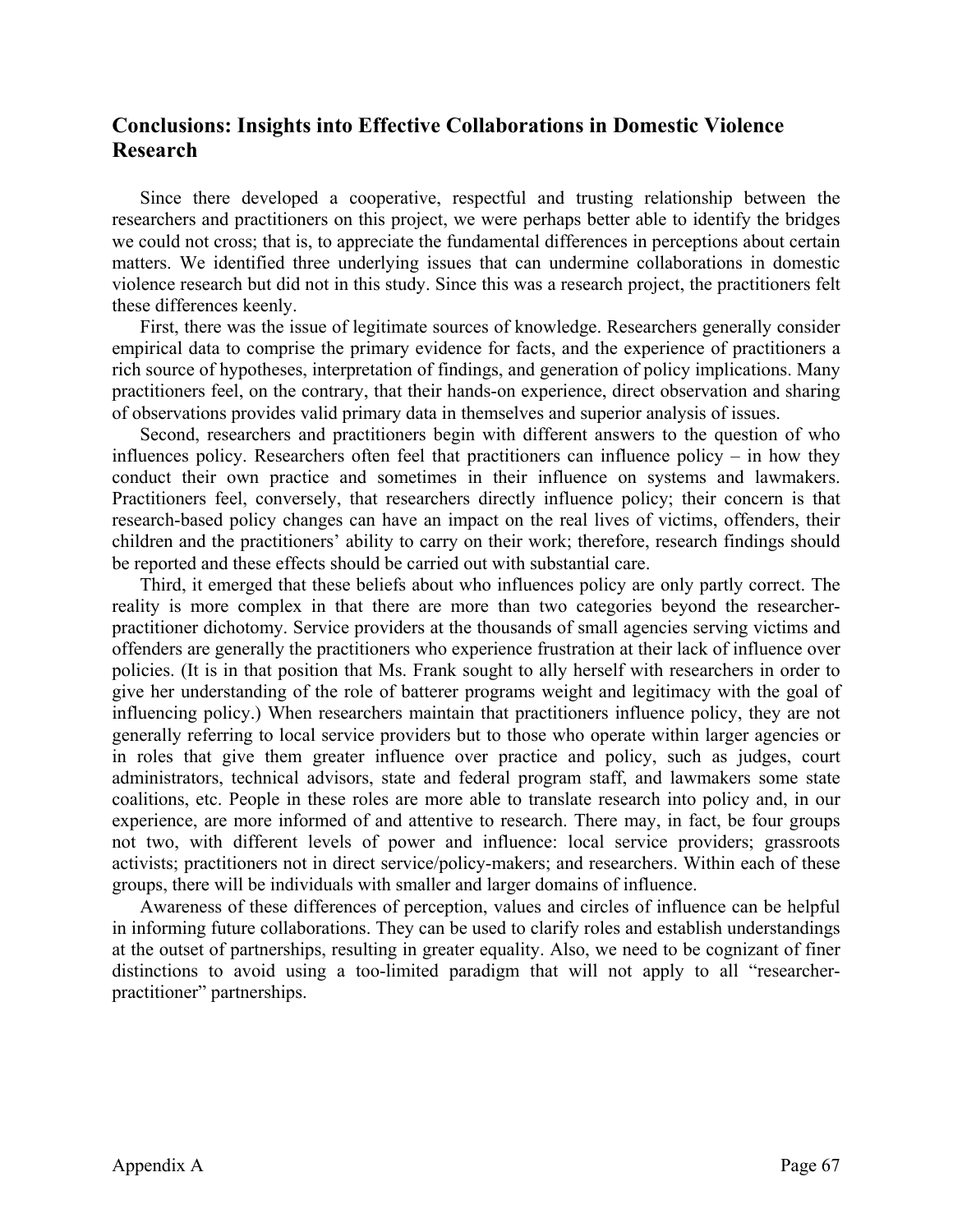#### **Conclusions: Insights into Effective Collaborations in Domestic Violence Research**

 Since there developed a cooperative, respectful and trusting relationship between the researchers and practitioners on this project, we were perhaps better able to identify the bridges we could not cross; that is, to appreciate the fundamental differences in perceptions about certain matters. We identified three underlying issues that can undermine collaborations in domestic violence research but did not in this study. Since this was a research project, the practitioners felt these differences keenly.

 First, there was the issue of legitimate sources of knowledge. Researchers generally consider empirical data to comprise the primary evidence for facts, and the experience of practitioners a rich source of hypotheses, interpretation of findings, and generation of policy implications. Many practitioners feel, on the contrary, that their hands-on experience, direct observation and sharing of observations provides valid primary data in themselves and superior analysis of issues.

 Second, researchers and practitioners begin with different answers to the question of who influences policy. Researchers often feel that practitioners can influence policy – in how they conduct their own practice and sometimes in their influence on systems and lawmakers. Practitioners feel, conversely, that researchers directly influence policy; their concern is that research-based policy changes can have an impact on the real lives of victims, offenders, their children and the practitioners' ability to carry on their work; therefore, research findings should be reported and these effects should be carried out with substantial care.

 Third, it emerged that these beliefs about who influences policy are only partly correct. The reality is more complex in that there are more than two categories beyond the researcherpractitioner dichotomy. Service providers at the thousands of small agencies serving victims and offenders are generally the practitioners who experience frustration at their lack of influence over policies. (It is in that position that Ms. Frank sought to ally herself with researchers in order to give her understanding of the role of batterer programs weight and legitimacy with the goal of influencing policy.) When researchers maintain that practitioners influence policy, they are not generally referring to local service providers but to those who operate within larger agencies or in roles that give them greater influence over practice and policy, such as judges, court administrators, technical advisors, state and federal program staff, and lawmakers some state coalitions, etc. People in these roles are more able to translate research into policy and, in our experience, are more informed of and attentive to research. There may, in fact, be four groups not two, with different levels of power and influence: local service providers; grassroots activists; practitioners not in direct service/policy-makers; and researchers. Within each of these groups, there will be individuals with smaller and larger domains of influence.

 Awareness of these differences of perception, values and circles of influence can be helpful in informing future collaborations. They can be used to clarify roles and establish understandings at the outset of partnerships, resulting in greater equality. Also, we need to be cognizant of finer distinctions to avoid using a too-limited paradigm that will not apply to all "researcherpractitioner" partnerships.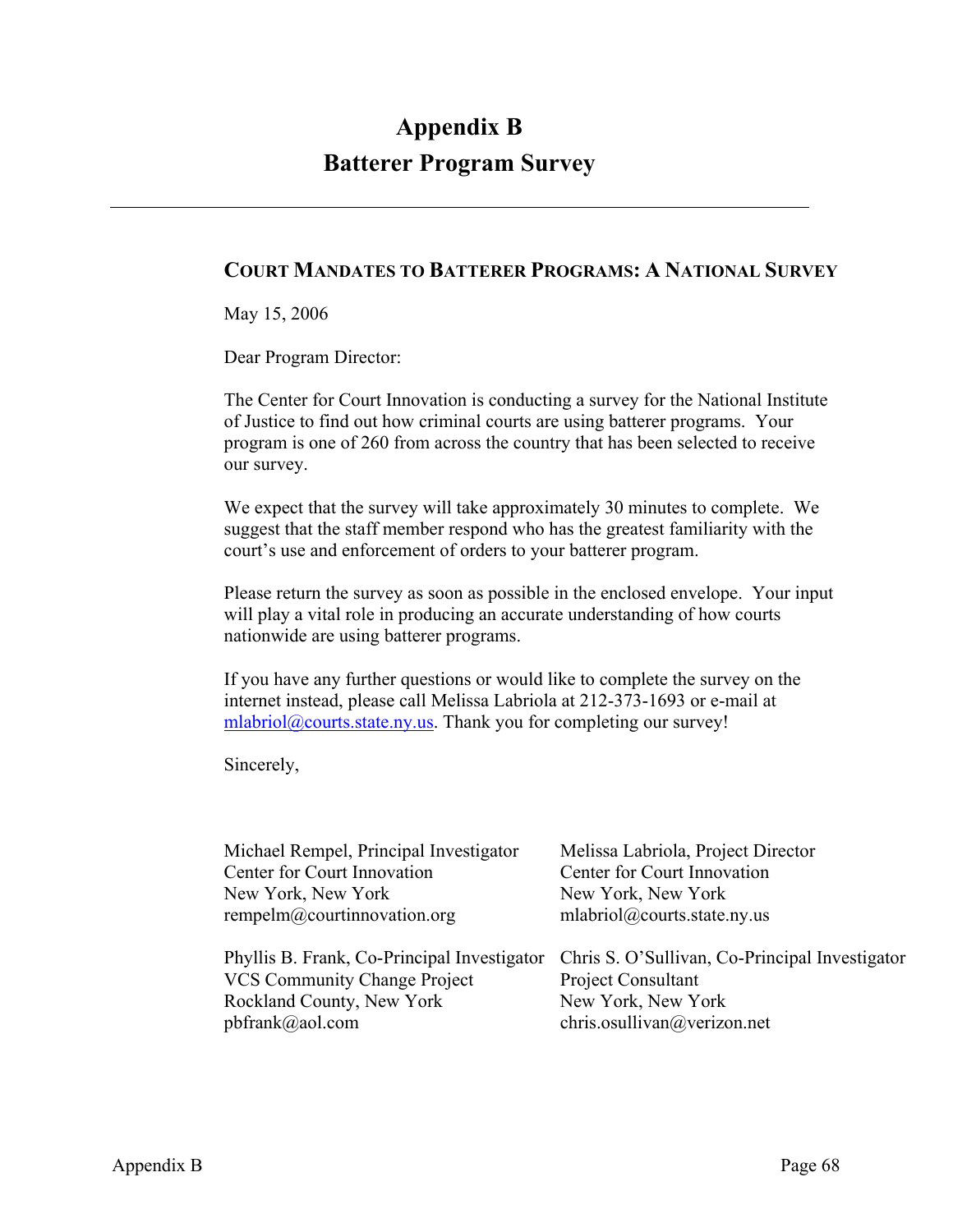## **Appendix B Batterer Program Survey**

#### **COURT MANDATES TO BATTERER PROGRAMS: A NATIONAL SURVEY**

May 15, 2006

Dear Program Director:

The Center for Court Innovation is conducting a survey for the National Institute of Justice to find out how criminal courts are using batterer programs. Your program is one of 260 from across the country that has been selected to receive our survey.

We expect that the survey will take approximately 30 minutes to complete. We suggest that the staff member respond who has the greatest familiarity with the court's use and enforcement of orders to your batterer program.

Please return the survey as soon as possible in the enclosed envelope. Your input will play a vital role in producing an accurate understanding of how courts nationwide are using batterer programs.

If you have any further questions or would like to complete the survey on the internet instead, please call Melissa Labriola at 212-373-1693 or e-mail at mlabriol@courts.state.ny.us. Thank you for completing our survey!

Sincerely,

| Michael Rempel, Principal Investigator      | Melissa Labriola, Project Director             |
|---------------------------------------------|------------------------------------------------|
| Center for Court Innovation                 | Center for Court Innovation                    |
| New York, New York                          | New York, New York                             |
| rempelm@courtinnovation.org                 | mlabriol@courts.state.ny.us                    |
|                                             |                                                |
| Phyllis B. Frank, Co-Principal Investigator | Chris S. O'Sullivan, Co-Principal Investigator |
| <b>VCS Community Change Project</b>         | <b>Project Consultant</b>                      |
| Rockland County, New York                   | New York, New York                             |
| pbfrank@aol.com                             | chris.osullivan@verizon.net                    |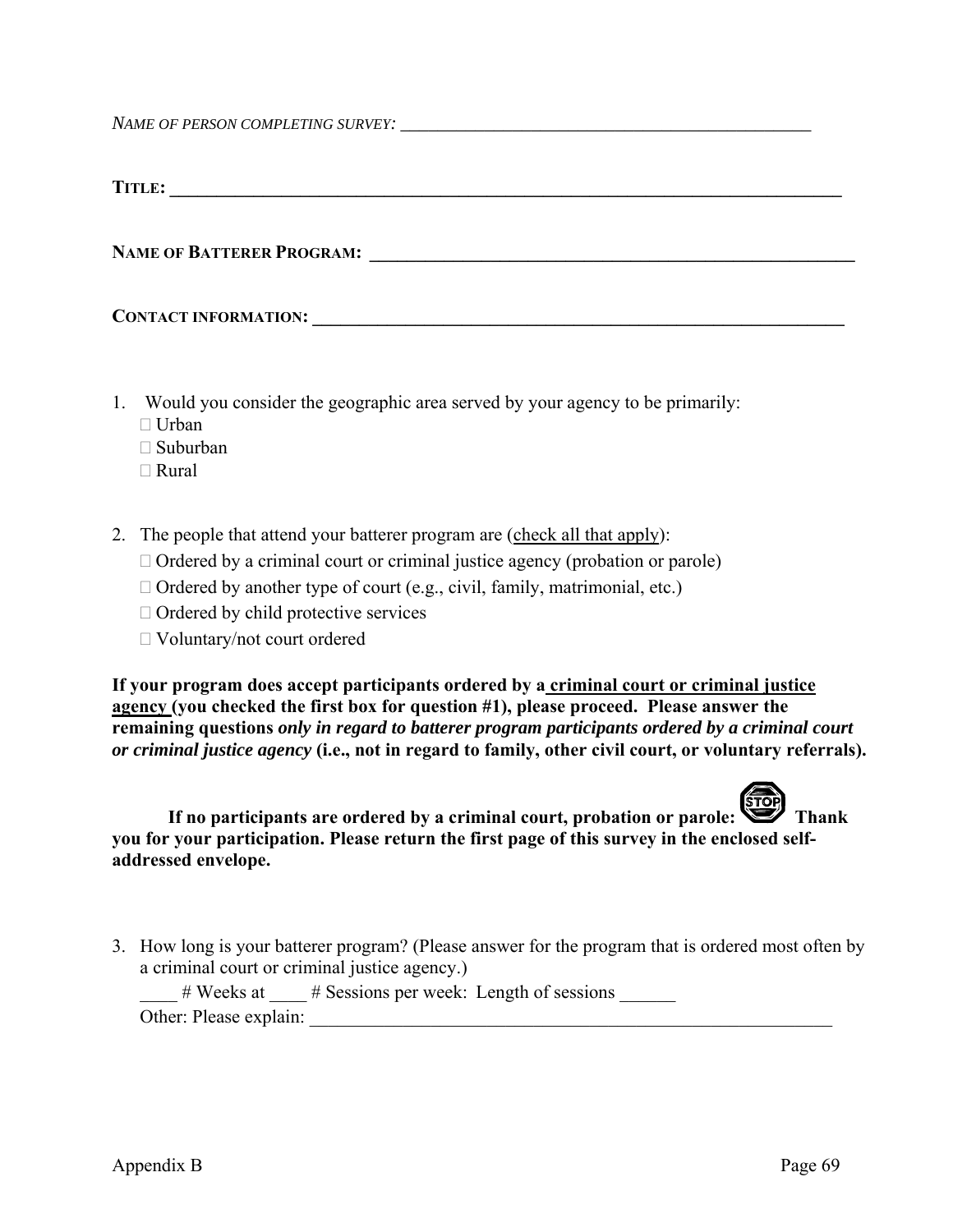*NAME OF PERSON COMPLETING SURVEY:* 

| <b>TITLE:</b>                    |  |  |
|----------------------------------|--|--|
|                                  |  |  |
|                                  |  |  |
| <b>NAME OF BATTERER PROGRAM:</b> |  |  |
|                                  |  |  |
|                                  |  |  |

| <b>CONTACT INFORMATION:</b> |  |
|-----------------------------|--|
|                             |  |

- 1. Would you consider the geographic area served by your agency to be primarily:
	- □ Urban
	- Suburban
	- Rural
- 2. The people that attend your batterer program are (check all that apply):
	- $\Box$  Ordered by a criminal court or criminal justice agency (probation or parole)
	- $\Box$  Ordered by another type of court (e.g., civil, family, matrimonial, etc.)
	- $\Box$  Ordered by child protective services
	- Voluntary/not court ordered

**If your program does accept participants ordered by a criminal court or criminal justice agency (you checked the first box for question #1), please proceed. Please answer the remaining questions** *only in regard to batterer program participants ordered by a criminal court or criminal justice agency* **(i.e., not in regard to family, other civil court, or voluntary referrals).** 



**If no participants are ordered by a criminal court, probation or parole:** Thank **you for your participation. Please return the first page of this survey in the enclosed selfaddressed envelope.** 

3. How long is your batterer program? (Please answer for the program that is ordered most often by a criminal court or criminal justice agency.)

|                        | $# \text{ Weeks at}$ # Sessions per week: Length of sessions |
|------------------------|--------------------------------------------------------------|
| Other: Please explain: |                                                              |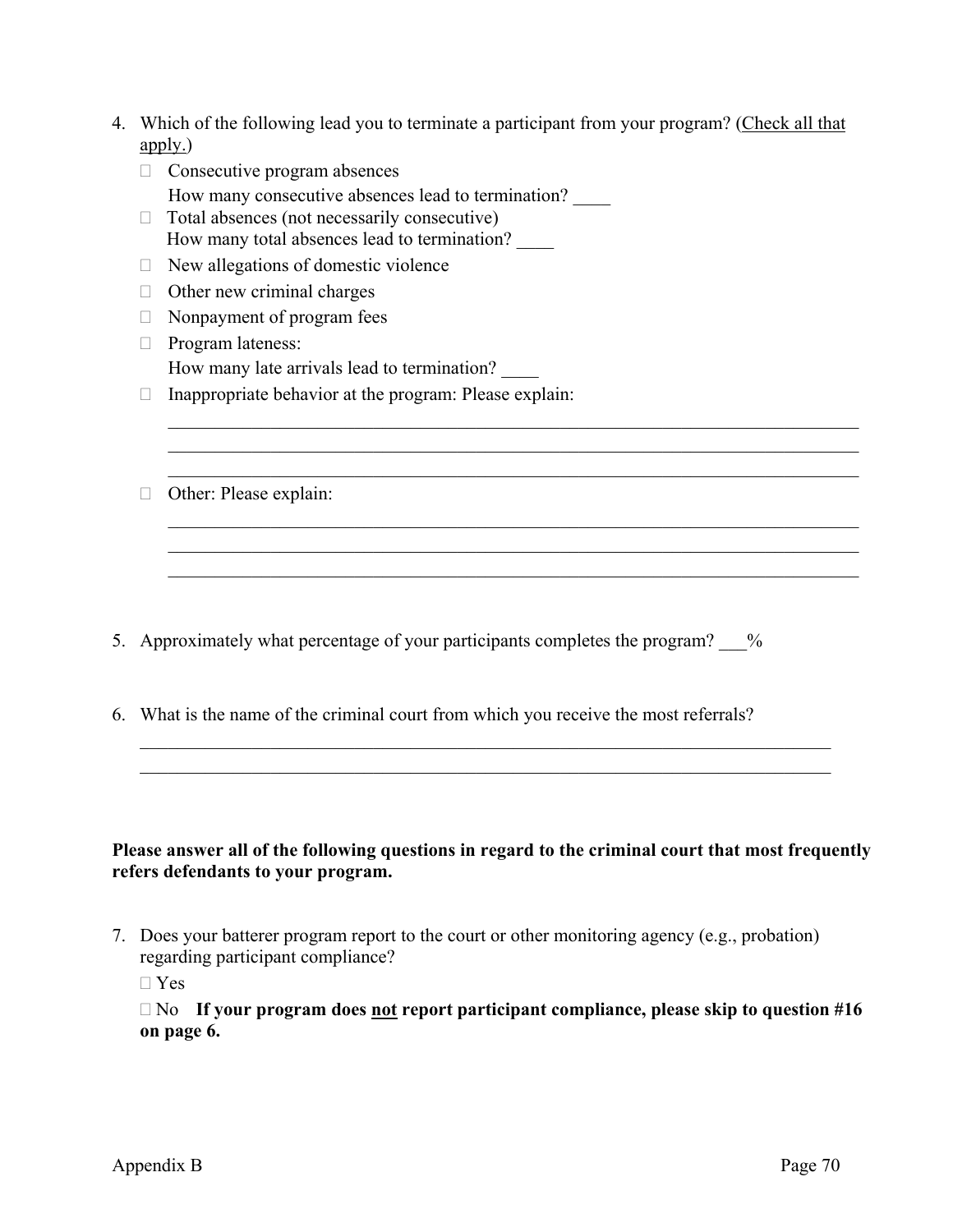| 4. Which of the following lead you to terminate a participant from your program? (Check all that |
|--------------------------------------------------------------------------------------------------|
| $\left(\frac{\text{apply}}{\text{apply}}\right)$                                                 |

 $\mathcal{L}_\text{max}$  , and the contribution of the contribution of the contribution of the contribution of the contribution of the contribution of the contribution of the contribution of the contribution of the contribution of t  $\mathcal{L}_\text{max}$  , and the contribution of the contribution of the contribution of the contribution of the contribution of the contribution of the contribution of the contribution of the contribution of the contribution of t  $\mathcal{L}_\text{max}$  , and the contribution of the contribution of the contribution of the contribution of the contribution of the contribution of the contribution of the contribution of the contribution of the contribution of t

 $\mathcal{L}_\text{max}$  , and the contribution of the contribution of the contribution of the contribution of the contribution of the contribution of the contribution of the contribution of the contribution of the contribution of t  $\mathcal{L}_\text{max}$  , and the contribution of the contribution of the contribution of the contribution of the contribution of the contribution of the contribution of the contribution of the contribution of the contribution of t  $\mathcal{L}_\text{max}$  , and the contribution of the contribution of the contribution of the contribution of the contribution of the contribution of the contribution of the contribution of the contribution of the contribution of t

- $\Box$  Consecutive program absences How many consecutive absences lead to termination? \_\_\_\_
- $\Box$  Total absences (not necessarily consecutive) How many total absences lead to termination?
- $\Box$  New allegations of domestic violence
- $\Box$  Other new criminal charges
- $\Box$  Nonpayment of program fees
- $\Box$  Program lateness: How many late arrivals lead to termination?
- $\Box$  Inappropriate behavior at the program: Please explain:
- □ Other: Please explain:

- 5. Approximately what percentage of your participants completes the program? %
- 6. What is the name of the criminal court from which you receive the most referrals?

#### **Please answer all of the following questions in regard to the criminal court that most frequently refers defendants to your program.**

 $\mathcal{L}_\text{max}$  , and the contribution of the contribution of the contribution of the contribution of the contribution of the contribution of the contribution of the contribution of the contribution of the contribution of t  $\mathcal{L}_\text{max}$  , and the contribution of the contribution of the contribution of the contribution of the contribution of the contribution of the contribution of the contribution of the contribution of the contribution of t

7. Does your batterer program report to the court or other monitoring agency (e.g., probation) regarding participant compliance?

□ Yes

 No **If your program does not report participant compliance, please skip to question #16 on page 6.**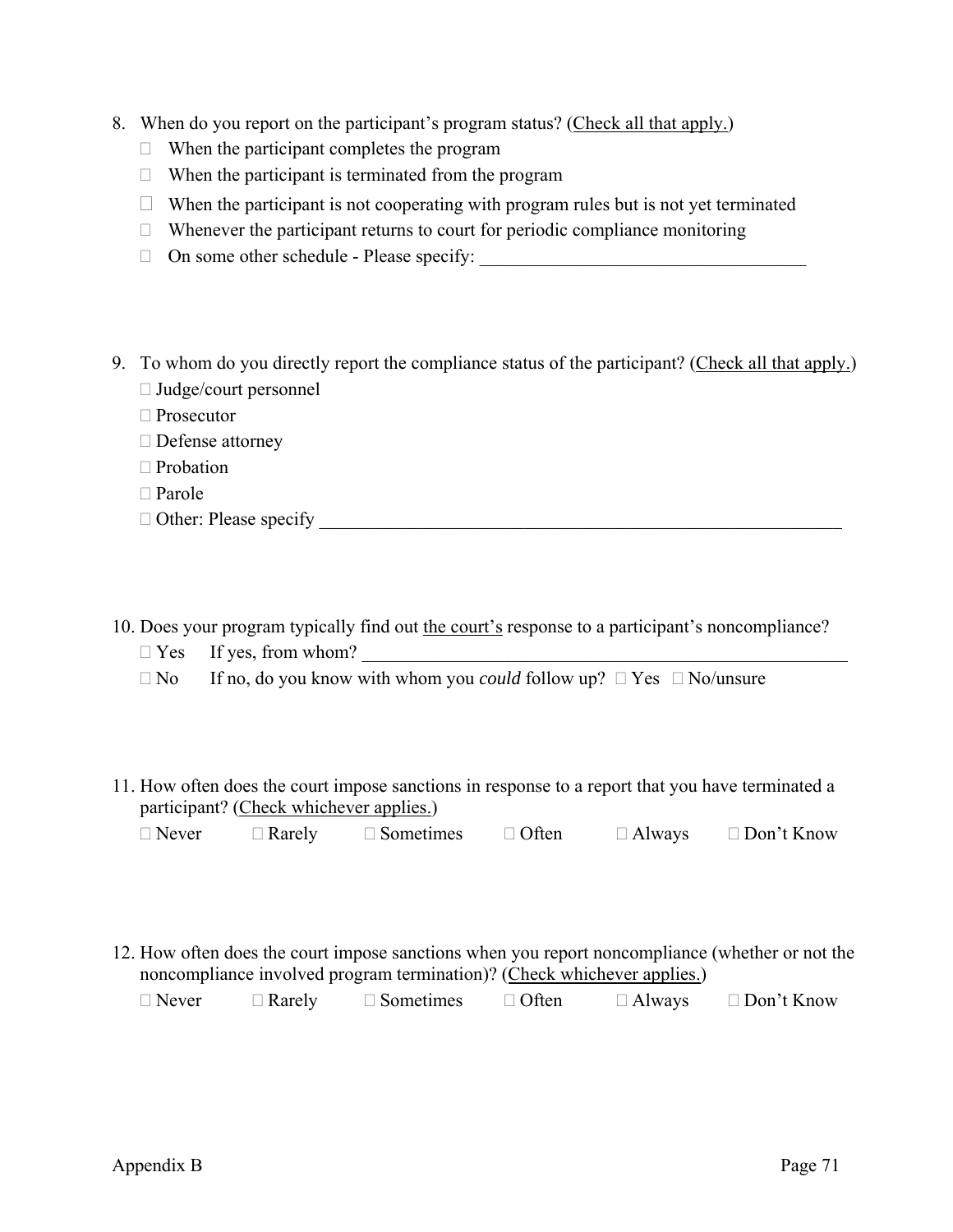- 8. When do you report on the participant's program status? (Check all that apply.)
	- $\Box$  When the participant completes the program
	- $\Box$  When the participant is terminated from the program
	- $\Box$  When the participant is not cooperating with program rules but is not yet terminated
	- $\Box$  Whenever the participant returns to court for periodic compliance monitoring
	- On some other schedule Please specify: \_\_\_\_\_\_\_\_\_\_\_\_\_\_\_\_\_\_\_\_\_\_\_\_\_\_\_\_\_\_\_\_\_\_\_
- 9. To whom do you directly report the compliance status of the participant? (Check all that apply.)  $\Box$  Judge/court personnel
	- □ Prosecutor
	- $\Box$  Defense attorney
	- □ Probation
	- $\Box$  Parole
	- $\Box$  Other: Please specify
- 10. Does your program typically find out the court's response to a participant's noncompliance?
	- Yes If yes, from whom? \_\_\_\_\_\_\_\_\_\_\_\_\_\_\_\_\_\_\_\_\_\_\_\_\_\_\_\_\_\_\_\_\_\_\_\_\_\_\_\_\_\_\_\_\_\_\_\_\_\_\_\_
	- $\Box$  No If no, do you know with whom you *could* follow up?  $\Box$  Yes  $\Box$  No/unsure
- 11. How often does the court impose sanctions in response to a report that you have terminated a participant? (Check whichever applies.)
	- $\Box$  Never  $\Box$  Rarely  $\Box$  Sometimes  $\Box$  Often  $\Box$  Always  $\Box$  Don't Know
- 12. How often does the court impose sanctions when you report noncompliance (whether or not the noncompliance involved program termination)? (Check whichever applies.)

| $\Box$ Never | $\Box$ Rarely | $\Box$ Sometimes | $\Box$ Often | $\Box$ Always | $\Box$ Don't Know |
|--------------|---------------|------------------|--------------|---------------|-------------------|
|              |               |                  |              |               |                   |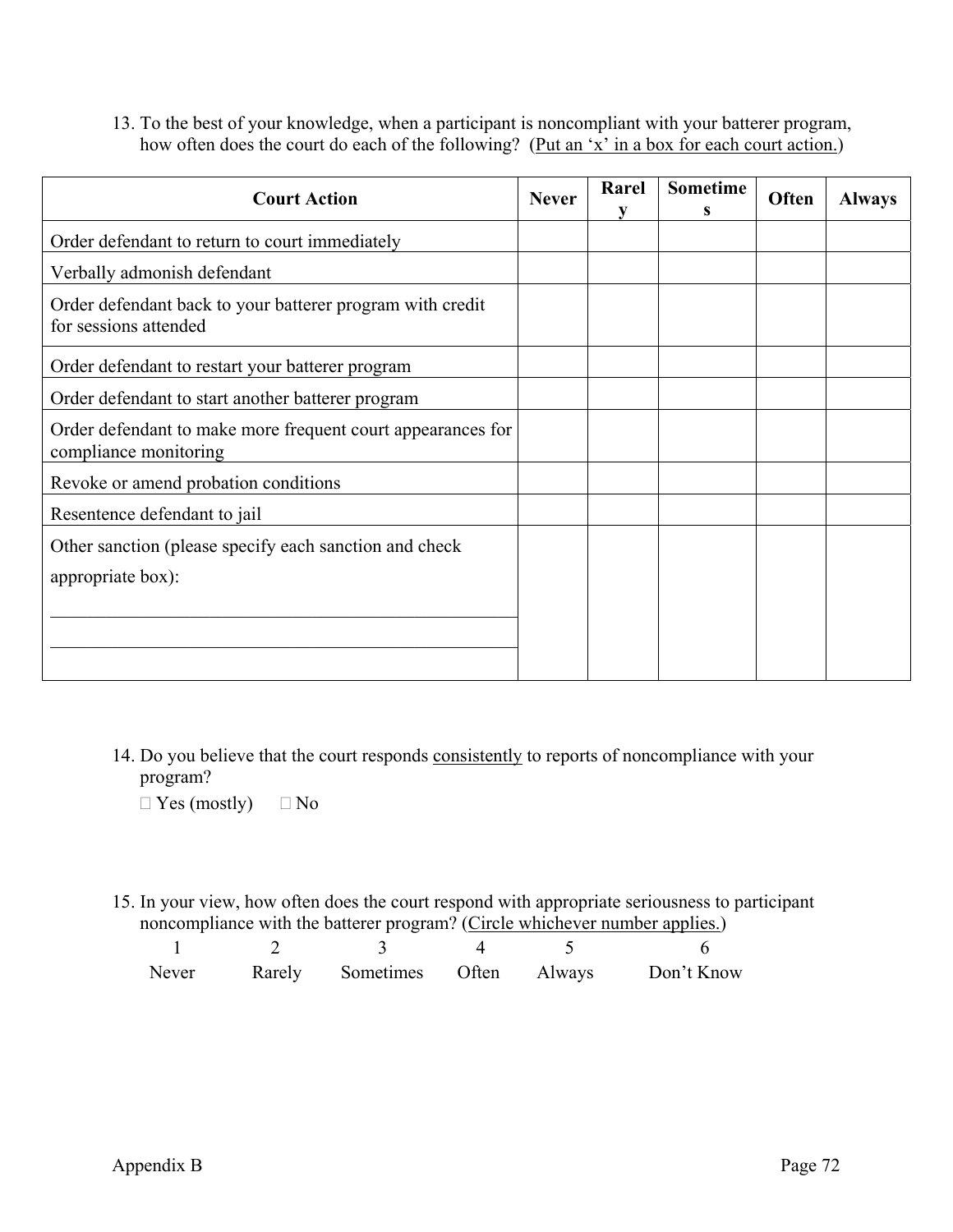13. To the best of your knowledge, when a participant is noncompliant with your batterer program, how often does the court do each of the following? (Put an 'x' in a box for each court action.)

| <b>Court Action</b>                                                                  |  | Rarel<br>v | <b>Sometime</b><br>s | <b>Often</b> | <b>Always</b> |
|--------------------------------------------------------------------------------------|--|------------|----------------------|--------------|---------------|
| Order defendant to return to court immediately                                       |  |            |                      |              |               |
| Verbally admonish defendant                                                          |  |            |                      |              |               |
| Order defendant back to your batterer program with credit<br>for sessions attended   |  |            |                      |              |               |
| Order defendant to restart your batterer program                                     |  |            |                      |              |               |
| Order defendant to start another batterer program                                    |  |            |                      |              |               |
| Order defendant to make more frequent court appearances for<br>compliance monitoring |  |            |                      |              |               |
| Revoke or amend probation conditions                                                 |  |            |                      |              |               |
| Resentence defendant to jail                                                         |  |            |                      |              |               |
| Other sanction (please specify each sanction and check<br>appropriate box):          |  |            |                      |              |               |
|                                                                                      |  |            |                      |              |               |

14. Do you believe that the court responds consistently to reports of noncompliance with your program?

 $\Box$  Yes (mostly)  $\Box$  No

15. In your view, how often does the court respond with appropriate seriousness to participant noncompliance with the batterer program? (Circle whichever number applies.)

|  |  | Never Rarely Sometimes Often Always Don't Know |
|--|--|------------------------------------------------|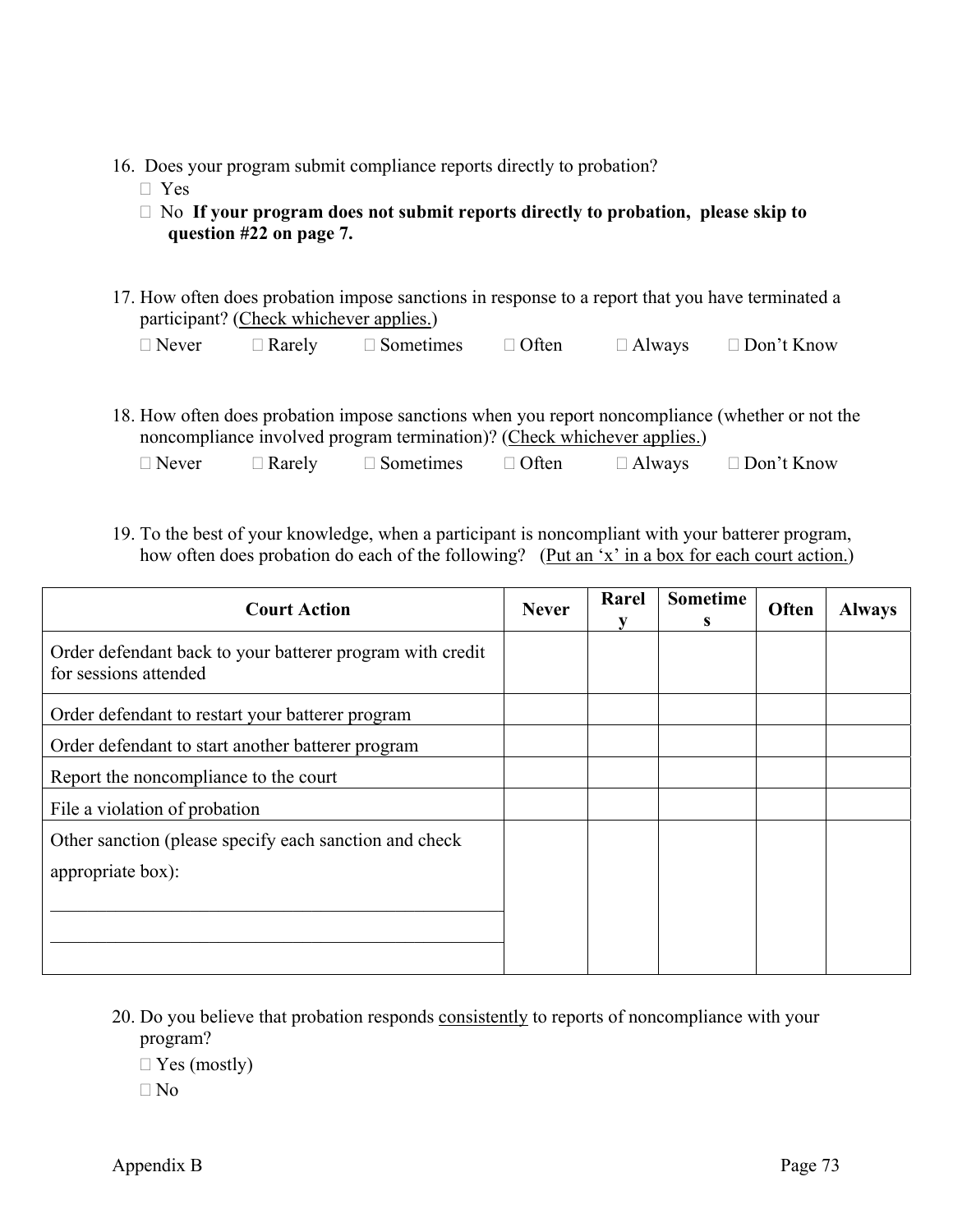- 16. Does your program submit compliance reports directly to probation?
	- □ Yes
	- No **If your program does not submit reports directly to probation, please skip to question #22 on page 7.**
- 17. How often does probation impose sanctions in response to a report that you have terminated a participant? (Check whichever applies.)

| $\Box$ Never | $\Box$ Rarely | $\Box$ Sometimes | $\Box$ Often | $\Box$ Always | $\Box$ Don't Know |
|--------------|---------------|------------------|--------------|---------------|-------------------|
|--------------|---------------|------------------|--------------|---------------|-------------------|

18. How often does probation impose sanctions when you report noncompliance (whether or not the noncompliance involved program termination)? (Check whichever applies.)

| $\Box$ Never | $\Box$ Rarely | $\Box$ Sometimes | $\Box$ Often | $\Box$ Always | $\Box$ Don't Know |
|--------------|---------------|------------------|--------------|---------------|-------------------|
|              |               |                  |              |               |                   |

19. To the best of your knowledge, when a participant is noncompliant with your batterer program, how often does probation do each of the following? (Put an 'x' in a box for each court action.)

| <b>Court Action</b>                                                                |  | Rarel | <b>Sometime</b><br>S. | Often | <b>Always</b> |
|------------------------------------------------------------------------------------|--|-------|-----------------------|-------|---------------|
| Order defendant back to your batterer program with credit<br>for sessions attended |  |       |                       |       |               |
| Order defendant to restart your batterer program                                   |  |       |                       |       |               |
| Order defendant to start another batterer program                                  |  |       |                       |       |               |
| Report the noncompliance to the court                                              |  |       |                       |       |               |
| File a violation of probation                                                      |  |       |                       |       |               |
| Other sanction (please specify each sanction and check                             |  |       |                       |       |               |
| appropriate box):                                                                  |  |       |                       |       |               |
|                                                                                    |  |       |                       |       |               |
|                                                                                    |  |       |                       |       |               |
|                                                                                    |  |       |                       |       |               |

20. Do you believe that probation responds consistently to reports of noncompliance with your program?

 $\Box$  Yes (mostly)

 $\Box$  No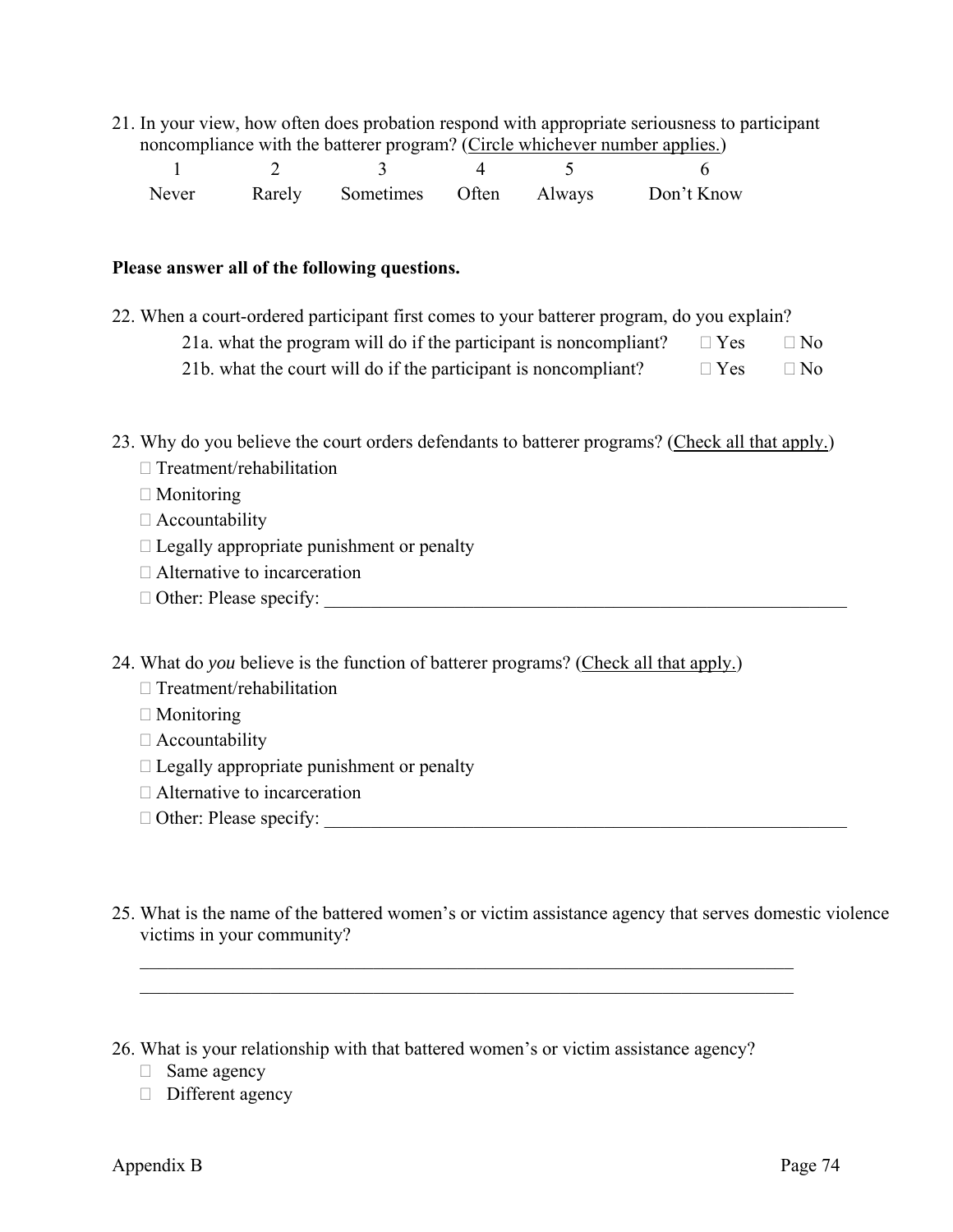21. In your view, how often does probation respond with appropriate seriousness to participant noncompliance with the batterer program? (Circle whichever number applies.)

|  |  | Never Rarely Sometimes Often Always Don't Know |
|--|--|------------------------------------------------|

#### **Please answer all of the following questions.**

22. When a court-ordered participant first comes to your batterer program, do you explain? 21a. what the program will do if the participant is noncompliant?  $\square$  Yes  $\square$  No 21b. what the court will do if the participant is noncompliant?  $\square$  Yes  $\square$  No

23. Why do you believe the court orders defendants to batterer programs? (Check all that apply.)

- $\Box$  Treatment/rehabilitation
- □ Monitoring
- $\Box$  Accountability
- $\Box$  Legally appropriate punishment or penalty
- $\Box$  Alternative to incarceration
- Other: Please specify: \_\_\_\_\_\_\_\_\_\_\_\_\_\_\_\_\_\_\_\_\_\_\_\_\_\_\_\_\_\_\_\_\_\_\_\_\_\_\_\_\_\_\_\_\_\_\_\_\_\_\_\_\_\_\_\_

24. What do *you* believe is the function of batterer programs? (Check all that apply.)

- $\Box$  Treatment/rehabilitation
- $\Box$  Monitoring
- Accountability
- $\Box$  Legally appropriate punishment or penalty
- Alternative to incarceration
- Other: Please specify: \_\_\_\_\_\_\_\_\_\_\_\_\_\_\_\_\_\_\_\_\_\_\_\_\_\_\_\_\_\_\_\_\_\_\_\_\_\_\_\_\_\_\_\_\_\_\_\_\_\_\_\_\_\_\_\_
- 25. What is the name of the battered women's or victim assistance agency that serves domestic violence victims in your community?

26. What is your relationship with that battered women's or victim assistance agency?

 $\mathcal{L}_\text{max} = \mathcal{L}_\text{max} = \mathcal{L}_\text{max} = \mathcal{L}_\text{max} = \mathcal{L}_\text{max} = \mathcal{L}_\text{max} = \mathcal{L}_\text{max} = \mathcal{L}_\text{max} = \mathcal{L}_\text{max} = \mathcal{L}_\text{max} = \mathcal{L}_\text{max} = \mathcal{L}_\text{max} = \mathcal{L}_\text{max} = \mathcal{L}_\text{max} = \mathcal{L}_\text{max} = \mathcal{L}_\text{max} = \mathcal{L}_\text{max} = \mathcal{L}_\text{max} = \mathcal{$  $\mathcal{L}_\mathcal{L} = \{ \mathcal{L}_\mathcal{L} = \{ \mathcal{L}_\mathcal{L} = \{ \mathcal{L}_\mathcal{L} = \{ \mathcal{L}_\mathcal{L} = \{ \mathcal{L}_\mathcal{L} = \{ \mathcal{L}_\mathcal{L} = \{ \mathcal{L}_\mathcal{L} = \{ \mathcal{L}_\mathcal{L} = \{ \mathcal{L}_\mathcal{L} = \{ \mathcal{L}_\mathcal{L} = \{ \mathcal{L}_\mathcal{L} = \{ \mathcal{L}_\mathcal{L} = \{ \mathcal{L}_\mathcal{L} = \{ \mathcal{L}_\mathcal{$ 

- $\Box$  Same agency
- $\Box$  Different agency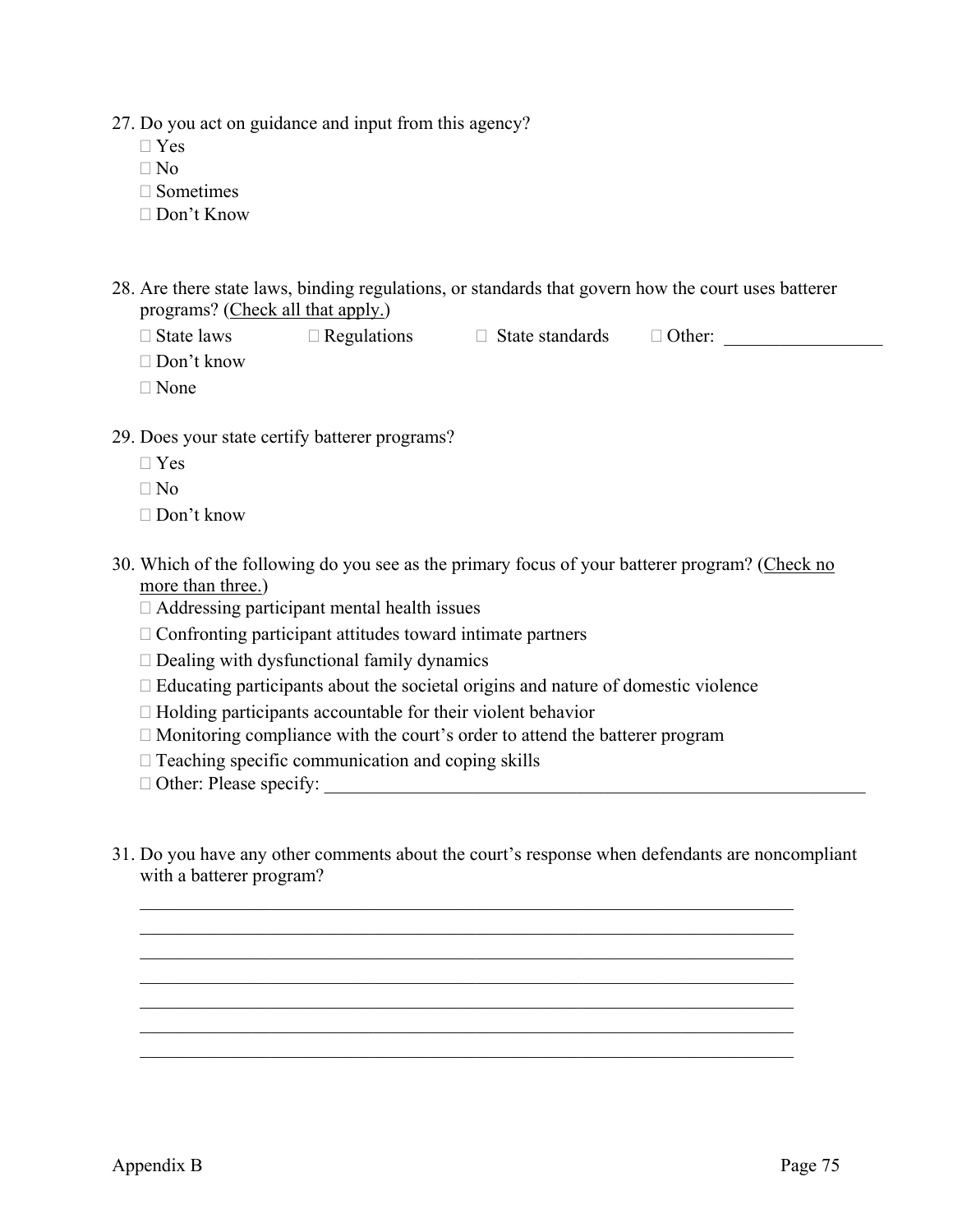27. Do you act on guidance and input from this agency?

- $\Box$  Yes
- $\n <sup>n</sup>$
- $\Box$  Sometimes
- Don't Know
- 28. Are there state laws, binding regulations, or standards that govern how the court uses batterer programs? (Check all that apply.)
	- $\Box$  State laws  $\Box$  Regulations  $\Box$  State standards  $\Box$  Other:

- Don't know
- $\Box$  None
- 29. Does your state certify batterer programs?
	- Yes
	- $\Box$  No
	- Don't know
- 30. Which of the following do you see as the primary focus of your batterer program? (Check no more than three.)
	- $\Box$  Addressing participant mental health issues
	- $\Box$  Confronting participant attitudes toward intimate partners
	- $\Box$  Dealing with dysfunctional family dynamics
	- $\Box$  Educating participants about the societal origins and nature of domestic violence
	- $\Box$  Holding participants accountable for their violent behavior
	- $\Box$  Monitoring compliance with the court's order to attend the batterer program
	- $\Box$  Teaching specific communication and coping skills
	- Other: Please specify: \_\_\_\_\_\_\_\_\_\_\_\_\_\_\_\_\_\_\_\_\_\_\_\_\_\_\_\_\_\_\_\_\_\_\_\_\_\_\_\_\_\_\_\_\_\_\_\_\_\_\_\_\_\_\_\_\_\_
- 31. Do you have any other comments about the court's response when defendants are noncompliant with a batterer program?

 $\mathcal{L}_\mathcal{L} = \{ \mathcal{L}_\mathcal{L} = \{ \mathcal{L}_\mathcal{L} = \{ \mathcal{L}_\mathcal{L} = \{ \mathcal{L}_\mathcal{L} = \{ \mathcal{L}_\mathcal{L} = \{ \mathcal{L}_\mathcal{L} = \{ \mathcal{L}_\mathcal{L} = \{ \mathcal{L}_\mathcal{L} = \{ \mathcal{L}_\mathcal{L} = \{ \mathcal{L}_\mathcal{L} = \{ \mathcal{L}_\mathcal{L} = \{ \mathcal{L}_\mathcal{L} = \{ \mathcal{L}_\mathcal{L} = \{ \mathcal{L}_\mathcal{$  $\mathcal{L}_\mathcal{L} = \{ \mathcal{L}_\mathcal{L} = \{ \mathcal{L}_\mathcal{L} = \{ \mathcal{L}_\mathcal{L} = \{ \mathcal{L}_\mathcal{L} = \{ \mathcal{L}_\mathcal{L} = \{ \mathcal{L}_\mathcal{L} = \{ \mathcal{L}_\mathcal{L} = \{ \mathcal{L}_\mathcal{L} = \{ \mathcal{L}_\mathcal{L} = \{ \mathcal{L}_\mathcal{L} = \{ \mathcal{L}_\mathcal{L} = \{ \mathcal{L}_\mathcal{L} = \{ \mathcal{L}_\mathcal{L} = \{ \mathcal{L}_\mathcal{$  $\mathcal{L}_\text{max} = \mathcal{L}_\text{max} = \mathcal{L}_\text{max} = \mathcal{L}_\text{max} = \mathcal{L}_\text{max} = \mathcal{L}_\text{max} = \mathcal{L}_\text{max} = \mathcal{L}_\text{max} = \mathcal{L}_\text{max} = \mathcal{L}_\text{max} = \mathcal{L}_\text{max} = \mathcal{L}_\text{max} = \mathcal{L}_\text{max} = \mathcal{L}_\text{max} = \mathcal{L}_\text{max} = \mathcal{L}_\text{max} = \mathcal{L}_\text{max} = \mathcal{L}_\text{max} = \mathcal{$  $\mathcal{L}_\text{max} = \mathcal{L}_\text{max} = \mathcal{L}_\text{max} = \mathcal{L}_\text{max} = \mathcal{L}_\text{max} = \mathcal{L}_\text{max} = \mathcal{L}_\text{max} = \mathcal{L}_\text{max} = \mathcal{L}_\text{max} = \mathcal{L}_\text{max} = \mathcal{L}_\text{max} = \mathcal{L}_\text{max} = \mathcal{L}_\text{max} = \mathcal{L}_\text{max} = \mathcal{L}_\text{max} = \mathcal{L}_\text{max} = \mathcal{L}_\text{max} = \mathcal{L}_\text{max} = \mathcal{$  $\mathcal{L}_\mathcal{L} = \{ \mathcal{L}_\mathcal{L} = \{ \mathcal{L}_\mathcal{L} = \{ \mathcal{L}_\mathcal{L} = \{ \mathcal{L}_\mathcal{L} = \{ \mathcal{L}_\mathcal{L} = \{ \mathcal{L}_\mathcal{L} = \{ \mathcal{L}_\mathcal{L} = \{ \mathcal{L}_\mathcal{L} = \{ \mathcal{L}_\mathcal{L} = \{ \mathcal{L}_\mathcal{L} = \{ \mathcal{L}_\mathcal{L} = \{ \mathcal{L}_\mathcal{L} = \{ \mathcal{L}_\mathcal{L} = \{ \mathcal{L}_\mathcal{$  $\mathcal{L}_\mathcal{L} = \{ \mathcal{L}_\mathcal{L} = \{ \mathcal{L}_\mathcal{L} = \{ \mathcal{L}_\mathcal{L} = \{ \mathcal{L}_\mathcal{L} = \{ \mathcal{L}_\mathcal{L} = \{ \mathcal{L}_\mathcal{L} = \{ \mathcal{L}_\mathcal{L} = \{ \mathcal{L}_\mathcal{L} = \{ \mathcal{L}_\mathcal{L} = \{ \mathcal{L}_\mathcal{L} = \{ \mathcal{L}_\mathcal{L} = \{ \mathcal{L}_\mathcal{L} = \{ \mathcal{L}_\mathcal{L} = \{ \mathcal{L}_\mathcal{$  $\mathcal{L}_\mathcal{L} = \{ \mathcal{L}_\mathcal{L} = \{ \mathcal{L}_\mathcal{L} = \{ \mathcal{L}_\mathcal{L} = \{ \mathcal{L}_\mathcal{L} = \{ \mathcal{L}_\mathcal{L} = \{ \mathcal{L}_\mathcal{L} = \{ \mathcal{L}_\mathcal{L} = \{ \mathcal{L}_\mathcal{L} = \{ \mathcal{L}_\mathcal{L} = \{ \mathcal{L}_\mathcal{L} = \{ \mathcal{L}_\mathcal{L} = \{ \mathcal{L}_\mathcal{L} = \{ \mathcal{L}_\mathcal{L} = \{ \mathcal{L}_\mathcal{$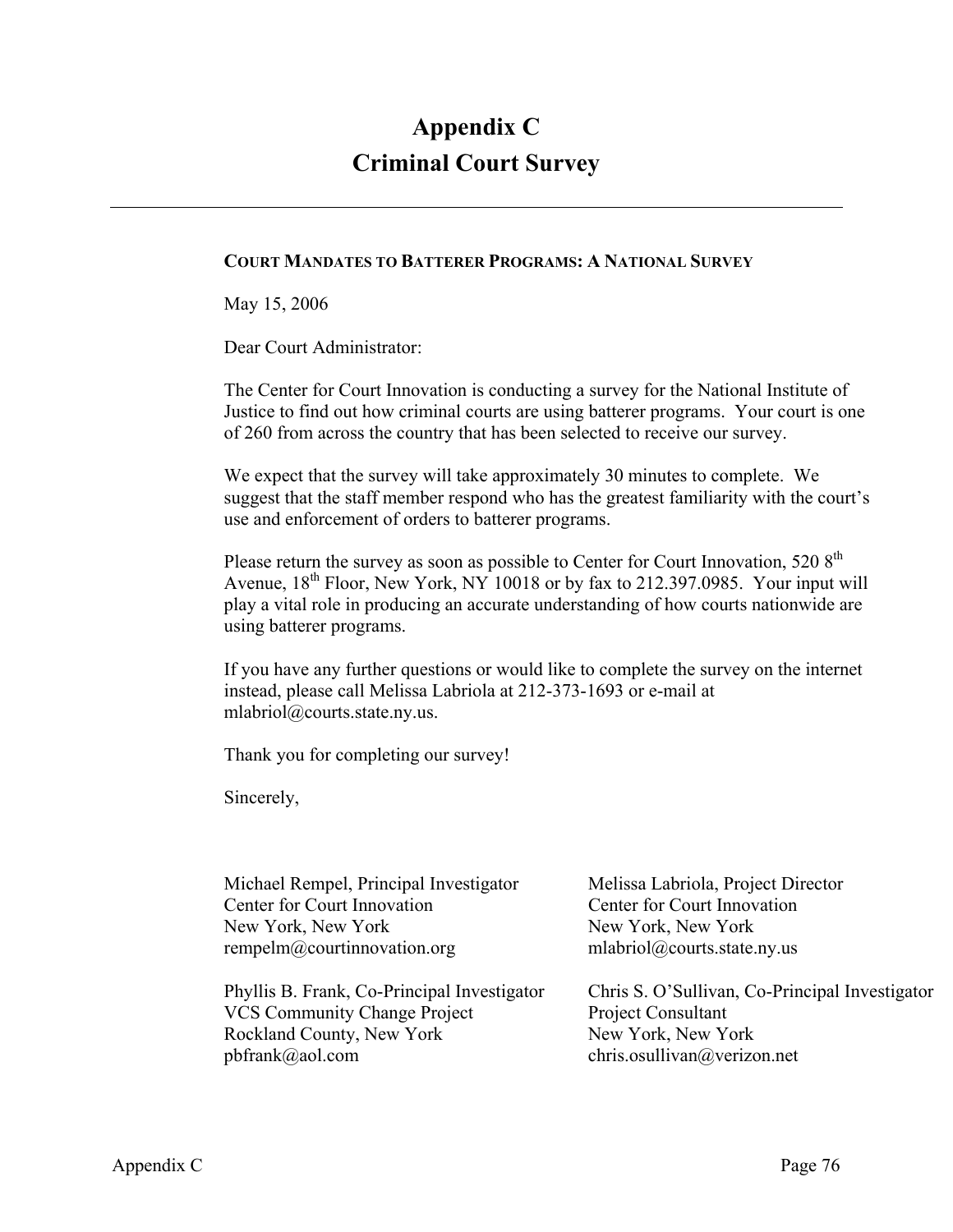## **Appendix C Criminal Court Survey**

#### **COURT MANDATES TO BATTERER PROGRAMS: A NATIONAL SURVEY**

May 15, 2006

Dear Court Administrator:

The Center for Court Innovation is conducting a survey for the National Institute of Justice to find out how criminal courts are using batterer programs. Your court is one of 260 from across the country that has been selected to receive our survey.

We expect that the survey will take approximately 30 minutes to complete. We suggest that the staff member respond who has the greatest familiarity with the court's use and enforcement of orders to batterer programs.

Please return the survey as soon as possible to Center for Court Innovation, 520 8<sup>th</sup> Avenue, 18<sup>th</sup> Floor, New York, NY 10018 or by fax to 212.397.0985. Your input will play a vital role in producing an accurate understanding of how courts nationwide are using batterer programs.

If you have any further questions or would like to complete the survey on the internet instead, please call Melissa Labriola at 212-373-1693 or e-mail at mlabriol@courts.state.ny.us.

Thank you for completing our survey!

Sincerely,

| Michael Rempel, Principal Investigator      | Melissa Labriola, Project Director             |
|---------------------------------------------|------------------------------------------------|
| Center for Court Innovation                 | Center for Court Innovation                    |
| New York, New York                          | New York, New York                             |
| rempelm@courtinnovation.org                 | mlabriol@courts.state.ny.us                    |
|                                             |                                                |
| Phyllis B. Frank, Co-Principal Investigator | Chris S. O'Sullivan, Co-Principal Investigator |
| <b>VCS Community Change Project</b>         | Project Consultant                             |
| Rockland County, New York                   | New York, New York                             |
| $pbfrank@a$ ol.com                          | chris.osullivan@verizon.net                    |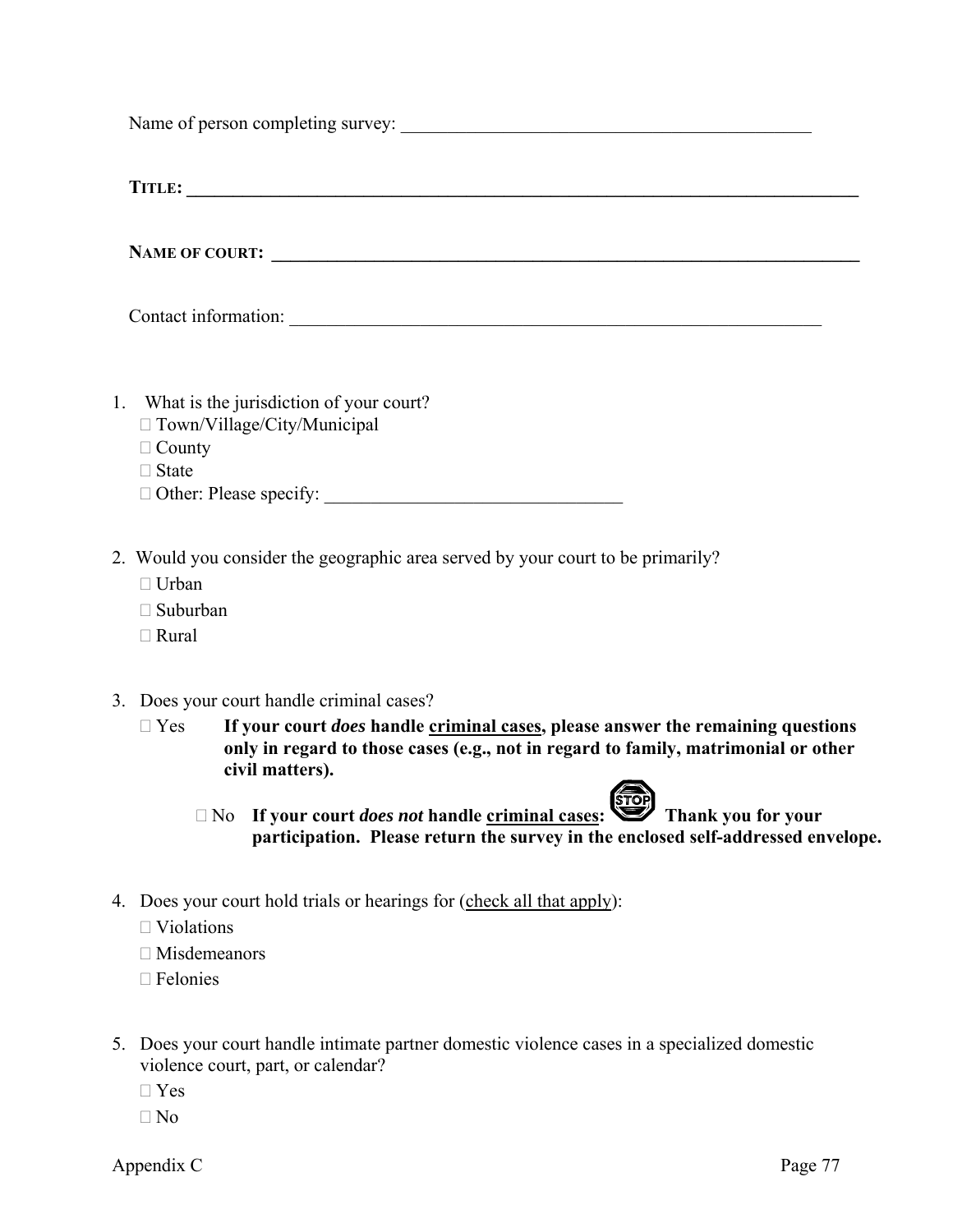Name of person completing survey:

**TITLE: \_\_\_\_\_\_\_\_\_\_\_\_\_\_\_\_\_\_\_\_\_\_\_\_\_\_\_\_\_\_\_\_\_\_\_\_\_\_\_\_\_\_\_\_\_\_\_\_\_\_\_\_\_\_\_\_\_\_\_\_\_\_\_\_\_\_\_\_\_\_\_\_** 

NAME OF COURT:

Contact information:

- 1. What is the jurisdiction of your court?
	- □ Town/Village/City/Municipal
	- $\Box$  County
	- □ State
	- $\Box$  Other: Please specify:
- 2. Would you consider the geographic area served by your court to be primarily?
	- □ Urban
	- □ Suburban
	- Rural
- 3. Does your court handle criminal cases?
	- Yes **If your court** *does* **handle criminal cases, please answer the remaining questions only in regard to those cases (e.g., not in regard to family, matrimonial or other civil matters).** 
		- □ No **If your court** *does not* **handle criminal cases:** Thank you for your  **participation. Please return the survey in the enclosed self-addressed envelope.**
- 4. Does your court hold trials or hearings for (check all that apply):
	- $\Box$  Violations
	- $\square$  Misdemeanors
	- Felonies
- 5. Does your court handle intimate partner domestic violence cases in a specialized domestic violence court, part, or calendar?
	- $\Box$  Yes
	- $\n  $\square$  No$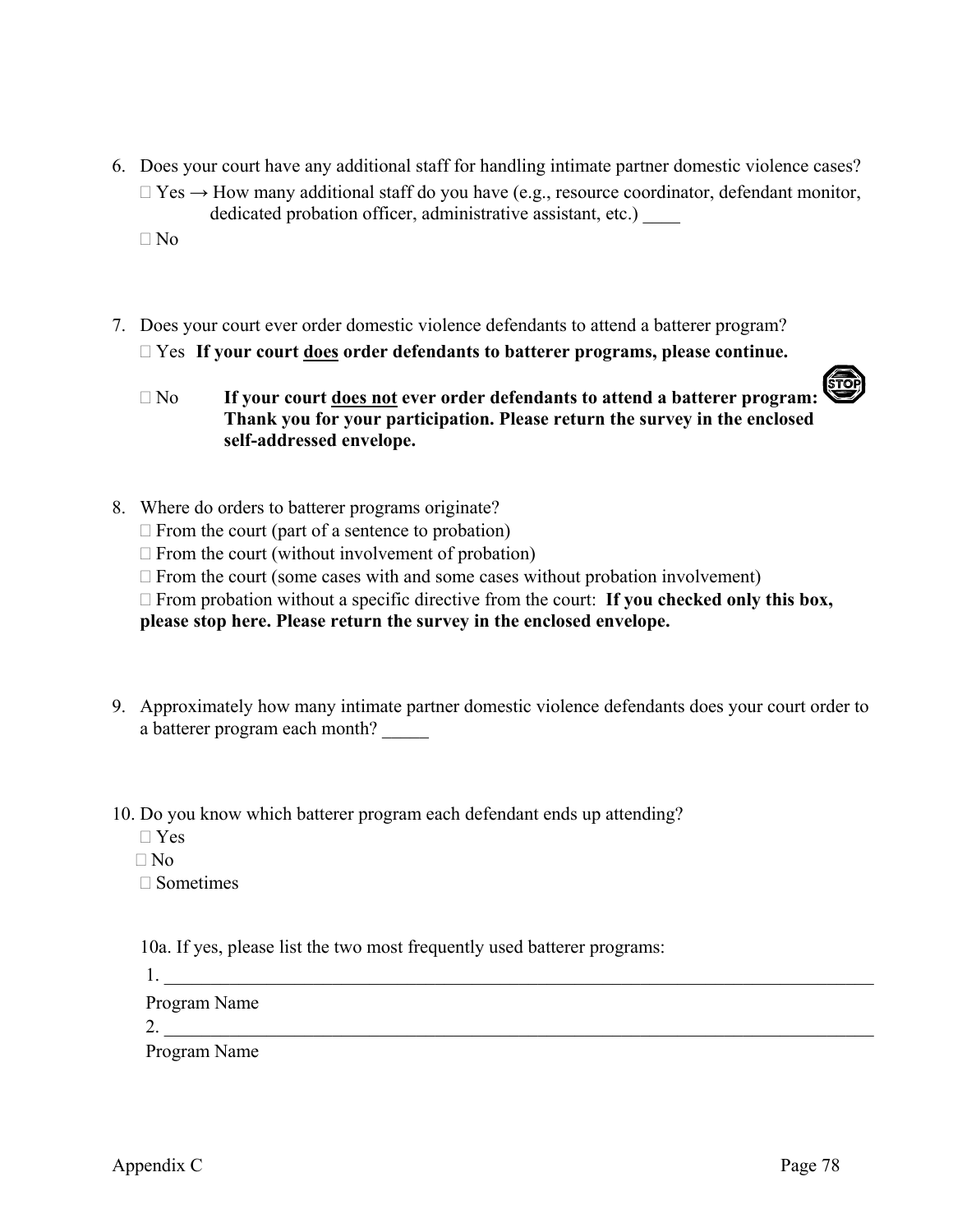6. Does your court have any additional staff for handling intimate partner domestic violence cases?  $\Box$  Yes  $\rightarrow$  How many additional staff do you have (e.g., resource coordinator, defendant monitor, dedicated probation officer, administrative assistant, etc.) \_\_\_\_

 $\Box$  No

- 7. Does your court ever order domestic violence defendants to attend a batterer program? Yes **If your court does order defendants to batterer programs, please continue.** 
	- (To) No **If your court does not ever order defendants to attend a batterer program: Thank you for your participation. Please return the survey in the enclosed self-addressed envelope.**
- 8. Where do orders to batterer programs originate?
	- $\Box$  From the court (part of a sentence to probation)
	- $\Box$  From the court (without involvement of probation)
	- $\Box$  From the court (some cases with and some cases without probation involvement)
	- □ From probation without a specific directive from the court: **If you checked only this box,**

**please stop here. Please return the survey in the enclosed envelope.** 

- 9. Approximately how many intimate partner domestic violence defendants does your court order to a batterer program each month?
- 10. Do you know which batterer program each defendant ends up attending?
	- Yes
	- $\n **N**$

 $\square$  Sometimes

10a. If yes, please list the two most frequently used batterer programs:

 $1.$ 

Program Name

2.  $\frac{1}{2}$ 

Program Name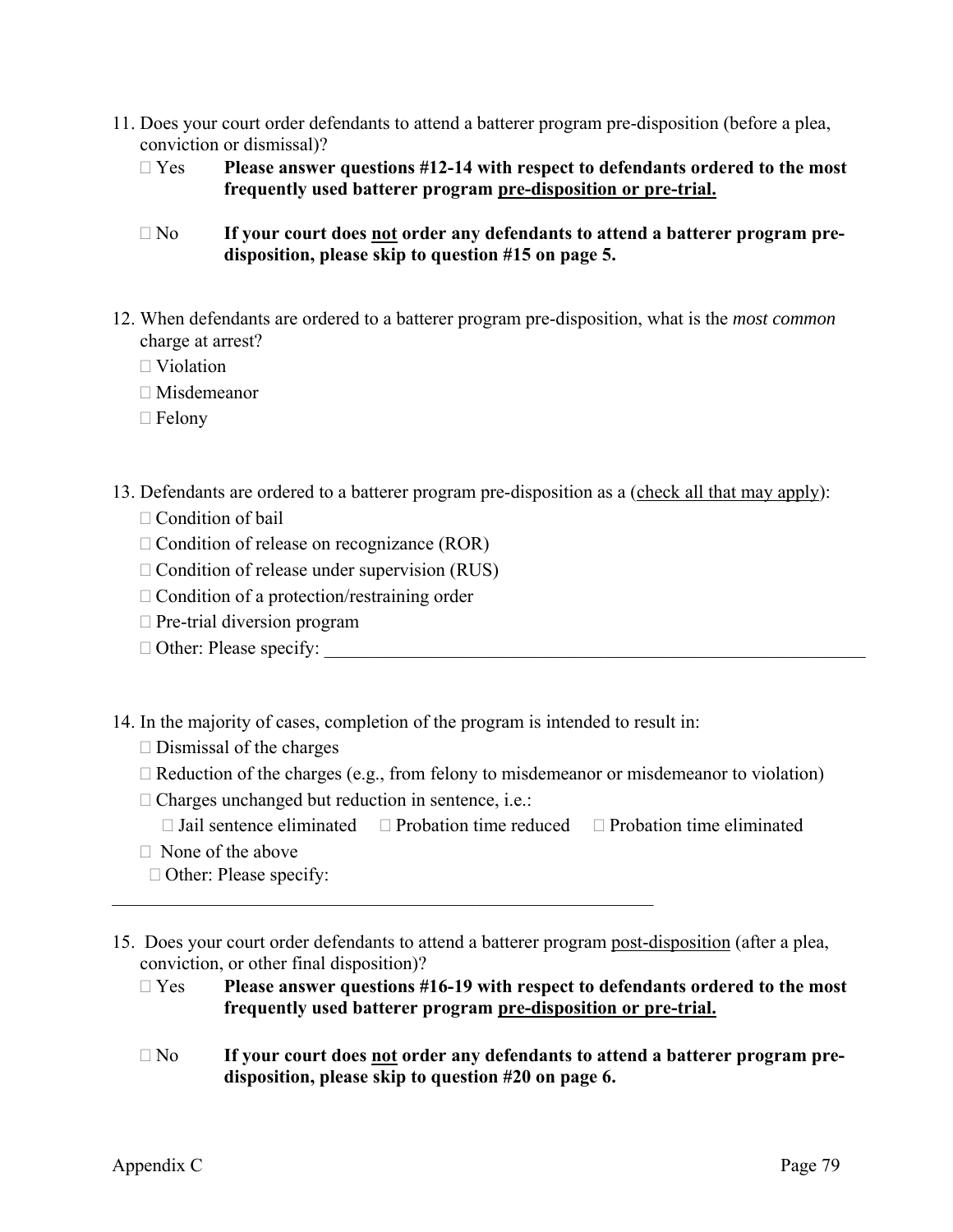- 11. Does your court order defendants to attend a batterer program pre-disposition (before a plea, conviction or dismissal)?
	- Yes **Please answer questions #12-14 with respect to defendants ordered to the most frequently used batterer program pre-disposition or pre-trial.**
	- No **If your court does not order any defendants to attend a batterer program pre disposition, please skip to question #15 on page 5.**
- 12. When defendants are ordered to a batterer program pre-disposition, what is the *most common* charge at arrest?
	- $\Box$  Violation
	- Misdemeanor
	- $\Box$  Felony
- 13. Defendants are ordered to a batterer program pre-disposition as a (check all that may apply):  $\Box$  Condition of bail
	- $\Box$  Condition of release on recognizance (ROR)
	- $\Box$  Condition of release under supervision (RUS)
	- $\Box$  Condition of a protection/restraining order
	- $\Box$  Pre-trial diversion program
	- $\Box$  Other: Please specify:

14. In the majority of cases, completion of the program is intended to result in:

 $\mathcal{L}_\mathcal{L}$  , and the contribution of the contribution of the contribution of the contribution of the contribution of the contribution of the contribution of the contribution of the contribution of the contribution of

- $\square$  Dismissal of the charges
- $\Box$  Reduction of the charges (e.g., from felony to misdemeanor or misdemeanor to violation)
- $\Box$  Charges unchanged but reduction in sentence, i.e.:
	- $\Box$  Jail sentence eliminated  $\Box$  Probation time reduced  $\Box$  Probation time eliminated
- $\Box$  None of the above
- $\Box$  Other: Please specify:
- 15. Does your court order defendants to attend a batterer program post-disposition (after a plea, conviction, or other final disposition)?
	- Yes **Please answer questions #16-19 with respect to defendants ordered to the most frequently used batterer program pre-disposition or pre-trial.**
	- No **If your court does not order any defendants to attend a batterer program pre disposition, please skip to question #20 on page 6.**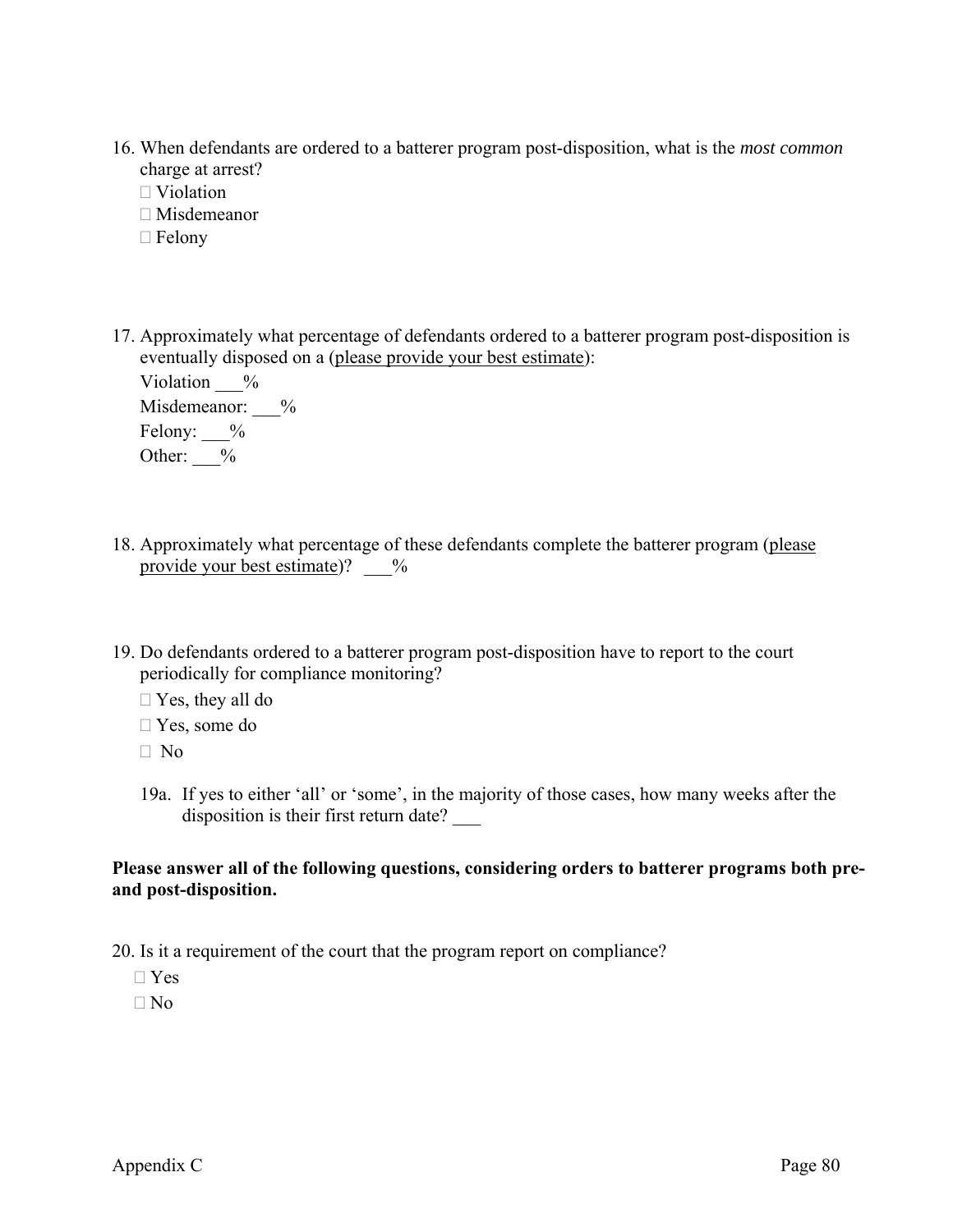- 16. When defendants are ordered to a batterer program post-disposition, what is the *most common* charge at arrest?
	- □ Violation
	- Misdemeanor
	- $\Box$  Felony
- 17. Approximately what percentage of defendants ordered to a batterer program post-disposition is eventually disposed on a (please provide your best estimate):

| Violation<br>$\frac{0}{0}$ |               |
|----------------------------|---------------|
| Misdemeanor:               | $\frac{0}{0}$ |
| Felony:<br>$\frac{0}{0}$   |               |
| Other:<br>$\frac{0}{0}$    |               |

- 18. Approximately what percentage of these defendants complete the batterer program (please provide your best estimate)?  $\frac{9}{6}$
- 19. Do defendants ordered to a batterer program post-disposition have to report to the court periodically for compliance monitoring?
	- $\Box$  Yes, they all do
	- Yes, some do
	- $\Box$  No
	- 19a. If yes to either 'all' or 'some', in the majority of those cases, how many weeks after the disposition is their first return date? \_\_\_

#### **Please answer all of the following questions, considering orders to batterer programs both preand post-disposition.**

20. Is it a requirement of the court that the program report on compliance?

Yes

 $\Box$  No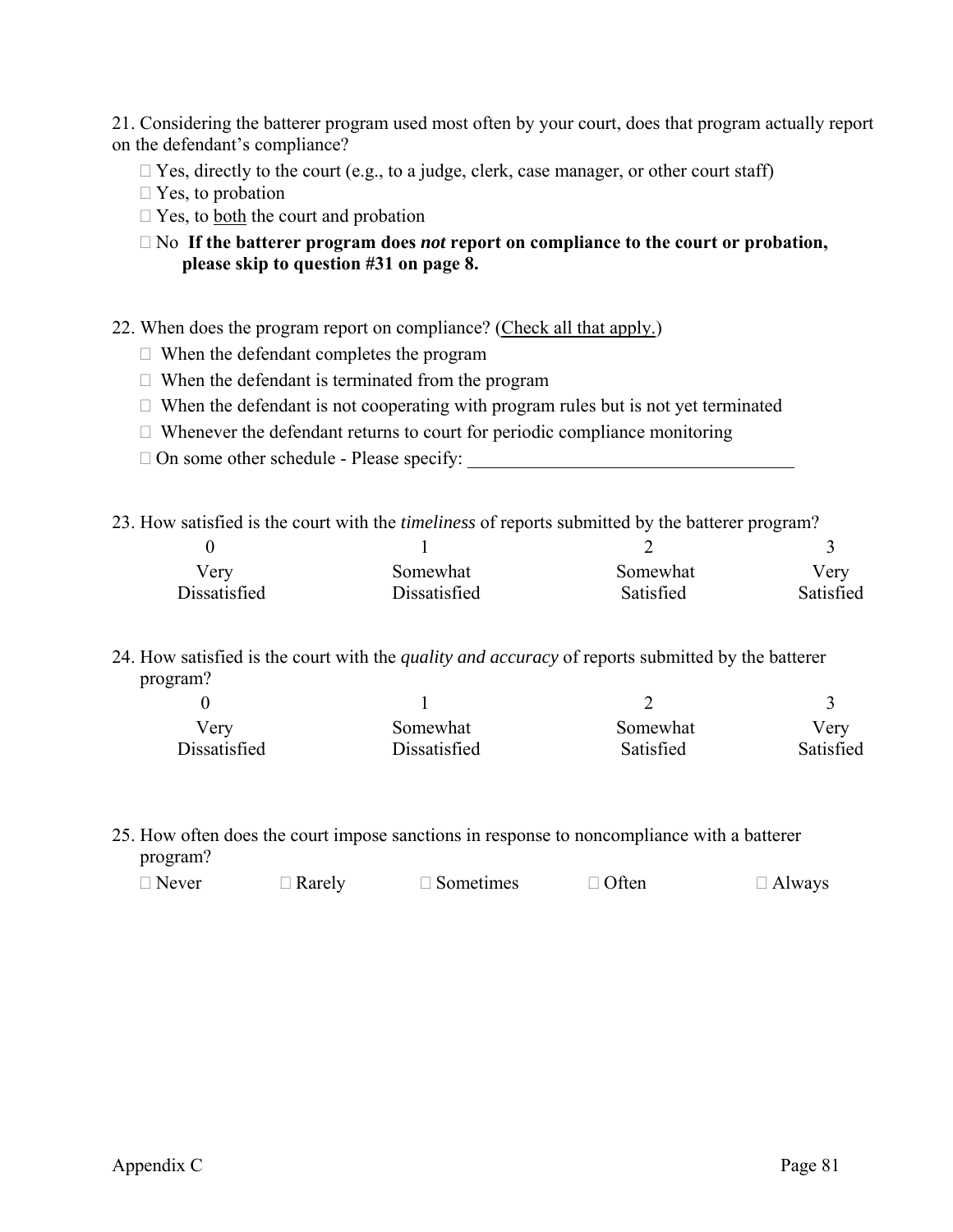21. Considering the batterer program used most often by your court, does that program actually report on the defendant's compliance?

- $\Box$  Yes, directly to the court (e.g., to a judge, clerk, case manager, or other court staff)
- $\Box$  Yes, to probation
- $\Box$  Yes, to <u>both</u> the court and probation

 No **If the batterer program does** *not* **report on compliance to the court or probation, please skip to question #31 on page 8.**

- 22. When does the program report on compliance? (Check all that apply.)
	- When the defendant completes the program
	- $\Box$  When the defendant is terminated from the program
	- $\Box$  When the defendant is not cooperating with program rules but is not yet terminated
	- $\Box$  Whenever the defendant returns to court for periodic compliance monitoring
	- $\Box$  On some other schedule Please specify:

23. How satisfied is the court with the *timeliness* of reports submitted by the batterer program?

| very         | Somewhat     | Somewhat  | Very      |
|--------------|--------------|-----------|-----------|
| Dissatisfied | Dissatisfied | Satisfied | Satisfied |

24. How satisfied is the court with the *quality and accuracy* of reports submitted by the batterer program?

| Verv         | Somewhat     | Somewhat  | Very      |
|--------------|--------------|-----------|-----------|
| Dissatisfied | Dissatisfied | Satisfied | Satisfied |

25. How often does the court impose sanctions in response to noncompliance with a batterer program?

| $\Box$ Never | $\Box$ Rarely | $\Box$ Sometimes | $\Box$ Often | $\Box$ Always |
|--------------|---------------|------------------|--------------|---------------|
|--------------|---------------|------------------|--------------|---------------|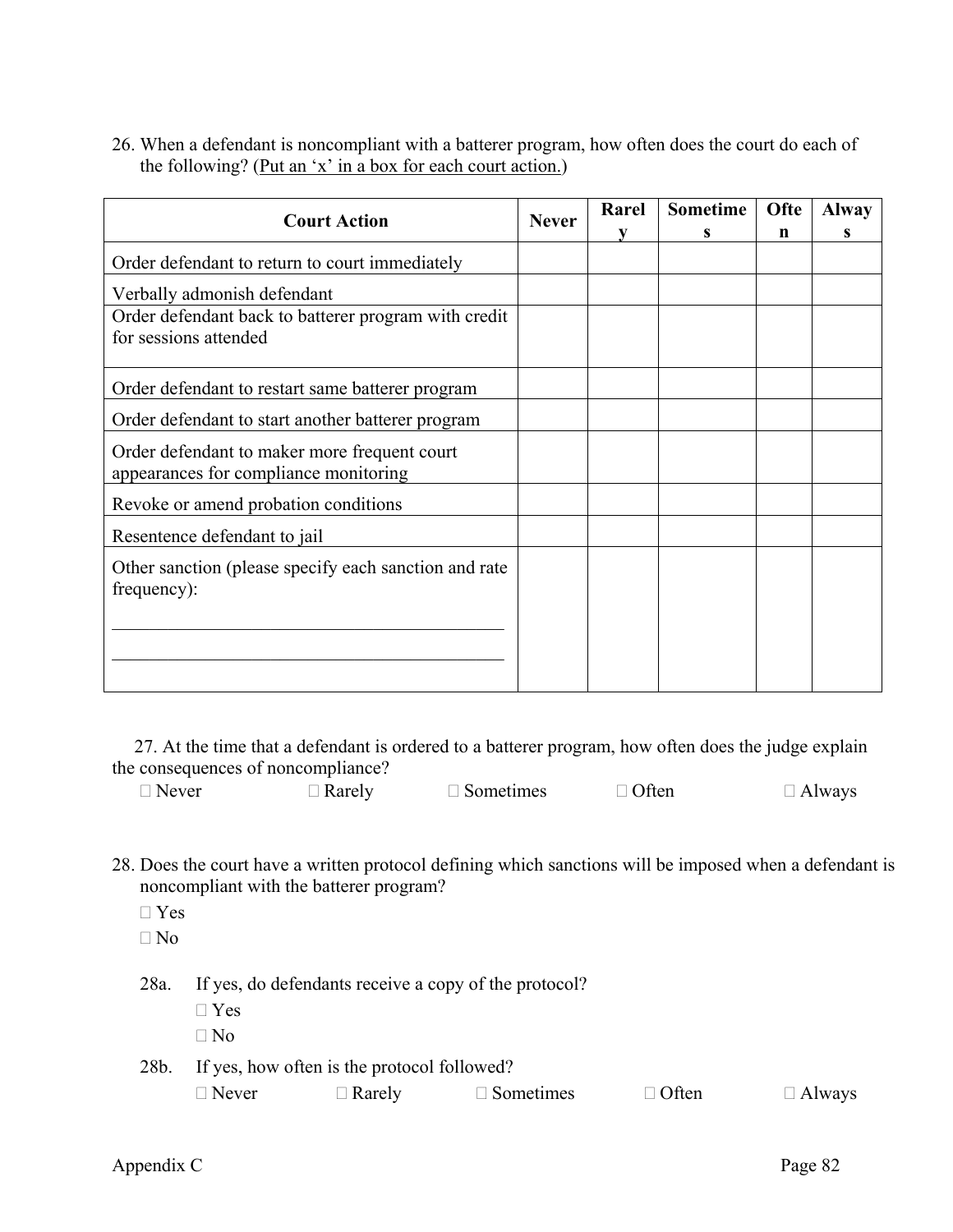26. When a defendant is noncompliant with a batterer program, how often does the court do each of the following? (Put an 'x' in a box for each court action.)

| <b>Court Action</b><br><b>Never</b>                                                   |  | Rarel | <b>Sometime</b> | Ofte<br>n | <b>Alway</b> |
|---------------------------------------------------------------------------------------|--|-------|-----------------|-----------|--------------|
| Order defendant to return to court immediately                                        |  | v     | S               |           | S            |
| Verbally admonish defendant                                                           |  |       |                 |           |              |
| Order defendant back to batterer program with credit<br>for sessions attended         |  |       |                 |           |              |
| Order defendant to restart same batterer program                                      |  |       |                 |           |              |
| Order defendant to start another batterer program                                     |  |       |                 |           |              |
| Order defendant to maker more frequent court<br>appearances for compliance monitoring |  |       |                 |           |              |
| Revoke or amend probation conditions                                                  |  |       |                 |           |              |
| Resentence defendant to jail                                                          |  |       |                 |           |              |
| Other sanction (please specify each sanction and rate<br>frequency):                  |  |       |                 |           |              |
|                                                                                       |  |       |                 |           |              |

27. At the time that a defendant is ordered to a batterer program, how often does the judge explain the consequences of noncompliance?

| $\Box$ Never | $\Box$ Rarely | $\Box$ Sometimes | $\Box$ Often | $\Box$ Always |
|--------------|---------------|------------------|--------------|---------------|
|              |               |                  |              |               |

- 28. Does the court have a written protocol defining which sanctions will be imposed when a defendant is noncompliant with the batterer program?
	- Yes
	- $\n **No**\n$
	- 28a. If yes, do defendants receive a copy of the protocol?
		- Yes  $\Box$  No
	- 28b. If yes, how often is the protocol followed?

| $\Box$ Never | $\Box$ Rarely | $\Box$ Sometimes | $\Box$ Often | $\Box$ Always |
|--------------|---------------|------------------|--------------|---------------|
|--------------|---------------|------------------|--------------|---------------|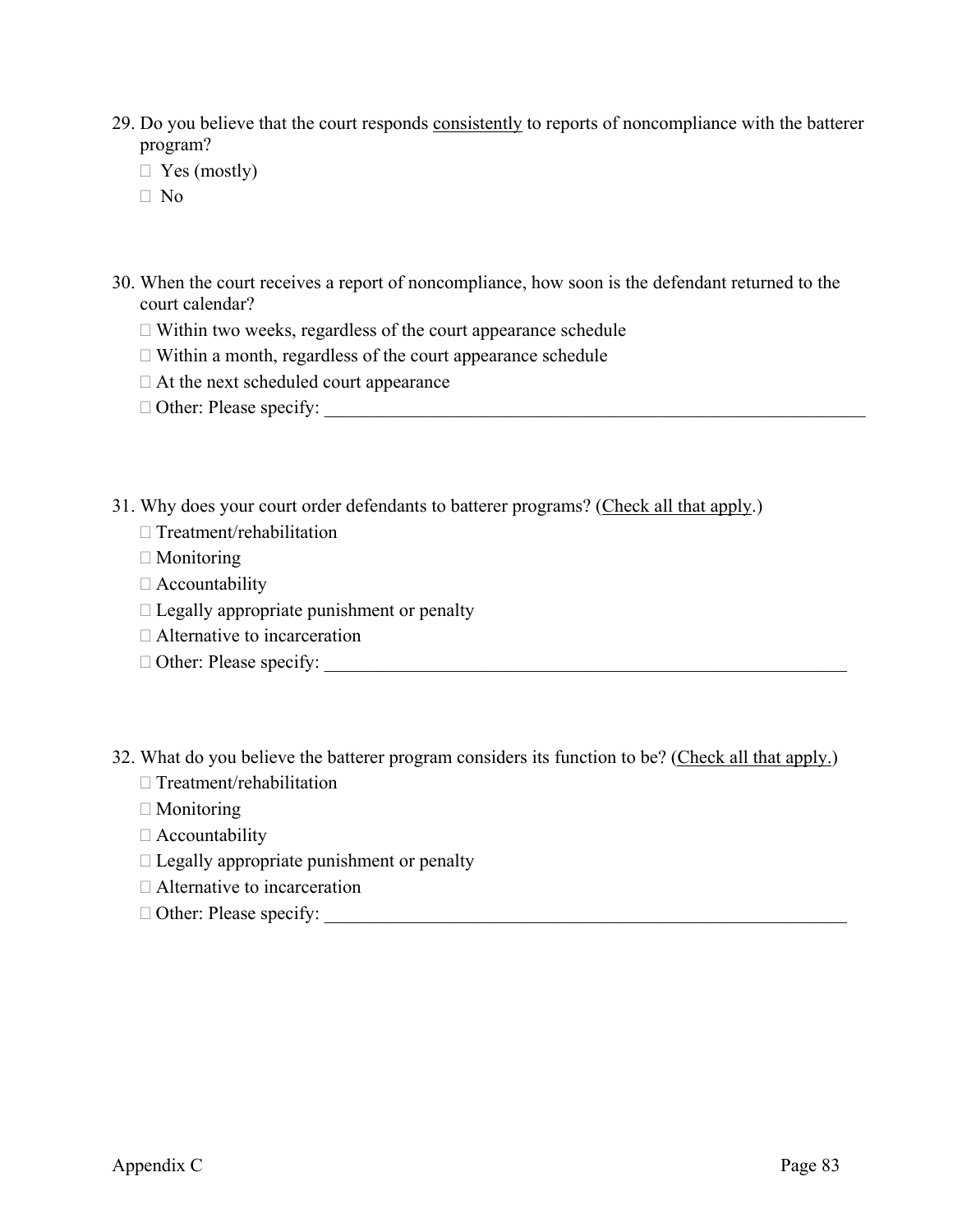- 29. Do you believe that the court responds consistently to reports of noncompliance with the batterer program?
	- $\Box$  Yes (mostly)
	- No
- 30. When the court receives a report of noncompliance, how soon is the defendant returned to the court calendar?
	- $\Box$  Within two weeks, regardless of the court appearance schedule
	- $\Box$  Within a month, regardless of the court appearance schedule
	- $\Box$  At the next scheduled court appearance
	- Other: Please specify: \_\_\_\_\_\_\_\_\_\_\_\_\_\_\_\_\_\_\_\_\_\_\_\_\_\_\_\_\_\_\_\_\_\_\_\_\_\_\_\_\_\_\_\_\_\_\_\_\_\_\_\_\_\_\_\_\_\_
- 31. Why does your court order defendants to batterer programs? (Check all that apply.)
	- $\Box$  Treatment/rehabilitation
	- $\Box$  Monitoring
	- Accountability
	- $\Box$  Legally appropriate punishment or penalty
	- □ Alternative to incarceration
	- Other: Please specify: \_\_\_\_\_\_\_\_\_\_\_\_\_\_\_\_\_\_\_\_\_\_\_\_\_\_\_\_\_\_\_\_\_\_\_\_\_\_\_\_\_\_\_\_\_\_\_\_\_\_\_\_\_\_\_\_
- 32. What do you believe the batterer program considers its function to be? (Check all that apply.)
	- $\Box$  Treatment/rehabilitation
	- □ Monitoring
	- Accountability
	- $\Box$  Legally appropriate punishment or penalty
	- □ Alternative to incarceration
	- $\Box$  Other: Please specify:  $\Box$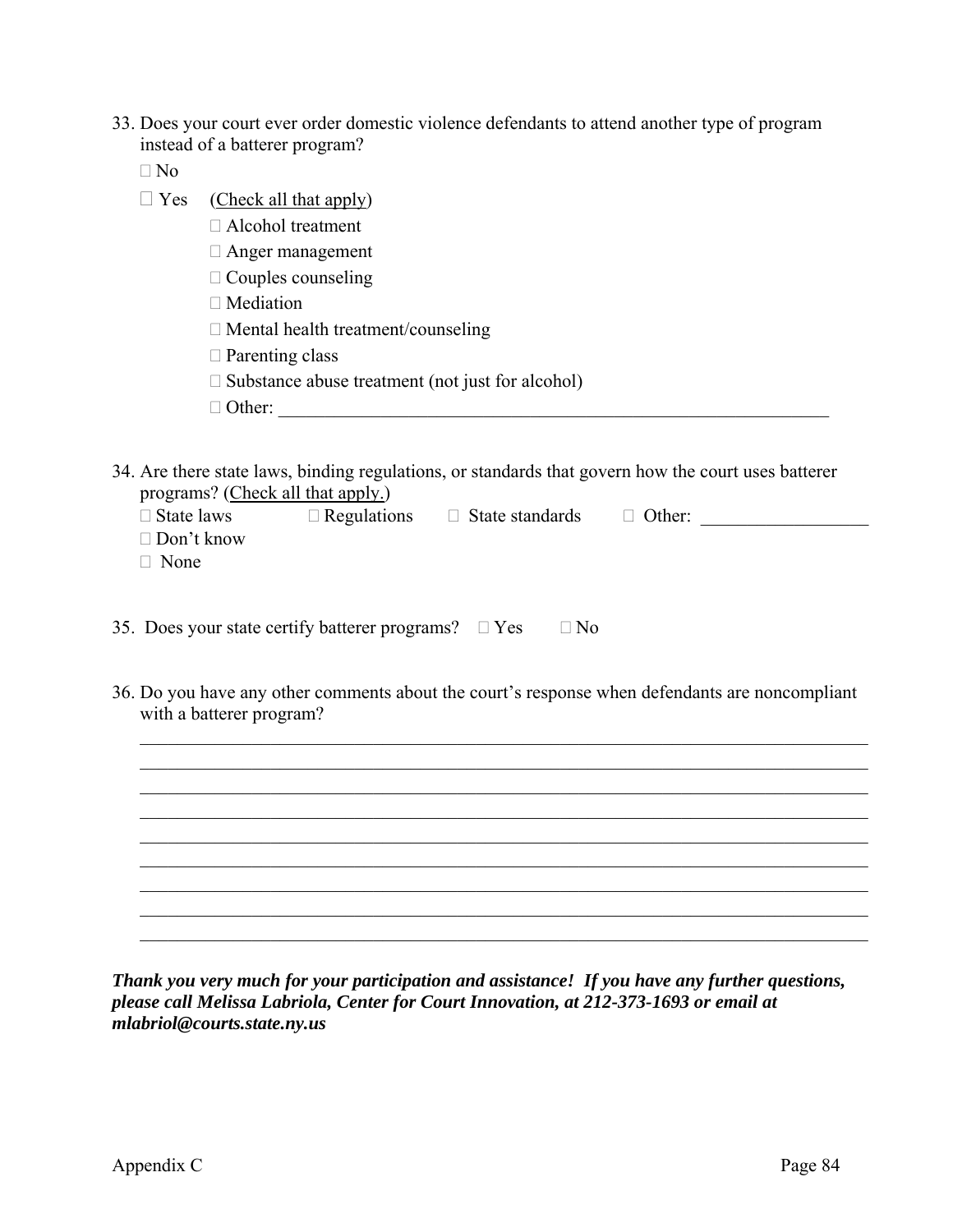- 33. Does your court ever order domestic violence defendants to attend another type of program instead of a batterer program?
	- $\Box$  No
	- $\Box$  Yes (Check all that apply)
		- Alcohol treatment
		- Anger management
		- $\Box$  Couples counseling
		- $\Box$  Mediation
		- $\Box$  Mental health treatment/counseling
		- □ Parenting class
		- $\square$  Substance abuse treatment (not just for alcohol)
		- $\Box$  Other:
- 34. Are there state laws, binding regulations, or standards that govern how the court uses batterer programs? (Check all that apply.)

| $\square$ State laws | $\Box$ Regulations | $\Box$ State standards | $\Box$ Other: |  |
|----------------------|--------------------|------------------------|---------------|--|
| $\Box$ Don't know    |                    |                        |               |  |
| $\Box$ None          |                    |                        |               |  |
|                      |                    |                        |               |  |

|  |  | 35. Does your state certify batterer programs? $\square$ Yes |  |  | $\Box$ No |
|--|--|--------------------------------------------------------------|--|--|-----------|
|--|--|--------------------------------------------------------------|--|--|-----------|

36. Do you have any other comments about the court's response when defendants are noncompliant with a batterer program?



*Thank you very much for your participation and assistance! If you have any further questions, please call Melissa Labriola, Center for Court Innovation, at 212-373-1693 or email at mlabriol@courts.state.ny.us*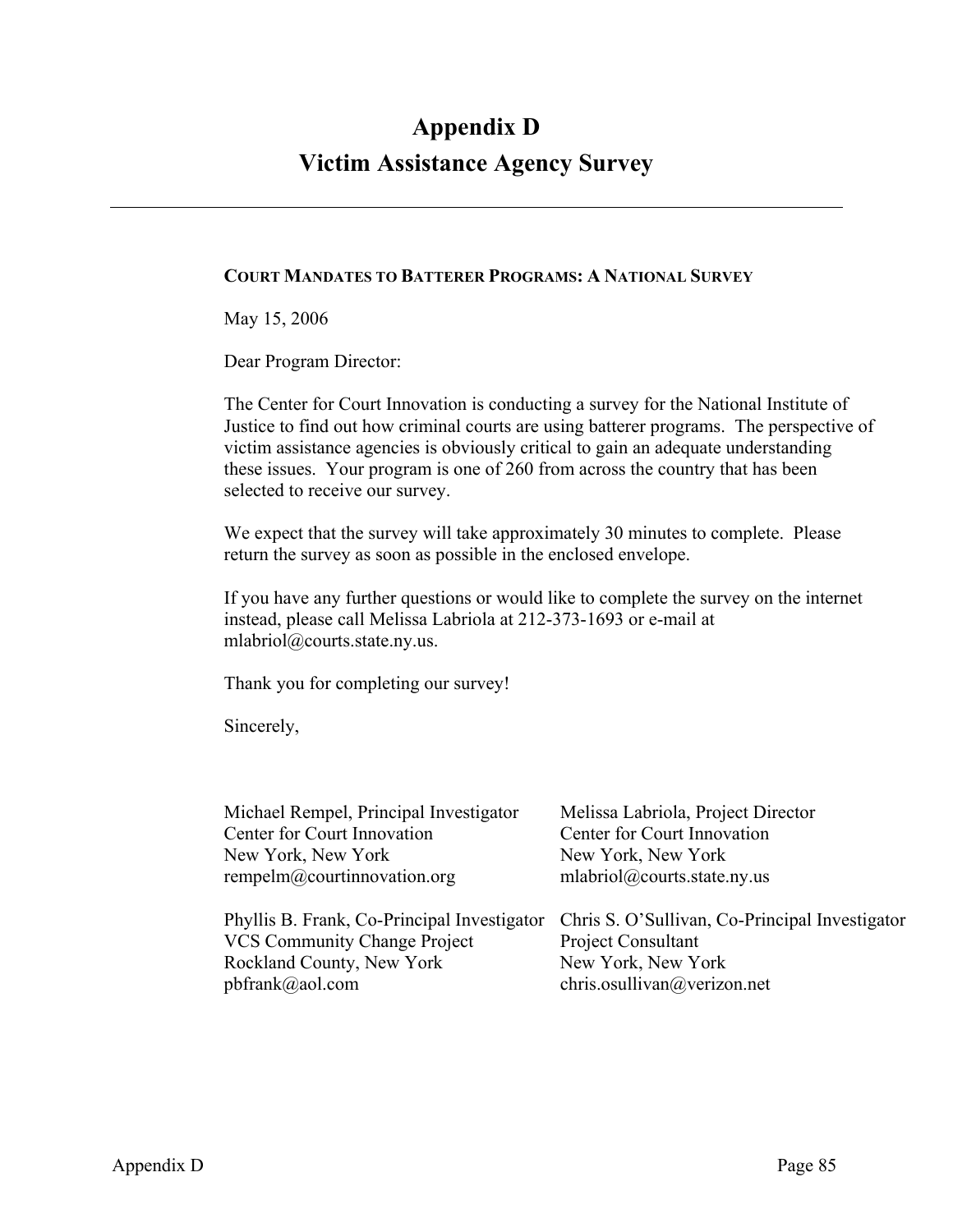## **Appendix D Victim Assistance Agency Survey**

#### **COURT MANDATES TO BATTERER PROGRAMS: A NATIONAL SURVEY**

May 15, 2006

Dear Program Director:

The Center for Court Innovation is conducting a survey for the National Institute of Justice to find out how criminal courts are using batterer programs. The perspective of victim assistance agencies is obviously critical to gain an adequate understanding these issues. Your program is one of 260 from across the country that has been selected to receive our survey.

We expect that the survey will take approximately 30 minutes to complete. Please return the survey as soon as possible in the enclosed envelope.

If you have any further questions or would like to complete the survey on the internet instead, please call Melissa Labriola at 212-373-1693 or e-mail at mlabriol@courts.state.ny.us.

Thank you for completing our survey!

Sincerely,

| Michael Rempel, Principal Investigator      | Melissa Labriola, Project Director             |
|---------------------------------------------|------------------------------------------------|
| Center for Court Innovation                 | Center for Court Innovation                    |
| New York, New York                          | New York, New York                             |
| rempelm@courtinnovation.org                 | mlabriol@courts.state.ny.us                    |
|                                             |                                                |
| Phyllis B. Frank, Co-Principal Investigator | Chris S. O'Sullivan, Co-Principal Investigator |
| <b>VCS Community Change Project</b>         | Project Consultant                             |
| Rockland County, New York                   | New York, New York                             |
| $pbf{}$ frank $(a)$ aol.com                 | chris.osullivan@verizon.net                    |
|                                             |                                                |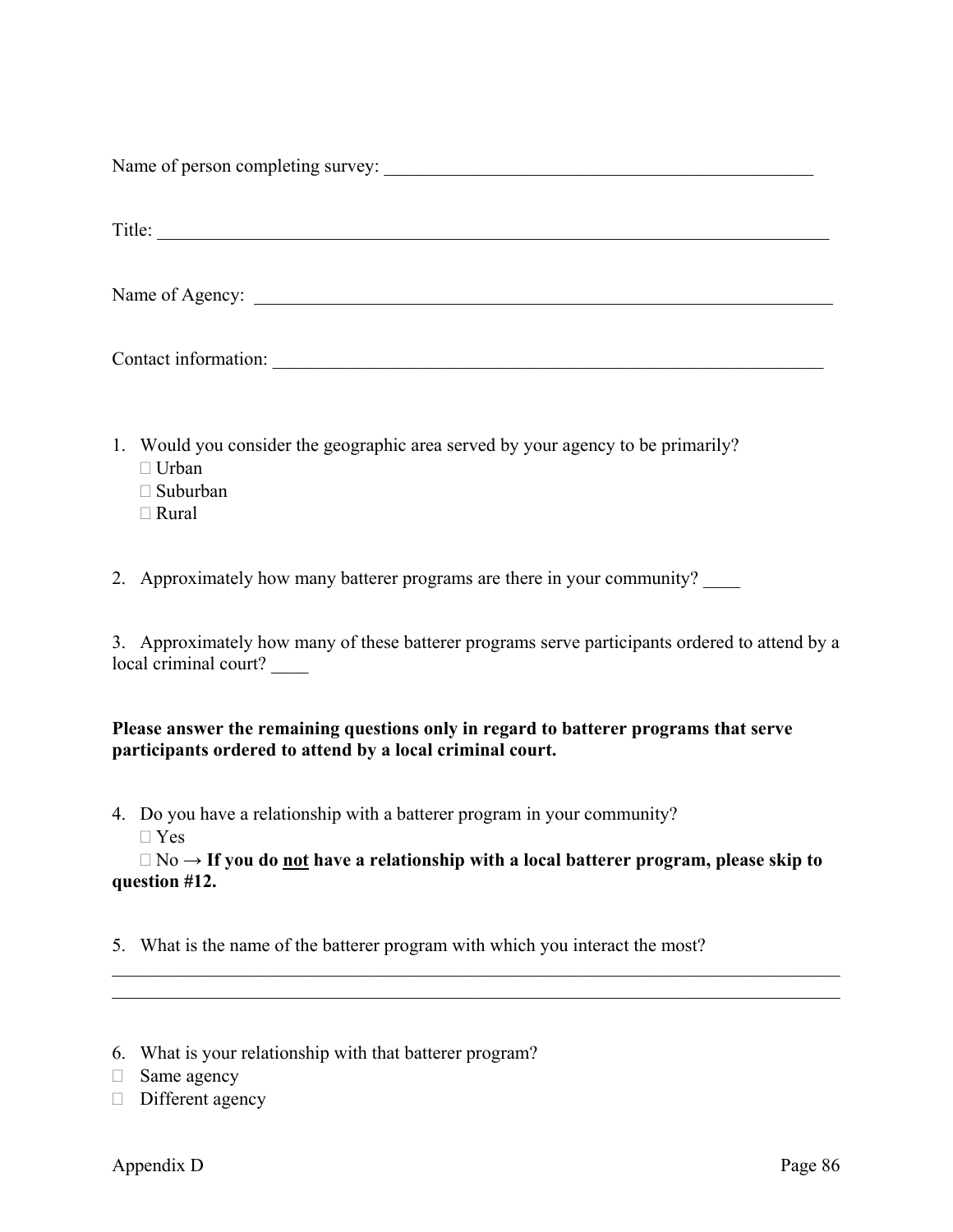Name of person completing survey: \_\_\_\_\_\_\_\_\_\_\_\_\_\_\_\_\_\_\_\_\_\_\_\_\_\_\_\_\_\_\_\_\_\_\_\_\_\_\_\_\_\_\_\_\_\_

Title: \_\_\_\_\_\_\_\_\_\_\_\_\_\_\_\_\_\_\_\_\_\_\_\_\_\_\_\_\_\_\_\_\_\_\_\_\_\_\_\_\_\_\_\_\_\_\_\_\_\_\_\_\_\_\_\_\_\_\_\_\_\_\_\_\_\_\_\_\_\_\_\_

Name of Agency: \_\_\_\_\_\_\_\_\_\_\_\_\_\_\_\_\_\_\_\_\_\_\_\_\_\_\_\_\_\_\_\_\_\_\_\_\_\_\_\_\_\_\_\_\_\_\_\_\_\_\_\_\_\_\_\_\_\_\_\_\_\_

Contact information:

- 1. Would you consider the geographic area served by your agency to be primarily?
	- $\Box$  Urban
	- $\Box$  Suburban
	- Rural

2. Approximately how many batterer programs are there in your community?

3. Approximately how many of these batterer programs serve participants ordered to attend by a local criminal court?

#### **Please answer the remaining questions only in regard to batterer programs that serve participants ordered to attend by a local criminal court.**

- 4. Do you have a relationship with a batterer program in your community?
	- Yes

 No → **If you do not have a relationship with a local batterer program, please skip to question #12.**

 $\_$  , and the contribution of the contribution of  $\mathcal{L}_\mathcal{A}$  , and the contribution of  $\mathcal{L}_\mathcal{A}$  $\_$  , and the contribution of the contribution of  $\mathcal{L}_\mathcal{A}$  , and the contribution of  $\mathcal{L}_\mathcal{A}$ 

5. What is the name of the batterer program with which you interact the most?

<sup>6.</sup> What is your relationship with that batterer program?

 $\Box$  Same agency

 $\Box$  Different agency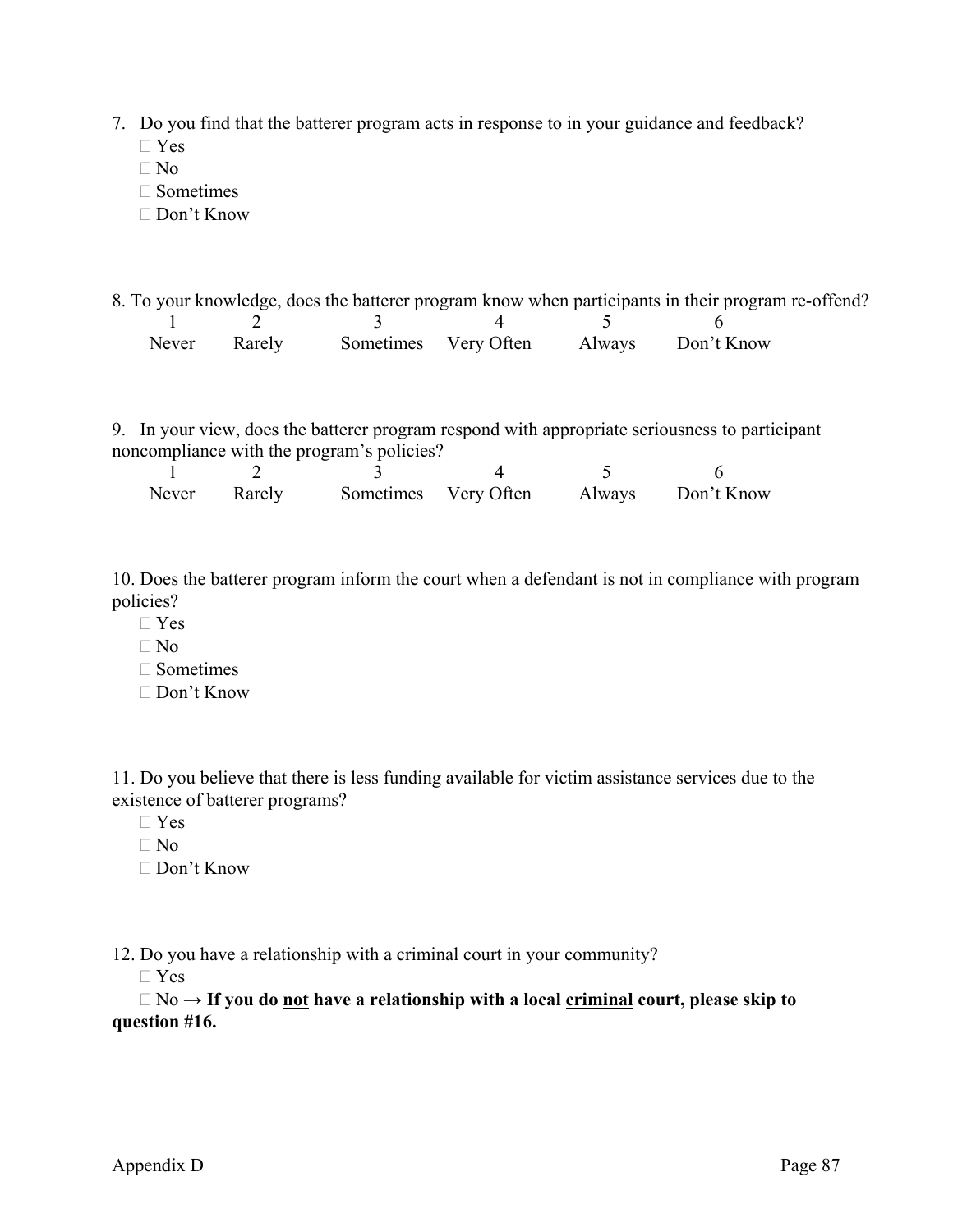- 7. Do you find that the batterer program acts in response to in your guidance and feedback?  $\neg$  Yes
	- $\n **No**\n$
	- $\Box$  Sometimes
	- Don't Know
- 8. To your knowledge, does the batterer program know when participants in their program re-offend? 1 2 3 4 5 6 Never Rarely Sometimes Very Often Always Don't Know
- 9. In your view, does the batterer program respond with appropriate seriousness to participant noncompliance with the program's policies?

| Never Rarely |  | Sometimes Very Often Always Don't Know |
|--------------|--|----------------------------------------|

10. Does the batterer program inform the court when a defendant is not in compliance with program policies?

- Yes
- $\n **No**\n$
- $\square$  Sometimes
- Don't Know

11. Do you believe that there is less funding available for victim assistance services due to the existence of batterer programs?

- $\Box$  Yes
- $\n **No**\n$
- Don't Know

12. Do you have a relationship with a criminal court in your community?

Yes

 No **→ If you do not have a relationship with a local criminal court, please skip to question #16.**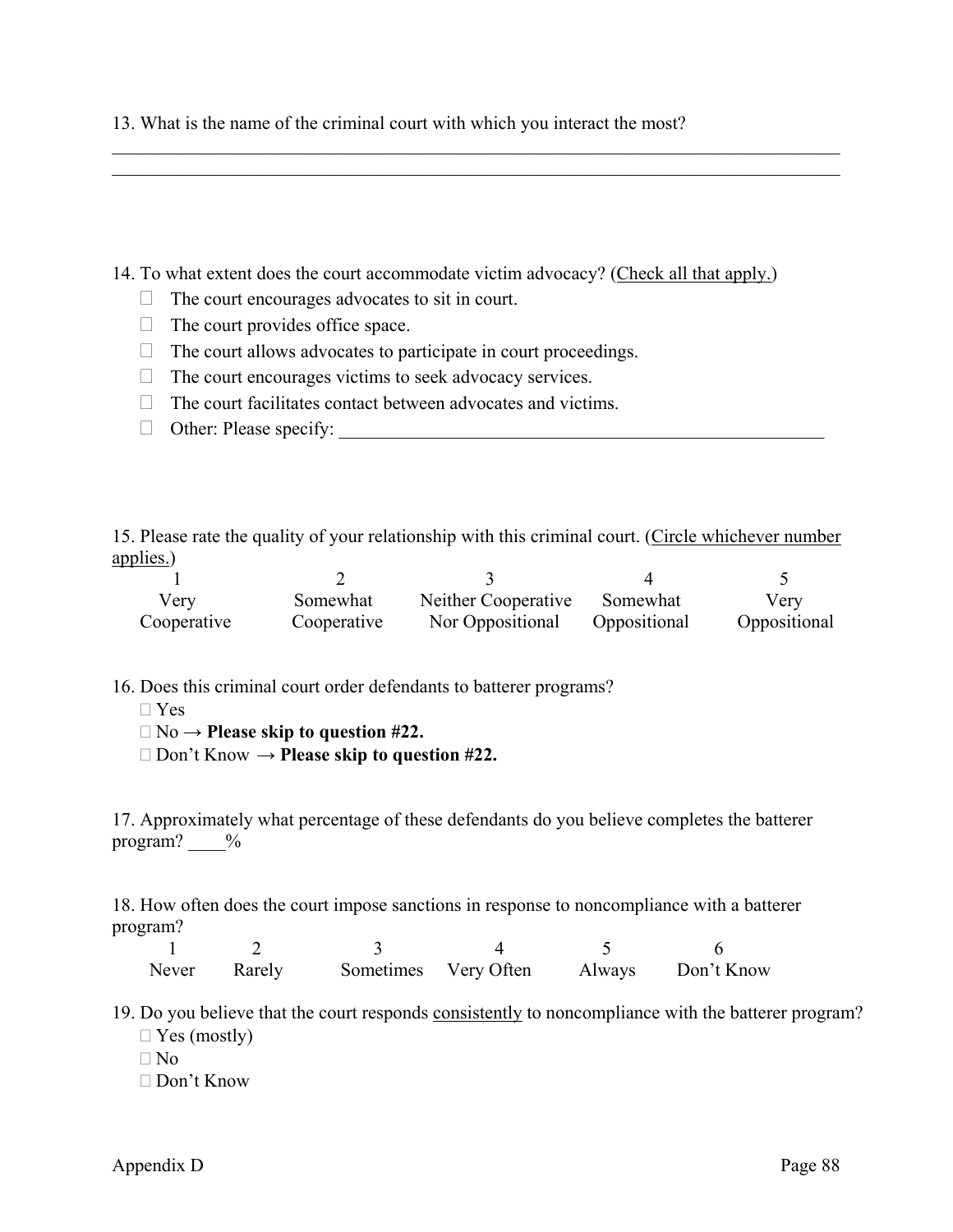13. What is the name of the criminal court with which you interact the most?

14. To what extent does the court accommodate victim advocacy? (Check all that apply.)

 $\mathcal{L}_\mathcal{L} = \mathcal{L}_\mathcal{L} = \mathcal{L}_\mathcal{L} = \mathcal{L}_\mathcal{L} = \mathcal{L}_\mathcal{L} = \mathcal{L}_\mathcal{L} = \mathcal{L}_\mathcal{L} = \mathcal{L}_\mathcal{L} = \mathcal{L}_\mathcal{L} = \mathcal{L}_\mathcal{L} = \mathcal{L}_\mathcal{L} = \mathcal{L}_\mathcal{L} = \mathcal{L}_\mathcal{L} = \mathcal{L}_\mathcal{L} = \mathcal{L}_\mathcal{L} = \mathcal{L}_\mathcal{L} = \mathcal{L}_\mathcal{L}$  $\mathcal{L}_\mathcal{L} = \mathcal{L}_\mathcal{L} = \mathcal{L}_\mathcal{L} = \mathcal{L}_\mathcal{L} = \mathcal{L}_\mathcal{L} = \mathcal{L}_\mathcal{L} = \mathcal{L}_\mathcal{L} = \mathcal{L}_\mathcal{L} = \mathcal{L}_\mathcal{L} = \mathcal{L}_\mathcal{L} = \mathcal{L}_\mathcal{L} = \mathcal{L}_\mathcal{L} = \mathcal{L}_\mathcal{L} = \mathcal{L}_\mathcal{L} = \mathcal{L}_\mathcal{L} = \mathcal{L}_\mathcal{L} = \mathcal{L}_\mathcal{L}$ 

- $\Box$  The court encourages advocates to sit in court.
- $\Box$  The court provides office space.
- $\Box$  The court allows advocates to participate in court proceedings.
- $\Box$  The court encourages victims to seek advocacy services.
- $\Box$  The court facilitates contact between advocates and victims.
- Other: Please specify: \_\_\_\_\_\_\_\_\_\_\_\_\_\_\_\_\_\_\_\_\_\_\_\_\_\_\_\_\_\_\_\_\_\_\_\_\_\_\_\_\_\_\_\_\_\_\_\_\_\_\_\_

15. Please rate the quality of your relationship with this criminal court. (Circle whichever number applies.)

| Verv        | Somewhat    | Neither Cooperative | Somewhat     | Verv         |
|-------------|-------------|---------------------|--------------|--------------|
| Cooperative | Cooperative | Nor Oppositional    | Oppositional | Oppositional |

16. Does this criminal court order defendants to batterer programs?

- $\Box$  Yes
- No → **Please skip to question #22.**
- Don't Know → **Please skip to question #22.**

17. Approximately what percentage of these defendants do you believe completes the batterer program?  $\frac{6}{6}$ 

18. How often does the court impose sanctions in response to noncompliance with a batterer program?

| Never Rarely |  | Sometimes Very Often Always Don't Know |
|--------------|--|----------------------------------------|

19. Do you believe that the court responds consistently to noncompliance with the batterer program?

 $\Box$  Yes (mostly)

 $\n **No**\n$ 

Don't Know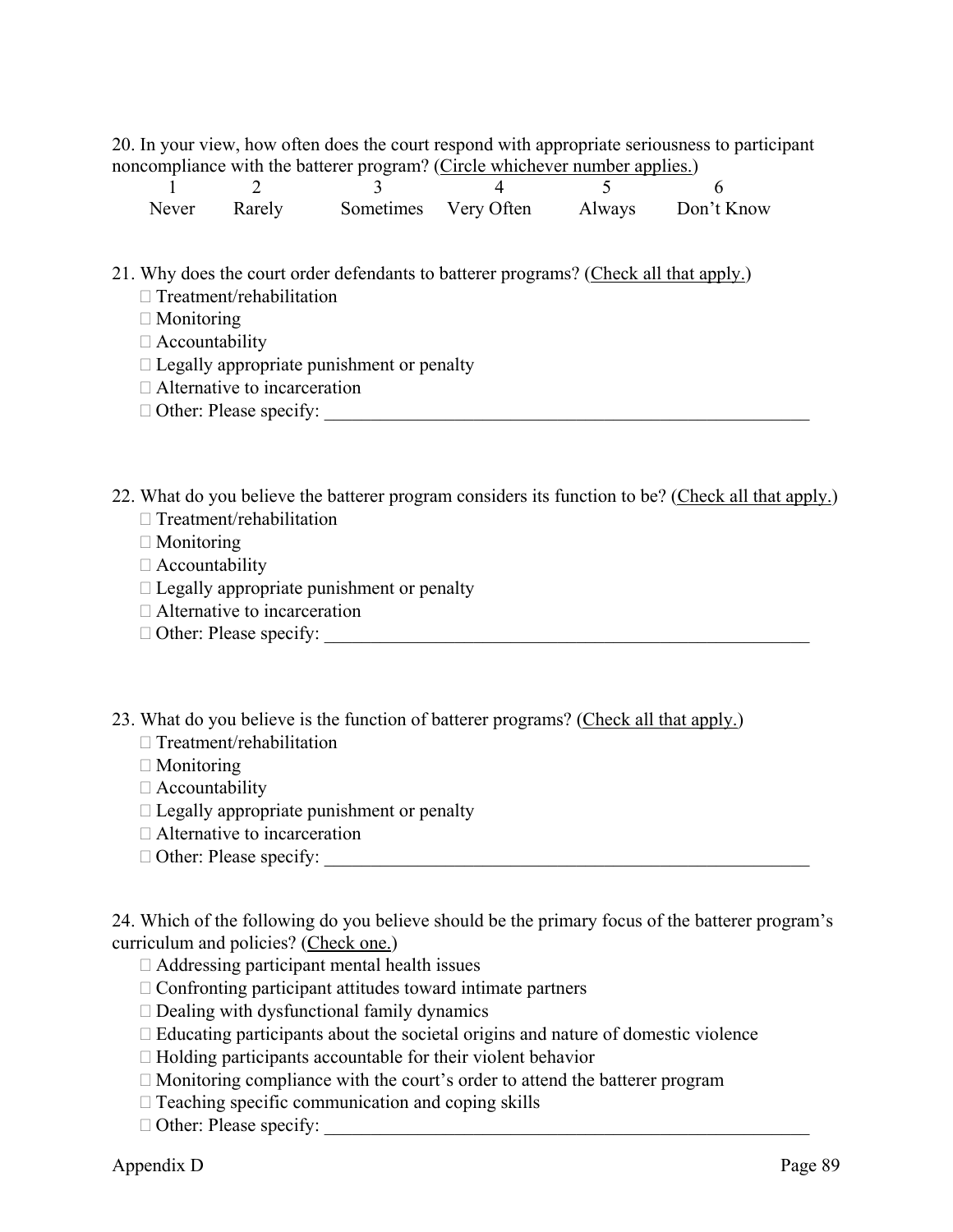20. In your view, how often does the court respond with appropriate seriousness to participant noncompliance with the batterer program? (Circle whichever number applies.)

| Never Rarely |  | Sometimes Very Often Always Don't Know |
|--------------|--|----------------------------------------|

- 21. Why does the court order defendants to batterer programs? (Check all that apply.)  $\Box$  Treatment/rehabilitation
	- □ Monitoring
	- Accountability
	- $\Box$  Legally appropriate punishment or penalty
	- □ Alternative to incarceration
	- $\Box$  Other: Please specify:
- 22. What do you believe the batterer program considers its function to be? (Check all that apply.)  $\Box$  Treatment/rehabilitation
	- □ Monitoring
	- $\Box$  Accountability
	- $\Box$  Legally appropriate punishment or penalty
	- □ Alternative to incarceration
	- $\Box$  Other: Please specify:
- 23. What do you believe is the function of batterer programs? (Check all that apply.)
	- $\Box$  Treatment/rehabilitation
	- □ Monitoring
	- $\Box$  Accountability
	- $\Box$  Legally appropriate punishment or penalty
	- □ Alternative to incarceration
	- Other: Please specify: \_\_\_\_\_\_\_\_\_\_\_\_\_\_\_\_\_\_\_\_\_\_\_\_\_\_\_\_\_\_\_\_\_\_\_\_\_\_\_\_\_\_\_\_\_\_\_\_\_\_\_\_

24. Which of the following do you believe should be the primary focus of the batterer program's curriculum and policies? (Check one.)

- □ Addressing participant mental health issues
- $\Box$  Confronting participant attitudes toward intimate partners
- $\Box$  Dealing with dysfunctional family dynamics
- $\Box$  Educating participants about the societal origins and nature of domestic violence
- $\Box$  Holding participants accountable for their violent behavior
- $\Box$  Monitoring compliance with the court's order to attend the batterer program
- $\Box$  Teaching specific communication and coping skills
- $\Box$  Other: Please specify: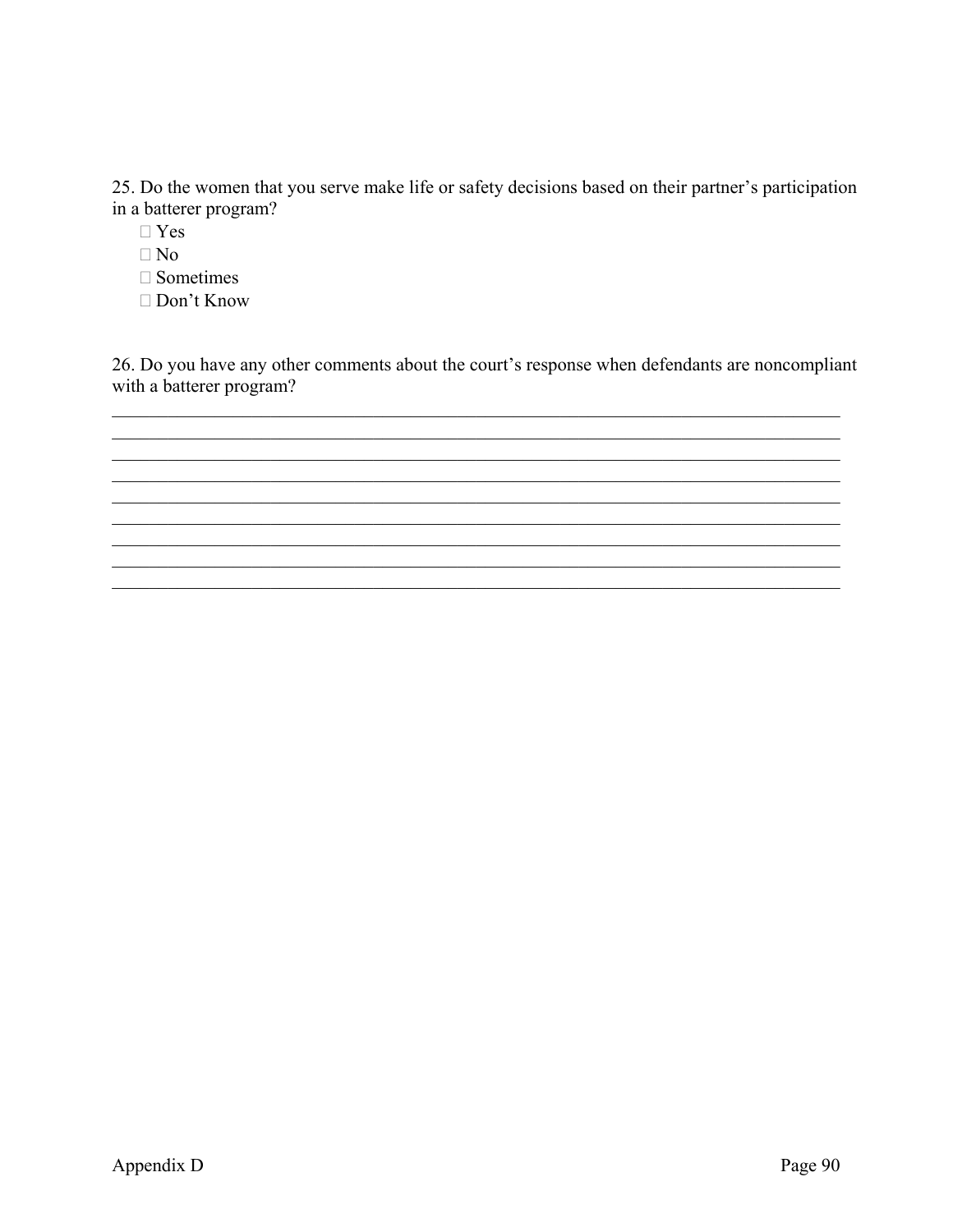25. Do the women that you serve make life or safety decisions based on their partner's participation in a batterer program?

- $\Box$  Yes
- $\Box$  No
- $\Box$  Sometimes
- $\Box$  Don't Know

26. Do you have any other comments about the court's response when defendants are noncompliant with a batterer program?

<u> 1989 - Johann John Stone, markin sanat masjid ayyı bir alan bir alan bir alan bir alan bir alan bir alan bir</u>

<u> 1989 - Johann Stoff, amerikansk politiker (d. 1989)</u>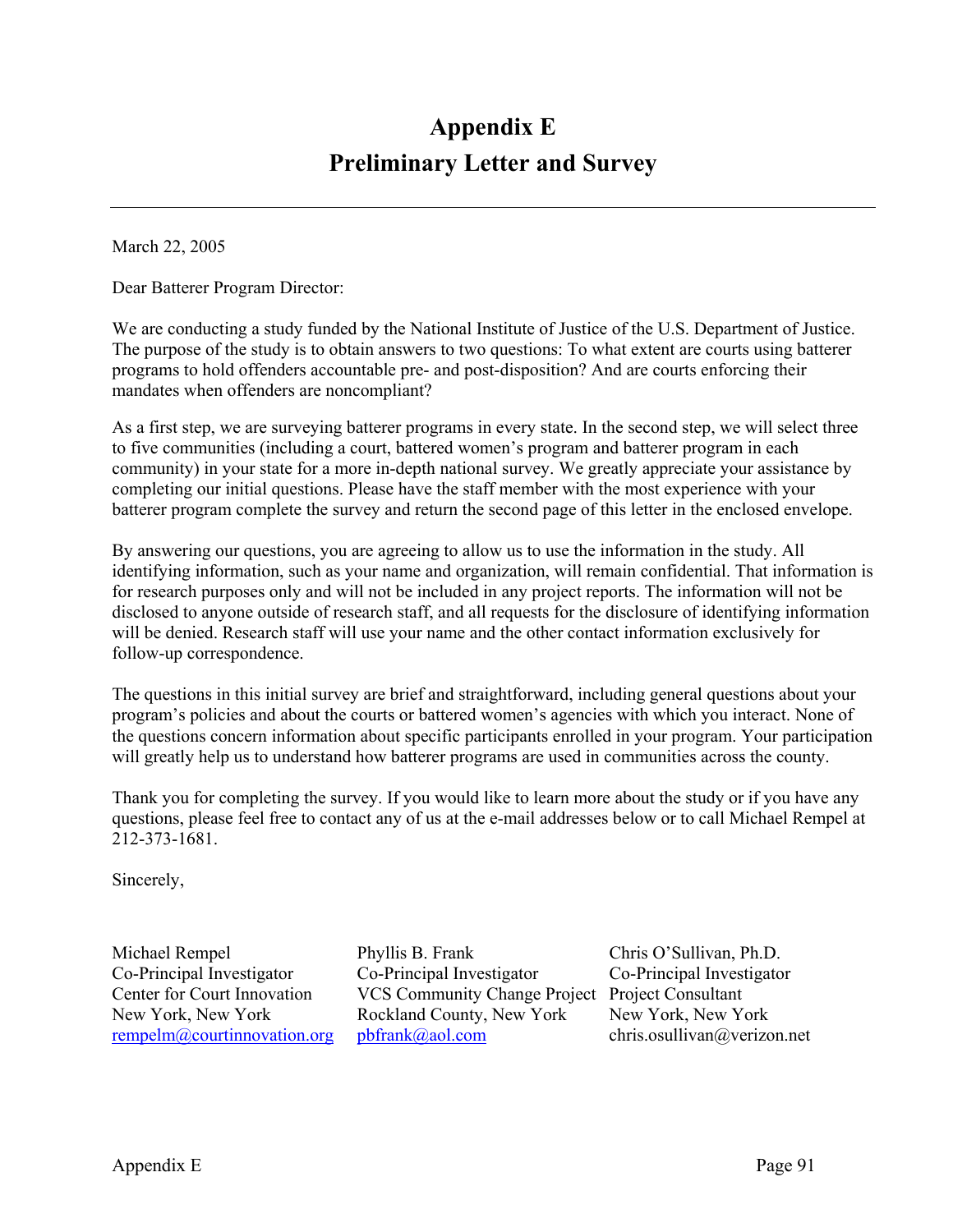## **Appendix E Preliminary Letter and Survey**

March 22, 2005

Dear Batterer Program Director:

We are conducting a study funded by the National Institute of Justice of the U.S. Department of Justice. The purpose of the study is to obtain answers to two questions: To what extent are courts using batterer programs to hold offenders accountable pre- and post-disposition? And are courts enforcing their mandates when offenders are noncompliant?

As a first step, we are surveying batterer programs in every state. In the second step, we will select three to five communities (including a court, battered women's program and batterer program in each community) in your state for a more in-depth national survey. We greatly appreciate your assistance by completing our initial questions. Please have the staff member with the most experience with your batterer program complete the survey and return the second page of this letter in the enclosed envelope.

By answering our questions, you are agreeing to allow us to use the information in the study. All identifying information, such as your name and organization, will remain confidential. That information is for research purposes only and will not be included in any project reports. The information will not be disclosed to anyone outside of research staff, and all requests for the disclosure of identifying information will be denied. Research staff will use your name and the other contact information exclusively for follow-up correspondence.

The questions in this initial survey are brief and straightforward, including general questions about your program's policies and about the courts or battered women's agencies with which you interact. None of the questions concern information about specific participants enrolled in your program. Your participation will greatly help us to understand how batterer programs are used in communities across the county.

Thank you for completing the survey. If you would like to learn more about the study or if you have any questions, please feel free to contact any of us at the e-mail addresses below or to call Michael Rempel at 212-373-1681.

Sincerely,

Michael Rempel Phyllis B. Frank Chris O'Sullivan, Ph.D. Co-Principal Investigator Co-Principal Investigator Co-Principal Investigator Center for Court Innovation VCS Community Change Project Project Consultant New York, New York Rockland County, New York New York, New York rempelm@courtinnovation.org pbfrank@aol.com chris.osullivan@verizon.net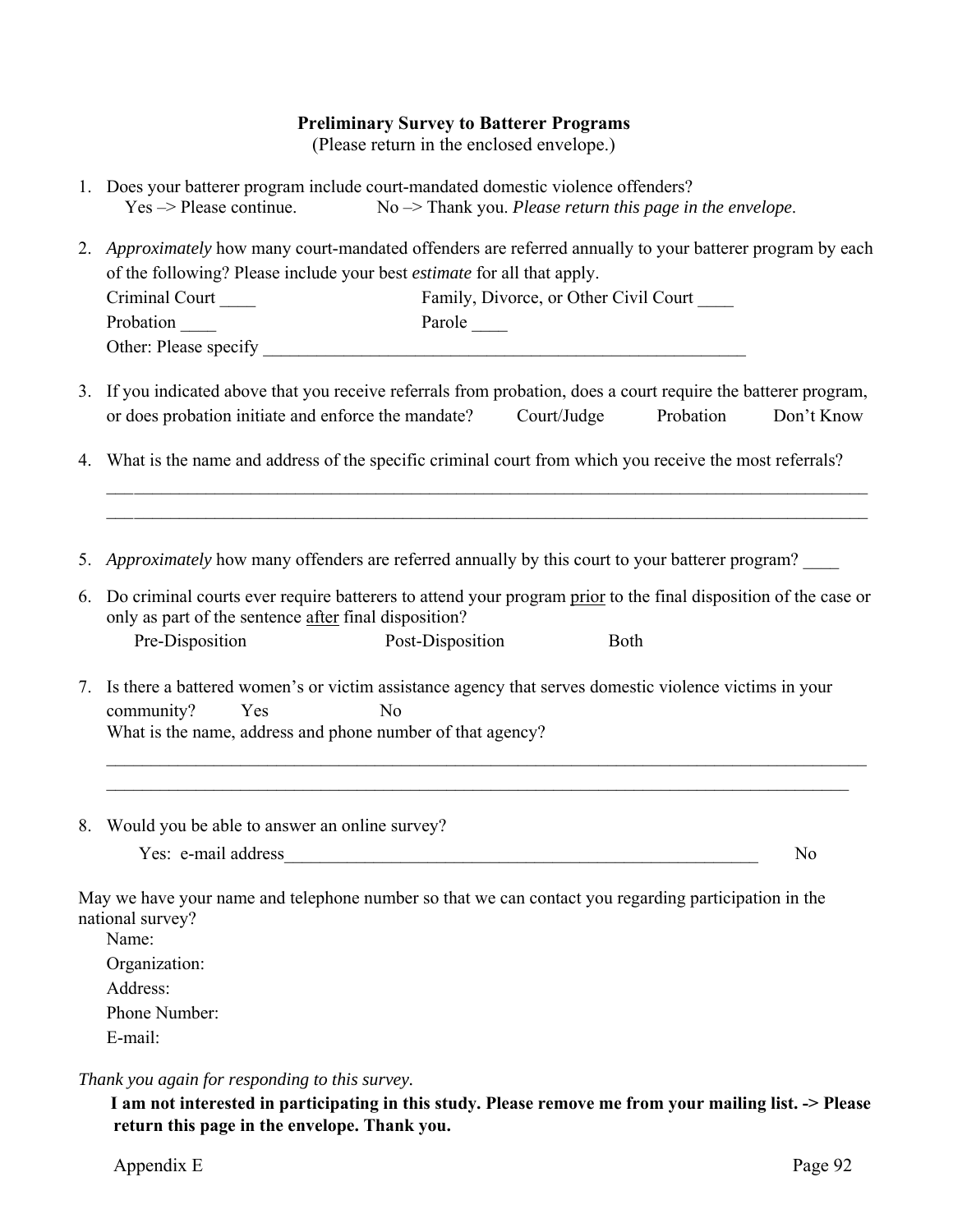#### **Preliminary Survey to Batterer Programs**

(Please return in the enclosed envelope.)

|                                    | 1. Does your batterer program include court-mandated domestic violence offenders? |
|------------------------------------|-----------------------------------------------------------------------------------|
| $Yes \rightarrow Please$ continue. | $No \rightarrow Thank$ you. <i>Please return this page in the envelope</i> .      |

- 2. *Approximately* how many court-mandated offenders are referred annually to your batterer program by each of the following? Please include your best *estimate* for all that apply. Criminal Court Family, Divorce, or Other Civil Court Probation Parole Parole Parole Parole Parole Parole Parole Parole Parole Parole Parole Parole Parole Parole Parole Parole Parole Parole Parole Parole Parole Parole Parole Parole Parole Parole Parole Parole Parole Parole Pa Other: Please specify \_\_\_\_\_\_\_\_\_\_\_\_\_\_\_\_\_\_\_\_\_\_\_\_\_\_\_\_\_\_\_\_\_\_\_\_\_\_\_\_\_\_\_\_\_\_\_\_\_\_\_\_\_\_
- 3. If you indicated above that you receive referrals from probation, does a court require the batterer program, or does probation initiate and enforce the mandate? Court/Judge Probation Don't Know

 $\mathcal{L}_\text{max} = \frac{1}{2} \sum_{i=1}^n \mathcal{L}_\text{max}(\mathbf{z}_i - \mathbf{z}_i)$ \_\_\_ \_\_\_\_\_\_\_\_\_\_\_\_\_\_\_\_\_\_\_\_\_\_\_\_\_\_\_\_\_\_\_\_\_\_\_\_\_\_\_\_\_\_\_\_\_\_\_\_\_\_\_\_\_\_\_\_\_\_\_\_\_\_\_\_\_\_\_\_\_\_\_\_\_\_\_\_\_\_\_\_\_\_

4. What is the name and address of the specific criminal court from which you receive the most referrals?

5. *Approximately* how many offenders are referred annually by this court to your batterer program?

- 6. Do criminal courts ever require batterers to attend your program prior to the final disposition of the case or only as part of the sentence after final disposition? Pre-Disposition Post-Disposition Both
- 7. Is there a battered women's or victim assistance agency that serves domestic violence victims in your community? Yes No What is the name, address and phone number of that agency?
- 8. Would you be able to answer an online survey?

Yes: e-mail address\_\_\_\_\_\_\_\_\_\_\_\_\_\_\_\_\_\_\_\_\_\_\_\_\_\_\_\_\_\_\_\_\_\_\_\_\_\_\_\_\_\_\_\_\_\_\_\_\_\_\_\_\_ No

 $\mathcal{L}_\mathcal{L} = \{ \mathcal{L}_\mathcal{L} = \{ \mathcal{L}_\mathcal{L} = \{ \mathcal{L}_\mathcal{L} = \{ \mathcal{L}_\mathcal{L} = \{ \mathcal{L}_\mathcal{L} = \{ \mathcal{L}_\mathcal{L} = \{ \mathcal{L}_\mathcal{L} = \{ \mathcal{L}_\mathcal{L} = \{ \mathcal{L}_\mathcal{L} = \{ \mathcal{L}_\mathcal{L} = \{ \mathcal{L}_\mathcal{L} = \{ \mathcal{L}_\mathcal{L} = \{ \mathcal{L}_\mathcal{L} = \{ \mathcal{L}_\mathcal{$  $\_$ 

May we have your name and telephone number so that we can contact you regarding participation in the national survey?

 Name: Organization: Address: Phone Number: E-mail:

*Thank you again for responding to this survey.* 

 **I am not interested in participating in this study. Please remove me from your mailing list. -> Please return this page in the envelope. Thank you.**

Appendix E Page 92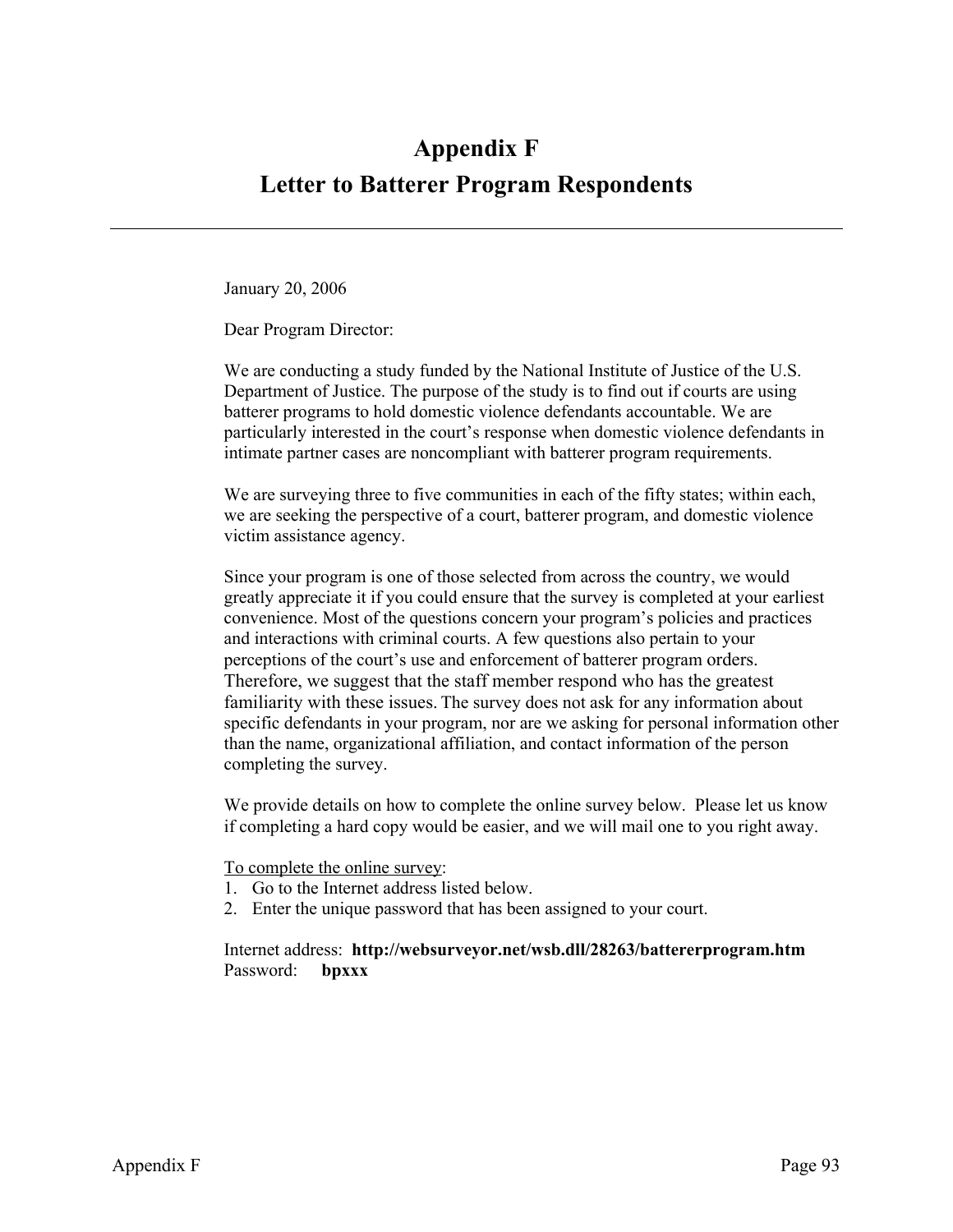# **Appendix F Letter to Batterer Program Respondents**

January 20, 2006

Dear Program Director:

We are conducting a study funded by the National Institute of Justice of the U.S. Department of Justice. The purpose of the study is to find out if courts are using batterer programs to hold domestic violence defendants accountable. We are particularly interested in the court's response when domestic violence defendants in intimate partner cases are noncompliant with batterer program requirements.

We are surveying three to five communities in each of the fifty states; within each, we are seeking the perspective of a court, batterer program, and domestic violence victim assistance agency.

Since your program is one of those selected from across the country, we would greatly appreciate it if you could ensure that the survey is completed at your earliest convenience. Most of the questions concern your program's policies and practices and interactions with criminal courts. A few questions also pertain to your perceptions of the court's use and enforcement of batterer program orders. Therefore, we suggest that the staff member respond who has the greatest familiarity with these issues. The survey does not ask for any information about specific defendants in your program, nor are we asking for personal information other than the name, organizational affiliation, and contact information of the person completing the survey.

We provide details on how to complete the online survey below. Please let us know if completing a hard copy would be easier, and we will mail one to you right away.

To complete the online survey:

- 1. Go to the Internet address listed below.
- 2. Enter the unique password that has been assigned to your court.

Internet address: **http://websurveyor.net/wsb.dll/28263/battererprogram.htm**  Password: **bpxxx**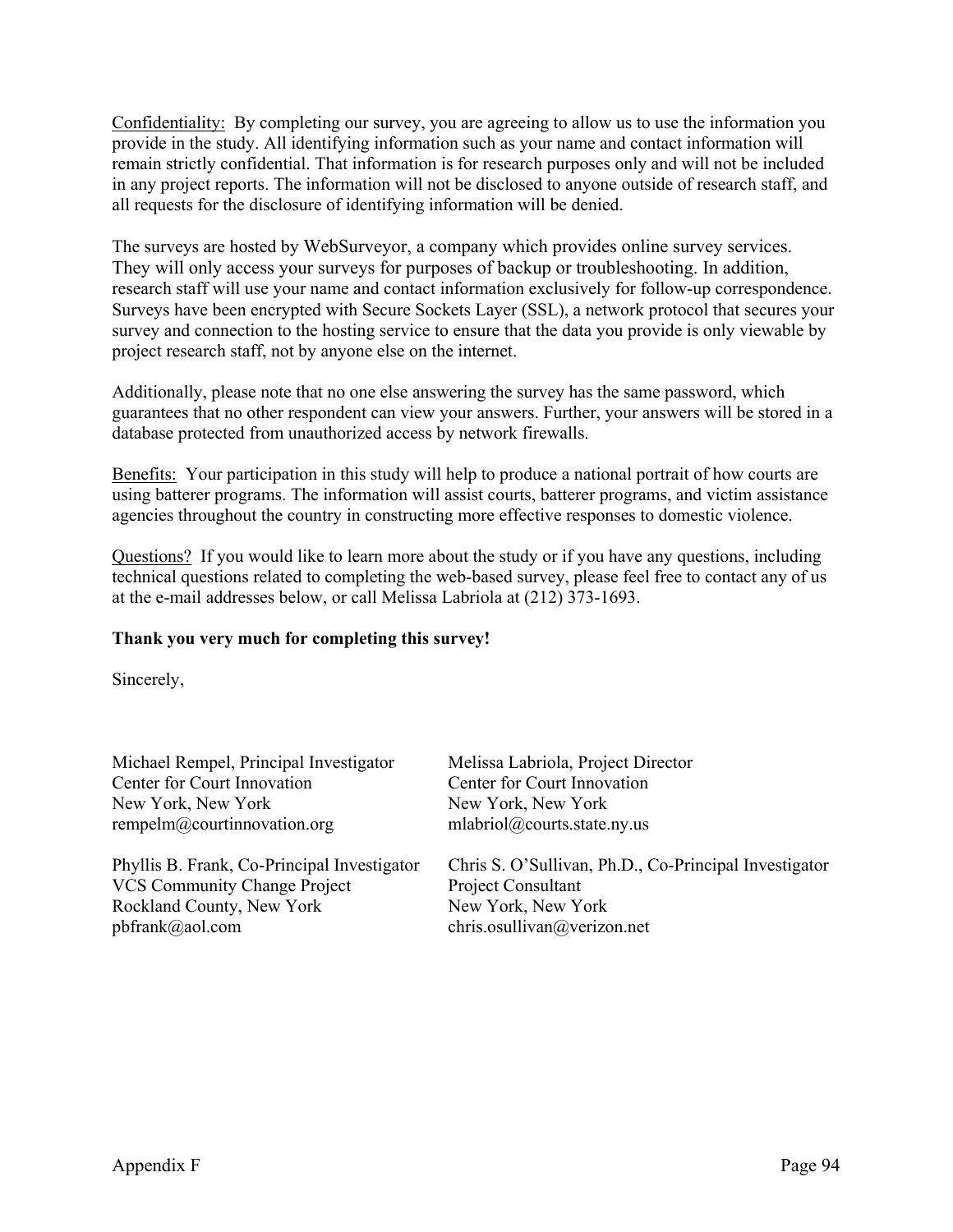Confidentiality: By completing our survey, you are agreeing to allow us to use the information you provide in the study. All identifying information such as your name and contact information will remain strictly confidential. That information is for research purposes only and will not be included in any project reports. The information will not be disclosed to anyone outside of research staff, and all requests for the disclosure of identifying information will be denied.

The surveys are hosted by WebSurveyor, a company which provides online survey services. They will only access your surveys for purposes of backup or troubleshooting. In addition, research staff will use your name and contact information exclusively for follow-up correspondence. Surveys have been encrypted with Secure Sockets Layer (SSL), a network protocol that secures your survey and connection to the hosting service to ensure that the data you provide is only viewable by project research staff, not by anyone else on the internet.

Additionally, please note that no one else answering the survey has the same password, which guarantees that no other respondent can view your answers. Further, your answers will be stored in a database protected from unauthorized access by network firewalls.

Benefits: Your participation in this study will help to produce a national portrait of how courts are using batterer programs. The information will assist courts, batterer programs, and victim assistance agencies throughout the country in constructing more effective responses to domestic violence.

Questions? If you would like to learn more about the study or if you have any questions, including technical questions related to completing the web-based survey, please feel free to contact any of us at the e-mail addresses below, or call Melissa Labriola at (212) 373-1693.

#### **Thank you very much for completing this survey!**

Sincerely,

| Michael Rempel, Principal Investigator      | Melissa Labriola, Project Director                    |
|---------------------------------------------|-------------------------------------------------------|
| Center for Court Innovation                 | Center for Court Innovation                           |
| New York, New York                          | New York, New York                                    |
| rempelm@courtinnovation.org                 | mlabriol@courts.state.ny.us                           |
| Phyllis B. Frank, Co-Principal Investigator | Chris S. O'Sullivan, Ph.D., Co-Principal Investigator |
| <b>VCS Community Change Project</b>         | Project Consultant                                    |
| Rockland County, New York                   | New York, New York                                    |
| $pbf{}$ frank@aol.com                       | chris.osullivan@verizon.net                           |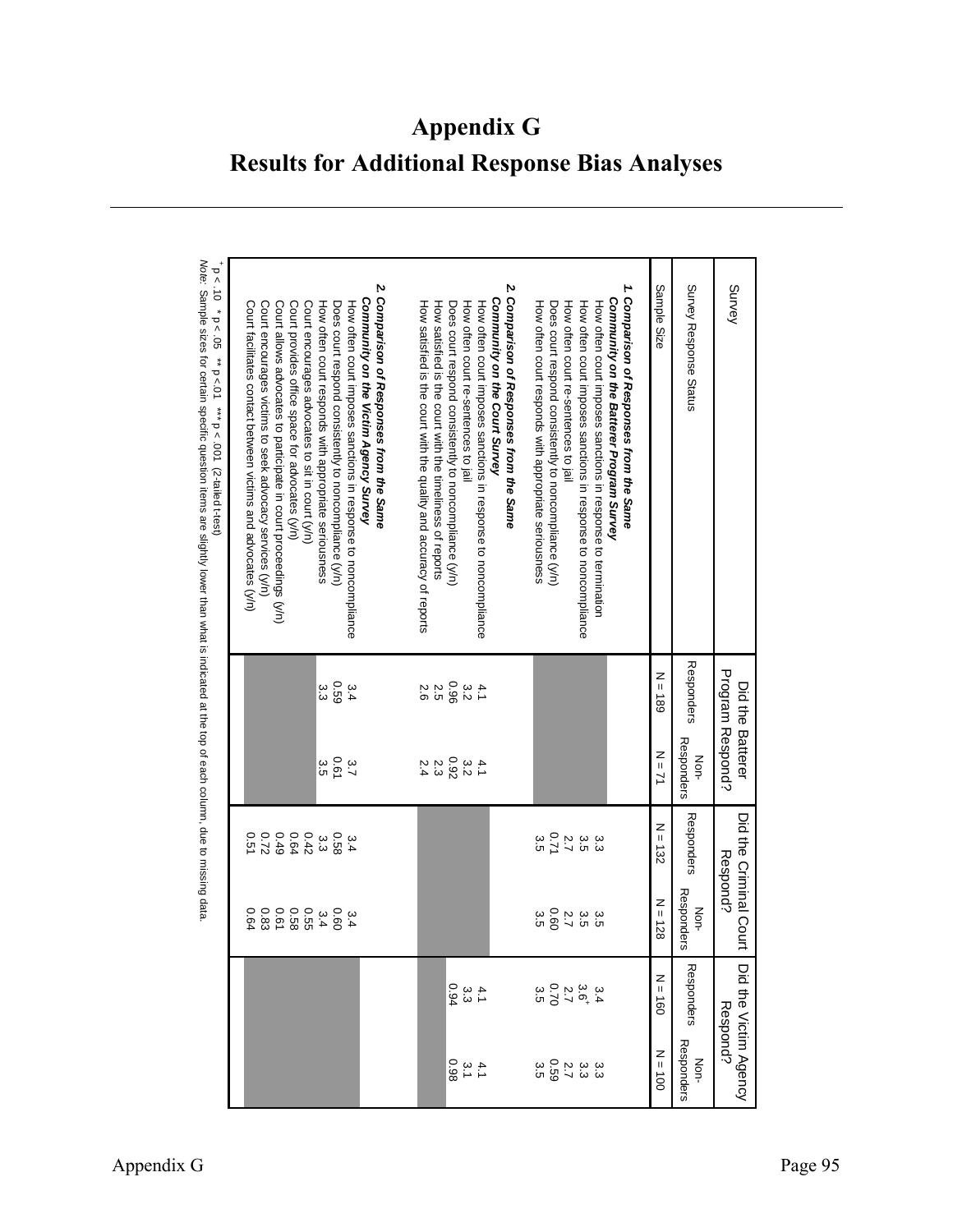**Appendix G Results for Additional Response Bias Analyses** 

| $-5 < 10 * 0 = 05$<br>Note: Sample sizes for certain specific question items are slightly lower than what is indicated at the top of each column, due to missing data.<br>** $p < 01$ *** $p < .001$ (2-tailed t-test) | Court allows advocates to participate in court proceedings (y/n)<br>Court provides office space for advocates (y/n)<br>Court encourages advocates to sit in court (y/n)<br>Court facilitates contact between victims and advocates (y/n)<br>Court encourages victims to seek advocacy services (y/n) | How often court responds with appropriate seriousness<br>Does court respond consistently to noncompliance (y/n)<br>How often court imposes sanctions in response to noncompliance | 2. Comparison of Responses from the Same<br>Community on the Victim Agency Survey | How satisfied is the court with the quality and accuracy of reports<br>How satisfied is the court with the timeliness of reports | How often court imposes sanctions in response to noncompliance<br>How often court re-sentences to jail<br>Does court respond consistently to noncompliance (y/n) | 2. Comparison of Responses from the Same<br>Community on the Court Survey | How often court responds with appropriate seriousness<br>Does court respond consistently to noncompliance (yr) | How often court imposes sanctions in response to noncompliance<br>How often court imposes sanctions in response to termination<br>How often court re-sentences to jail | 1. Comparison of Responses from the Same<br>Community on the Batterer Program Survey | Sample Size                             | Survey Response Status | Survey                               |
|------------------------------------------------------------------------------------------------------------------------------------------------------------------------------------------------------------------------|------------------------------------------------------------------------------------------------------------------------------------------------------------------------------------------------------------------------------------------------------------------------------------------------------|-----------------------------------------------------------------------------------------------------------------------------------------------------------------------------------|-----------------------------------------------------------------------------------|----------------------------------------------------------------------------------------------------------------------------------|------------------------------------------------------------------------------------------------------------------------------------------------------------------|---------------------------------------------------------------------------|----------------------------------------------------------------------------------------------------------------|------------------------------------------------------------------------------------------------------------------------------------------------------------------------|--------------------------------------------------------------------------------------|-----------------------------------------|------------------------|--------------------------------------|
|                                                                                                                                                                                                                        |                                                                                                                                                                                                                                                                                                      | 690<br>သ<br>ပ<br>3.4                                                                                                                                                              |                                                                                   | 2.5<br>2.6                                                                                                                       | 3.260<br>4.1                                                                                                                                                     |                                                                           |                                                                                                                |                                                                                                                                                                        |                                                                                      | $\frac{z}{\parallel}$<br>$-189$         | Responders             | Program Respond?<br>Did the Batterer |
|                                                                                                                                                                                                                        |                                                                                                                                                                                                                                                                                                      | 0.61<br>α.<br>5<br>3,7                                                                                                                                                            |                                                                                   | 2.4                                                                                                                              | $\begin{array}{c} 3.2 \\ 2.9 \\ 2.3 \end{array}$                                                                                                                 |                                                                           |                                                                                                                |                                                                                                                                                                        |                                                                                      | $N = 7$                                 | Responders<br>Non-     |                                      |
|                                                                                                                                                                                                                        | 22:0<br>0.49<br>$0.42$<br>0.64<br>0.51                                                                                                                                                                                                                                                               | 85.0<br>ပ္ပ                                                                                                                                                                       |                                                                                   |                                                                                                                                  |                                                                                                                                                                  |                                                                           | 0.71<br>ς<br>Ω                                                                                                 | $\overline{2}.7$<br>3.5<br>ین<br>ن                                                                                                                                     |                                                                                      | $N = 132$                               | Responders             | Did the Criminal Court               |
|                                                                                                                                                                                                                        | 0.61<br>3.4<br>0.55<br>0.58<br>0.64                                                                                                                                                                                                                                                                  | 3.400.60                                                                                                                                                                          |                                                                                   |                                                                                                                                  |                                                                                                                                                                  |                                                                           | 0.60<br>ς<br>Ω                                                                                                 | 2.7<br>3.5<br>ပ<br>က                                                                                                                                                   |                                                                                      | $N = 128$                               | Responders<br>Non-     | Respond?                             |
|                                                                                                                                                                                                                        |                                                                                                                                                                                                                                                                                                      |                                                                                                                                                                                   |                                                                                   |                                                                                                                                  | 4.33000                                                                                                                                                          |                                                                           |                                                                                                                | 3<br>3 3 2 4 5 9<br>3 3 9 7 9 9                                                                                                                                        |                                                                                      | z<br>$\mathsf{II}%$<br>$\overline{180}$ | Responders             |                                      |
|                                                                                                                                                                                                                        |                                                                                                                                                                                                                                                                                                      |                                                                                                                                                                                   |                                                                                   |                                                                                                                                  | $4.38$<br>0.98                                                                                                                                                   |                                                                           |                                                                                                                | ین<br>ن                                                                                                                                                                |                                                                                      | $N = 100$                               | Responders<br>Non-     | Did the Victim Agency<br>Respond?    |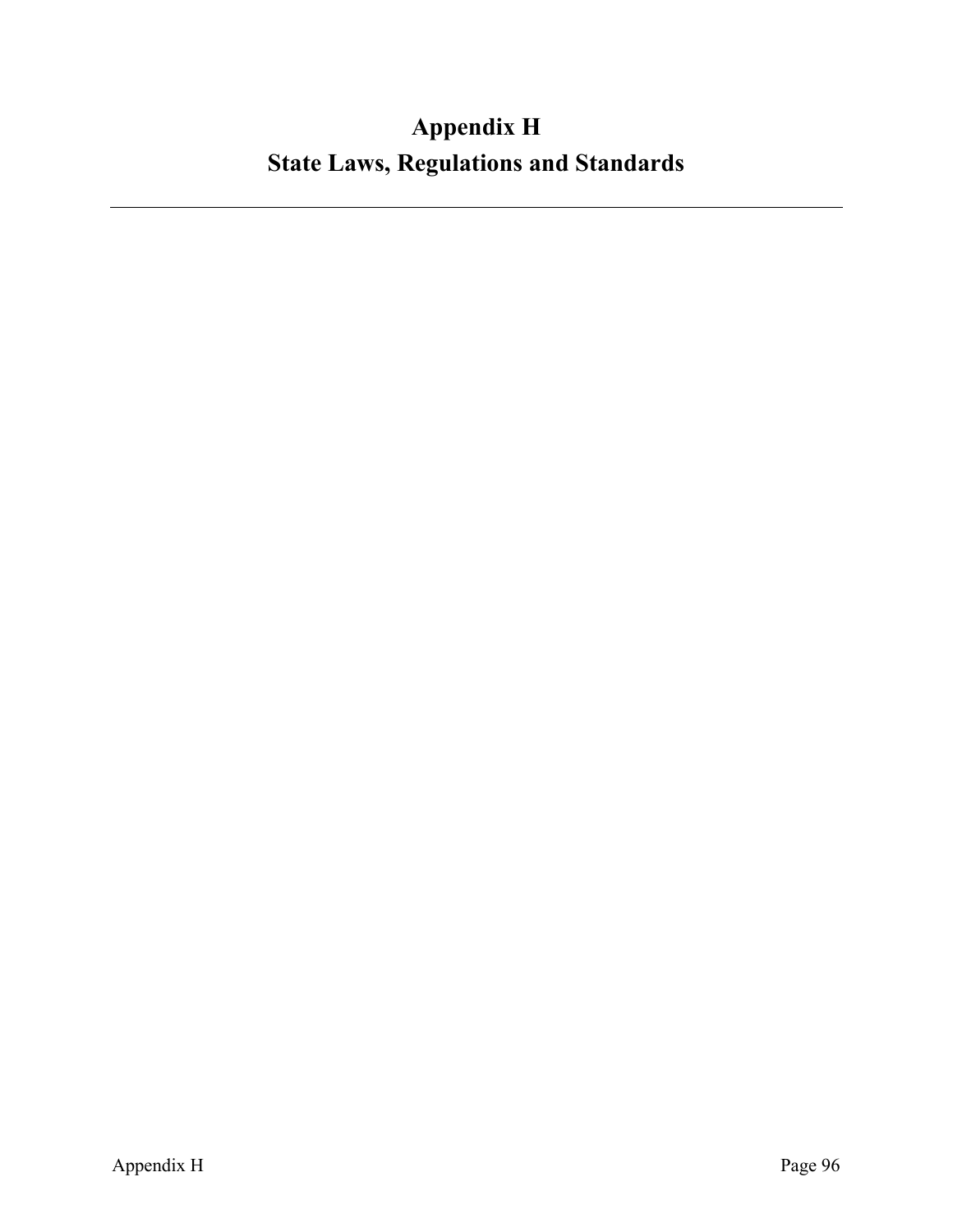# **Appendix H State Laws, Regulations and Standards**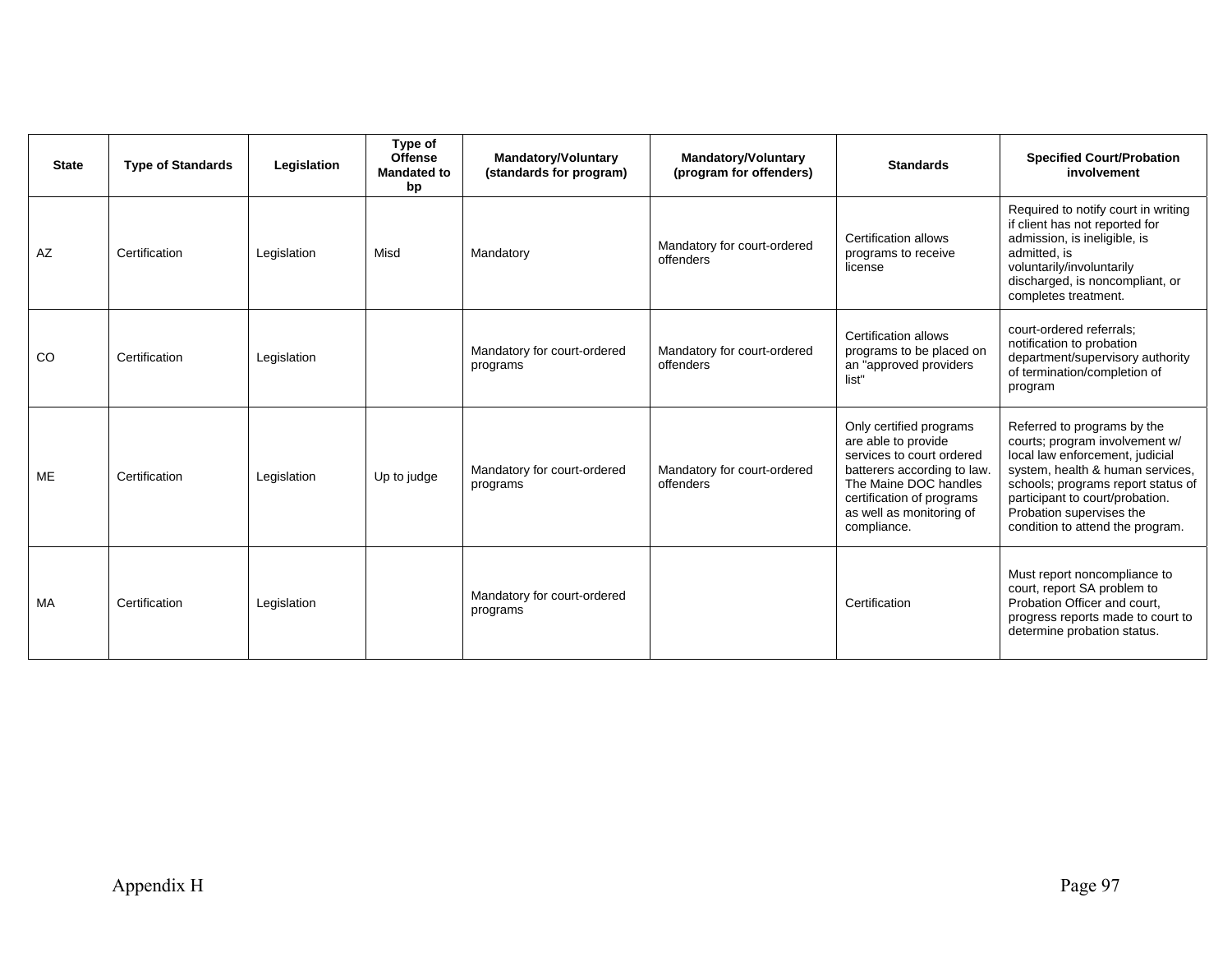| <b>State</b> | <b>Type of Standards</b> | Legislation | Type of<br><b>Offense</b><br><b>Mandated to</b><br>bp | <b>Mandatory/Voluntary</b><br>(standards for program) | <b>Mandatory/Voluntary</b><br><b>Standards</b><br>(program for offenders)                                                              |                                                                                                                                                                                                             | <b>Specified Court/Probation</b><br>involvement                                                                                                                                                                                                                               |  |
|--------------|--------------------------|-------------|-------------------------------------------------------|-------------------------------------------------------|----------------------------------------------------------------------------------------------------------------------------------------|-------------------------------------------------------------------------------------------------------------------------------------------------------------------------------------------------------------|-------------------------------------------------------------------------------------------------------------------------------------------------------------------------------------------------------------------------------------------------------------------------------|--|
| <b>AZ</b>    | Certification            | Legislation | Misd                                                  | Mandatory                                             | Mandatory for court-ordered<br>offenders                                                                                               | Certification allows<br>programs to receive<br>license                                                                                                                                                      | Required to notify court in writing<br>if client has not reported for<br>admission, is ineligible, is<br>admitted, is<br>voluntarily/involuntarily<br>discharged, is noncompliant, or<br>completes treatment.                                                                 |  |
| <b>CO</b>    | Certification            | Legislation |                                                       | Mandatory for court-ordered<br>programs               | <b>Certification allows</b><br>Mandatory for court-ordered<br>programs to be placed on<br>offenders<br>an "approved providers<br>list" |                                                                                                                                                                                                             | court-ordered referrals:<br>notification to probation<br>department/supervisory authority<br>of termination/completion of<br>program                                                                                                                                          |  |
| <b>ME</b>    | Certification            | Legislation | Up to judge                                           | Mandatory for court-ordered<br>programs               | Mandatory for court-ordered<br>offenders                                                                                               | Only certified programs<br>are able to provide<br>services to court ordered<br>batterers according to law.<br>The Maine DOC handles<br>certification of programs<br>as well as monitoring of<br>compliance. | Referred to programs by the<br>courts; program involvement w/<br>local law enforcement, judicial<br>system, health & human services,<br>schools; programs report status of<br>participant to court/probation.<br>Probation supervises the<br>condition to attend the program. |  |
| <b>MA</b>    | Certification            | Legislation |                                                       | Mandatory for court-ordered<br>programs               |                                                                                                                                        | Certification                                                                                                                                                                                               | Must report noncompliance to<br>court, report SA problem to<br>Probation Officer and court,<br>progress reports made to court to<br>determine probation status.                                                                                                               |  |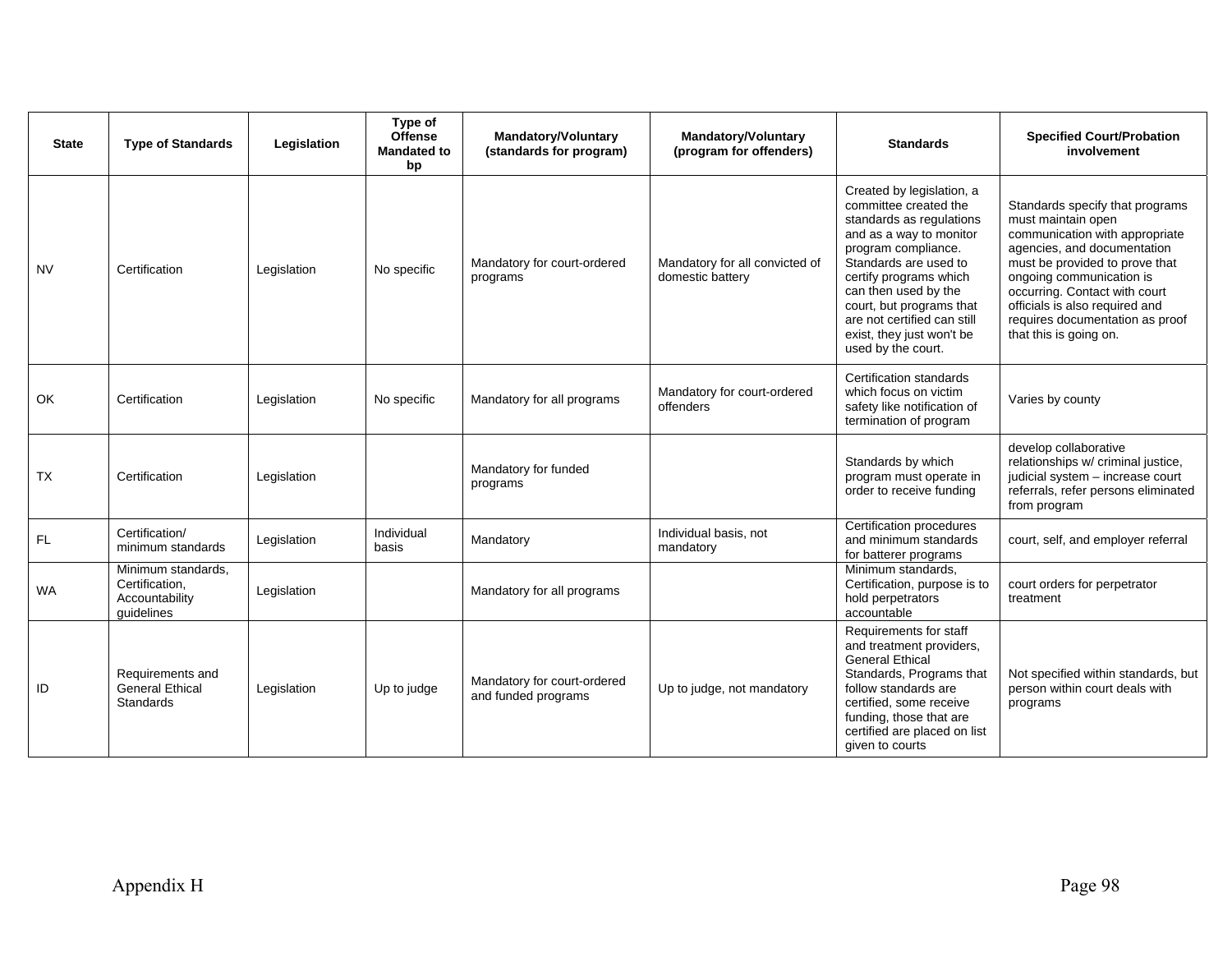| <b>State</b> | <b>Type of Standards</b>                                             | Legislation | Type of<br><b>Offense</b><br><b>Mandated to</b><br>bp | <b>Mandatory/Voluntary</b><br>(standards for program) | <b>Mandatory/Voluntary</b><br>(program for offenders) | <b>Standards</b>                                                                                                                                                                                                                                                                                                          | <b>Specified Court/Probation</b><br>involvement                                                                                                                                                                                                                                                                      |
|--------------|----------------------------------------------------------------------|-------------|-------------------------------------------------------|-------------------------------------------------------|-------------------------------------------------------|---------------------------------------------------------------------------------------------------------------------------------------------------------------------------------------------------------------------------------------------------------------------------------------------------------------------------|----------------------------------------------------------------------------------------------------------------------------------------------------------------------------------------------------------------------------------------------------------------------------------------------------------------------|
| <b>NV</b>    | Certification                                                        | Legislation | No specific                                           | Mandatory for court-ordered<br>programs               | Mandatory for all convicted of<br>domestic battery    | Created by legislation, a<br>committee created the<br>standards as regulations<br>and as a way to monitor<br>program compliance.<br>Standards are used to<br>certify programs which<br>can then used by the<br>court, but programs that<br>are not certified can still<br>exist, they just won't be<br>used by the court. | Standards specify that programs<br>must maintain open<br>communication with appropriate<br>agencies, and documentation<br>must be provided to prove that<br>ongoing communication is<br>occurring. Contact with court<br>officials is also required and<br>requires documentation as proof<br>that this is going on. |
| OK           | Certification                                                        | Legislation | No specific                                           | Mandatory for all programs                            | Mandatory for court-ordered<br>offenders              | Certification standards<br>which focus on victim<br>safety like notification of<br>termination of program                                                                                                                                                                                                                 | Varies by county                                                                                                                                                                                                                                                                                                     |
| <b>TX</b>    | Certification                                                        | Legislation |                                                       | Mandatory for funded<br>programs                      |                                                       | Standards by which<br>program must operate in<br>order to receive funding                                                                                                                                                                                                                                                 | develop collaborative<br>relationships w/ criminal justice,<br>judicial system - increase court<br>referrals, refer persons eliminated<br>from program                                                                                                                                                               |
| FL           | Certification/<br>minimum standards                                  | Legislation | Individual<br>basis                                   | Mandatory                                             | Individual basis, not<br>mandatory                    | Certification procedures<br>and minimum standards<br>for batterer programs                                                                                                                                                                                                                                                | court, self, and employer referral                                                                                                                                                                                                                                                                                   |
| <b>WA</b>    | Minimum standards,<br>Certification,<br>Accountability<br>quidelines | Legislation |                                                       | Mandatory for all programs                            |                                                       | Minimum standards,<br>Certification, purpose is to<br>hold perpetrators<br>accountable                                                                                                                                                                                                                                    | court orders for perpetrator<br>treatment                                                                                                                                                                                                                                                                            |
| ID           | Requirements and<br><b>General Ethical</b><br><b>Standards</b>       | Legislation | Up to judge                                           | Mandatory for court-ordered<br>and funded programs    | Up to judge, not mandatory                            | Requirements for staff<br>and treatment providers,<br><b>General Ethical</b><br>Standards, Programs that<br>follow standards are<br>certified, some receive<br>funding, those that are<br>certified are placed on list<br>given to courts                                                                                 | Not specified within standards, but<br>person within court deals with<br>programs                                                                                                                                                                                                                                    |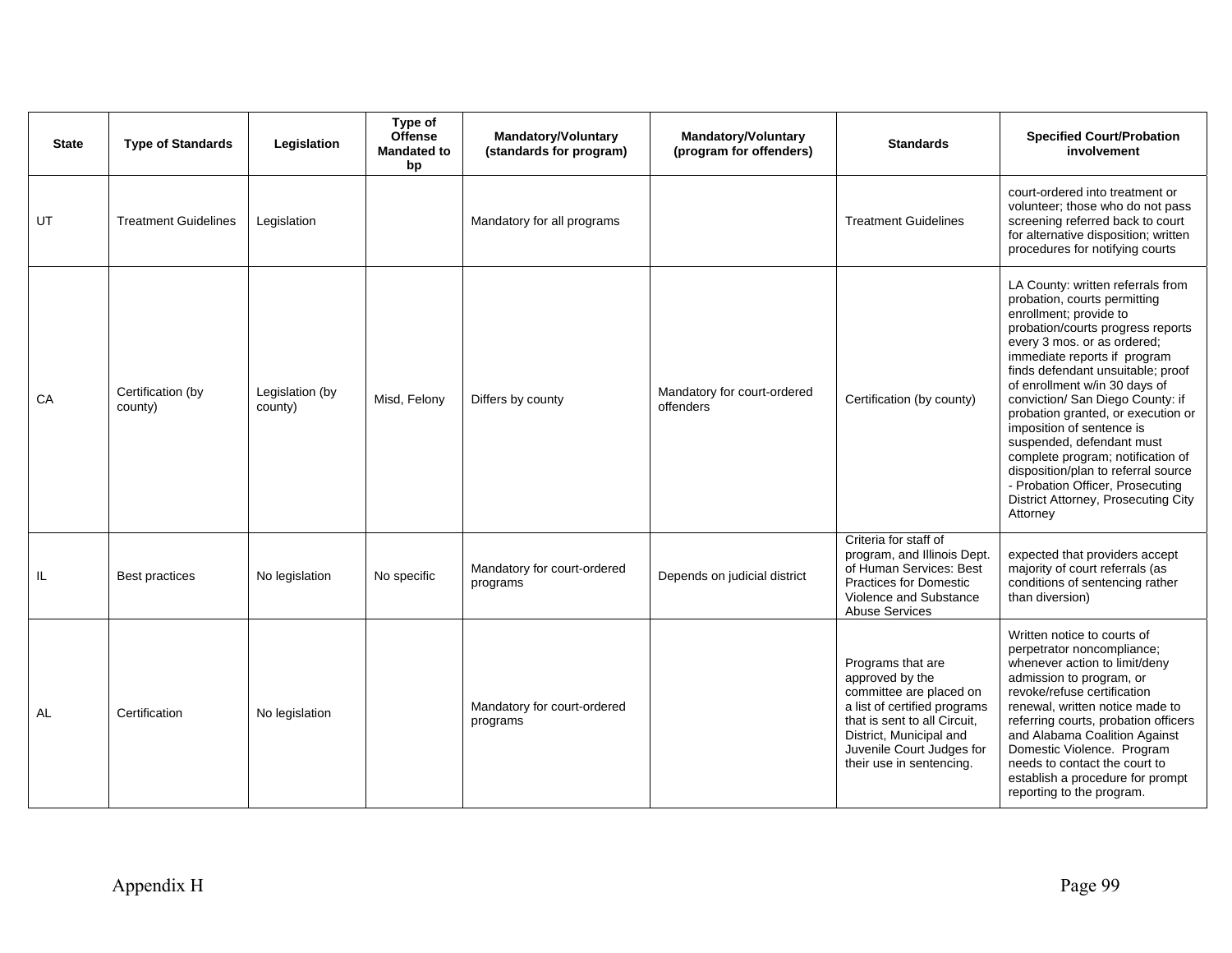| <b>State</b> | <b>Type of Standards</b>     | Legislation                | Type of<br><b>Offense</b><br><b>Mandated to</b><br>bp | <b>Mandatory/Voluntary</b><br>(standards for program) | <b>Mandatory/Voluntary</b><br>(program for offenders) | <b>Standards</b>                                                                                                                                                                                                    | <b>Specified Court/Probation</b><br>involvement                                                                                                                                                                                                                                                                                                                                                                                                                                                                                                                              |
|--------------|------------------------------|----------------------------|-------------------------------------------------------|-------------------------------------------------------|-------------------------------------------------------|---------------------------------------------------------------------------------------------------------------------------------------------------------------------------------------------------------------------|------------------------------------------------------------------------------------------------------------------------------------------------------------------------------------------------------------------------------------------------------------------------------------------------------------------------------------------------------------------------------------------------------------------------------------------------------------------------------------------------------------------------------------------------------------------------------|
| UT           | <b>Treatment Guidelines</b>  | Legislation                |                                                       | Mandatory for all programs                            |                                                       | <b>Treatment Guidelines</b>                                                                                                                                                                                         | court-ordered into treatment or<br>volunteer; those who do not pass<br>screening referred back to court<br>for alternative disposition; written<br>procedures for notifying courts                                                                                                                                                                                                                                                                                                                                                                                           |
| CA           | Certification (by<br>county) | Legislation (by<br>county) | Misd, Felony                                          | Differs by county                                     | Mandatory for court-ordered<br>offenders              | Certification (by county)                                                                                                                                                                                           | LA County: written referrals from<br>probation, courts permitting<br>enrollment; provide to<br>probation/courts progress reports<br>every 3 mos. or as ordered;<br>immediate reports if program<br>finds defendant unsuitable; proof<br>of enrollment w/in 30 days of<br>conviction/ San Diego County: if<br>probation granted, or execution or<br>imposition of sentence is<br>suspended, defendant must<br>complete program; notification of<br>disposition/plan to referral source<br>- Probation Officer, Prosecuting<br>District Attorney, Prosecuting City<br>Attorney |
| IL           | <b>Best practices</b>        | No legislation             | No specific                                           | Mandatory for court-ordered<br>programs               | Depends on judicial district                          | Criteria for staff of<br>program, and Illinois Dept.<br>of Human Services: Best<br><b>Practices for Domestic</b><br>Violence and Substance<br><b>Abuse Services</b>                                                 | expected that providers accept<br>majority of court referrals (as<br>conditions of sentencing rather<br>than diversion)                                                                                                                                                                                                                                                                                                                                                                                                                                                      |
| <b>AL</b>    | Certification                | No legislation             |                                                       | Mandatory for court-ordered<br>programs               |                                                       | Programs that are<br>approved by the<br>committee are placed on<br>a list of certified programs<br>that is sent to all Circuit.<br>District, Municipal and<br>Juvenile Court Judges for<br>their use in sentencing. | Written notice to courts of<br>perpetrator noncompliance;<br>whenever action to limit/deny<br>admission to program, or<br>revoke/refuse certification<br>renewal, written notice made to<br>referring courts, probation officers<br>and Alabama Coalition Against<br>Domestic Violence. Program<br>needs to contact the court to<br>establish a procedure for prompt<br>reporting to the program.                                                                                                                                                                            |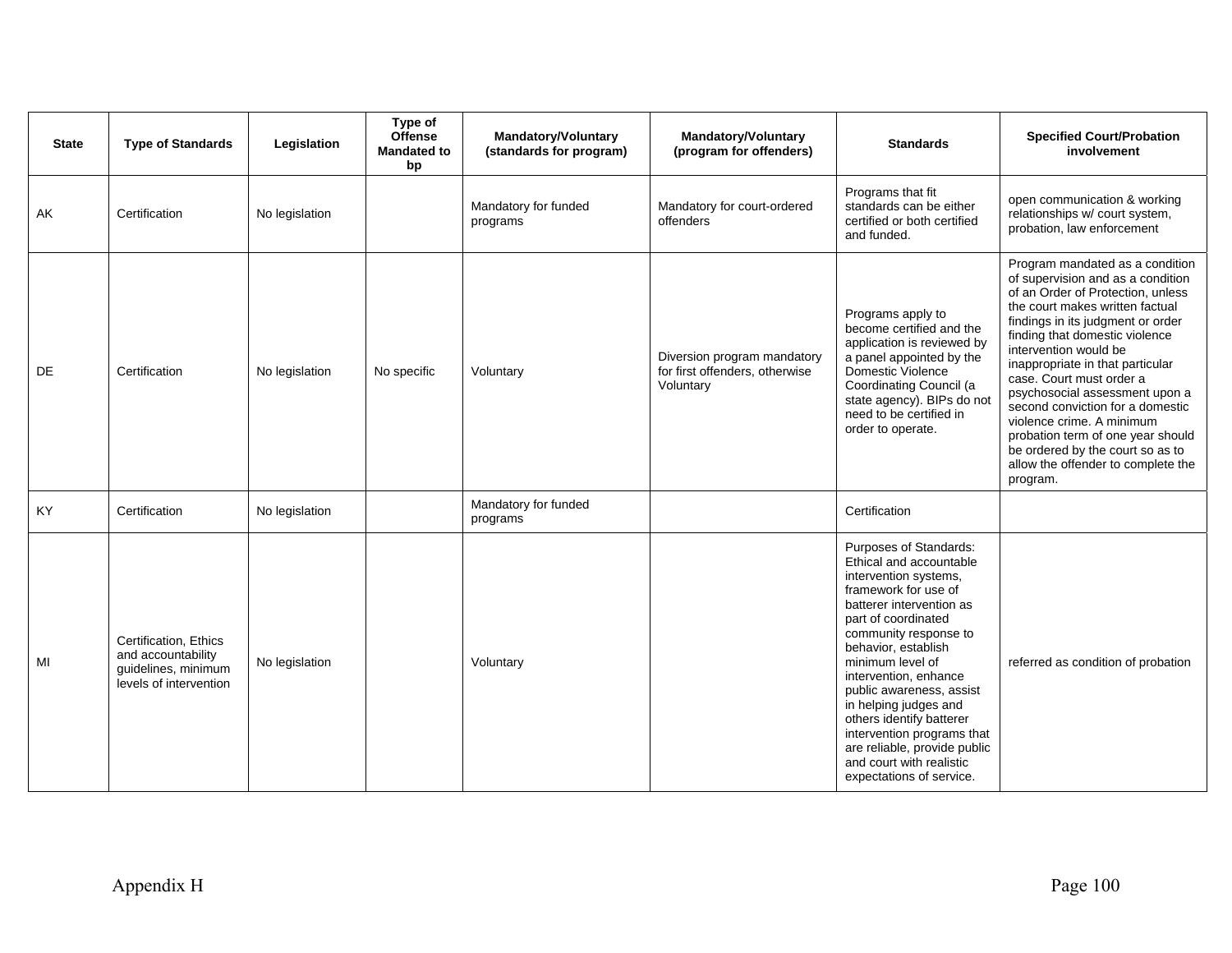| <b>State</b> | <b>Type of Standards</b>                                                                     | Legislation    | Type of<br><b>Offense</b><br><b>Mandated to</b><br>bp | <b>Mandatory/Voluntary</b><br>(standards for program) | <b>Mandatory/Voluntary</b><br>(program for offenders)                      | <b>Standards</b>                                                                                                                                                                                                                                                                                                                                                                                                                                          | <b>Specified Court/Probation</b><br>involvement                                                                                                                                                                                                                                                                                                                                                                                                                                                                                            |
|--------------|----------------------------------------------------------------------------------------------|----------------|-------------------------------------------------------|-------------------------------------------------------|----------------------------------------------------------------------------|-----------------------------------------------------------------------------------------------------------------------------------------------------------------------------------------------------------------------------------------------------------------------------------------------------------------------------------------------------------------------------------------------------------------------------------------------------------|--------------------------------------------------------------------------------------------------------------------------------------------------------------------------------------------------------------------------------------------------------------------------------------------------------------------------------------------------------------------------------------------------------------------------------------------------------------------------------------------------------------------------------------------|
| AK           | Certification                                                                                | No legislation |                                                       | Mandatory for funded<br>programs                      | Mandatory for court-ordered<br>offenders                                   | Programs that fit<br>standards can be either<br>certified or both certified<br>and funded.                                                                                                                                                                                                                                                                                                                                                                | open communication & working<br>relationships w/ court system,<br>probation, law enforcement                                                                                                                                                                                                                                                                                                                                                                                                                                               |
| <b>DE</b>    | Certification                                                                                | No legislation | No specific                                           | Voluntary                                             | Diversion program mandatory<br>for first offenders, otherwise<br>Voluntary | Programs apply to<br>become certified and the<br>application is reviewed by<br>a panel appointed by the<br>Domestic Violence<br>Coordinating Council (a<br>state agency). BIPs do not<br>need to be certified in<br>order to operate.                                                                                                                                                                                                                     | Program mandated as a condition<br>of supervision and as a condition<br>of an Order of Protection, unless<br>the court makes written factual<br>findings in its judgment or order<br>finding that domestic violence<br>intervention would be<br>inappropriate in that particular<br>case. Court must order a<br>psychosocial assessment upon a<br>second conviction for a domestic<br>violence crime. A minimum<br>probation term of one year should<br>be ordered by the court so as to<br>allow the offender to complete the<br>program. |
| KY           | Certification                                                                                | No legislation |                                                       | Mandatory for funded<br>programs                      |                                                                            | Certification                                                                                                                                                                                                                                                                                                                                                                                                                                             |                                                                                                                                                                                                                                                                                                                                                                                                                                                                                                                                            |
| MI           | Certification, Ethics<br>and accountability<br>guidelines, minimum<br>levels of intervention | No legislation |                                                       | Voluntary                                             |                                                                            | Purposes of Standards:<br>Ethical and accountable<br>intervention systems,<br>framework for use of<br>batterer intervention as<br>part of coordinated<br>community response to<br>behavior, establish<br>minimum level of<br>intervention, enhance<br>public awareness, assist<br>in helping judges and<br>others identify batterer<br>intervention programs that<br>are reliable, provide public<br>and court with realistic<br>expectations of service. | referred as condition of probation                                                                                                                                                                                                                                                                                                                                                                                                                                                                                                         |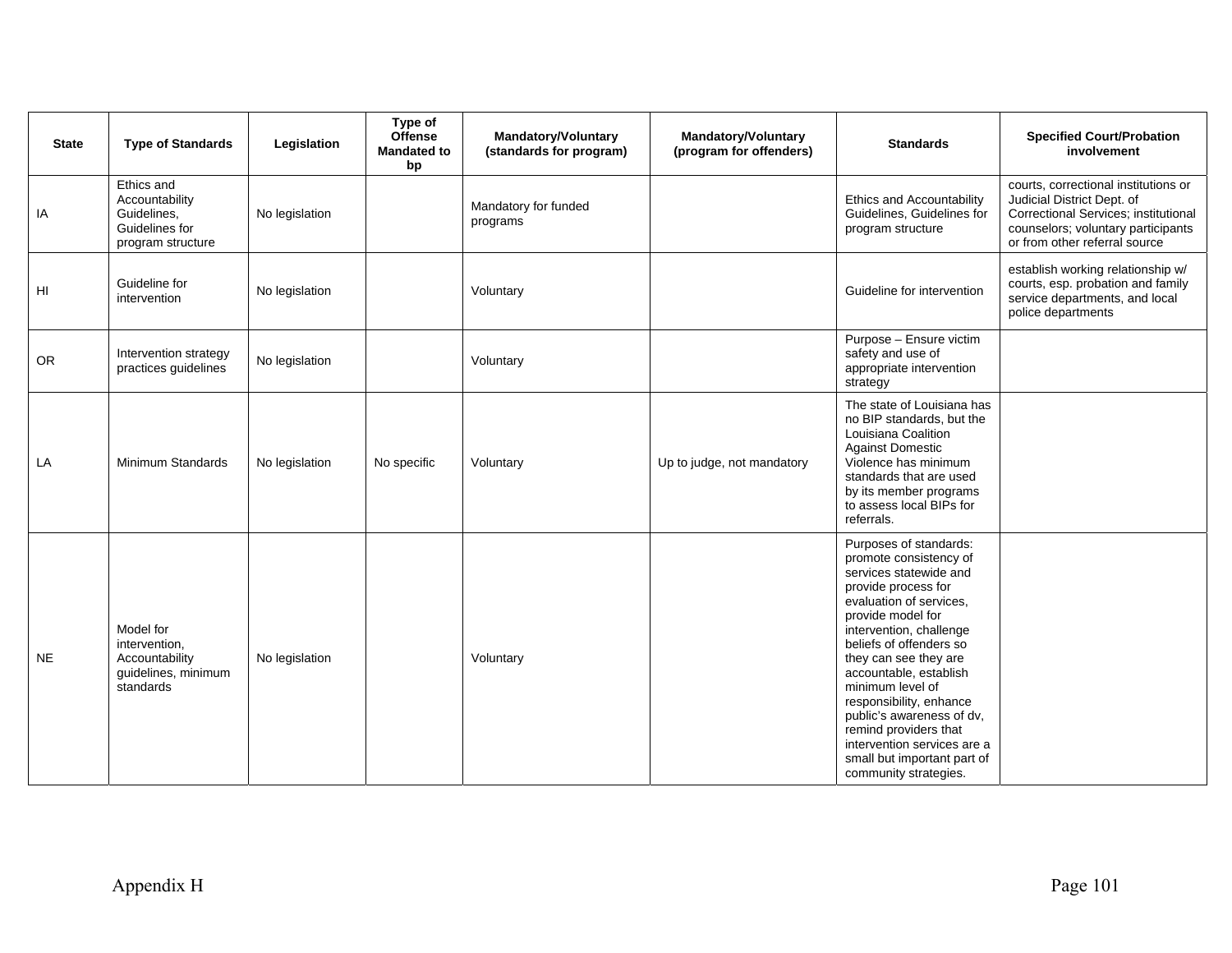| <b>State</b> | <b>Type of Standards</b>                                                           | Legislation    | Type of<br><b>Offense</b><br><b>Mandated to</b><br>bp | <b>Mandatory/Voluntary</b><br>(standards for program) | <b>Mandatory/Voluntary</b><br>(program for offenders) | <b>Standards</b>                                                                                                                                                                                                                                                                                                                                                                                                                                       | <b>Specified Court/Probation</b><br>involvement                                                                                                                                   |
|--------------|------------------------------------------------------------------------------------|----------------|-------------------------------------------------------|-------------------------------------------------------|-------------------------------------------------------|--------------------------------------------------------------------------------------------------------------------------------------------------------------------------------------------------------------------------------------------------------------------------------------------------------------------------------------------------------------------------------------------------------------------------------------------------------|-----------------------------------------------------------------------------------------------------------------------------------------------------------------------------------|
| IA           | Ethics and<br>Accountability<br>Guidelines,<br>Guidelines for<br>program structure | No legislation |                                                       | Mandatory for funded<br>programs                      |                                                       | <b>Ethics and Accountability</b><br>Guidelines, Guidelines for<br>program structure                                                                                                                                                                                                                                                                                                                                                                    | courts, correctional institutions or<br>Judicial District Dept. of<br>Correctional Services; institutional<br>counselors; voluntary participants<br>or from other referral source |
| HI           | Guideline for<br>intervention                                                      | No legislation |                                                       | Voluntary                                             |                                                       | Guideline for intervention                                                                                                                                                                                                                                                                                                                                                                                                                             | establish working relationship w/<br>courts, esp. probation and family<br>service departments, and local<br>police departments                                                    |
| ${\sf OR}$   | Intervention strategy<br>practices guidelines                                      | No legislation |                                                       | Voluntary                                             |                                                       | Purpose - Ensure victim<br>safety and use of<br>appropriate intervention<br>strategy                                                                                                                                                                                                                                                                                                                                                                   |                                                                                                                                                                                   |
| LA           | Minimum Standards                                                                  | No legislation | No specific                                           | Voluntary                                             | Up to judge, not mandatory                            | The state of Louisiana has<br>no BIP standards, but the<br>Louisiana Coalition<br><b>Against Domestic</b><br>Violence has minimum<br>standards that are used<br>by its member programs<br>to assess local BIPs for<br>referrals.                                                                                                                                                                                                                       |                                                                                                                                                                                   |
| <b>NE</b>    | Model for<br>intervention,<br>Accountability<br>guidelines, minimum<br>standards   | No legislation |                                                       | Voluntary                                             |                                                       | Purposes of standards:<br>promote consistency of<br>services statewide and<br>provide process for<br>evaluation of services,<br>provide model for<br>intervention, challenge<br>beliefs of offenders so<br>they can see they are<br>accountable, establish<br>minimum level of<br>responsibility, enhance<br>public's awareness of dv,<br>remind providers that<br>intervention services are a<br>small but important part of<br>community strategies. |                                                                                                                                                                                   |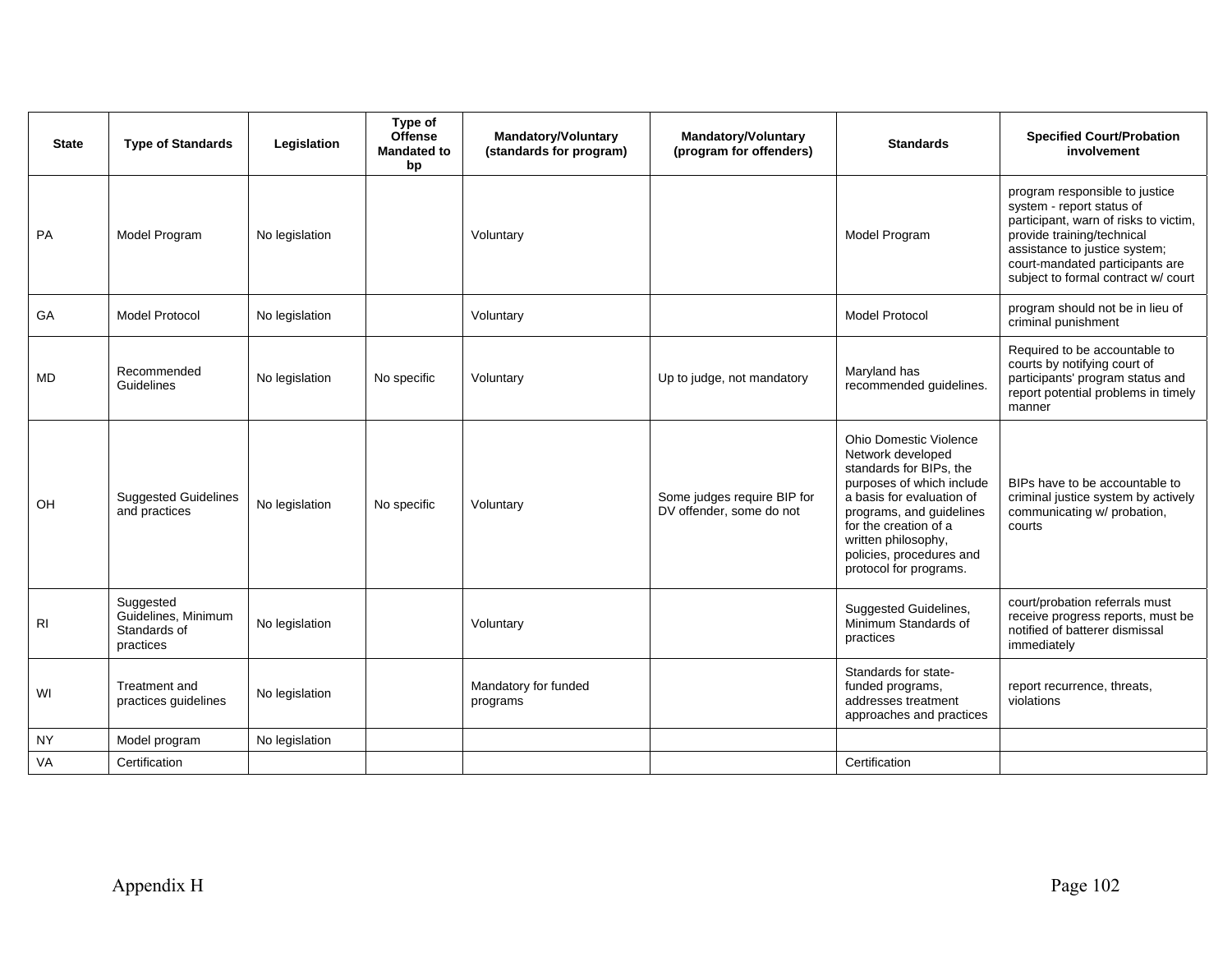| <b>State</b>   | <b>Type of Standards</b>                                      | Legislation    | Type of<br><b>Offense</b><br><b>Mandated to</b><br>bp | <b>Mandatory/Voluntary</b><br>(standards for program) | <b>Mandatory/Voluntary</b><br>(program for offenders)   | <b>Standards</b>                                                                                                                                                                                                                                                          | <b>Specified Court/Probation</b><br>involvement                                                                                                                                                                                               |
|----------------|---------------------------------------------------------------|----------------|-------------------------------------------------------|-------------------------------------------------------|---------------------------------------------------------|---------------------------------------------------------------------------------------------------------------------------------------------------------------------------------------------------------------------------------------------------------------------------|-----------------------------------------------------------------------------------------------------------------------------------------------------------------------------------------------------------------------------------------------|
| PA             | Model Program                                                 | No legislation |                                                       | Voluntary                                             |                                                         | Model Program                                                                                                                                                                                                                                                             | program responsible to justice<br>system - report status of<br>participant, warn of risks to victim,<br>provide training/technical<br>assistance to justice system;<br>court-mandated participants are<br>subject to formal contract w/ court |
| GA             | Model Protocol                                                | No legislation |                                                       | Voluntary                                             |                                                         | <b>Model Protocol</b>                                                                                                                                                                                                                                                     | program should not be in lieu of<br>criminal punishment                                                                                                                                                                                       |
| <b>MD</b>      | Recommended<br>Guidelines                                     | No legislation | No specific                                           | Voluntary                                             | Up to judge, not mandatory                              | Maryland has<br>recommended guidelines.                                                                                                                                                                                                                                   | Required to be accountable to<br>courts by notifying court of<br>participants' program status and<br>report potential problems in timely<br>manner                                                                                            |
| OH.            | <b>Suggested Guidelines</b><br>and practices                  | No legislation | No specific                                           | Voluntary                                             | Some judges require BIP for<br>DV offender, some do not | <b>Ohio Domestic Violence</b><br>Network developed<br>standards for BIPs, the<br>purposes of which include<br>a basis for evaluation of<br>programs, and guidelines<br>for the creation of a<br>written philosophy,<br>policies, procedures and<br>protocol for programs. | BIPs have to be accountable to<br>criminal justice system by actively<br>communicating w/ probation,<br>courts                                                                                                                                |
| R <sub>1</sub> | Suggested<br>Guidelines, Minimum<br>Standards of<br>practices | No legislation |                                                       | Voluntary                                             |                                                         | <b>Suggested Guidelines,</b><br>Minimum Standards of<br>practices                                                                                                                                                                                                         | court/probation referrals must<br>receive progress reports, must be<br>notified of batterer dismissal<br>immediately                                                                                                                          |
| WI             | Treatment and<br>practices guidelines                         | No legislation |                                                       | Mandatory for funded<br>programs                      |                                                         | Standards for state-<br>funded programs,<br>addresses treatment<br>approaches and practices                                                                                                                                                                               | report recurrence, threats,<br>violations                                                                                                                                                                                                     |
| <b>NY</b>      | Model program                                                 | No legislation |                                                       |                                                       |                                                         |                                                                                                                                                                                                                                                                           |                                                                                                                                                                                                                                               |
| VA             | Certification                                                 |                |                                                       |                                                       |                                                         | Certification                                                                                                                                                                                                                                                             |                                                                                                                                                                                                                                               |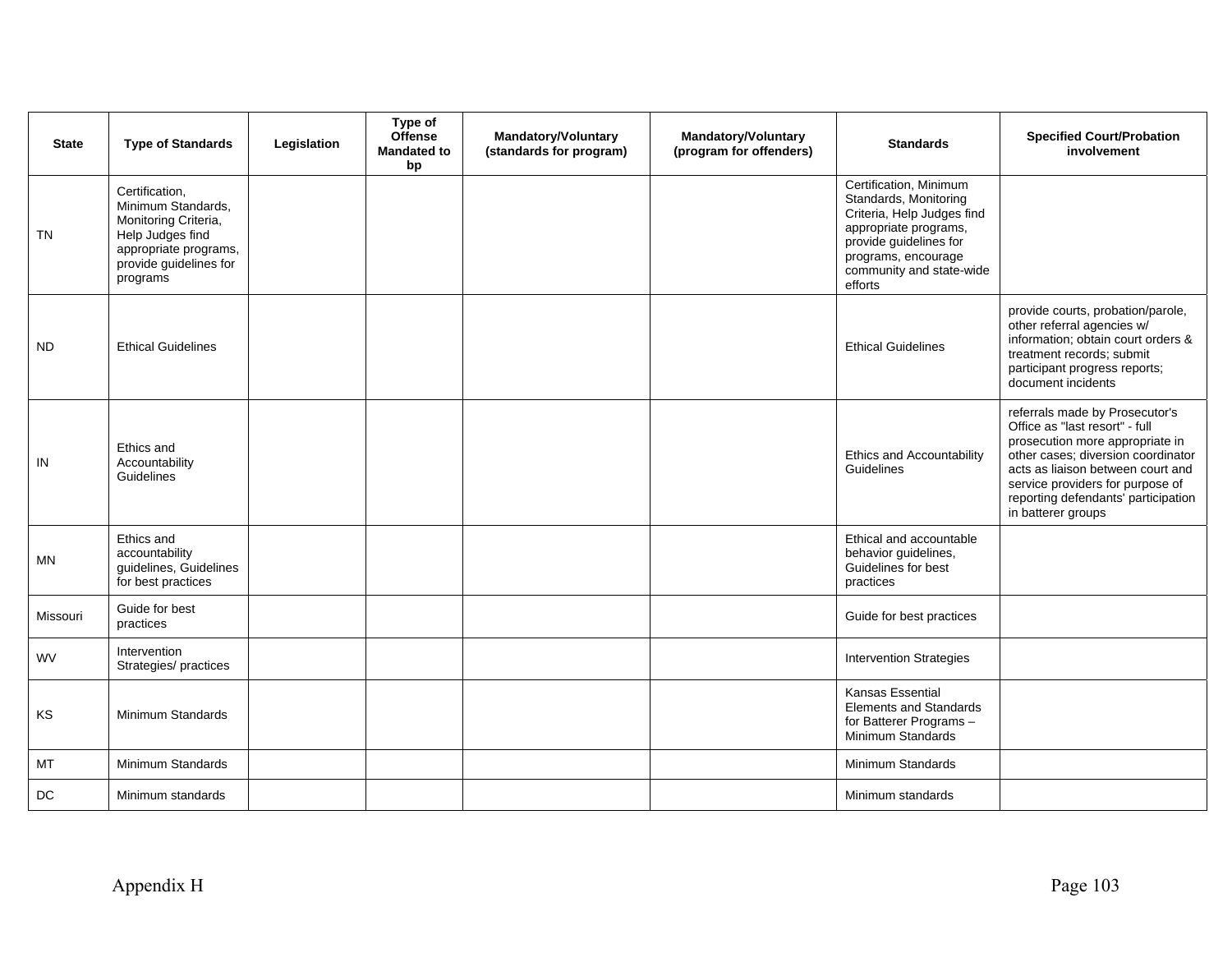| <b>State</b> | <b>Type of Standards</b>                                                                                                                        | Legislation | Type of<br><b>Offense</b><br><b>Mandated to</b><br>bp | <b>Mandatory/Voluntary</b><br>(standards for program) | <b>Mandatory/Voluntary</b><br>(program for offenders) | <b>Standards</b>                                                                                                                                                                               | <b>Specified Court/Probation</b><br>involvement                                                                                                                                                                                                                                 |
|--------------|-------------------------------------------------------------------------------------------------------------------------------------------------|-------------|-------------------------------------------------------|-------------------------------------------------------|-------------------------------------------------------|------------------------------------------------------------------------------------------------------------------------------------------------------------------------------------------------|---------------------------------------------------------------------------------------------------------------------------------------------------------------------------------------------------------------------------------------------------------------------------------|
| <b>TN</b>    | Certification,<br>Minimum Standards,<br>Monitoring Criteria,<br>Help Judges find<br>appropriate programs,<br>provide guidelines for<br>programs |             |                                                       |                                                       |                                                       | Certification, Minimum<br>Standards, Monitoring<br>Criteria, Help Judges find<br>appropriate programs,<br>provide guidelines for<br>programs, encourage<br>community and state-wide<br>efforts |                                                                                                                                                                                                                                                                                 |
| <b>ND</b>    | <b>Ethical Guidelines</b>                                                                                                                       |             |                                                       |                                                       |                                                       | <b>Ethical Guidelines</b>                                                                                                                                                                      | provide courts, probation/parole,<br>other referral agencies w/<br>information; obtain court orders &<br>treatment records; submit<br>participant progress reports;<br>document incidents                                                                                       |
| IN           | Ethics and<br>Accountability<br>Guidelines                                                                                                      |             |                                                       |                                                       |                                                       | <b>Ethics and Accountability</b><br>Guidelines                                                                                                                                                 | referrals made by Prosecutor's<br>Office as "last resort" - full<br>prosecution more appropriate in<br>other cases; diversion coordinator<br>acts as liaison between court and<br>service providers for purpose of<br>reporting defendants' participation<br>in batterer groups |
| <b>MN</b>    | Ethics and<br>accountability<br>guidelines, Guidelines<br>for best practices                                                                    |             |                                                       |                                                       |                                                       | Ethical and accountable<br>behavior guidelines,<br>Guidelines for best<br>practices                                                                                                            |                                                                                                                                                                                                                                                                                 |
| Missouri     | Guide for best<br>practices                                                                                                                     |             |                                                       |                                                       |                                                       | Guide for best practices                                                                                                                                                                       |                                                                                                                                                                                                                                                                                 |
| <b>WV</b>    | Intervention<br>Strategies/ practices                                                                                                           |             |                                                       |                                                       |                                                       | <b>Intervention Strategies</b>                                                                                                                                                                 |                                                                                                                                                                                                                                                                                 |
| KS           | Minimum Standards                                                                                                                               |             |                                                       |                                                       |                                                       | Kansas Essential<br><b>Elements and Standards</b><br>for Batterer Programs-<br>Minimum Standards                                                                                               |                                                                                                                                                                                                                                                                                 |
| MT           | Minimum Standards                                                                                                                               |             |                                                       |                                                       |                                                       | Minimum Standards                                                                                                                                                                              |                                                                                                                                                                                                                                                                                 |
| DC           | Minimum standards                                                                                                                               |             |                                                       |                                                       |                                                       | Minimum standards                                                                                                                                                                              |                                                                                                                                                                                                                                                                                 |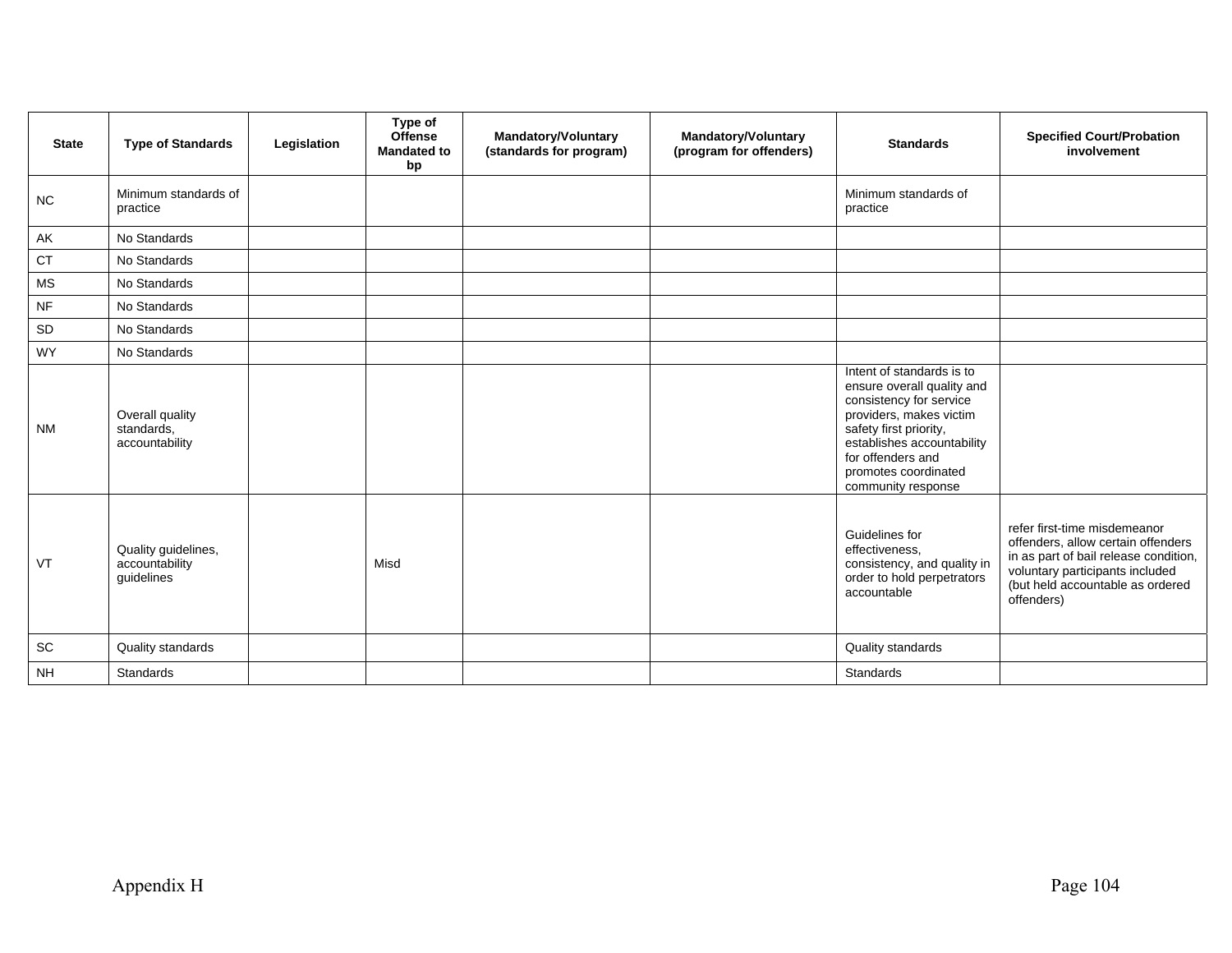| <b>State</b> | <b>Type of Standards</b>                            | Legislation | Type of<br><b>Offense</b><br><b>Mandated to</b><br>bp | <b>Mandatory/Voluntary</b><br>(standards for program) | <b>Mandatory/Voluntary</b><br>(program for offenders) | <b>Standards</b>                                                                                                                                                                                                                         | <b>Specified Court/Probation</b><br>involvement                                                                                                                                                  |
|--------------|-----------------------------------------------------|-------------|-------------------------------------------------------|-------------------------------------------------------|-------------------------------------------------------|------------------------------------------------------------------------------------------------------------------------------------------------------------------------------------------------------------------------------------------|--------------------------------------------------------------------------------------------------------------------------------------------------------------------------------------------------|
| NC           | Minimum standards of<br>practice                    |             |                                                       |                                                       |                                                       | Minimum standards of<br>practice                                                                                                                                                                                                         |                                                                                                                                                                                                  |
| AK           | No Standards                                        |             |                                                       |                                                       |                                                       |                                                                                                                                                                                                                                          |                                                                                                                                                                                                  |
| <b>CT</b>    | No Standards                                        |             |                                                       |                                                       |                                                       |                                                                                                                                                                                                                                          |                                                                                                                                                                                                  |
| <b>MS</b>    | No Standards                                        |             |                                                       |                                                       |                                                       |                                                                                                                                                                                                                                          |                                                                                                                                                                                                  |
| <b>NF</b>    | No Standards                                        |             |                                                       |                                                       |                                                       |                                                                                                                                                                                                                                          |                                                                                                                                                                                                  |
| SD           | No Standards                                        |             |                                                       |                                                       |                                                       |                                                                                                                                                                                                                                          |                                                                                                                                                                                                  |
| <b>WY</b>    | No Standards                                        |             |                                                       |                                                       |                                                       |                                                                                                                                                                                                                                          |                                                                                                                                                                                                  |
| <b>NM</b>    | Overall quality<br>standards,<br>accountability     |             |                                                       |                                                       |                                                       | Intent of standards is to<br>ensure overall quality and<br>consistency for service<br>providers, makes victim<br>safety first priority,<br>establishes accountability<br>for offenders and<br>promotes coordinated<br>community response |                                                                                                                                                                                                  |
| VT           | Quality guidelines,<br>accountability<br>guidelines |             | Misd                                                  |                                                       |                                                       | Guidelines for<br>effectiveness,<br>consistency, and quality in<br>order to hold perpetrators<br>accountable                                                                                                                             | refer first-time misdemeanor<br>offenders, allow certain offenders<br>in as part of bail release condition,<br>voluntary participants included<br>(but held accountable as ordered<br>offenders) |
| SC           | Quality standards                                   |             |                                                       |                                                       |                                                       | Quality standards                                                                                                                                                                                                                        |                                                                                                                                                                                                  |
| <b>NH</b>    | Standards                                           |             |                                                       |                                                       |                                                       | Standards                                                                                                                                                                                                                                |                                                                                                                                                                                                  |